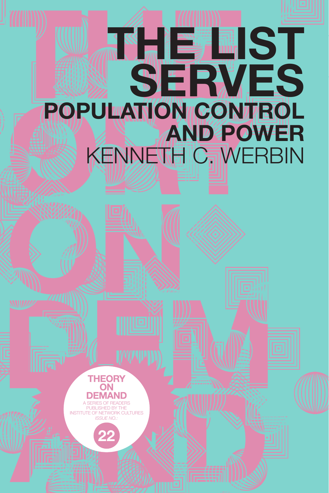# **THE LIST SERVES POPULATION CONTROL AND POWER**  KENNETH C. WERBIN

**22**

SERIES OF READERS PUBLISHED BY THE INSTITUTE OF NETWORK CULTURES *ISSUE NO.:*

THEORY<br>ON **EMAND**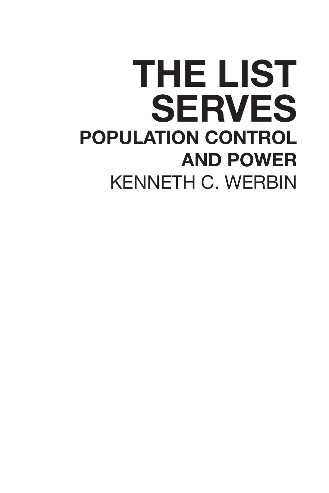## **THE LIST SERVES POPULATION CONTROL AND POWER** KENNETH C. WERBIN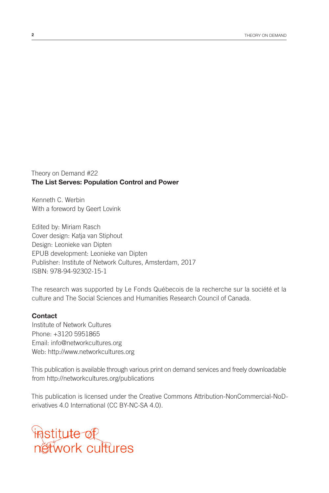#### Theory on Demand #22 **The List Serves: Population Control and Power**

Kenneth C. Werbin With a foreword by Geert Lovink

Edited by: Miriam Rasch Cover design: Katja van Stiphout Design: Leonieke van Dipten EPUB development: Leonieke van Dipten Publisher: Institute of Network Cultures, Amsterdam, 2017 ISBN: 978-94-92302-15-1

The research was supported by Le Fonds Québecois de la recherche sur la société et la culture and The Social Sciences and Humanities Research Council of Canada.

#### **Contact**

Institute of Network Cultures Phone: +3120 5951865 Email: info@networkcultures.org Web: http://www.networkcultures.org

This publication is available through various print on demand services and freely downloadable from http://networkcultures.org/publications

This publication is licensed under the Creative Commons Attribution-NonCommercial-NoDerivatives 4.0 International (CC BY-NC-SA 4.0).

## **institute of<br>nétwork cultures**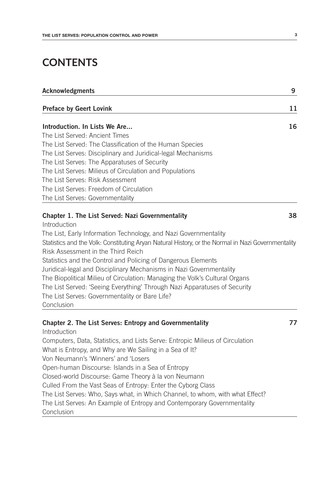## **CONTENTS**

| 11<br><b>Preface by Geert Lovink</b>                                                               |
|----------------------------------------------------------------------------------------------------|
| Introduction. In Lists We Are<br>16                                                                |
| The List Served: Ancient Times                                                                     |
| The List Served: The Classification of the Human Species                                           |
| The List Serves: Disciplinary and Juridical-legal Mechanisms                                       |
| The List Serves: The Apparatuses of Security                                                       |
| The List Serves: Milieus of Circulation and Populations                                            |
| The List Serves: Risk Assessment                                                                   |
| The List Serves: Freedom of Circulation                                                            |
| The List Serves: Governmentality                                                                   |
| Chapter 1. The List Served: Nazi Governmentality<br>38                                             |
| Introduction                                                                                       |
| The List, Early Information Technology, and Nazi Governmentality                                   |
| Statistics and the Volk: Constituting Aryan Natural History, or the Normal in Nazi Governmentality |
| Risk Assessment in the Third Reich                                                                 |
| Statistics and the Control and Policing of Dangerous Elements                                      |
| Juridical-legal and Disciplinary Mechanisms in Nazi Governmentality                                |
| The Biopolitical Milieu of Circulation: Managing the Volk's Cultural Organs                        |
| The List Served: 'Seeing Everything' Through Nazi Apparatuses of Security                          |
| The List Serves: Governmentality or Bare Life?<br>Conclusion                                       |
|                                                                                                    |
| 77<br><b>Chapter 2. The List Serves: Entropy and Governmentality</b><br>Introduction               |
| Computers, Data, Statistics, and Lists Serve: Entropic Milieus of Circulation                      |
| What is Entropy, and Why are We Sailing in a Sea of It?                                            |
| Von Neumann's 'Winners' and 'Losers                                                                |
| Open-human Discourse: Islands in a Sea of Entropy                                                  |
| Closed-world Discourse: Game Theory à la von Neumann                                               |
| Culled From the Vast Seas of Entropy: Enter the Cyborg Class                                       |
| The List Serves: Who, Says what, in Which Channel, to whom, with what Effect?                      |
| The List Serves: An Example of Entropy and Contemporary Governmentality                            |
| Conclusion                                                                                         |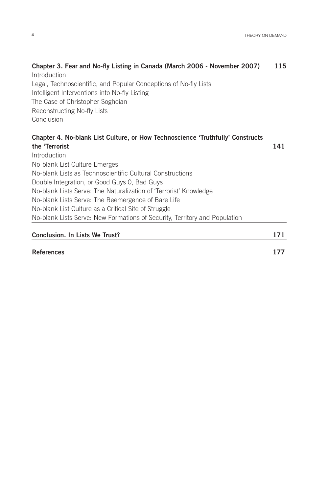### **Chapter 3. Fear and No-fly Listing in Canada (March 2006 - November 2007) 115**

Introduction Legal, Technoscientific, and Popular Conceptions of No-fly Lists Intelligent Interventions into No-fly Listing The Case of Christopher Soghoian Reconstructing No-fly Lists Conclusion

| Chapter 4. No-blank List Culture, or How Technoscience 'Truthfully' Constructs |     |
|--------------------------------------------------------------------------------|-----|
| the 'Terrorist                                                                 | 141 |
| Introduction                                                                   |     |
| No-blank List Culture Emerges                                                  |     |
| No-blank Lists as Technoscientific Cultural Constructions                      |     |
| Double Integration, or Good Guys 0, Bad Guys                                   |     |
| No-blank Lists Serve: The Naturalization of 'Terrorist' Knowledge              |     |
| No-blank Lists Serve: The Reemergence of Bare Life                             |     |
| No-blank List Culture as a Critical Site of Struggle                           |     |
| No-blank Lists Serve: New Formations of Security, Territory and Population     |     |
|                                                                                |     |
| <b>Conclusion. In Lists We Trust?</b>                                          | 171 |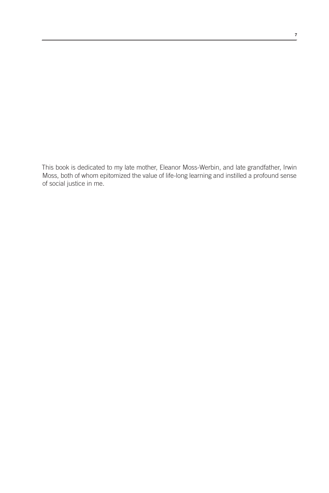This book is dedicated to my late mother, Eleanor Moss-Werbin, and late grandfather, Irwin Moss, both of whom epitomized the value of life-long learning and instilled a profound sense of social justice in me.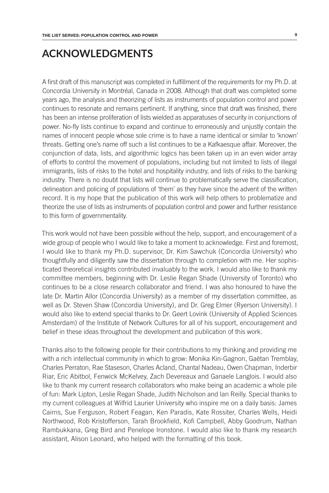## **ACKNOWLEDGMENTS**

A first draft of this manuscript was completed in fulfillment of the requirements for my Ph.D. at Concordia University in Montréal, Canada in 2008. Although that draft was completed some years ago, the analysis and theorizing of lists as instruments of population control and power continues to resonate and remains pertinent. If anything, since that draft was finished, there has been an intense proliferation of lists wielded as apparatuses of security in conjunctions of power. No-fly lists continue to expand and continue to erroneously and unjustly contain the names of innocent people whose sole crime is to have a name identical or similar to 'known' threats. Getting one's name off such a list continues to be a Kafkaesque affair. Moreover, the conjunction of data, lists, and algorithmic logics has been taken up in an even wider array of efforts to control the movement of populations, including but not limited to lists of illegal immigrants, lists of risks to the hotel and hospitality industry, and lists of risks to the banking industry. There is no doubt that lists will continue to problematically serve the classification, delineation and policing of populations of 'them' as they have since the advent of the written record. It is my hope that the publication of this work will help others to problematize and theorize the use of lists as instruments of population control and power and further resistance to this form of governmentality.

This work would not have been possible without the help, support, and encouragement of a wide group of people who I would like to take a moment to acknowledge. First and foremost, I would like to thank my Ph.D. supervisor, Dr. Kim Sawchuk (Concordia University) who thoughtfully and diligently saw the dissertation through to completion with me. Her sophisticated theoretical insights contributed invaluably to the work. I would also like to thank my committee members, beginning with Dr. Leslie Regan Shade (University of Toronto) who continues to be a close research collaborator and friend. I was also honoured to have the late Dr. Martin Allor (Concordia University) as a member of my dissertation committee, as well as Dr. Steven Shaw (Concordia University), and Dr. Greg Elmer (Ryerson University). I would also like to extend special thanks to Dr. Geert Lovink (University of Applied Sciences Amsterdam) of the Institute of Network Cultures for all of his support, encouragement and belief in these ideas throughout the development and publication of this work.

Thanks also to the following people for their contributions to my thinking and providing me with a rich intellectual community in which to grow: Monika Kin-Gagnon, Gaëtan Tremblay, Charles Perraton, Rae Staseson, Charles Acland, Chantal Nadeau, Owen Chapman, Inderbir Riar, Eric Abitbol, Fenwick McKelvey, Zach Devereaux and Ganaele Langlois. I would also like to thank my current research collaborators who make being an academic a whole pile of fun: Mark Lipton, Leslie Regan Shade, Judith Nicholson and Ian Reilly. Special thanks to my current colleagues at Wilfrid Laurier University who inspire me on a daily basis: James Cairns, Sue Ferguson, Robert Feagan, Ken Paradis, Kate Rossiter, Charles Wells, Heidi Northwood, Rob Kristofferson, Tarah Brookfield, Kofi Campbell, Abby Goodrum, Nathan Rambukkana, Greg Bird and Penelope Ironstone. I would also like to thank my research assistant, Alison Leonard, who helped with the formatting of this book.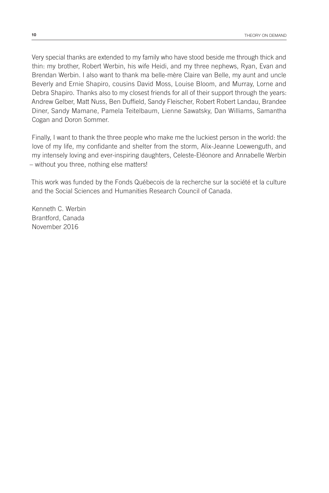Very special thanks are extended to my family who have stood beside me through thick and thin: my brother, Robert Werbin, his wife Heidi, and my three nephews, Ryan, Evan and Brendan Werbin. I also want to thank ma belle-mère Claire van Belle, my aunt and uncle Beverly and Ernie Shapiro, cousins David Moss, Louise Bloom, and Murray, Lorne and Debra Shapiro. Thanks also to my closest friends for all of their support through the years: Andrew Gelber, Matt Nuss, Ben Duffield, Sandy Fleischer, Robert Robert Landau, Brandee Diner, Sandy Mamane, Pamela Teitelbaum, Lienne Sawatsky, Dan Williams, Samantha Cogan and Doron Sommer.

Finally, I want to thank the three people who make me the luckiest person in the world: the love of my life, my confidante and shelter from the storm, Alix-Jeanne Loewenguth, and my intensely loving and ever-inspiring daughters, Celeste-Eléonore and Annabelle Werbin – without you three, nothing else matters!

This work was funded by the Fonds Québecois de la recherche sur la société et la culture and the Social Sciences and Humanities Research Council of Canada.

Kenneth C. Werbin Brantford, Canada November 2016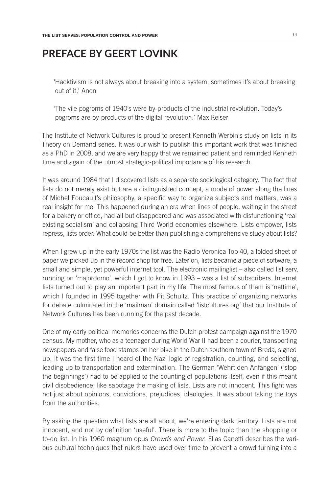### **PREFACE BY GEERT LOVINK**

'Hacktivism is not always about breaking into a system, sometimes it's about breaking out of it.' Anon

'The vile pogroms of 1940's were by-products of the industrial revolution. Today's pogroms are by-products of the digital revolution.' Max Keiser

The Institute of Network Cultures is proud to present Kenneth Werbin's study on lists in its Theory on Demand series. It was our wish to publish this important work that was finished as a PhD in 2008, and we are very happy that we remained patient and reminded Kenneth time and again of the utmost strategic-political importance of his research.

It was around 1984 that I discovered lists as a separate sociological category. The fact that lists do not merely exist but are a distinguished concept, a mode of power along the lines of Michel Foucault's philosophy, a specific way to organize subjects and matters, was a real insight for me. This happened during an era when lines of people, waiting in the street for a bakery or office, had all but disappeared and was associated with disfunctioning 'real existing socialism' and collapsing Third World economies elsewhere. Lists empower, lists repress, lists order. What could be better than publishing a comprehensive study about lists?

When I grew up in the early 1970s the list was the Radio Veronica Top 40, a folded sheet of paper we picked up in the record shop for free. Later on, lists became a piece of software, a small and simple, yet powerful internet tool. The electronic mailinglist – also called list serv, running on 'majordomo', which I got to know in 1993 – was a list of subscribers. Internet lists turned out to play an important part in my life. The most famous of them is 'nettime', which I founded in 1995 together with Pit Schultz. This practice of organizing networks for debate culminated in the 'mailman' domain called 'listcultures.org' that our Institute of Network Cultures has been running for the past decade.

One of my early political memories concerns the Dutch protest campaign against the 1970 census. My mother, who as a teenager during World War II had been a courier, transporting newspapers and false food stamps on her bike in the Dutch southern town of Breda, signed up. It was the first time I heard of the Nazi logic of registration, counting, and selecting, leading up to transportation and extermination. The German 'Wehrt den Anfängen' ('stop the beginnings') had to be applied to the counting of populations itself, even if this meant civil disobedience, like sabotage the making of lists. Lists are not innocent. This fight was not just about opinions, convictions, prejudices, ideologies. It was about taking the toys from the authorities.

By asking the question what lists are all about, we're entering dark territory. Lists are not innocent, and not by definition 'useful'. There is more to the topic than the shopping or to-do list. In his 1960 magnum opus *Crowds and Power*, Elias Canetti describes the various cultural techniques that rulers have used over time to prevent a crowd turning into a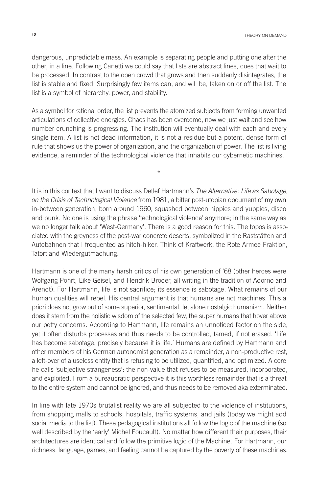dangerous, unpredictable mass. An example is separating people and putting one after the other, in a line. Following Canetti we could say that lists are abstract lines, cues that wait to be processed. In contrast to the open crowd that grows and then suddenly disintegrates, the list is stable and fixed. Surprisingly few items can, and will be, taken on or off the list. The list is a symbol of hierarchy, power, and stability.

As a symbol for rational order, the list prevents the atomized subjects from forming unwanted articulations of collective energies. Chaos has been overcome, now we just wait and see how number crunching is progressing. The institution will eventually deal with each and every single item. A list is not dead information, it is not a residue but a potent, dense form of rule that shows us the power of organization, and the organization of power. The list is living evidence, a reminder of the technological violence that inhabits our cybernetic machines.

\*

It is in this context that I want to discuss Detlef Hartmann's *The Alternative: Life as Sabotage, on the Crisis of Technological Violence* from 1981, a bitter post-utopian document of my own in-between generation, born around 1960, squashed between hippies and yuppies, disco and punk. No one is using the phrase 'technological violence' anymore; in the same way as we no longer talk about 'West-Germany'. There is a good reason for this. The topos is associated with the greyness of the post-war concrete deserts, symbolized in the Raststätten and Autobahnen that I frequented as hitch-hiker. Think of Kraftwerk, the Rote Armee Fraktion, Tatort and Wiedergutmachung.

Hartmann is one of the many harsh critics of his own generation of '68 (other heroes were Wolfgang Pohrt, Eike Geisel, and Hendrik Broder, all writing in the tradition of Adorno and Arendt). For Hartmann, life is not sacrifice; its essence is sabotage. What remains of our human qualities will rebel. His central argument is that humans are not machines. This a priori does not grow out of some superior, sentimental, let alone nostalgic humanism. Neither does it stem from the holistic wisdom of the selected few, the super humans that hover above our petty concerns. According to Hartmann, life remains an unnoticed factor on the side, yet it often disturbs processes and thus needs to be controlled, tamed, if not erased. 'Life has become sabotage, precisely because it is life.' Humans are defined by Hartmann and other members of his German autonomist generation as a remainder, a non-productive rest, a left-over of a useless entity that is refusing to be utilized, quantified, and optimized. A core he calls 'subjective strangeness': the non-value that refuses to be measured, incorporated, and exploited. From a bureaucratic perspective it is this worthless remainder that is a threat to the entire system and cannot be ignored, and thus needs to be removed aka exterminated.

In line with late 1970s brutalist reality we are all subjected to the violence of institutions, from shopping malls to schools, hospitals, traffic systems, and jails (today we might add social media to the list). These pedagogical institutions all follow the logic of the machine (so well described by the 'early' Michel Foucault). No matter how different their purposes, their architectures are identical and follow the primitive logic of the Machine. For Hartmann, our richness, language, games, and feeling cannot be captured by the poverty of these machines.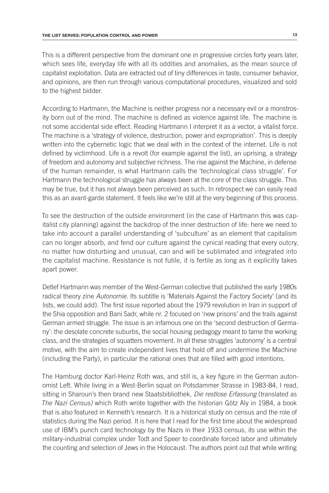This is a different perspective from the dominant one in progressive circles forty years later, which sees life, everyday life with all its oddities and anomalies, as the mean source of capitalist exploitation. Data are extracted out of tiny differences in taste, consumer behavior, and opinions, are then run through various computational procedures, visualized and sold to the highest bidder.

According to Hartmann, the Machine is neither progress nor a necessary evil or a monstrosity born out of the mind. The machine is defined as violence against life. The machine is not some accidental side effect. Reading Hartmann I interpret it as a vector, a vitalist force. The machine is a 'strategy of violence, destruction, power and expropriation'. This is deeply written into the cybernetic logic that we deal with in the context of the internet. Life is not defined by victimhood. Life is a revolt (for example against the list), an uprising, a strategy of freedom and autonomy and subjective richness. The rise against the Machine, in defense of the human remainder, is what Hartmann calls the 'technological class struggle'. For Hartmann the technological struggle has always been at the core of the class struggle. This may be true, but it has not always been perceived as such. In retrospect we can easily read this as an avant-garde statement. It feels like we're still at the very beginning of this process.

To see the destruction of the outside environment (in the case of Hartmann this was capitalist city planning) against the backdrop of the inner destruction of life: here we need to take into account a parallel understanding of 'subculture' as an element that capitalism can no longer absorb, and fend our culture against the cynical reading that every outcry, no matter how disturbing and unusual, can and will be sublimated and integrated into the capitalist machine. Resistance is not futile, it is fertile as long as it explicitly takes apart power.

Detlef Hartmann was member of the West-German collective that published the early 1980s radical theory zine *Autonomie*. Its subtitle is 'Materials Against the Factory Society' (and its lists, we could add). The first issue reported about the 1979 revolution in Iran in support of the Shia opposition and Bani Sadr, while nr. 2 focused on 'new prisons' and the trails against German armed struggle. The issue is an infamous one on the 'second destruction of Germany': the desolate concrete suburbs, the social housing pedagogy meant to tame the working class, and the strategies of squatters movement. In all these struggles 'autonomy' is a central motive, with the aim to create independent lives that hold off and undermine the Machine (including the Party), in particular the rational ones that are filled with good intentions.

The Hamburg doctor Karl-Heinz Roth was, and still is, a key figure in the German autonomist Left. While living in a West-Berlin squat on Potsdammer Strasse in 1983-84, I read, sitting in Sharoun's then brand new Staatsbibliothek, *Die restlose Erfassung* (translated as *The Nazi Census)* which Roth wrote together with the historian Götz Aly in 1984, a book that is also featured in Kenneth's research. It is a historical study on census and the role of statistics during the Nazi period. It is here that I read for the first time about the widespread use of IBM's punch card technology by the Nazis in their 1933 census, its use within the military-industrial complex under Todt and Speer to coordinate forced labor and ultimately the counting and selection of Jews in the Holocaust. The authors point out that while writing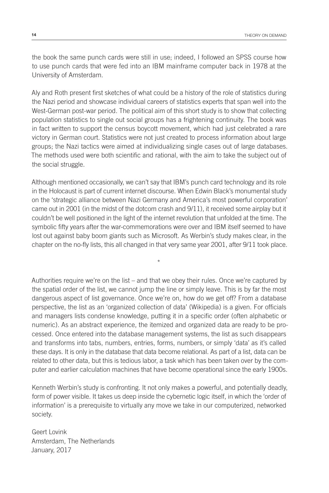the book the same punch cards were still in use; indeed, I followed an SPSS course how to use punch cards that were fed into an IBM mainframe computer back in 1978 at the University of Amsterdam.

Aly and Roth present first sketches of what could be a history of the role of statistics during the Nazi period and showcase individual careers of statistics experts that span well into the West-German post-war period. The political aim of this short study is to show that collecting population statistics to single out social groups has a frightening continuity. The book was in fact written to support the census boycott movement, which had just celebrated a rare victory in German court. Statistics were not just created to process information about large groups; the Nazi tactics were aimed at individualizing single cases out of large databases. The methods used were both scientific and rational, with the aim to take the subject out of the social struggle.

Although mentioned occasionally, we can't say that IBM's punch card technology and its role in the Holocaust is part of current internet discourse. When Edwin Black's monumental study on the 'strategic alliance between Nazi Germany and America's most powerful corporation' came out in 2001 (in the midst of the dotcom crash and 9/11), it received some airplay but it couldn't be well positioned in the light of the internet revolution that unfolded at the time. The symbolic fifty years after the war-commemorations were over and IBM itself seemed to have lost out against baby boom giants such as Microsoft. As Werbin's study makes clear, in the chapter on the no-fly lists, this all changed in that very same year 2001, after 9/11 took place.

\*

Authorities require we're on the list – and that we obey their rules. Once we're captured by the spatial order of the list, we cannot jump the line or simply leave. This is by far the most dangerous aspect of list governance. Once we're on, how do we get off? From a database perspective, the list as an 'organized collection of data' (Wikipedia) is a given. For officials and managers lists condense knowledge, putting it in a specific order (often alphabetic or numeric). As an abstract experience, the itemized and organized data are ready to be processed. Once entered into the database management systems, the list as such disappears and transforms into tabs, numbers, entries, forms, numbers, or simply 'data' as it's called these days. It is only in the database that data become relational. As part of a list, data can be related to other data, but this is tedious labor, a task which has been taken over by the computer and earlier calculation machines that have become operational since the early 1900s.

Kenneth Werbin's study is confronting. It not only makes a powerful, and potentially deadly, form of power visible. It takes us deep inside the cybernetic logic itself, in which the 'order of information' is a prerequisite to virtually any move we take in our computerized, networked society.

Geert Lovink Amsterdam, The Netherlands January, 2017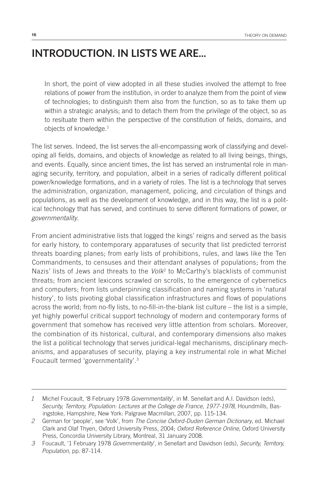## **INTRODUCTION. IN LISTS WE ARE...**

In short, the point of view adopted in all these studies involved the attempt to free relations of power from the institution, in order to analyze them from the point of view of technologies; to distinguish them also from the function, so as to take them up within a strategic analysis; and to detach them from the privilege of the object, so as to resituate them within the perspective of the constitution of fields, domains, and objects of knowledge.1

The list serves. Indeed, the list serves the all-encompassing work of classifying and developing all fields, domains, and objects of knowledge as related to all living beings, things, and events. Equally, since ancient times, the list has served an instrumental role in managing security, territory, and population, albeit in a series of radically different political power/knowledge formations, and in a variety of roles. The list is a technology that serves the administration, organization, management, policing, and circulation of things and populations, as well as the development of knowledge, and in this way, the list is a political technology that has served, and continues to serve different formations of power, or *governmentality*.

From ancient administrative lists that logged the kings' reigns and served as the basis for early history, to contemporary apparatuses of security that list predicted terrorist threats boarding planes; from early lists of prohibitions, rules, and laws like the Ten Commandments, to censuses and their attendant analyses of populations; from the Nazis' lists of Jews and threats to the *Volk*2 to McCarthy's blacklists of communist threats; from ancient lexicons scrawled on scrolls, to the emergence of cybernetics and computers; from lists underpinning classification and naming systems in 'natural history', to lists pivoting global classification infrastructures and flows of populations across the world; from no-fly lists, to no-fill-in-the-blank list culture – the list is a simple, yet highly powerful critical support technology of modern and contemporary forms of government that somehow has received very little attention from scholars. Moreover, the combination of its historical, cultural, and contemporary dimensions also makes the list a political technology that serves juridical-legal mechanisms, disciplinary mechanisms, and apparatuses of security, playing a key instrumental role in what Michel Foucault termed 'governmentality'.3

*<sup>1</sup>* Michel Foucault, '8 February 1978 *Governmentality*', in M. Senellart and A.I. Davidson (eds), *Security, Territory, Population: Lectures at the College de France, 1977-1978*, Houndmills, Basingstoke, Hampshire, New York: Palgrave Macmillan, 2007, pp. 115-134.

*<sup>2</sup>* German for 'people', see 'Volk', from *The Concise Oxford-Duden German Dictionary*, ed. Michael Clark and Olaf Thyen, Oxford University Press, 2004; *Oxford Reference Online*, Oxford University Press, Concordia University Library, Montreal, 31 January 2008.

*<sup>3</sup>* Foucault, '1 February 1978 *Governmentality*', in Senellart and Davidson (eds), *Security, Territory, Population*, pp. 87-114.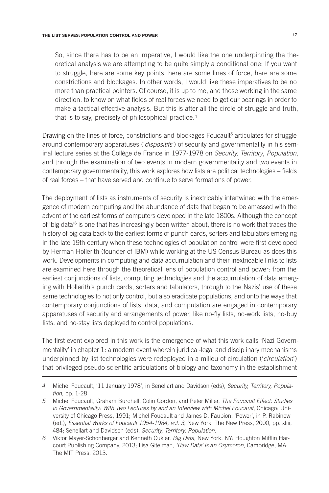So, since there has to be an imperative, I would like the one underpinning the theoretical analysis we are attempting to be quite simply a conditional one: If you want to struggle, here are some key points, here are some lines of force, here are some constrictions and blockages. In other words, I would like these imperatives to be no more than practical pointers. Of course, it is up to me, and those working in the same direction, to know on what fields of real forces we need to get our bearings in order to make a tactical effective analysis. But this is after all the circle of struggle and truth, that is to say, precisely of philosophical practice.4

Drawing on the lines of force, constrictions and blockages Foucault<sup>5</sup> articulates for struggle around contemporary apparatuses ('*dispositifs*') of security and governmentality in his seminal lecture series at the Collège de France in 1977-1978 on *Security, Territory*, *Population*, and through the examination of two events in modern governmentality and two events in contemporary governmentality, this work explores how lists are political technologies – fields of real forces – that have served and continue to serve formations of power.

The deployment of lists as instruments of security is inextricably intertwined with the emergence of modern computing and the abundance of data that began to be amassed with the advent of the earliest forms of computers developed in the late 1800s. Although the concept of 'big data'<sup>6</sup> is one that has increasingly been written about, there is no work that traces the history of big data back to the earliest forms of punch cards, sorters and tabulators emerging in the late 19th century when these technologies of population control were first developed by Herman Hollerith (founder of IBM) while working at the US Census Bureau as does this work. Developments in computing and data accumulation and their inextricable links to lists are examined here through the theoretical lens of population control and power: from the earliest conjunctions of lists, computing technologies and the accumulation of data emerging with Hollerith's punch cards, sorters and tabulators, through to the Nazis' use of these same technologies to not only control, but also eradicate populations, and onto the ways that contemporary conjunctions of lists, data, and computation are engaged in contemporary apparatuses of security and arrangements of power, like no-fly lists, no-work lists, no-buy lists, and no-stay lists deployed to control populations.

The first event explored in this work is the emergence of what this work calls 'Nazi Governmentality' in chapter 1: a modern event wherein juridical-legal and disciplinary mechanisms underpinned by list technologies were redeployed in a milieu of circulation ('*circulation*') that privileged pseudo-scientific articulations of biology and taxonomy in the establishment

*<sup>4</sup>* Michel Foucault, '11 January 1978', in Senellart and Davidson (eds), *Security, Territory, Population*, pp. 1-28

*<sup>5</sup>* Michel Foucault, Graham Burchell, Colin Gordon, and Peter Miller, *The Foucault Effect: Studies*  in Governmentality: With Two Lectures by and an Interview with Michel Foucault, Chicago: University of Chicago Press, 1991; Michel Foucault and James D. Faubion, 'Power', in P. Rabinow (ed.), *Essential Works of Foucault 1954-1984, vol. 3*, New York: The New Press, 2000, pp. xliii, 484; Senellart and Davidson (eds), *Security, Territory, Population*.

*<sup>6</sup>* Viktor Mayer-Schonberger and Kenneth Cukier, *Big Data*, New York, NY: Houghton Mifflin Harcourt Publishing Company, 2013; Lisa Gitelman, *'Raw Data' is an Oxymoron*, Cambridge, MA: The MIT Press, 2013.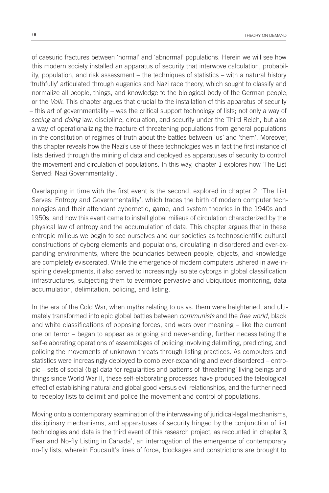of caesuric fractures between 'normal' and 'abnormal' populations. Herein we will see how this modern society installed an apparatus of security that interwove calculation, probability, population, and risk assessment – the techniques of statistics – with a natural history 'truthfully' articulated through eugenics and Nazi race theory, which sought to classify and normalize all people, things, and knowledge to the biological body of the German people, or the *Volk*. This chapter argues that crucial to the installation of this apparatus of security – this art of governmentality – was the critical support technology of lists; not only a way of *seeing* and *doing* law, discipline, circulation, and security under the Third Reich, but also a way of operationalizing the fracture of threatening populations from general populations in the constitution of regimes of truth about the battles between 'us' and 'them'. Moreover, this chapter reveals how the Nazi's use of these technologies was in fact the first instance of lists derived through the mining of data and deployed as apparatuses of security to control the movement and circulation of populations. In this way, chapter 1 explores how 'The List Served: Nazi Governmentality'.

Overlapping in time with the first event is the second, explored in chapter 2, 'The List Serves: Entropy and Governmentality', which traces the birth of modern computer technologies and their attendant cybernetic, game, and system theories in the 1940s and 1950s, and how this event came to install global milieus of circulation characterized by the physical law of entropy and the accumulation of data. This chapter argues that in these entropic milieus we begin to see ourselves and our societies as technoscientific cultural constructions of cyborg elements and populations, circulating in disordered and ever-expanding environments, where the boundaries between people, objects, and knowledge are completely eviscerated. While the emergence of modern computers ushered in awe-inspiring developments, it also served to increasingly isolate cyborgs in global classification infrastructures, subjecting them to evermore pervasive and ubiquitous monitoring, data accumulation, delimitation, policing, and listing.

In the era of the Cold War, when myths relating to us vs. them were heightened, and ultimately transformed into epic global battles between *communists* and the *free world*, black and white classifications of opposing forces, and wars over meaning – like the current one on terror – began to appear as ongoing and never-ending, further necessitating the self-elaborating operations of assemblages of policing involving delimiting, predicting, and policing the movements of unknown threats through listing practices. As computers and statistics were increasingly deployed to comb ever-expanding and ever-disordered – entropic – sets of social (big) data for regularities and patterns of 'threatening' living beings and things since World War II, these self-elaborating processes have produced the teleological effect of establishing natural and global good versus evil relationships, and the further need to redeploy lists to delimit and police the movement and control of populations.

Moving onto a contemporary examination of the interweaving of juridical-legal mechanisms, disciplinary mechanisms, and apparatuses of security hinged by the conjunction of list technologies and data is the third event of this research project, as recounted in chapter 3, 'Fear and No-fly Listing in Canada', an interrogation of the emergence of contemporary no-fly lists, wherein Foucault's lines of force, blockages and constrictions are brought to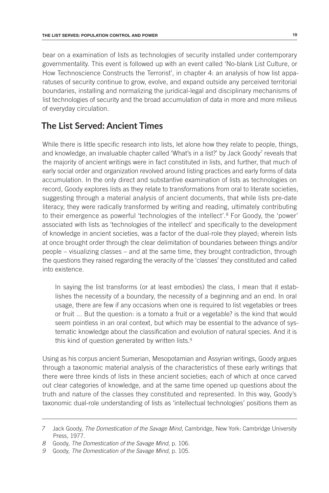bear on a examination of lists as technologies of security installed under contemporary governmentality. This event is followed up with an event called 'No-blank List Culture, or How Technoscience Constructs the Terrorist', in chapter 4: an analysis of how list apparatuses of security continue to grow, evolve, and expand outside any perceived territorial boundaries, installing and normalizing the juridical-legal and disciplinary mechanisms of list technologies of security and the broad accumulation of data in more and more milieus of everyday circulation.

#### **The List Served: Ancient Times**

While there is little specific research into lists, let alone how they relate to people, things, and knowledge, an invaluable chapter called 'What's in a list?' by Jack Goody<sup>7</sup> reveals that the majority of ancient writings were in fact constituted in lists, and further, that much of early social order and organization revolved around listing practices and early forms of data accumulation. In the only direct and substantive examination of lists as technologies on record, Goody explores lists as they relate to transformations from oral to literate societies, suggesting through a material analysis of ancient documents, that while lists pre-date literacy, they were radically transformed by writing and reading, ultimately contributing to their emergence as powerful 'technologies of the intellect'.8 For Goody, the 'power' associated with lists as 'technologies of the intellect' and specifically to the development of knowledge in ancient societies, was a factor of the dual-role they played; wherein lists at once brought order through the clear delimitation of boundaries between things and/or people – visualizing classes – and at the same time, they brought contradiction, through the questions they raised regarding the veracity of the 'classes' they constituted and called into existence.

In saying the list transforms (or at least embodies) the class, I mean that it establishes the necessity of a boundary, the necessity of a beginning and an end. In oral usage, there are few if any occasions when one is required to list vegetables or trees or fruit ... But the question: is a tomato a fruit or a vegetable? is the kind that would seem pointless in an oral context, but which may be essential to the advance of systematic knowledge about the classification and evolution of natural species. And it is this kind of question generated by written lists.9

Using as his corpus ancient Sumerian, Mesopotamian and Assyrian writings, Goody argues through a taxonomic material analysis of the characteristics of these early writings that there were three kinds of lists in these ancient societies; each of which at once carved out clear categories of knowledge, and at the same time opened up questions about the truth and nature of the classes they constituted and represented. In this way, Goody's taxonomic dual-role understanding of lists as 'intellectual technologies' positions them as

*<sup>7</sup>* Jack Goody, *The Domestication of the Savage Mind*, Cambridge, New York: Cambridge University Press, 1977.

*<sup>8</sup>* Goody, *The Domestication of the Savage Mind*, p. 106.

*<sup>9</sup>* Goody, *The Domestication of the Savage Mind*, p. 105.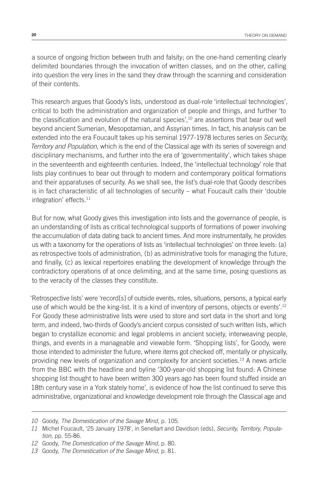a source of ongoing friction between truth and falsity; on the one-hand cementing clearly delimited boundaries through the invocation of written classes, and on the other, calling into question the very lines in the sand they draw through the scanning and consideration of their contents.

This research argues that Goody's lists, understood as dual-role 'intellectual technologies', critical to both the administration and organization of people and things, and further 'to the classification and evolution of the natural species',10 are assertions that bear out well beyond ancient Sumerian, Mesopotamian, and Assyrian times. In fact, his analysis can be extended into the era Foucault takes up his seminal 1977-1978 lectures series on *Security, Territory and Population*, which is the end of the Classical age with its series of sovereign and disciplinary mechanisms, and further into the era of 'governmentality', which takes shape in the seventeenth and eighteenth centuries. Indeed, the 'intellectual technology' role that lists play continues to bear out through to modern and contemporary political formations and their apparatuses of security. As we shall see, the list's dual-role that Goody describes is in fact characteristic of all technologies of security – what Foucault calls their 'double integration' effects.11

But for now, what Goody gives this investigation into lists and the governance of people, is an understanding of lists as critical technological supports of formations of power involving the accumulation of data dating back to ancient times. And more instrumentally, he provides us with a taxonomy for the operations of lists as 'intellectual technologies' on three levels: (a) as retrospective tools of administration, (b) as administrative tools for managing the future, and finally, (c) as lexical repertoires enabling the development of knowledge through the contradictory operations of at once delimiting, and at the same time, posing questions as to the veracity of the classes they constitute.

'Retrospective lists' were 'record[s] of outside events, roles, situations, persons, a typical early use of which would be the king-list. It is a kind of inventory of persons, objects or events'.<sup>12</sup> For Goody these administrative lists were used to store and sort data in the short and long term, and indeed, two-thirds of Goody's ancient corpus consisted of such written lists, which began to crystallize economic and legal problems in ancient society, interweaving people, things, and events in a manageable and viewable form. 'Shopping lists', for Goody, were those intended to administer the future, where items got checked off, mentally or physically, providing new levels of organization and complexity for ancient societies.13 A news article from the BBC with the headline and byline '300-year-old shopping list found: A Chinese shopping list thought to have been written 300 years ago has been found stuffed inside an 18th century vase in a York stately home', is evidence of how the list continued to serve this administrative, organizational and knowledge development role through the Classical age and

*<sup>10</sup>* Goody, *The Domestication of the Savage Mind*, p. 105.

*<sup>11</sup>* Michel Foucault, '25 January 1978', in Senellart and Davidson (eds), *Security, Territory, Population*, pp. 55-86.

*<sup>12</sup>* Goody, *The Domestication of the Savage Mind*, p. 80.

*<sup>13</sup>* Goody, *The Domestication of the Savage Mind*, p. 81.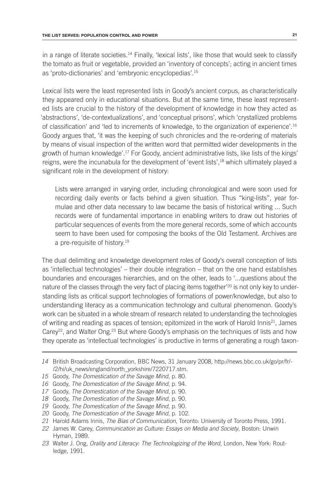in a range of literate societies.14 Finally, 'lexical lists', like those that would seek to classify the tomato as fruit or vegetable, provided an 'inventory of concepts'; acting in ancient times as 'proto-dictionaries' and 'embryonic encyclopedias'.15

Lexical lists were the least represented lists in Goody's ancient corpus, as characteristically they appeared only in educational situations. But at the same time, these least represented lists are crucial to the history of the development of knowledge in how they acted as 'abstractions', 'de-contextualizations', and 'conceptual prisons', which 'crystallized problems of classification' and 'led to increments of knowledge, to the organization of experience'.16 Goody argues that, 'it was the keeping of such chronicles and the re-ordering of materials by means of visual inspection of the written word that permitted wider developments in the growth of human knowledge'.17 For Goody, ancient administrative lists, like lists of the kings' reigns, were the incunabula for the development of 'event lists',<sup>18</sup> which ultimately played a significant role in the development of history:

Lists were arranged in varying order, including chronological and were soon used for recording daily events or facts behind a given situation. Thus "king-lists", year formulae and other data necessary to law became the basis of historical writing ... Such records were of fundamental importance in enabling writers to draw out histories of particular sequences of events from the more general records, some of which accounts seem to have been used for composing the books of the Old Testament. Archives are a pre-requisite of history.<sup>19</sup>

The dual delimiting and knowledge development roles of Goody's overall conception of lists as 'intellectual technologies' – their double integration – that on the one hand establishes boundaries and encourages hierarchies, and on the other, leads to '...questions about the nature of the classes through the very fact of placing items together'<sup>20</sup> is not only key to understanding lists as critical support technologies of formations of power/knowledge, but also to understanding literacy as a communication technology and cultural phenomenon. Goody's work can be situated in a whole stream of research related to understanding the technologies of writing and reading as spaces of tension; epitomized in the work of Harold Innis<sup>21</sup>, James Carey<sup>22</sup>, and Walter Ong.<sup>23</sup> But where Goody's emphasis on the techniques of lists and how they operate as 'intellectual technologies' is productive in terms of generating a rough taxon-

*<sup>14</sup>* British Broadcasting Corporation, BBC News, 31 January 2008, http://news.bbc.co.uk/go/pr/fr/- /2/hi/uk\_news/england/north\_yorkshire/7220717.stm.

*<sup>15</sup>* Goody, *The Domestication of the Savage Mind*, p. 80.

*<sup>16</sup>* Goody, *The Domestication of the Savage Mind*, p. 94.

*<sup>17</sup>* Goody, *The Domestication of the Savage Mind*, p. 90.

*<sup>18</sup>* Goody, *The Domestication of the Savage Mind*, p. 90.

*<sup>19</sup>* Goody, *The Domestication of the Savage Mind*, p. 90.

*<sup>20</sup>* Goody, *The Domestication of the Savage Mind*, p. 102.

*<sup>21</sup>* Harold Adams Innis, *The Bias of Communication*, Toronto: University of Toronto Press, 1991.

*<sup>22</sup>* James W. Carey, *Communication as Culture: Essays on Media and Society*, Boston: Unwin Hyman, 1989.

*<sup>23</sup>* Walter J. Ong, *Orality and Literacy: The Technologizing of the Word*, London, New York: Routledge, 1991.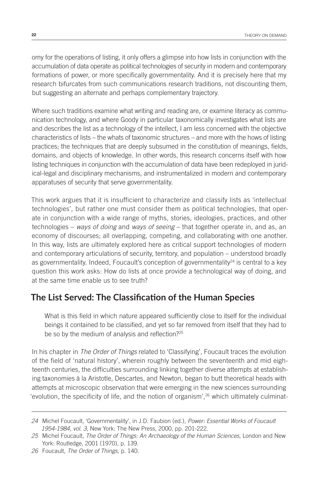omy for the operations of listing, it only offers a glimpse into how lists in conjunction with the accumulation of data operate as political technologies of security in modern and contemporary formations of power, or more specifically governmentality. And it is precisely here that my research bifurcates from such communications research traditions, not discounting them, but suggesting an alternate and perhaps complementary trajectory.

Where such traditions examine what writing and reading are, or examine literacy as communication technology, and where Goody in particular taxonomically investigates what lists are and describes the list as a technology of the intellect, I am less concerned with the objective characteristics of lists – the whats of taxonomic structures – and more with the hows of listing practices; the techniques that are deeply subsumed in the constitution of meanings, fields, domains, and objects of knowledge. In other words, this research concerns itself with how listing techniques in conjunction with the accumulation of data have been redeployed in juridical-legal and disciplinary mechanisms, and instrumentalized in modern and contemporary apparatuses of security that serve governmentality.

This work argues that it is insufficient to characterize and classify lists as 'intellectual technologies', but rather one must consider them as political technologies, that operate in conjunction with a wide range of myths, stories, ideologies, practices, and other technologies – *ways of doing* and *ways of seeing* – that together operate in, and as, an economy of discourses; all overlapping, competing, and collaborating with one another. In this way, lists are ultimately explored here as critical support technologies of modern and contemporary articulations of security, territory, and population – understood broadly as governmentality. Indeed, Foucault's conception of governmentality $24$  is central to a key question this work asks: How do lists at once provide a technological way of doing, and at the same time enable us to see truth?

#### **The List Served: The Classification of the Human Species**

What is this field in which nature appeared sufficiently close to itself for the individual beings it contained to be classified, and yet so far removed from itself that they had to be so by the medium of analysis and reflection?<sup>25</sup>

In his chapter in *The Order of Things* related to 'Classifying', Foucault traces the evolution of the field of 'natural history', wherein roughly between the seventeenth and mid eighteenth centuries, the difficulties surrounding linking together diverse attempts at establishing taxonomies à la Aristotle, Descartes, and Newton, began to butt theoretical heads with attempts at microscopic observation that were emerging in the new sciences surrounding 'evolution, the specificity of life, and the notion of organism',<sup>26</sup> which ultimately culminat-

*<sup>24</sup>* Michel Foucault, 'Governmentality', in J.D. Faubion (ed.), *Power: Essential Works of Foucault 1954-1984, vol. 3,* New York: The New Press, 2000, pp. 201-222.

*<sup>25</sup>* Michel Foucault, *The Order of Things: An Archaeology of the Human Sciences*, London and New York: Routledge, 2001 (1970), p. 139.

*<sup>26</sup>* Foucault, *The Order of Things*, p. 140.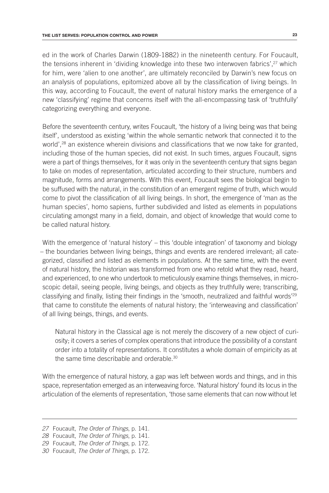ed in the work of Charles Darwin (1809-1882) in the nineteenth century. For Foucault, the tensions inherent in 'dividing knowledge into these two interwoven fabrics',<sup>27</sup> which for him, were 'alien to one another', are ultimately reconciled by Darwin's new focus on an analysis of populations, epitomized above all by the classification of living beings. In this way, according to Foucault, the event of natural history marks the emergence of a new 'classifying' regime that concerns itself with the all-encompassing task of 'truthfully' categorizing everything and everyone.

Before the seventeenth century, writes Foucault, 'the history of a living being was that being itself', understood as existing 'within the whole semantic network that connected it to the world',<sup>28</sup> an existence wherein divisions and classifications that we now take for granted, including those of the human species, did not exist. In such times, argues Foucault, signs were a part of things themselves, for it was only in the seventeenth century that signs began to take on modes of representation, articulated according to their structure, numbers and magnitude, forms and arrangements. With this event, Foucault sees the biological begin to be suffused with the natural, in the constitution of an emergent regime of truth, which would come to pivot the classification of all living beings. In short, the emergence of 'man as the human species', homo sapiens, further subdivided and listed as elements in populations circulating amongst many in a field, domain, and object of knowledge that would come to be called natural history.

With the emergence of 'natural history' – this 'double integration' of taxonomy and biology – the boundaries between living beings, things and events are rendered irrelevant; all categorized, classified and listed as elements in populations. At the same time, with the event of natural history, the historian was transformed from one who retold what they read, heard, and experienced, to one who undertook to meticulously examine things themselves, in microscopic detail, seeing people, living beings, and objects as they truthfully were; transcribing, classifying and finally, listing their findings in the 'smooth, neutralized and faithful words'<sup>29</sup> that came to constitute the elements of natural history; the 'interweaving and classification' of all living beings, things, and events.

Natural history in the Classical age is not merely the discovery of a new object of curiosity; it covers a series of complex operations that introduce the possibility of a constant order into a totality of representations. It constitutes a whole domain of empiricity as at the same time describable and orderable.30

With the emergence of natural history, a gap was left between words and things, and in this space, representation emerged as an interweaving force. 'Natural history' found its locus in the articulation of the elements of representation, 'those same elements that can now without let

*<sup>27</sup>* Foucault, *The Order of Things*, p. 141.

*<sup>28</sup>* Foucault, *The Order of Things*, p. 141.

*<sup>29</sup>* Foucault, *The Order of Things*, p. 172.

*<sup>30</sup>* Foucault, *The Order of Things*, p. 172.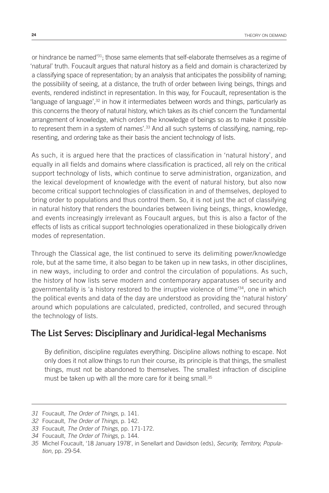or hindrance be named'31; those same elements that self-elaborate themselves as a regime of 'natural' truth. Foucault argues that natural history as a field and domain is characterized by a classifying space of representation; by an analysis that anticipates the possibility of naming; the possibility of seeing, at a distance, the truth of order between living beings, things and events, rendered indistinct in representation. In this way, for Foucault, representation is the 'language of language', $32$  in how it intermediates between words and things, particularly as this concerns the theory of natural history, which takes as its chief concern the 'fundamental arrangement of knowledge, which orders the knowledge of beings so as to make it possible to represent them in a system of names'.<sup>33</sup> And all such systems of classifying, naming, representing, and ordering take as their basis the ancient technology of lists.

As such, it is argued here that the practices of classification in 'natural history', and equally in all fields and domains where classification is practiced, all rely on the critical support technology of lists, which continue to serve administration, organization, and the lexical development of knowledge with the event of natural history, but also now become critical support technologies of classification in and of themselves, deployed to bring order to populations and thus control them. So, it is not just the act of classifying in natural history that renders the boundaries between living beings, things, knowledge, and events increasingly irrelevant as Foucault argues, but this is also a factor of the effects of lists as critical support technologies operationalized in these biologically driven modes of representation.

Through the Classical age, the list continued to serve its delimiting power/knowledge role, but at the same time, it also began to be taken up in new tasks, in other disciplines, in new ways, including to order and control the circulation of populations. As such, the history of how lists serve modern and contemporary apparatuses of security and governmentality is 'a history restored to the irruptive violence of time'34, one in which the political events and data of the day are understood as providing the 'natural history' around which populations are calculated, predicted, controlled, and secured through the technology of lists.

#### **The List Serves: Disciplinary and Juridical-legal Mechanisms**

By definition, discipline regulates everything. Discipline allows nothing to escape. Not only does it not allow things to run their course, its principle is that things, the smallest things, must not be abandoned to themselves. The smallest infraction of discipline must be taken up with all the more care for it being small.<sup>35</sup>

*<sup>31</sup>* Foucault, *The Order of Things*, p. 141.

*<sup>32</sup>* Foucault, *The Order of Things*, p. 142.

*<sup>33</sup>* Foucault, *The Order of Things*, pp. 171-172.

*<sup>34</sup>* Foucault, *The Order of Things*, p. 144.

*<sup>35</sup>* Michel Foucault, '18 January 1978', in Senellart and Davidson (eds), *Security, Territory, Population*, pp. 29-54.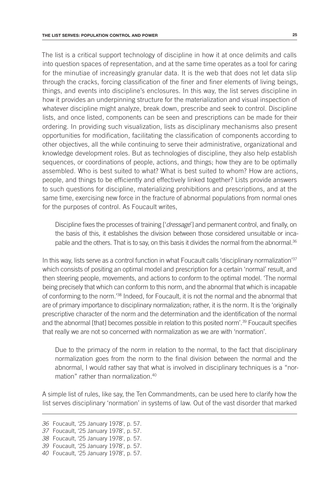The list is a critical support technology of discipline in how it at once delimits and calls into question spaces of representation, and at the same time operates as a tool for caring for the minutiae of increasingly granular data. It is the web that does not let data slip through the cracks, forcing classification of the finer and finer elements of living beings, things, and events into discipline's enclosures. In this way, the list serves discipline in how it provides an underpinning structure for the materialization and visual inspection of whatever discipline might analyze, break down, prescribe and seek to control. Discipline lists, and once listed, components can be seen and prescriptions can be made for their ordering. In providing such visualization, lists as disciplinary mechanisms also present opportunities for modification, facilitating the classification of components according to other objectives, all the while continuing to serve their administrative, organizational and knowledge development roles. But as technologies of discipline, they also help establish sequences, or coordinations of people, actions, and things; how they are to be optimally assembled. Who is best suited to what? What is best suited to whom? How are actions, people, and things to be efficiently and effectively linked together? Lists provide answers to such questions for discipline, materializing prohibitions and prescriptions, and at the same time, exercising new force in the fracture of abnormal populations from normal ones for the purposes of control. As Foucault writes,

Discipline fixes the processes of training ['*dressage*'] and permanent control, and finally, on the basis of this, it establishes the division between those considered unsuitable or incapable and the others. That is to say, on this basis it divides the normal from the abnormal.36

In this way, lists serve as a control function in what Foucault calls 'disciplinary normalization'<sup>37</sup> which consists of positing an optimal model and prescription for a certain 'normal' result, and then steering people, movements, and actions to conform to the optimal model. 'The normal being precisely that which can conform to this norm, and the abnormal that which is incapable of conforming to the norm.'38 Indeed, for Foucault, it is not the normal and the abnormal that are of primary importance to disciplinary normalization; rather, it is the norm. It is the 'originally prescriptive character of the norm and the determination and the identification of the normal and the abnormal [that] becomes possible in relation to this posited norm'.39 Foucault specifies that really we are not so concerned with normalization as we are with 'normation'.

Due to the primacy of the norm in relation to the normal, to the fact that disciplinary normalization goes from the norm to the final division between the normal and the abnormal, I would rather say that what is involved in disciplinary techniques is a "normation" rather than normalization.40

A simple list of rules, like say, the Ten Commandments, can be used here to clarify how the list serves disciplinary 'normation' in systems of law. Out of the vast disorder that marked

*<sup>36</sup>* Foucault, '25 January 1978', p. 57.

*<sup>37</sup>* Foucault, '25 January 1978', p. 57.

*<sup>38</sup>* Foucault, '25 January 1978', p. 57.

*<sup>39</sup>* Foucault, '25 January 1978', p. 57.

*<sup>40</sup>* Foucault, '25 January 1978', p. 57.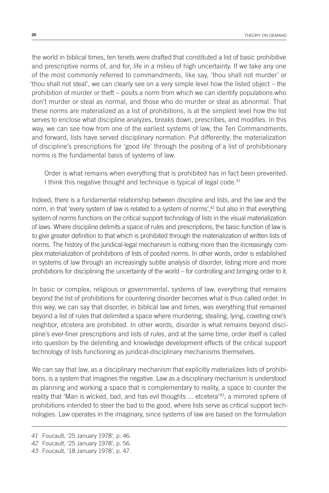the world in biblical times, ten tenets were drafted that constituted a list of basic prohibitive and prescriptive norms of, and for, life in a milieu of high uncertainty. If we take any one of the most commonly referred to commandments, like say, 'thou shall not murder' or 'thou shall not steal', we can clearly see on a very simple level how the listed object – the prohibition of murder or theft – posits a norm from which we can identify populations who don't murder or steal as normal, and those who do murder or steal as abnormal. That these norms are materialized as a list of prohibitions, is at the simplest level how the list serves to enclose what discipline analyzes, breaks down, prescribes, and modifies. In this way, we can see how from one of the earliest systems of law, the Ten Commandments, and forward, lists have served disciplinary normation. Put differently, the materialization of discipline's prescriptions for 'good life' through the positing of a list of prohibitionary norms is the fundamental basis of systems of law.

Order is what remains when everything that is prohibited has in fact been prevented. I think this negative thought and technique is typical of legal code.<sup>41</sup>

Indeed, there is a fundamental relationship between discipline and lists, and the law and the norm, in that 'every system of law is related to a system of norms',<sup>42</sup> but also in that everything system of norms functions on the critical support technology of lists in the visual materialization of laws. Where discipline delimits a space of rules and prescriptions, the basic function of law is to give greater definition to that which is prohibited through the materialization of written lists of norms. The history of the juridical-legal mechanism is nothing more than the increasingly complex materialization of prohibitions of lists of posited norms. In other words, order is established in systems of law through an increasingly subtle analysis of disorder, listing more and more prohibitions for disciplining the uncertainty of the world – for controlling and bringing order to it.

In basic or complex, religious or governmental, systems of law, everything that remains beyond the list of prohibitions for countering disorder becomes what is thus called order. In this way, we can say that disorder, in biblical law and times, was everything that remained beyond a list of rules that delimited a space where murdering, stealing, lying, coveting one's neighbor, etcetera are prohibited. In other words, disorder is what remains beyond discipline's ever-finer prescriptions and lists of rules, and at the same time, order itself is called into question by the delimiting and knowledge development effects of the critical support technology of lists functioning as juridical-disciplinary mechanisms themselves.

We can say that law, as a disciplinary mechanism that explicitly materializes lists of prohibitions, is a system that imagines the negative. Law as a disciplinary mechanism is understood as planning and working a space that is complementary to reality, a space to counter the reality that 'Man is wicked, bad, and has evil thoughts ... etcetera<sup>'43</sup>; a mirrored sphere of prohibitions intended to steer the bad to the good, where lists serve as critical support technologies. Law operates in the imaginary, since systems of law are based on the formulation

*<sup>41</sup>* Foucault, '25 January 1978', p. 46.

*<sup>42</sup>* Foucault, '25 January 1978', p. 56.

*<sup>43</sup>* Foucault, '18 January 1978', p. 47.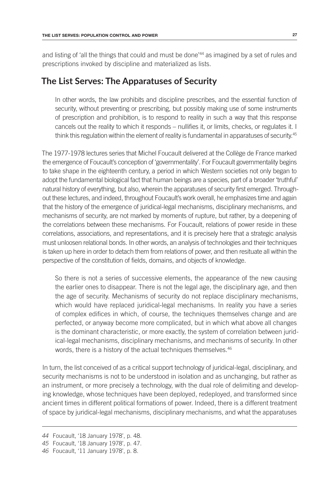and listing of 'all the things that could and must be done'44 as imagined by a set of rules and prescriptions invoked by discipline and materialized as lists.

#### **The List Serves: The Apparatuses of Security**

In other words, the law prohibits and discipline prescribes, and the essential function of security, without preventing or prescribing, but possibly making use of some instruments of prescription and prohibition, is to respond to reality in such a way that this response cancels out the reality to which it responds – nullifies it, or limits, checks, or regulates it. I think this regulation within the element of reality is fundamental in apparatuses of security.45

The 1977-1978 lectures series that Michel Foucault delivered at the Collège de France marked the emergence of Foucault's conception of 'governmentality'. For Foucault governmentality begins to take shape in the eighteenth century, a period in which Western societies not only began to adopt the fundamental biological fact that human beings are a species, part of a broader 'truthful' natural history of everything, but also, wherein the apparatuses of security first emerged. Throughout these lectures, and indeed, throughout Foucault's work overall, he emphasizes time and again that the history of the emergence of juridical-legal mechanisms, disciplinary mechanisms, and mechanisms of security, are not marked by moments of rupture, but rather, by a deepening of the correlations between these mechanisms. For Foucault, relations of power reside in these correlations, associations, and representations, and it is precisely here that a strategic analysis must unloosen relational bonds. In other words, an analysis of technologies and their techniques is taken up here in order to detach them from relations of power, and then resituate all within the perspective of the constitution of fields, domains, and objects of knowledge.

So there is not a series of successive elements, the appearance of the new causing the earlier ones to disappear. There is not the legal age, the disciplinary age, and then the age of security. Mechanisms of security do not replace disciplinary mechanisms, which would have replaced juridical-legal mechanisms. In reality you have a series of complex edifices in which, of course, the techniques themselves change and are perfected, or anyway become more complicated, but in which what above all changes is the dominant characteristic, or more exactly, the system of correlation between juridical-legal mechanisms, disciplinary mechanisms, and mechanisms of security. In other words, there is a history of the actual techniques themselves.<sup>46</sup>

In turn, the list conceived of as a critical support technology of juridical-legal, disciplinary, and security mechanisms is not to be understood in isolation and as unchanging, but rather as an instrument, or more precisely a technology, with the dual role of delimiting and developing knowledge, whose techniques have been deployed, redeployed, and transformed since ancient times in different political formations of power. Indeed, there is a different treatment of space by juridical-legal mechanisms, disciplinary mechanisms, and what the apparatuses

*<sup>44</sup>* Foucault, '18 January 1978', p. 48.

*<sup>45</sup>* Foucault, '18 January 1978', p. 47.

*<sup>46</sup>* Foucault, '11 January 1978', p. 8.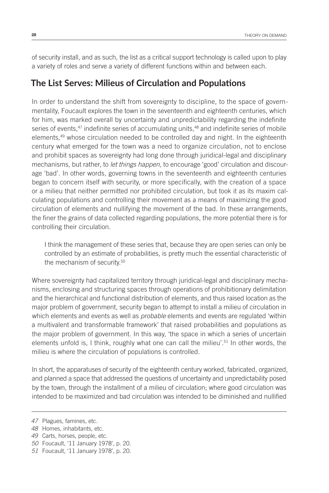of security install, and as such, the list as a critical support technology is called upon to play a variety of roles and serve a variety of different functions within and between each.

#### **The List Serves: Milieus of Circulation and Populations**

In order to understand the shift from sovereignty to discipline, to the space of governmentality, Foucault explores the town in the seventeenth and eighteenth centuries, which for him, was marked overall by uncertainty and unpredictability regarding the indefinite series of events,<sup>47</sup> indefinite series of accumulating units,<sup>48</sup> and indefinite series of mobile elements,<sup>49</sup> whose circulation needed to be controlled day and night. In the eighteenth century what emerged for the town was a need to organize circulation, not to enclose and prohibit spaces as sovereignty had long done through juridical-legal and disciplinary mechanisms, but rather, to *let things happen,* to encourage 'good' circulation and discourage 'bad'. In other words, governing towns in the seventeenth and eighteenth centuries began to concern itself with security, or more specifically, with the creation of a space or a milieu that neither permitted nor prohibited circulation, but took it as its maxim calculating populations and controlling their movement as a means of maximizing the good circulation of elements and nullifying the movement of the bad. In these arrangements, the finer the grains of data collected regarding populations, the more potential there is for controlling their circulation.

I think the management of these series that, because they are open series can only be controlled by an estimate of probabilities, is pretty much the essential characteristic of the mechanism of security.<sup>50</sup>

Where sovereignty had capitalized territory through juridical-legal and disciplinary mechanisms, enclosing and structuring spaces through operations of prohibitionary delimitation and the hierarchical and functional distribution of elements, and thus raised location as the major problem of government, security began to attempt to install a milieu of circulation in which elements and events as well as *probable* elements and events are regulated 'within a multivalent and transformable framework' that raised probabilities and populations as the major problem of government. In this way, 'the space in which a series of uncertain elements unfold is, I think, roughly what one can call the milieu'.<sup>51</sup> In other words, the milieu is where the circulation of populations is controlled.

In short, the apparatuses of security of the eighteenth century worked, fabricated, organized, and planned a space that addressed the questions of uncertainty and unpredictability posed by the town, through the installment of a milieu of circulation; where good circulation was intended to be maximized and bad circulation was intended to be diminished and nullified

*50* Foucault, '11 January 1978', p. 20.

*<sup>47</sup>* Plagues, famines, etc.

*<sup>48</sup>* Homes, inhabitants, etc.

*<sup>49</sup>* Carts, horses, people, etc.

*<sup>51</sup>* Foucault, '11 January 1978', p. 20.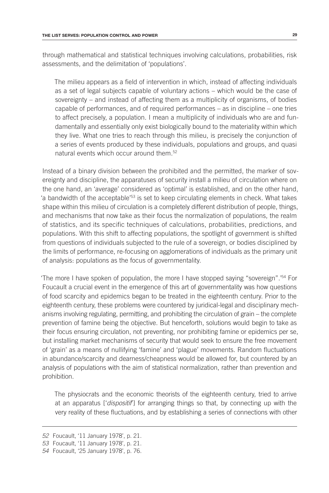through mathematical and statistical techniques involving calculations, probabilities, risk assessments, and the delimitation of 'populations'.

The milieu appears as a field of intervention in which, instead of affecting individuals as a set of legal subjects capable of voluntary actions – which would be the case of sovereignty – and instead of affecting them as a multiplicity of organisms, of bodies capable of performances, and of required performances – as in discipline – one tries to affect precisely, a population. I mean a multiplicity of individuals who are and fundamentally and essentially only exist biologically bound to the materiality within which they live. What one tries to reach through this milieu, is precisely the conjunction of a series of events produced by these individuals, populations and groups, and quasi natural events which occur around them.52

Instead of a binary division between the prohibited and the permitted, the marker of sovereignty and discipline, the apparatuses of security install a milieu of circulation where on the one hand, an 'average' considered as 'optimal' is established, and on the other hand, 'a bandwidth of the acceptable'53 is set to keep circulating elements in check. What takes shape within this milieu of circulation is a completely different distribution of people, things, and mechanisms that now take as their focus the normalization of populations, the realm of statistics, and its specific techniques of calculations, probabilities, predictions, and populations. With this shift to affecting populations, the spotlight of government is shifted from questions of individuals subjected to the rule of a sovereign, or bodies disciplined by the limits of performance, re-focusing on agglomerations of individuals as the primary unit of analysis: populations as the focus of governmentality.

'The more I have spoken of population, the more I have stopped saying "sovereign".'54 For Foucault a crucial event in the emergence of this art of governmentality was how questions of food scarcity and epidemics began to be treated in the eighteenth century. Prior to the eighteenth century, these problems were countered by juridical-legal and disciplinary mechanisms involving regulating, permitting, and prohibiting the circulation of grain – the complete prevention of famine being the objective. But henceforth, solutions would begin to take as their focus ensuring circulation, not preventing, nor prohibiting famine or epidemics per se, but installing market mechanisms of security that would seek to ensure the free movement of 'grain' as a means of nullifying 'famine' and 'plague' movements. Random fluctuations in abundance/scarcity and dearness/cheapness would be allowed for, but countered by an analysis of populations with the aim of statistical normalization, rather than prevention and prohibition.

The physiocrats and the economic theorists of the eighteenth century, tried to arrive at an apparatus ['*dispositif*'] for arranging things so that, by connecting up with the very reality of these fluctuations, and by establishing a series of connections with other

*<sup>52</sup>* Foucault, '11 January 1978', p. 21.

*<sup>53</sup>* Foucault, '11 January 1978', p. 21.

*<sup>54</sup>* Foucault, '25 January 1978', p. 76.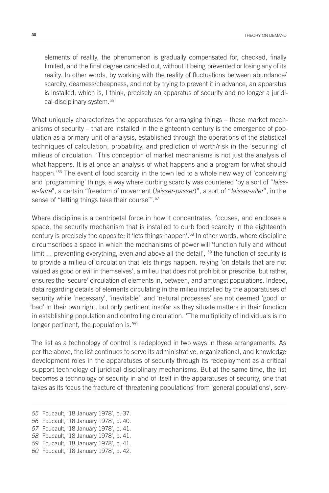elements of reality, the phenomenon is gradually compensated for, checked, finally limited, and the final degree canceled out, without it being prevented or losing any of its reality. In other words, by working with the reality of fluctuations between abundance/ scarcity, dearness/cheapness, and not by trying to prevent it in advance, an apparatus is installed, which is, I think, precisely an apparatus of security and no longer a juridical-disciplinary system.55

What uniquely characterizes the apparatuses for arranging things – these market mechanisms of security – that are installed in the eighteenth century is the emergence of population as a primary unit of analysis, established through the operations of the statistical techniques of calculation, probability, and prediction of worth/risk in the 'securing' of milieus of circulation. 'This conception of market mechanisms is not just the analysis of what happens. It is at once an analysis of what happens and a program for what should happen.<sup>'56</sup> The event of food scarcity in the town led to a whole new way of 'conceiving' and 'programming' things; a way where curbing scarcity was countered 'by a sort of "*laisser-faire*", a certain "freedom of movement (*laisser-passer*)", a sort of "*laisser-aller*", in the sense of "letting things take their course"'.57

Where discipline is a centripetal force in how it concentrates, focuses, and encloses a space, the security mechanism that is installed to curb food scarcity in the eighteenth century is precisely the opposite; it 'lets things happen'.58 In other words, where discipline circumscribes a space in which the mechanisms of power will 'function fully and without limit  $\ldots$  preventing everything, even and above all the detail',  $59$  the function of security is to provide a milieu of circulation that lets things happen, relying 'on details that are not valued as good or evil in themselves', a milieu that does not prohibit or prescribe, but rather, ensures the 'secure' circulation of elements in, between, and amongst populations. Indeed, data regarding details of elements circulating in the milieu installed by the apparatuses of security while 'necessary', 'inevitable', and 'natural processes' are not deemed 'good' or 'bad' in their own right, but only pertinent insofar as they situate matters in their function in establishing population and controlling circulation. 'The multiplicity of individuals is no longer pertinent, the population is.<sup>'60</sup>

The list as a technology of control is redeployed in two ways in these arrangements. As per the above, the list continues to serve its administrative, organizational, and knowledge development roles in the apparatuses of security through its redeployment as a critical support technology of juridical-disciplinary mechanisms. But at the same time, the list becomes a technology of security in and of itself in the apparatuses of security, one that takes as its focus the fracture of 'threatening populations' from 'general populations', serv-

*<sup>55</sup>* Foucault, '18 January 1978', p. 37.

*<sup>56</sup>* Foucault, '18 January 1978', p. 40.

*<sup>57</sup>* Foucault, '18 January 1978', p. 41.

*<sup>58</sup>* Foucault, '18 January 1978', p. 41.

*<sup>59</sup>* Foucault, '18 January 1978', p. 41.

*<sup>60</sup>* Foucault, '18 January 1978', p. 42.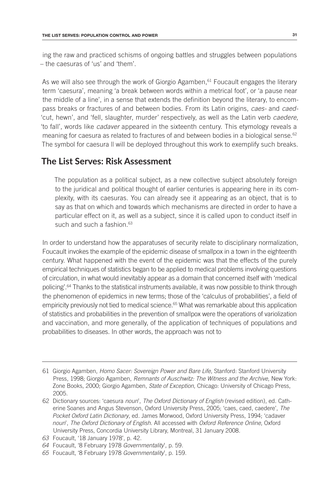ing the raw and practiced schisms of ongoing battles and struggles between populations – the caesuras of 'us' and 'them'.

As we will also see through the work of Giorgio Agamben,  $61$  Foucault engages the literary term 'caesura', meaning 'a break between words within a metrical foot', or 'a pause near the middle of a line', in a sense that extends the definition beyond the literary, to encompass breaks or fractures of and between bodies. From its Latin origins, *caes-* and *caed-* 'cut, hewn', and 'fell, slaughter, murder' respectively, as well as the Latin verb *caedere,* 'to fall', words like *cadaver* appeared in the sixteenth century. This etymology reveals a meaning for caesura as related to fractures of and between bodies in a biological sense.<sup>62</sup> The symbol for caesura  $\mathbb I$  will be deployed throughout this work to exemplify such breaks.

#### **The List Serves: Risk Assessment**

The population as a political subject, as a new collective subject absolutely foreign to the juridical and political thought of earlier centuries is appearing here in its complexity, with its caesuras. You can already see it appearing as an object, that is to say as that on which and towards which mechanisms are directed in order to have a particular effect on it, as well as a subject, since it is called upon to conduct itself in such and such a fashion.<sup>63</sup>

In order to understand how the apparatuses of security relate to disciplinary normalization, Foucault invokes the example of the epidemic disease of smallpox in a town in the eighteenth century. What happened with the event of the epidemic was that the effects of the purely empirical techniques of statistics began to be applied to medical problems involving questions of circulation, in what would inevitably appear as a domain that concerned itself with 'medical policing'.64 Thanks to the statistical instruments available, it was now possible to think through the phenomenon of epidemics in new terms; those of the 'calculus of probabilities', a field of empiricity previously not tied to medical science.<sup>65</sup> What was remarkable about this application of statistics and probabilities in the prevention of smallpox were the operations of variolization and vaccination, and more generally, of the application of techniques of populations and probabilities to diseases. In other words, the approach was not to

<sup>61</sup> Giorgio Agamben, *Homo Sacer: Sovereign Power and Bare Life*, Stanford: Stanford University Press, 1998; Giorgio Agamben, *Remnants of Auschwitz: The Witness and the Archive*, New York: Zone Books, 2000; Giorgio Agamben, *State of Exception*, Chicago: University of Chicago Press, 2005.

<sup>62</sup> Dictionary sources: 'caesura *noun*', *The Oxford Dictionary of English* (revised edition), ed. Catherine Soanes and Angus Stevenson, Oxford University Press, 2005; 'caes, caed, caedere', *The Pocket Oxford Latin Dictionary*, ed. James Morwood, Oxford University Press, 1994; 'cadaver *noun*', *The Oxford Dictionary of English*. All accessed with *Oxford Reference Online*, Oxford University Press, Concordia University Library, Montreal, 31 January 2008.

*<sup>63</sup>* Foucault, '18 January 1978', p. 42.

*<sup>64</sup>* Foucault, '8 February 1978 *Governmentality*', p. 59.

*<sup>65</sup>* Foucault, '8 February 1978 *Governmentality*', p. 159.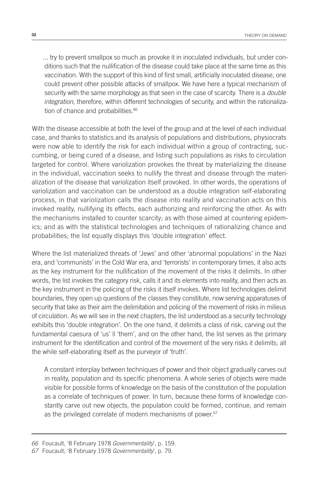... try to prevent smallpox so much as provoke it in inoculated individuals, but under conditions such that the nullification of the disease could take place at the same time as this vaccination. With the support of this kind of first small, artificially inoculated disease, one could prevent other possible attacks of smallpox. We have here a typical mechanism of security with the same morphology as that seen in the case of scarcity. There is a *double integration*, therefore, within different technologies of security, and within the rationalization of chance and probabilities.<sup>66</sup>

With the disease accessible at both the level of the group and at the level of each individual case, and thanks to statistics and its analysis of populations and distributions, physiocrats were now able to identify the risk for each individual within a group of contracting, succumbing, or being cured of a disease, and listing such populations as risks to circulation targeted for control. Where variolization provokes the threat by materializing the disease in the individual, vaccination seeks to nullify the threat and disease through the materialization of the disease that variolization itself provoked. In other words, the operations of variolization and vaccination can be understood as a double integration self-elaborating process, in that variolization calls the disease into reality and vaccination acts on this invoked reality, nullifying its effects, each authorizing and reinforcing the other. As with the mechanisms installed to counter scarcity; as with those aimed at countering epidemics; and as with the statistical technologies and techniques of rationalizing chance and probabilities; the list equally displays this 'double integration' effect.

Where the list materialized threats of 'Jews' and other 'abnormal populations' in the Nazi era, and 'communists' in the Cold War era, and 'terrorists' in contemporary times, it also acts as the key instrument for the nullification of the movement of the risks it delimits. In other words, the list invokes the category risk, calls it and its elements into reality, and then acts as the key instrument in the policing of the risks it itself invokes. Where list technologies delimit boundaries, they open up questions of the classes they constitute, now serving apparatuses of security that take as their aim the delimitation and policing of the movement of risks in milieus of circulation. As we will see in the next chapters, the list understood as a security technology exhibits this 'double integration'. On the one hand, it delimits a class of risk, carving out the fundamental caesura of 'us' II 'them', and on the other hand, the list serves as the primary instrument for the identification and control of the movement of the very risks it delimits; all the while self-elaborating itself as the purveyor of 'truth'.

A constant interplay between techniques of power and their object gradually carves out in reality, population and its specific phenomena. A whole series of objects were made visible for possible forms of knowledge on the basis of the constitution of the population as a correlate of techniques of power. In turn, because these forms of knowledge constantly carve out new objects, the population could be formed, continue, and remain as the privileged correlate of modern mechanisms of power.<sup>67</sup>

*<sup>66</sup>* Foucault, '8 February 1978 *Governmentality*', p. 159.

*<sup>67</sup>* Foucault, '8 February 1978 *Governmentality*', p. 79.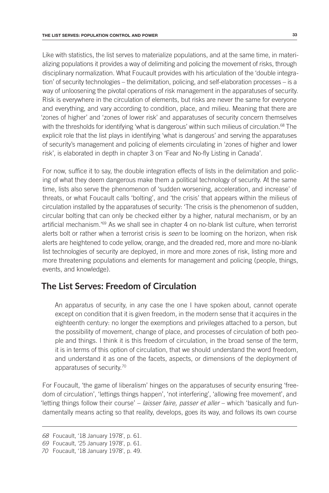Like with statistics, the list serves to materialize populations, and at the same time, in materializing populations it provides a way of delimiting and policing the movement of risks, through disciplinary normalization. What Foucault provides with his articulation of the 'double integration' of security technologies – the delimitation, policing, and self-elaboration processes – is a way of unloosening the pivotal operations of risk management in the apparatuses of security. Risk is everywhere in the circulation of elements, but risks are never the same for everyone and everything, and vary according to condition, place, and milieu. Meaning that there are 'zones of higher' and 'zones of lower risk' and apparatuses of security concern themselves with the thresholds for identifying 'what is dangerous' within such milieus of circulation.<sup>68</sup> The explicit role that the list plays in identifying 'what is dangerous' and serving the apparatuses of security's management and policing of elements circulating in 'zones of higher and lower risk', is elaborated in depth in chapter 3 on 'Fear and No-fly Listing in Canada'.

For now, suffice it to say, the double integration effects of lists in the delimitation and policing of what they deem dangerous make them a political technology of security. At the same time, lists also serve the phenomenon of 'sudden worsening, acceleration, and increase' of threats, or what Foucault calls 'bolting', and 'the crisis' that appears within the milieus of circulation installed by the apparatuses of security: 'The crisis is the phenomenon of sudden, circular bolting that can only be checked either by a higher, natural mechanism, or by an artificial mechanism.'69 As we shall see in chapter 4 on no-blank list culture, when terrorist alerts bolt or rather when a terrorist crisis is *seen* to be looming on the horizon, when risk alerts are heightened to code yellow, orange, and the dreaded red, more and more no-blank list technologies of security are deployed, in more and more zones of risk, listing more and more threatening populations and elements for management and policing (people, things, events, and knowledge).

#### **The List Serves: Freedom of Circulation**

An apparatus of security, in any case the one I have spoken about, cannot operate except on condition that it is given freedom, in the modern sense that it acquires in the eighteenth century: no longer the exemptions and privileges attached to a person, but the possibility of movement, change of place, and processes of circulation of both people and things. I think it is this freedom of circulation, in the broad sense of the term, it is in terms of this option of circulation, that we should understand the word freedom, and understand it as one of the facets, aspects, or dimensions of the deployment of apparatuses of security.70

For Foucault, 'the game of liberalism' hinges on the apparatuses of security ensuring 'freedom of circulation', 'lettings things happen', 'not interfering', 'allowing free movement', and 'letting things follow their course' – *laisser faire, passer et aller* – which 'basically and fundamentally means acting so that reality, develops, goes its way, and follows its own course

*<sup>68</sup>* Foucault, '18 January 1978', p. 61.

*<sup>69</sup>* Foucault, '25 January 1978', p. 61.

*<sup>70</sup>* Foucault, '18 January 1978', p. 49.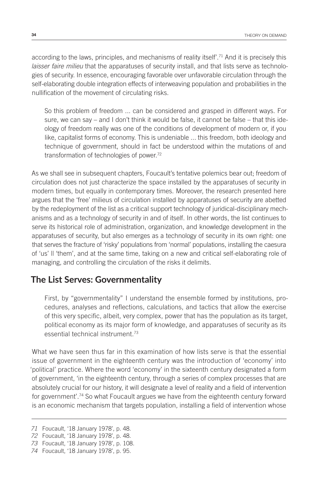according to the laws, principles, and mechanisms of reality itself'.<sup>71</sup> And it is precisely this *laisser faire milieu* that the apparatuses of security install, and that lists serve as technologies of security. In essence, encouraging favorable over unfavorable circulation through the self-elaborating double integration effects of interweaving population and probabilities in the nullification of the movement of circulating risks.

So this problem of freedom ... can be considered and grasped in different ways. For sure, we can say – and I don't think it would be false, it cannot be false – that this ideology of freedom really was one of the conditions of development of modern or, if you like, capitalist forms of economy. This is undeniable ... this freedom, both ideology and technique of government, should in fact be understood within the mutations of and transformation of technologies of power.<sup>72</sup>

As we shall see in subsequent chapters, Foucault's tentative polemics bear out; freedom of circulation does not just characterize the space installed by the apparatuses of security in modern times, but equally in contemporary times. Moreover, the research presented here argues that the 'free' milieus of circulation installed by apparatuses of security are abetted by the redeployment of the list as a critical support technology of juridical-disciplinary mechanisms and as a technology of security in and of itself. In other words, the list continues to serve its historical role of administration, organization, and knowledge development in the apparatuses of security, but also emerges as a technology of security in its own right: one that serves the fracture of 'risky' populations from 'normal' populations, installing the caesura of 'us' || 'them', and at the same time, taking on a new and critical self-elaborating role of managing, and controlling the circulation of the risks it delimits.

#### **The List Serves: Governmentality**

First, by "governmentality" I understand the ensemble formed by institutions, procedures, analyses and reflections, calculations, and tactics that allow the exercise of this very specific, albeit, very complex, power that has the population as its target, political economy as its major form of knowledge, and apparatuses of security as its essential technical instrument.73

What we have seen thus far in this examination of how lists serve is that the essential issue of government in the eighteenth century was the introduction of 'economy' into 'political' practice. Where the word 'economy' in the sixteenth century designated a form of government, 'in the eighteenth century, through a series of complex processes that are absolutely crucial for our history, it will designate a level of reality and a field of intervention for government'.74 So what Foucault argues we have from the eighteenth century forward is an economic mechanism that targets population, installing a field of intervention whose

*73* Foucault, '18 January 1978', p. 108.

*<sup>71</sup>* Foucault, '18 January 1978', p. 48.

*<sup>72</sup>* Foucault, '18 January 1978', p. 48.

*<sup>74</sup>* Foucault, '18 January 1978', p. 95.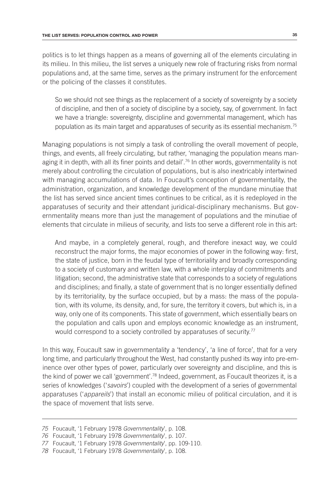politics is to let things happen as a means of governing all of the elements circulating in its milieu. In this milieu, the list serves a uniquely new role of fracturing risks from normal populations and, at the same time, serves as the primary instrument for the enforcement or the policing of the classes it constitutes.

So we should not see things as the replacement of a society of sovereignty by a society of discipline, and then of a society of discipline by a society, say, of government. In fact we have a triangle: sovereignty, discipline and governmental management, which has population as its main target and apparatuses of security as its essential mechanism.75

Managing populations is not simply a task of controlling the overall movement of people, things, and events, all freely circulating, but rather, 'managing the population means managing it in depth, with all its finer points and detail'.<sup>76</sup> In other words, governmentality is not merely about controlling the circulation of populations, but is also inextricably intertwined with managing accumulations of data. In Foucault's conception of governmentality, the administration, organization, and knowledge development of the mundane minutiae that the list has served since ancient times continues to be critical, as it is redeployed in the apparatuses of security and their attendant juridical-disciplinary mechanisms. But governmentality means more than just the management of populations and the minutiae of elements that circulate in milieus of security, and lists too serve a different role in this art:

And maybe, in a completely general, rough, and therefore inexact way, we could reconstruct the major forms, the major economies of power in the following way: first, the state of justice, born in the feudal type of territoriality and broadly corresponding to a society of customary and written law, with a whole interplay of commitments and litigation; second, the administrative state that corresponds to a society of regulations and disciplines; and finally, a state of government that is no longer essentially defined by its territoriality, by the surface occupied, but by a mass: the mass of the population, with its volume, its density, and, for sure, the territory it covers, but which is, in a way, only one of its components. This state of government, which essentially bears on the population and calls upon and employs economic knowledge as an instrument, would correspond to a society controlled by apparatuses of security.<sup>77</sup>

In this way, Foucault saw in governmentality a 'tendency', 'a line of force', that for a very long time, and particularly throughout the West, had constantly pushed its way into pre-eminence over other types of power, particularly over sovereignty and discipline, and this is the kind of power we call 'government'.78 Indeed, government, as Foucault theorizes it, is a series of knowledges ('*savoirs*') coupled with the development of a series of governmental apparatuses ('*appareils*') that install an economic milieu of political circulation, and it is the space of movement that lists serve.

*<sup>75</sup>* Foucault, '1 February 1978 *Governmentality*', p. 108.

*<sup>76</sup>* Foucault, '1 February 1978 *Governmentality*', p. 107.

*<sup>77</sup>* Foucault, '1 February 1978 *Governmentality*', pp. 109-110.

*<sup>78</sup>* Foucault, '1 February 1978 *Governmentality*', p. 108.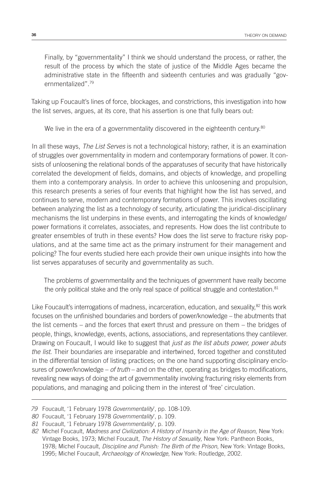Finally, by "governmentality" I think we should understand the process, or rather, the result of the process by which the state of justice of the Middle Ages became the administrative state in the fifteenth and sixteenth centuries and was gradually "governmentalized".79

Taking up Foucault's lines of force, blockages, and constrictions, this investigation into how the list serves, argues, at its core, that his assertion is one that fully bears out:

We live in the era of a governmentality discovered in the eighteenth century.<sup>80</sup>

In all these ways, *The List Serves* is not a technological history; rather, it is an examination of struggles over governmentality in modern and contemporary formations of power. It consists of unloosening the relational bonds of the apparatuses of security that have historically correlated the development of fields, domains, and objects of knowledge, and propelling them into a contemporary analysis. In order to achieve this unloosening and propulsion, this research presents a series of four events that highlight how the list has served, and continues to serve, modern and contemporary formations of power. This involves oscillating between analyzing the list as a technology of security, articulating the juridical-disciplinary mechanisms the list underpins in these events, and interrogating the kinds of knowledge/ power formations it correlates, associates, and represents. How does the list contribute to greater ensembles of truth in these events? How does the list serve to fracture risky populations, and at the same time act as the primary instrument for their management and policing? The four events studied here each provide their own unique insights into how the list serves apparatuses of security and governmentality as such.

The problems of governmentality and the techniques of government have really become the only political stake and the only real space of political struggle and contestation.<sup>81</sup>

Like Foucault's interrogations of madness, incarceration, education, and sexuality, $82$  this work focuses on the unfinished boundaries and borders of power/knowledge – the abutments that the list cements – and the forces that exert thrust and pressure on them – the bridges of people, things, knowledge, events, actions, associations, and representations they cantilever. Drawing on Foucault, I would like to suggest that *just as the list abuts power, power abuts the list*. Their boundaries are inseparable and intertwined, forced together and constituted in the differential tension of listing practices; on the one hand supporting disciplinary enclosures of power/knowledge – *of truth* – and on the other, operating as bridges to modifications, revealing new ways of doing the art of governmentality involving fracturing risky elements from populations, and managing and policing them in the interest of 'free' circulation.

*<sup>79</sup>* Foucault, '1 February 1978 *Governmentality*', pp. 108-109.

*<sup>80</sup>* Foucault, '1 February 1978 *Governmentality*', p. 109.

*<sup>81</sup>* Foucault, '1 February 1978 *Governmentality*', p. 109.

*<sup>82</sup>* Michel Foucault, *Madness and Civilization: A History of Insanity in the Age of Reason*, New York: Vintage Books, 1973; Michel Foucault, *The History of Sexuality*, New York: Pantheon Books, 1978; Michel Foucault, *Discipline and Punish: The Birth of the Prison*, New York: Vintage Books, 1995; Michel Foucault, *Archaeology of Knowledge*, New York: Routledge, 2002.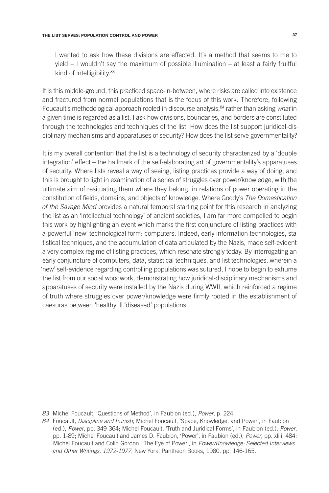I wanted to ask how these divisions are effected. It's a method that seems to me to yield – I wouldn't say the maximum of possible illumination – at least a fairly fruitful kind of intelligibility.<sup>83</sup>

It is this middle-ground, this practiced space-in-between, where risks are called into existence and fractured from normal populations that is the focus of this work. Therefore, following Foucault's methodological approach rooted in discourse analysis,<sup>84</sup> rather than asking *what* in a given time is regarded as a list, I ask how divisions, boundaries, and borders are constituted through the technologies and techniques of the list. How does the list support juridical-disciplinary mechanisms and apparatuses of security? How does the list serve governmentality?

It is my overall contention that the list is a technology of security characterized by a 'double integration' effect – the hallmark of the self-elaborating art of governmentality's apparatuses of security. Where lists reveal a way of seeing, listing practices provide a way of doing, and this is brought to light in examination of a series of struggles over power/knowledge, with the ultimate aim of resituating them where they belong: in relations of power operating in the constitution of fields, domains, and objects of knowledge. Where Goody's *The Domestication of the Savage Mind* provides a natural temporal starting point for this research in analyzing the list as an 'intellectual technology' of ancient societies, I am far more compelled to begin this work by highlighting an event which marks the first conjuncture of listing practices with a powerful 'new' technological form: computers. Indeed, early information technologies, statistical techniques, and the accumulation of data articulated by the Nazis, made self-evident a very complex regime of listing practices, which resonate strongly today. By interrogating an early conjuncture of computers, data, statistical techniques, and list technologies, wherein a 'new' self-evidence regarding controlling populations was sutured, I hope to begin to exhume the list from our social woodwork, demonstrating how juridical-disciplinary mechanisms and apparatuses of security were installed by the Nazis during WWII, which reinforced a regime of truth where struggles over power/knowledge were firmly rooted in the establishment of caesuras between 'healthy' || 'diseased' populations.

*<sup>83</sup>* Michel Foucault, 'Questions of Method', in Faubion (ed.), *Power*, p. 224.

*<sup>84</sup>* Foucault, *Discipline and Punish*; Michel Foucault, 'Space, Knowledge, and Power', in Faubion (ed.), *Power*, pp. 349-364; Michel Foucault, 'Truth and Juridical Forms', in Faubion (ed.), *Power*, pp. 1-89; Michel Foucault and James D. Faubion, 'Power', in Faubion (ed.), *Power*, pp. xliii, 484; Michel Foucault and Colin Gordon, 'The Eye of Power', in *Power/Knowledge: Selected Interviews and Other Writings, 1972-1977*, New York: Pantheon Books, 1980, pp. 146-165.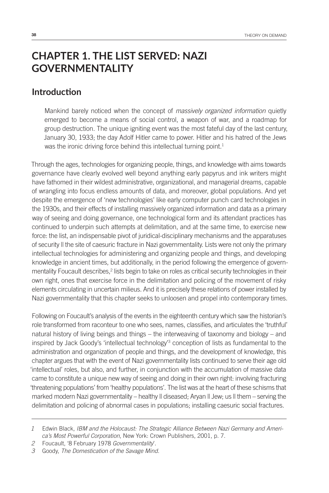## **CHAPTER 1. THE LIST SERVED: NAZI GOVERNMENTALITY**

#### **Introduction**

Mankind barely noticed when the concept of *massively organized information* quietly emerged to become a means of social control, a weapon of war, and a roadmap for group destruction. The unique igniting event was the most fateful day of the last century, January 30, 1933; the day Adolf Hitler came to power. Hitler and his hatred of the Jews was the ironic driving force behind this intellectual turning point.<sup>1</sup>

Through the ages, technologies for organizing people, things, and knowledge with aims towards governance have clearly evolved well beyond anything early papyrus and ink writers might have fathomed in their wildest administrative, organizational, and managerial dreams, capable of wrangling into focus endless amounts of data, and moreover, global populations. And yet despite the emergence of 'new technologies' like early computer punch card technologies in the 1930s, and their effects of installing massively organized information and data as a primary way of seeing and doing governance, one technological form and its attendant practices has continued to underpin such attempts at delimitation, and at the same time, to exercise new force: the list, an indispensable pivot of juridical-disciplinary mechanisms and the apparatuses of security || the site of caesuric fracture in Nazi governmentality. Lists were not only the primary intellectual technologies for administering and organizing people and things, and developing knowledge in ancient times, but additionally, in the period following the emergence of governmentality Foucault describes,<sup>2</sup> lists begin to take on roles as critical security technologies in their own right, ones that exercise force in the delimitation and policing of the movement of risky elements circulating in uncertain milieus. And it is precisely these relations of power installed by Nazi governmentality that this chapter seeks to unloosen and propel into contemporary times.

Following on Foucault's analysis of the events in the eighteenth century which saw the historian's role transformed from raconteur to one who sees, names, classifies, and articulates the 'truthful' natural history of living beings and things – the interweaving of taxonomy and biology – and inspired by Jack Goody's 'intellectual technology'3 conception of lists as fundamental to the administration and organization of people and things, and the development of knowledge, this chapter argues that with the event of Nazi governmentality lists continued to serve their age old 'intellectual' roles, but also, and further, in conjunction with the accumulation of massive data came to constitute a unique new way of seeing and doing in their own right: involving fracturing 'threatening populations' from 'healthy populations'. The list was at the heart of these schisms that marked modern Nazi governmentality – healthy II diseased; Aryan II Jew; us II them – serving the delimitation and policing of abnormal cases in populations; installing caesuric social fractures.

*<sup>1</sup>* Edwin Black, *IBM and the Holocaust: The Strategic Alliance Between Nazi Germany and America's Most Powerful Corporation*, New York: Crown Publishers, 2001, p. 7.

*<sup>2</sup>* Foucault, '8 February 1978 *Governmentality*'.

*<sup>3</sup>* Goody, *The Domestication of the Savage Mind*.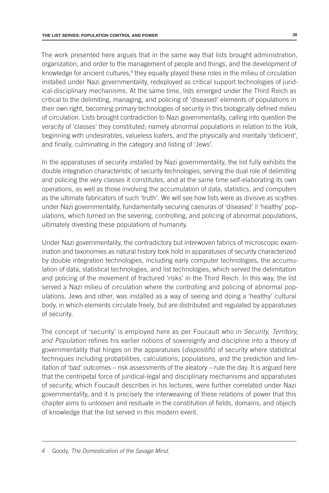The work presented here argues that in the same way that lists brought administration, organization, and order to the management of people and things, and the development of knowledge for ancient cultures,<sup>4</sup> they equally played these roles in the milieu of circulation installed under Nazi governmentality, redeployed as critical support technologies of juridical-disciplinary mechanisms. At the same time, lists emerged under the Third Reich as critical to the delimiting, managing, and policing of 'diseased' elements of populations in their own right, becoming primary technologies of security in this biologically defined milieu of circulation. Lists brought contradiction to Nazi governmentality, calling into question the veracity of 'classes' they constituted; namely abnormal populations in relation to the *Volk*, beginning with undesirables, valueless loafers, and the physically and mentally 'deficient', and finally, culminating in the category and listing of 'Jews'.

In the apparatuses of security installed by Nazi governmentality, the list fully exhibits the double integration characteristic of security technologies, serving the dual role of delimiting and policing the very classes it constitutes, and at the same time self-elaborating its own operations, as well as those involving the accumulation of data, statistics, and computers as the ultimate fabricators of such 'truth'. We will see how lists were as divisive as scythes under Nazi governmentality, fundamentally securing caesuras of 'diseased' || 'healthy' populations, which turned on the severing, controlling, and policing of abnormal populations, ultimately divesting these populations of humanity.

Under Nazi governmentality, the contradictory but interwoven fabrics of microscopic examination and taxonomies as natural history took hold in apparatuses of security characterized by double integration technologies, including early computer technologies, the accumulation of data, statistical technologies, and list technologies, which served the delimitation and policing of the movement of fractured 'risks' in the Third Reich. In this way, the list served a Nazi milieu of circulation where the controlling and policing of abnormal populations, Jews and other, was installed as a way of seeing and doing a 'healthy' cultural body, in which elements circulate freely, but are distributed and regulated by apparatuses of security.

The concept of 'security' is employed here as per Foucault who in *Security, Territory, and Population* refines his earlier notions of sovereignty and discipline into a theory of governmentality that hinges on the apparatuses (*dispositifs*) of security where statistical techniques including probabilities, calculations, populations, and the prediction and limitation of 'bad' outcomes – risk assessments of the aleatory – rule the day. It is argued here that the centripetal force of juridical-legal and disciplinary mechanisms and apparatuses of security, which Foucault describes in his lectures, were further correlated under Nazi governmentality, and it is precisely the interweaving of these relations of power that this chapter aims to unloosen and resituate in the constitution of fields, domains, and objects of knowledge that the list served in this modern event.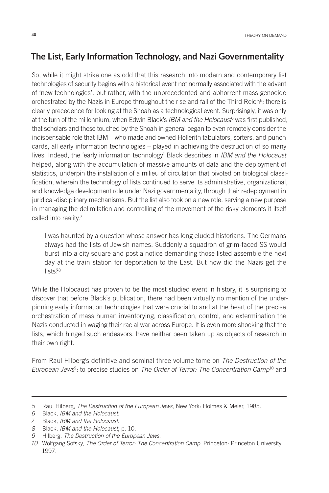## **The List, Early Information Technology, and Nazi Governmentality**

So, while it might strike one as odd that this research into modern and contemporary list technologies of security begins with a historical event not normally associated with the advent of 'new technologies', but rather, with the unprecedented and abhorrent mass genocide orchestrated by the Nazis in Europe throughout the rise and fall of the Third Reich<sup>5</sup>; there is clearly precedence for looking at the Shoah as a technological event. Surprisingly, it was only at the turn of the millennium, when Edwin Black's *IBM and the Holocaust*<sup>6</sup> was first published, that scholars and those touched by the Shoah in general began to even remotely consider the indispensable role that IBM – who made and owned Hollerith tabulators, sorters, and punch cards, all early information technologies – played in achieving the destruction of so many lives. Indeed, the 'early information technology' Black describes in *IBM and the Holocaust* helped, along with the accumulation of massive amounts of data and the deployment of statistics, underpin the installation of a milieu of circulation that pivoted on biological classification, wherein the technology of lists continued to serve its administrative, organizational, and knowledge development role under Nazi governmentality, through their redeployment in juridical-disciplinary mechanisms. But the list also took on a new role, serving a new purpose in managing the delimitation and controlling of the movement of the risky elements it itself called into reality.<sup>7</sup>

I was haunted by a question whose answer has long eluded historians. The Germans always had the lists of Jewish names. Suddenly a squadron of grim-faced SS would burst into a city square and post a notice demanding those listed assemble the next day at the train station for deportation to the East. But how did the Nazis get the lists?<sup>8</sup>

While the Holocaust has proven to be the most studied event in history, it is surprising to discover that before Black's publication, there had been virtually no mention of the underpinning early information technologies that were crucial to and at the heart of the precise orchestration of mass human inventorying, classification, control, and extermination the Nazis conducted in waging their racial war across Europe. It is even more shocking that the lists, which hinged such endeavors, have neither been taken up as objects of research in their own right.

From Raul Hilberg's definitive and seminal three volume tome on *The Destruction of the European Jews*<sup>9</sup> ; to precise studies on *The Order of Terror: The Concentration Camp*10 and

*<sup>5</sup>* Raul Hilberg, *The Destruction of the European Jews*, New York: Holmes & Meier, 1985.

*<sup>6</sup>* Black, *IBM and the Holocaust*.

*<sup>7</sup>* Black, *IBM and the Holocaust*.

*<sup>8</sup>* Black, *IBM and the Holocaust*, p. 10.

*<sup>9</sup>* Hilberg, *The Destruction of the European Jews*.

*<sup>10</sup>* Wolfgang Sofsky, *The Order of Terror: The Concentration Camp*, Princeton: Princeton University, 1997.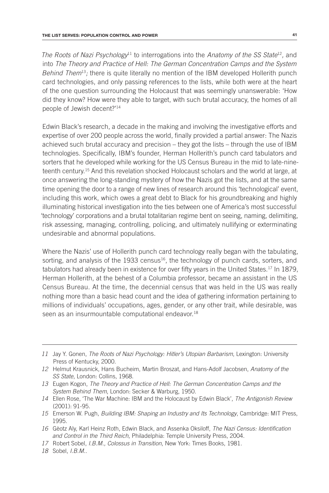*The Roots of Nazi Psychology*<sup>11</sup> to interrogations into the *Anatomy of the SS State*<sup>12</sup>*,* and into *The Theory and Practice of Hell: The German Concentration Camps and the System Behind Them*<sup>13</sup>; there is quite literally no mention of the IBM developed Hollerith punch card technologies, and only passing references to the lists, while both were at the heart of the one question surrounding the Holocaust that was seemingly unanswerable: 'How did they know? How were they able to target, with such brutal accuracy, the homes of all people of Jewish decent?'14

Edwin Black's research, a decade in the making and involving the investigative efforts and expertise of over 200 people across the world, finally provided a partial answer: The Nazis achieved such brutal accuracy and precision – they got the lists – through the use of IBM technologies. Specifically, IBM's founder, Herman Hollerith's punch card tabulators and sorters that he developed while working for the US Census Bureau in the mid to late-nineteenth century.15 And this revelation shocked Holocaust scholars and the world at large, at once answering the long-standing mystery of how the Nazis got the lists, and at the same time opening the door to a range of new lines of research around this 'technological' event, including this work, which owes a great debt to Black for his groundbreaking and highly illuminating historical investigation into the ties between one of America's most successful 'technology' corporations and a brutal totalitarian regime bent on seeing, naming, delimiting, risk assessing, managing, controlling, policing, and ultimately nullifying or exterminating undesirable and abnormal populations.

Where the Nazis' use of Hollerith punch card technology really began with the tabulating, sorting, and analysis of the 1933 census<sup>16</sup>, the technology of punch cards, sorters, and tabulators had already been in existence for over fifty years in the United States.<sup>17</sup> In 1879, Herman Hollerith, at the behest of a Columbia professor, became an assistant in the US Census Bureau. At the time, the decennial census that was held in the US was really nothing more than a basic head count and the idea of gathering information pertaining to millions of individuals' occupations, ages, gender, or any other trait, while desirable, was seen as an insurmountable computational endeavor.<sup>18</sup>

*<sup>11</sup>* Jay Y. Gonen, *The Roots of Nazi Psychology: Hitler's Utopian Barbarism*, Lexington: University Press of Kentucky, 2000.

*<sup>12</sup>* Helmut Krausnick, Hans Bucheim, Martin Broszat, and Hans-Adolf Jacobsen, *Anatomy of the SS State*, London: Collins, 1968.

*<sup>13</sup>* Eugen Kogon, *The Theory and Practice of Hell: The German Concentration Camps and the System Behind Them*, London: Secker & Warburg, 1950.

*<sup>14</sup>* Ellen Rose, 'The War Machine: IBM and the Holocaust by Edwin Black', *The Antigonish Review* (2001): 91-95.

*<sup>15</sup>* Emerson W. Pugh, *Building IBM: Shaping an Industry and Its Technology*, Cambridge: MIT Press, 1995.

*<sup>16</sup>* Gèotz Aly, Karl Heinz Roth, Edwin Black, and Assenka Oksiloff, *The Nazi Census: Identification and Control in the Third Reich*, Philadelphia: Temple University Press, 2004.

*<sup>17</sup>* Robert Sobel, *I.B.M., Colossus in Transition*, New York: Times Books, 1981.

*<sup>18</sup>* Sobel, *I.B.M.*.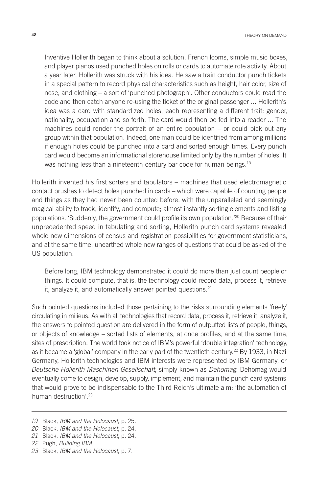Inventive Hollerith began to think about a solution. French looms, simple music boxes, and player pianos used punched holes on rolls or cards to automate rote activity. About a year later, Hollerith was struck with his idea. He saw a train conductor punch tickets in a special pattern to record physical characteristics such as height, hair color, size of nose, and clothing – a sort of 'punched photograph'. Other conductors could read the code and then catch anyone re-using the ticket of the original passenger ... Hollerith's idea was a card with standardized holes, each representing a different trait: gender, nationality, occupation and so forth. The card would then be fed into a reader ... The machines could render the portrait of an entire population – or could pick out any group within that population. Indeed, one man could be identified from among millions if enough holes could be punched into a card and sorted enough times. Every punch card would become an informational storehouse limited only by the number of holes. It was nothing less than a nineteenth-century bar code for human beings.<sup>19</sup>

Hollerith invented his first sorters and tabulators – machines that used electromagnetic contact brushes to detect holes punched in cards – which were capable of counting people and things as they had never been counted before, with the unparalleled and seemingly magical ability to track, identify, and compute; almost instantly sorting elements and listing populations. 'Suddenly, the government could profile its own population.'20 Because of their unprecedented speed in tabulating and sorting, Hollerith punch card systems revealed whole new dimensions of census and registration possibilities for government statisticians, and at the same time, unearthed whole new ranges of questions that could be asked of the US population.

Before long, IBM technology demonstrated it could do more than just count people or things. It could compute, that is, the technology could record data, process it, retrieve it, analyze it, and automatically answer pointed questions. $21$ 

Such pointed questions included those pertaining to the risks surrounding elements 'freely' circulating in milieus. As with all technologies that record data, process it, retrieve it, analyze it, the answers to pointed question are delivered in the form of outputted lists of people, things, or objects of knowledge – sorted lists of elements, at once profiles, and at the same time, sites of prescription. The world took notice of IBM's powerful 'double integration' technology, as it became a 'global' company in the early part of the twentieth century.<sup>22</sup> By 1933, in Nazi Germany, Hollerith technologies and IBM interests were represented by IBM Germany, or *Deutsche Hollerith Maschinen Gesellschaft*, simply known as *Dehomag*. Dehomag would eventually come to design, develop, supply, implement, and maintain the punch card systems that would prove to be indispensable to the Third Reich's ultimate aim: 'the automation of human destruction'.<sup>23</sup>

*<sup>19</sup>* Black, *IBM and the Holocaust*, p. 25.

*<sup>20</sup>* Black, *IBM and the Holocaust*, p. 24.

*<sup>21</sup>* Black, *IBM and the Holocaust*, p. 24.

*<sup>22</sup>* Pugh, *Building IBM*.

*<sup>23</sup>* Black, *IBM and the Holocaust*, p. 7.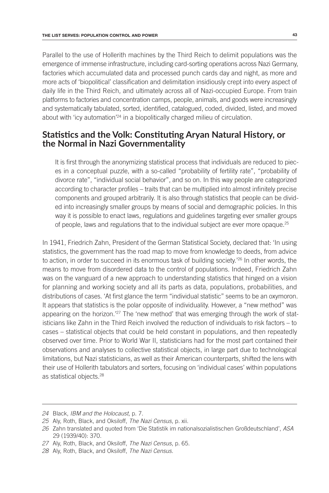Parallel to the use of Hollerith machines by the Third Reich to delimit populations was the emergence of immense infrastructure, including card-sorting operations across Nazi Germany, factories which accumulated data and processed punch cards day and night, as more and more acts of 'biopolitical' classification and delimitation insidiously crept into every aspect of daily life in the Third Reich, and ultimately across all of Nazi-occupied Europe. From train platforms to factories and concentration camps, people, animals, and goods were increasingly and systematically tabulated, sorted, identified, catalogued, coded, divided, listed, and moved about with 'icy automation'<sup>24</sup> in a biopolitically charged milieu of circulation.

#### **Statistics and the Volk: Constituting Aryan Natural History, or the Normal in Nazi Governmentality**

It is first through the anonymizing statistical process that individuals are reduced to pieces in a conceptual puzzle, with a so-called "probability of fertility rate", "probability of divorce rate", "individual social behavior", and so on. In this way people are categorized according to character profiles – traits that can be multiplied into almost infinitely precise components and grouped arbitrarily. It is also through statistics that people can be divided into increasingly smaller groups by means of social and demographic policies. In this way it is possible to enact laws, regulations and guidelines targeting ever smaller groups of people, laws and regulations that to the individual subject are ever more opaque.25

In 1941, Friedrich Zahn, President of the German Statistical Society, declared that: 'In using statistics, the government has the road map to move from knowledge to deeds, from advice to action, in order to succeed in its enormous task of building society.'26 In other words, the means to move from disordered data to the control of populations. Indeed, Friedrich Zahn was on the vanguard of a new approach to understanding statistics that hinged on a vision for planning and working society and all its parts as data, populations, probabilities, and distributions of cases. 'At first glance the term "individual statistic" seems to be an oxymoron. It appears that statistics is the polar opposite of individuality. However, a "new method" was appearing on the horizon.'<sup>27</sup> The 'new method' that was emerging through the work of statisticians like Zahn in the Third Reich involved the reduction of individuals to risk factors – to cases – statistical objects that could be held constant in populations, and then repeatedly observed over time. Prior to World War II, statisticians had for the most part contained their observations and analyses to collective statistical objects, in large part due to technological limitations, but Nazi statisticians, as well as their American counterparts, shifted the lens with their use of Hollerith tabulators and sorters, focusing on 'individual cases' within populations as statistical objects.28

*<sup>24</sup>* Black, *IBM and the Holocaust*, p. 7.

*<sup>25</sup>* Aly, Roth, Black, and Oksiloff, *The Nazi Census*, p. xii.

*<sup>26</sup>* Zahn translated and quoted from 'Die Statistik im nationalsozialistischen Großdeutschland', *ASA* 29 (1939/40): 370.

*<sup>27</sup>* Aly, Roth, Black, and Oksiloff, *The Nazi Census*, p. 65.

*<sup>28</sup>* Aly, Roth, Black, and Oksiloff, *The Nazi Census*.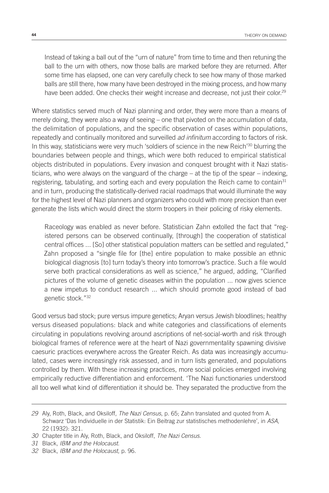Instead of taking a ball out of the "urn of nature" from time to time and then retuning the ball to the urn with others, now those balls are marked before they are returned. After some time has elapsed, one can very carefully check to see how many of those marked balls are still there, how many have been destroyed in the mixing process, and how many have been added. One checks their weight increase and decrease, not just their color.<sup>29</sup>

Where statistics served much of Nazi planning and order, they were more than a means of merely doing, they were also a way of seeing – one that pivoted on the accumulation of data, the delimitation of populations, and the specific observation of cases within populations, repeatedly and continually monitored and surveilled *ad infinitum* according to factors of risk. In this way, statisticians were very much 'soldiers of science in the new Reich'<sup>30</sup> blurring the boundaries between people and things, which were both reduced to empirical statistical objects distributed in populations. Every invasion and conquest brought with it Nazi statisticians, who were always on the vanguard of the charge – at the tip of the spear – indexing, registering, tabulating, and sorting each and every population the Reich came to contain<sup>31</sup> and in turn, producing the statistically-derived racial roadmaps that would illuminate the way for the highest level of Nazi planners and organizers who could with more precision than ever generate the lists which would direct the storm troopers in their policing of risky elements.

Raceology was enabled as never before. Statistician Zahn extolled the fact that "registered persons can be observed continually, [through] the cooperation of statistical central offices ... [So] other statistical population matters can be settled and regulated," Zahn proposed a "single file for [the] entire population to make possible an ethnic biological diagnosis [to] turn today's theory into tomorrow's practice. Such a file would serve both practical considerations as well as science," he argued, adding, "Clarified pictures of the volume of genetic diseases within the population ... now gives science a new impetus to conduct research ... which should promote good instead of bad genetic stock."32

Good versus bad stock; pure versus impure genetics; Aryan versus Jewish bloodlines; healthy versus diseased populations: black and white categories and classifications of elements circulating in populations revolving around ascriptions of net-social-worth and risk through biological frames of reference were at the heart of Nazi governmentality spawning divisive caesuric practices everywhere across the Greater Reich. As data was increasingly accumulated, cases were increasingly risk assessed, and in turn lists generated, and populations controlled by them. With these increasing practices, more social policies emerged involving empirically reductive differentiation and enforcement. 'The Nazi functionaries understood all too well what kind of differentiation it should be. They separated the productive from the

*<sup>29</sup>* Aly, Roth, Black, and Oksiloff, *The Nazi Census*, p. 65; Zahn translated and quoted from A. Schwarz 'Das Individuelle in der Statistik: Ein Beitrag zur statistisches methodenlehre', in *ASA*, 22 (1932): 321.

*<sup>30</sup>* Chapter title in Aly, Roth, Black, and Oksiloff, *The Nazi Census*.

*<sup>31</sup>* Black, *IBM and the Holocaust*.

*<sup>32</sup>* Black, *IBM and the Holocaust*, p. 96.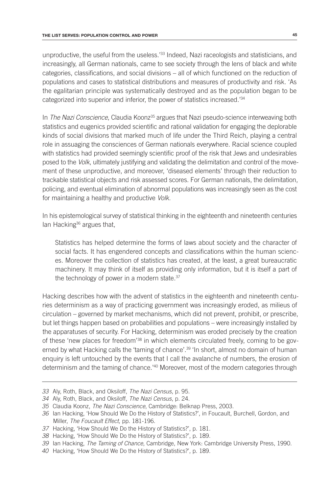unproductive, the useful from the useless.<sup>'33</sup> Indeed, Nazi raceologists and statisticians, and increasingly, all German nationals, came to see society through the lens of black and white categories, classifications, and social divisions – all of which functioned on the reduction of populations and cases to statistical distributions and measures of productivity and risk. 'As the egalitarian principle was systematically destroyed and as the population began to be categorized into superior and inferior, the power of statistics increased.'34

In *The Nazi Conscience*, Claudia Koonz<sup>35</sup> argues that Nazi pseudo-science interweaving both statistics and eugenics provided scientific and rational validation for engaging the deplorable kinds of social divisions that marked much of life under the Third Reich, playing a central role in assuaging the consciences of German nationals everywhere. Racial science coupled with statistics had provided seemingly scientific proof of the risk that Jews and undesirables posed to the *Volk*, ultimately justifying and validating the delimitation and control of the movement of these unproductive, and moreover, 'diseased elements' through their reduction to trackable statistical objects and risk assessed scores. For German nationals, the delimitation, policing, and eventual elimination of abnormal populations was increasingly seen as the cost for maintaining a healthy and productive *Volk*.

In his epistemological survey of statistical thinking in the eighteenth and nineteenth centuries lan Hacking<sup>36</sup> argues that,

Statistics has helped determine the forms of laws about society and the character of social facts. It has engendered concepts and classifications within the human sciences. Moreover the collection of statistics has created, at the least, a great bureaucratic machinery. It may think of itself as providing only information, but it is itself a part of the technology of power in a modern state.<sup>37</sup>

Hacking describes how with the advent of statistics in the eighteenth and nineteenth centuries determinism as a way of practicing government was increasingly eroded, as milieus of circulation – governed by market mechanisms, which did not prevent, prohibit, or prescribe, but let things happen based on probabilities and populations – were increasingly installed by the apparatuses of security. For Hacking, determinism was eroded precisely by the creation of these 'new places for freedom'38 in which elements circulated freely, coming to be governed by what Hacking calls the 'taming of chance'.<sup>39</sup> 'In short, almost no domain of human enquiry is left untouched by the events that I call the avalanche of numbers, the erosion of determinism and the taming of chance.<sup>140</sup> Moreover, most of the modern categories through

*<sup>33</sup>* Aly, Roth, Black, and Oksiloff, *The Nazi Census*, p. 95.

*<sup>34</sup>* Aly, Roth, Black, and Oksiloff, *The Nazi Census*, p. 24.

*<sup>35</sup>* Claudia Koonz, *The Nazi Conscience*, Cambridge: Belknap Press, 2003.

*<sup>36</sup>* Ian Hacking, 'How Should We Do the History of Statistics?', in Foucault, Burchell, Gordon, and Miller, *The Foucault Effect*, pp. 181-196.

*<sup>37</sup>* Hacking, 'How Should We Do the History of Statistics?', p. 181.

*<sup>38</sup>* Hacking, 'How Should We Do the History of Statistics?', p. 189.

*<sup>39</sup>* Ian Hacking, *The Taming of Chance*, Cambridge, New York: Cambridge University Press, 1990.

*<sup>40</sup>* Hacking, 'How Should We Do the History of Statistics?', p. 189.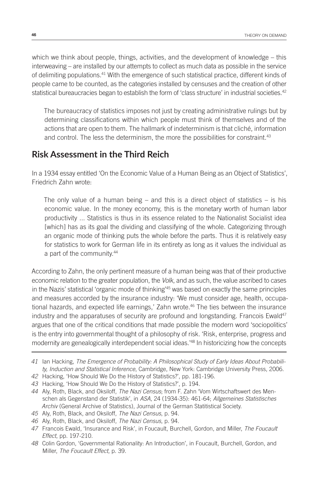which we think about people, things, activities, and the development of knowledge – this interweaving – are installed by our attempts to collect as much data as possible in the service of delimiting populations.41 With the emergence of such statistical practice, different kinds of people came to be counted, as the categories installed by censuses and the creation of other statistical bureaucracies began to establish the form of 'class structure' in industrial societies.<sup>42</sup>

The bureaucracy of statistics imposes not just by creating administrative rulings but by determining classifications within which people must think of themselves and of the actions that are open to them. The hallmark of indeterminism is that cliché, information and control. The less the determinism, the more the possibilities for constraint.<sup>43</sup>

# **Risk Assessment in the Third Reich**

In a 1934 essay entitled 'On the Economic Value of a Human Being as an Object of Statistics', Friedrich Zahn wrote:

The only value of a human being  $-$  and this is a direct object of statistics  $-$  is his economic value. In the money economy, this is the monetary worth of human labor productivity ... Statistics is thus in its essence related to the Nationalist Socialist idea [which] has as its goal the dividing and classifying of the whole. Categorizing through an organic mode of thinking puts the whole before the parts. Thus it is relatively easy for statistics to work for German life in its entirety as long as it values the individual as a part of the community.44

According to Zahn, the only pertinent measure of a human being was that of their productive economic relation to the greater population, the *Volk*, and as such, the value ascribed to cases in the Nazis' statistical 'organic mode of thinking'45 was based on exactly the same principles and measures accorded by the insurance industry: 'We must consider age, health, occupational hazards, and expected life earnings,' Zahn wrote.46 The ties between the insurance industry and the apparatuses of security are profound and longstanding. Francois Ewald<sup>47</sup> argues that one of the critical conditions that made possible the modern word 'sociopolitics' is the entry into governmental thought of a philosophy of risk. 'Risk, enterprise, progress and modernity are genealogically interdependent social ideas.<sup>148</sup> In historicizing how the concepts

*41* Ian Hacking, *The Emergence of Probability: A Philosophical Study of Early Ideas About Probability, Induction and Statistical Inference*, Cambridge, New York: Cambridge University Press, 2006.

*<sup>42</sup>* Hacking, 'How Should We Do the History of Statistics?', pp. 181-196.

*<sup>43</sup>* Hacking, 'How Should We Do the History of Statistics?', p. 194.

*<sup>44</sup>* Aly, Roth, Black, and Oksiloff, *The Nazi Census*; from F. Zahn 'Vom Wirtschaftswert des Menschen als Gegenstand der Statistik', in *ASA*, 24 (1934-35): 461-64; *Allgemeines Statistisches Archiv* (General Archive of Statistics), Journal of the German Statitistical Society.

*<sup>45</sup>* Aly, Roth, Black, and Oksiloff, *The Nazi Census*, p. 94.

*<sup>46</sup>* Aly, Roth, Black, and Oksiloff, *The Nazi Census*, p. 94.

*<sup>47</sup>* Francois Ewald, 'Insurance and Risk', in Foucault, Burchell, Gordon, and Miller, *The Foucault Effect*, pp. 197-210.

*<sup>48</sup>* Colin Gordon, 'Governmental Rationality: An Introduction', in Foucault, Burchell, Gordon, and Miller, *The Foucault Effect*, p. 39.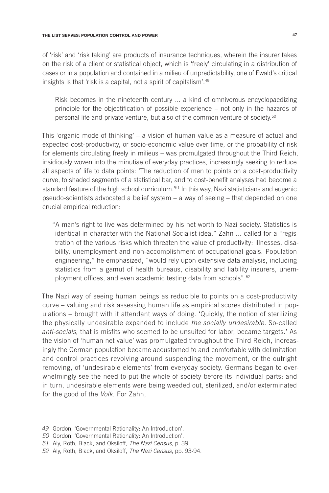of 'risk' and 'risk taking' are products of insurance techniques, wherein the insurer takes on the risk of a client or statistical object, which is 'freely' circulating in a distribution of cases or in a population and contained in a milieu of unpredictability, one of Ewald's critical insights is that 'risk is a capital, not a spirit of capitalism'.49

Risk becomes in the nineteenth century ... a kind of omnivorous encyclopaedizing principle for the objectification of possible experience – not only in the hazards of personal life and private venture, but also of the common venture of society.50

This 'organic mode of thinking' – a vision of human value as a measure of actual and expected cost-productivity, or socio-economic value over time, or the probability of risk for elements circulating freely in milieus – was promulgated throughout the Third Reich, insidiously woven into the minutiae of everyday practices, increasingly seeking to reduce all aspects of life to data points: 'The reduction of men to points on a cost-productivity curve, to shaded segments of a statistical bar, and to cost-benefit analyses had become a standard feature of the high school curriculum.'<sup>51</sup> In this way, Nazi statisticians and eugenic pseudo-scientists advocated a belief system – a way of seeing – that depended on one crucial empirical reduction:

"A man's right to live was determined by his net worth to Nazi society. Statistics is identical in character with the National Socialist idea." Zahn ... called for a "registration of the various risks which threaten the value of productivity: illnesses, disability, unemployment and non-accomplishment of occupational goals. Population engineering," he emphasized, "would rely upon extensive data analysis, including statistics from a gamut of health bureaus, disability and liability insurers, unemployment offices, and even academic testing data from schools".52

The Nazi way of seeing human beings as reducible to points on a cost-productivity curve – valuing and risk assessing human life as empirical scores distributed in populations – brought with it attendant ways of doing. 'Quickly, the notion of sterilizing the physically undesirable expanded to include *the socially undesirable.* So-called *anti-socials*, that is misfits who seemed to be unsuited for labor, became targets.' As the vision of 'human net value' was promulgated throughout the Third Reich, increasingly the German population became accustomed to and comfortable with delimitation and control practices revolving around suspending the movement, or the outright removing, of 'undesirable elements' from everyday society. Germans began to overwhelmingly see the need to put the whole of society before its individual parts; and in turn, undesirable elements were being weeded out, sterilized, and/or exterminated for the good of the *Volk*. For Zahn,

*51* Aly, Roth, Black, and Oksiloff, *The Nazi Census*, p. 39.

*<sup>49</sup>* Gordon, 'Governmental Rationality: An Introduction'.

*<sup>50</sup>* Gordon, 'Governmental Rationality: An Introduction'.

*<sup>52</sup>* Aly, Roth, Black, and Oksiloff, *The Nazi Census*, pp. 93-94.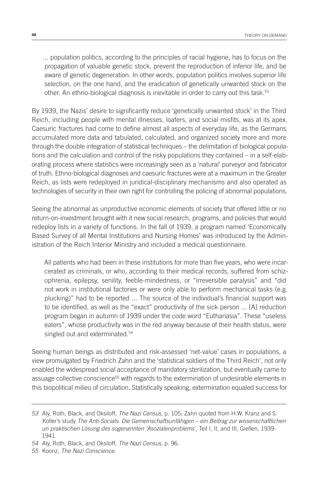... population politics, according to the principles of racial hygiene, has to focus on the propagation of valuable genetic stock, prevent the reproduction of inferior life, and be aware of genetic degeneration. In other words, population politics involves superior life selection, on the one hand, and the eradication of genetically unwanted stock on the other. An ethno-biological diagnosis is inevitable in order to carry out this task.53

By 1939, the Nazis' desire to significantly reduce 'genetically unwanted stock' in the Third Reich, including people with mental illnesses, loafers, and social misfits, was at its apex. Caesuric fractures had come to define almost all aspects of everyday life, as the Germans accumulated more data and tabulated, calculated, and organized society more and more through the double integration of statistical techniques – the delimitation of biological populations and the calculation and control of the risky populations they contained – in a self-elaborating process where statistics were increasingly seen as a 'natural' purveyor and fabricator of truth. Ethno-biological diagnoses and caesuric fractures were at a maximum in the Greater Reich, as lists were redeployed in juridical-disciplinary mechanisms and also operated as technologies of security in their own right for controlling the policing of abnormal populations.

Seeing the abnormal as unproductive economic elements of society that offered little or no return-on-investment brought with it new social research, programs, and policies that would redeploy lists in a variety of functions. In the fall of 1939, a program named 'Economically Based Survey of all Mental Institutions and Nursing Homes' was introduced by the Administration of the Reich Interior Ministry and included a medical questionnaire.

All patients who had been in these institutions for more than five years, who were incarcerated as criminals, or who, according to their medical records, suffered from schizophrenia, epilepsy, senility, feeble-mindedness, or "irreversible paralysis" and "did not work in institutional factories or were only able to perform mechanical tasks (e.g. plucking)" had to be reported ... The source of the individual's financial support was to be identified, as well as the "exact" productivity of the sick person ... [A] reduction program began in autumn of 1939 under the code word "Euthanasia". These "useless eaters", whose productivity was in the red anyway because of their health status, were singled out and exterminated.<sup>54</sup>

Seeing human beings as distributed and risk-assessed 'net-value' cases in populations, a view promulgated by Friedrich Zahn and the 'statistical soldiers of the Third Reich', not only enabled the widespread social acceptance of mandatory sterilization, but eventually came to assuage collective conscience<sup>55</sup> with regards to the extermination of undesirable elements in this biopolitical milieu of circulation. Statistically speaking, extermination equaled success for

*<sup>53</sup>* Aly, Roth, Black, and Oksiloff, *The Nazi Census*, p. 105; Zahn quoted from H.W. Kranz and S. Koller's study *The Anti-Socials*: *Die Gemeinschaftsunfähigen – ein Beitrag zur wissenschaftlichen un praktischen Lösung des sogenannten 'Asozialenproblems'*, Teil I, II, and III, Gießen, 1939- 1941.

*<sup>54</sup>* Aly, Roth, Black, and Oksiloff, *The Nazi Census*, p. 96.

*<sup>55</sup>* Koonz, *The Nazi Conscience*.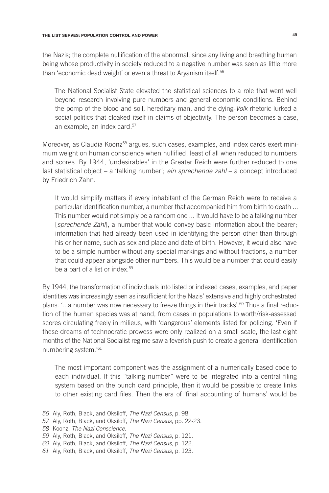the Nazis; the complete nullification of the abnormal, since any living and breathing human being whose productivity in society reduced to a negative number was seen as little more than 'economic dead weight' or even a threat to Aryanism itself.<sup>56</sup>

The National Socialist State elevated the statistical sciences to a role that went well beyond research involving pure numbers and general economic conditions. Behind the pomp of the blood and soil, hereditary man, and the dying-*Volk* rhetoric lurked a social politics that cloaked itself in claims of objectivity. The person becomes a case, an example, an index card.57

Moreover, as Claudia Koonz<sup>58</sup> argues, such cases, examples, and index cards exert minimum weight on human conscience when nullified, least of all when reduced to numbers and scores. By 1944, 'undesirables' in the Greater Reich were further reduced to one last statistical object – a 'talking number'; *ein sprechende zahl* – a concept introduced by Friedrich Zahn.

It would simplify matters if every inhabitant of the German Reich were to receive a particular identification number, a number that accompanied him from birth to death ... This number would not simply be a random one ... It would have to be a talking number [*sprechende Zahl*], a number that would convey basic information about the bearer; information that had already been used in identifying the person other than through his or her name, such as sex and place and date of birth. However, it would also have to be a simple number without any special markings and without fractions, a number that could appear alongside other numbers. This would be a number that could easily be a part of a list or index.<sup>59</sup>

By 1944, the transformation of individuals into listed or indexed cases, examples, and paper identities was increasingly seen as insufficient for the Nazis' extensive and highly orchestrated plans: '...a number was now necessary to freeze things in their tracks'.<sup>60</sup> Thus a final reduction of the human species was at hand, from cases in populations to worth/risk-assessed scores circulating freely in milieus, with 'dangerous' elements listed for policing. 'Even if these dreams of technocratic prowess were only realized on a small scale, the last eight months of the National Socialist regime saw a feverish push to create a general identification numbering system.'61

The most important component was the assignment of a numerically based code to each individual. If this "talking number" were to be integrated into a central filing system based on the punch card principle, then it would be possible to create links to other existing card files. Then the era of 'final accounting of humans' would be

*<sup>56</sup>* Aly, Roth, Black, and Oksiloff, *The Nazi Census*, p. 98.

*<sup>57</sup>* Aly, Roth, Black, and Oksiloff, *The Nazi Census*, pp. 22-23.

*<sup>58</sup>* Koonz, *The Nazi Conscience*.

*<sup>59</sup>* Aly, Roth, Black, and Oksiloff, *The Nazi Census*, p. 121.

*<sup>60</sup>* Aly, Roth, Black, and Oksiloff, *The Nazi Census*, p. 122.

*<sup>61</sup>* Aly, Roth, Black, and Oksiloff, *The Nazi Census*, p. 123.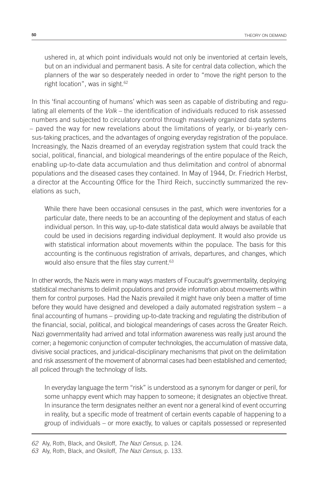ushered in, at which point individuals would not only be inventoried at certain levels, but on an individual and permanent basis. A site for central data collection, which the planners of the war so desperately needed in order to "move the right person to the right location", was in sight.<sup>62</sup>

In this 'final accounting of humans' which was seen as capable of distributing and regulating all elements of the *Volk* – the identification of individuals reduced to risk assessed numbers and subjected to circulatory control through massively organized data systems – paved the way for new revelations about the limitations of yearly, or bi-yearly census-taking practices, and the advantages of ongoing everyday registration of the populace. Increasingly, the Nazis dreamed of an everyday registration system that could track the social, political, financial, and biological meanderings of the entire populace of the Reich, enabling up-to-date data accumulation and thus delimitation and control of abnormal populations and the diseased cases they contained. In May of 1944, Dr. Friedrich Herbst, a director at the Accounting Office for the Third Reich, succinctly summarized the revelations as such,

While there have been occasional censuses in the past, which were inventories for a particular date, there needs to be an accounting of the deployment and status of each individual person. In this way, up-to-date statistical data would always be available that could be used in decisions regarding individual deployment. It would also provide us with statistical information about movements within the populace. The basis for this accounting is the continuous registration of arrivals, departures, and changes, which would also ensure that the files stay current.<sup>63</sup>

In other words, the Nazis were in many ways masters of Foucault's governmentality, deploying statistical mechanisms to delimit populations and provide information about movements within them for control purposes. Had the Nazis prevailed it might have only been a matter of time before they would have designed and developed a daily automated registration system – a final accounting of humans – providing up-to-date tracking and regulating the distribution of the financial, social, political, and biological meanderings of cases across the Greater Reich. Nazi governmentality had arrived and total information awareness was really just around the corner; a hegemonic conjunction of computer technologies, the accumulation of massive data, divisive social practices, and juridical-disciplinary mechanisms that pivot on the delimitation and risk assessment of the movement of abnormal cases had been established and cemented; all policed through the technology of lists.

In everyday language the term "risk" is understood as a synonym for danger or peril, for some unhappy event which may happen to someone; it designates an objective threat. In insurance the term designates neither an event nor a general kind of event occurring in reality, but a specific mode of treatment of certain events capable of happening to a group of individuals – or more exactly, to values or capitals possessed or represented

*<sup>62</sup>* Aly, Roth, Black, and Oksiloff, *The Nazi Census*, p. 124.

*<sup>63</sup>* Aly, Roth, Black, and Oksiloff, *The Nazi Census*, p. 133.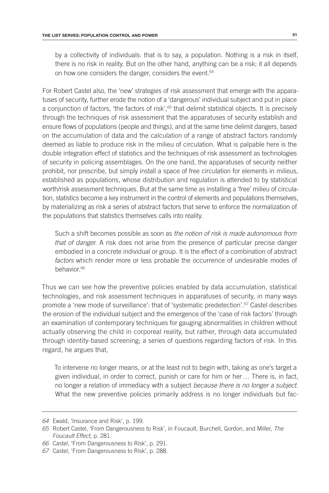by a collectivity of individuals: that is to say, a population. Nothing is a risk in itself, there is no risk in reality. But on the other hand, anything can be a risk; it all depends on how one considers the danger, considers the event.<sup>64</sup>

For Robert Castel also, the 'new' strategies of risk assessment that emerge with the apparatuses of security, further erode the notion of a 'dangerous' individual subject and put in place a conjunction of factors, 'the factors of risk', $65$  that delimit statistical objects. It is precisely through the techniques of risk assessment that the apparatuses of security establish and ensure flows of populations (people and things), and at the same time delimit dangers, based on the accumulation of data and the calculation of a range of abstract factors randomly deemed as liable to produce risk in the milieu of circulation. What is palpable here is the double integration effect of statistics and the techniques of risk assessment as technologies of security in policing assemblages. On the one hand, the apparatuses of security neither prohibit, nor prescribe, but simply install a space of free circulation for elements in milieus, established as populations, whose distribution and regulation is attended to by statistical worth/risk assessment techniques. But at the same time as installing a 'free' milieu of circulation, statistics become a key instrument in the control of elements and populations themselves, by materializing as risk a series of abstract factors that serve to enforce the normalization of the populations that statistics themselves calls into reality.

Such a shift becomes possible as soon as *the notion of risk is made autonomous from that of danger.* A risk does not arise from the presence of particular precise danger embodied in a concrete individual or group. It is the effect of a combination of abstract *factors* which render more or less probable the occurrence of undesirable modes of behavior.66

Thus we can see how the preventive policies enabled by data accumulation, statistical technologies, and risk assessment techniques in apparatuses of security, in many ways promote a 'new mode of surveillance': that of 'systematic predetection'.67 Castel describes the erosion of the individual subject and the emergence of the 'case of risk factors' through an examination of contemporary techniques for gauging abnormalities in children without actually observing the child in corporeal reality, but rather, through data accumulated through identity-based screening; a series of questions regarding factors of risk. In this regard, he argues that,

To intervene no longer means, or at the least not to begin with, taking as one's target a given individual, in order to correct, punish or care for him or her ... There is, in fact, no longer a relation of immediacy with a subject *because there is no longer a subject*. What the new preventive policies primarily address is no longer individuals but fac-

*<sup>64</sup>* Ewald, 'Insurance and Risk', p. 199.

*<sup>65</sup>* Robert Castel, 'From Dangerousness to Risk', in Foucault, Burchell, Gordon, and Miller, *The Foucault Effect*, p. 281.

*<sup>66</sup>* Castel, 'From Dangerousness to Risk', p. 291.

*<sup>67</sup>* Castel, 'From Dangerousness to Risk', p. 288.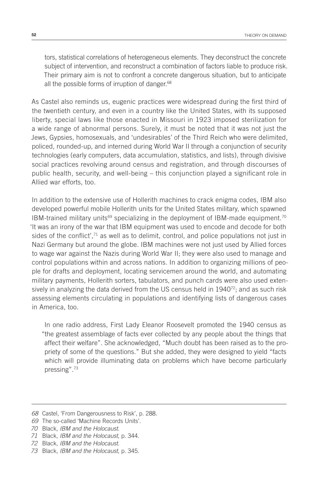tors, statistical correlations of heterogeneous elements. They deconstruct the concrete subject of intervention, and reconstruct a combination of factors liable to produce risk. Their primary aim is not to confront a concrete dangerous situation, but to anticipate all the possible forms of irruption of danger.<sup>68</sup>

As Castel also reminds us, eugenic practices were widespread during the first third of the twentieth century, and even in a country like the United States, with its supposed liberty, special laws like those enacted in Missouri in 1923 imposed sterilization for a wide range of abnormal persons. Surely, it must be noted that it was not just the Jews, Gypsies, homosexuals, and 'undesirables' of the Third Reich who were delimited, policed, rounded-up, and interned during World War II through a conjunction of security technologies (early computers, data accumulation, statistics, and lists), through divisive social practices revolving around census and registration, and through discourses of public health, security, and well-being – this conjunction played a significant role in Allied war efforts, too.

In addition to the extensive use of Hollerith machines to crack enigma codes, IBM also developed powerful mobile Hollerith units for the United States military, which spawned IBM-trained military units<sup>69</sup> specializing in the deployment of IBM-made equipment.<sup>70</sup> 'It was an irony of the war that IBM equipment was used to encode and decode for both sides of the conflict', $7<sup>1</sup>$  as well as to delimit, control, and police populations not just in Nazi Germany but around the globe. IBM machines were not just used by Allied forces to wage war against the Nazis during World War II; they were also used to manage and control populations within and across nations. In addition to organizing millions of people for drafts and deployment, locating servicemen around the world, and automating military payments, Hollerith sorters, tabulators, and punch cards were also used extensively in analyzing the data derived from the US census held in  $1940^{72}$ ; and as such risk assessing elements circulating in populations and identifying lists of dangerous cases in America, too.

In one radio address, First Lady Eleanor Roosevelt promoted the 1940 census as "the greatest assemblage of facts ever collected by any people about the things that affect their welfare". She acknowledged, "Much doubt has been raised as to the propriety of some of the questions." But she added, they were designed to yield "facts which will provide illuminating data on problems which have become particularly pressing".73

*<sup>68</sup>* Castel, 'From Dangerousness to Risk', p. 288.

*<sup>69</sup>* The so-called 'Machine Records Units'.

*<sup>70</sup>* Black, *IBM and the Holocaust*.

*<sup>71</sup>* Black, *IBM and the Holocaust*, p. 344.

*<sup>72</sup>* Black, *IBM and the Holocaust*.

*<sup>73</sup>* Black, *IBM and the Holocaust*, p. 345.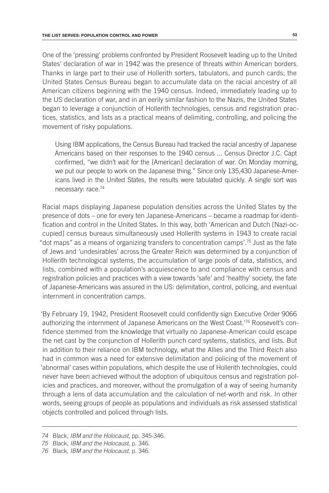One of the 'pressing' problems confronted by President Roosevelt leading up to the United States' declaration of war in 1942 was the presence of threats within American borders. Thanks in large part to their use of Hollerith sorters, tabulators, and punch cards; the United States Census Bureau began to accumulate data on the racial ancestry of all American citizens beginning with the 1940 census. Indeed, immediately leading up to the US declaration of war, and in an eerily similar fashion to the Nazis, the United States began to leverage a conjunction of Hollerith technologies, census and registration practices, statistics, and lists as a practical means of delimiting, controlling, and policing the movement of risky populations.

Using IBM applications, the Census Bureau had tracked the racial ancestry of Japanese Americans based on their responses to the 1940 census ... Census Director J.C. Capt confirmed, "we didn't wait for the [American] declaration of war. On Monday morning, we put our people to work on the Japanese thing." Since only 135,430 Japanese-Americans lived in the United States, the results were tabulated quickly. A single sort was necessary: race.74

Racial maps displaying Japanese population densities across the United States by the presence of dots – one for every ten Japanese-Americans – became a roadmap for identification and control in the United States. In this way, both 'American and Dutch [Nazi-occupied] census bureaus simultaneously used Hollerith systems in 1943 to create racial "dot maps" as a means of organizing transfers to concentration camps'.75 Just as the fate of Jews and 'undesirables' across the Greater Reich was determined by a conjunction of Hollerith technological systems, the accumulation of large pools of data, statistics, and lists, combined with a population's acquiescence to and compliance with census and registration policies and practices with a view towards 'safe' and 'healthy' society, the fate of Japanese-Americans was assured in the US: delimitation, control, policing, and eventual internment in concentration camps.

'By February 19, 1942, President Roosevelt could confidently sign Executive Order 9066 authorizing the internment of Japanese Americans on the West Coast.'76 Roosevelt's confidence stemmed from the knowledge that virtually no Japanese-American could escape the net cast by the conjunction of Hollerith punch card systems, statistics, and lists. But in addition to their reliance on IBM technology, what the Allies and the Third Reich also had in common was a need for extensive delimitation and policing of the movement of 'abnormal' cases within populations, which despite the use of Hollerith technologies, could never have been achieved without the adoption of ubiquitous census and registration policies and practices, and moreover, without the promulgation of a way of seeing humanity through a lens of data accumulation and the calculation of net-worth and risk. In other words, seeing groups of people as populations and individuals as risk assessed statistical objects controlled and policed through lists.

*<sup>74</sup>* Black, *IBM and the Holocaust*, pp. 345-346.

*<sup>75</sup>* Black, *IBM and the Holocaust*, p. 346.

*<sup>76</sup>* Black, *IBM and the Holocaust*, p. 346.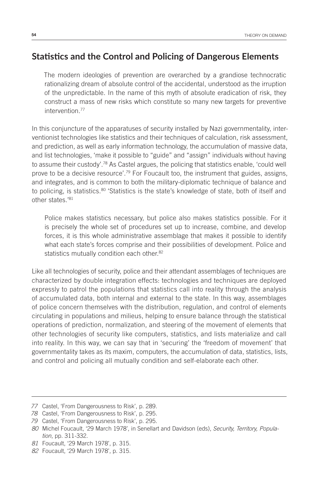## **Statistics and the Control and Policing of Dangerous Elements**

The modern ideologies of prevention are overarched by a grandiose technocratic rationalizing dream of absolute control of the accidental, understood as the irruption of the unpredictable. In the name of this myth of absolute eradication of risk, they construct a mass of new risks which constitute so many new targets for preventive intervention.77

In this conjuncture of the apparatuses of security installed by Nazi governmentality, interventionist technologies like statistics and their techniques of calculation, risk assessment, and prediction, as well as early information technology, the accumulation of massive data, and list technologies, 'make it possible to "guide" and "assign" individuals without having to assume their custody'.78 As Castel argues, the policing that statistics enable, 'could well prove to be a decisive resource'.<sup>79</sup> For Foucault too, the instrument that guides, assigns, and integrates, and is common to both the military-diplomatic technique of balance and to policing, is statistics.<sup>80</sup> 'Statistics is the state's knowledge of state, both of itself and other states.'81

Police makes statistics necessary, but police also makes statistics possible. For it is precisely the whole set of procedures set up to increase, combine, and develop forces, it is this whole administrative assemblage that makes it possible to identify what each state's forces comprise and their possibilities of development. Police and statistics mutually condition each other.<sup>82</sup>

Like all technologies of security, police and their attendant assemblages of techniques are characterized by double integration effects: technologies and techniques are deployed expressly to patrol the populations that statistics call into reality through the analysis of accumulated data, both internal and external to the state. In this way, assemblages of police concern themselves with the distribution, regulation, and control of elements circulating in populations and milieus, helping to ensure balance through the statistical operations of prediction, normalization, and steering of the movement of elements that other technologies of security like computers, statistics, and lists materialize and call into reality. In this way, we can say that in 'securing' the 'freedom of movement' that governmentality takes as its maxim, computers, the accumulation of data, statistics, lists, and control and policing all mutually condition and self-elaborate each other.

*<sup>77</sup>* Castel, 'From Dangerousness to Risk', p. 289.

*<sup>78</sup>* Castel, 'From Dangerousness to Risk', p. 295.

*<sup>79</sup>* Castel, 'From Dangerousness to Risk', p. 295.

*<sup>80</sup>* Michel Foucault, '29 March 1978', in Senellart and Davidson (eds), *Security, Territory, Population*, pp. 311-332.

*<sup>81</sup>* Foucault, '29 March 1978', p. 315.

*<sup>82</sup>* Foucault, '29 March 1978', p. 315.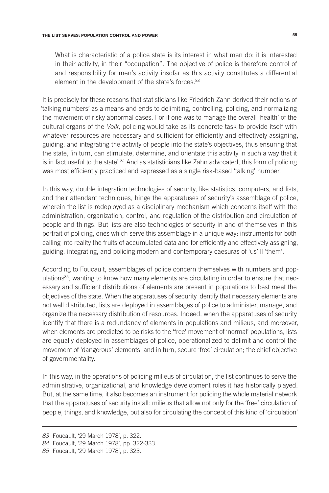What is characteristic of a police state is its interest in what men do; it is interested in their activity, in their "occupation". The objective of police is therefore control of and responsibility for men's activity insofar as this activity constitutes a differential element in the development of the state's forces.<sup>83</sup>

It is precisely for these reasons that statisticians like Friedrich Zahn derived their notions of 'talking numbers' as a means and ends to delimiting, controlling, policing, and normalizing the movement of risky abnormal cases. For if one was to manage the overall 'health' of the cultural organs of the *Volk*, policing would take as its concrete task to provide itself with whatever resources are necessary and sufficient for efficiently and effectively assigning, guiding, and integrating the activity of people into the state's objectives, thus ensuring that the state, 'in turn, can stimulate, determine, and orientate this activity in such a way that it is in fact useful to the state'. $84$  And as statisticians like Zahn advocated, this form of policing was most efficiently practiced and expressed as a single risk-based 'talking' number.

In this way, double integration technologies of security, like statistics, computers, and lists, and their attendant techniques, hinge the apparatuses of security's assemblage of police, wherein the list is redeployed as a disciplinary mechanism which concerns itself with the administration, organization, control, and regulation of the distribution and circulation of people and things. But lists are also technologies of security in and of themselves in this portrait of policing, ones which serve this assemblage in a unique way: instruments for both calling into reality the fruits of accumulated data and for efficiently and effectively assigning, guiding, integrating, and policing modern and contemporary caesuras of 'us' || 'them'.

According to Foucault, assemblages of police concern themselves with numbers and populations<sup>85</sup>, wanting to know how many elements are circulating in order to ensure that necessary and sufficient distributions of elements are present in populations to best meet the objectives of the state. When the apparatuses of security identify that necessary elements are not well distributed, lists are deployed in assemblages of police to administer, manage, and organize the necessary distribution of resources. Indeed, when the apparatuses of security identify that there is a redundancy of elements in populations and milieus, and moreover, when elements are predicted to be risks to the 'free' movement of 'normal' populations, lists are equally deployed in assemblages of police, operationalized to delimit and control the movement of 'dangerous' elements, and in turn, secure 'free' circulation; the chief objective of governmentality.

In this way, in the operations of policing milieus of circulation, the list continues to serve the administrative, organizational, and knowledge development roles it has historically played. But, at the same time, it also becomes an instrument for policing the whole material network that the apparatuses of security install: milieus that allow not only for the 'free' circulation of people, things, and knowledge, but also for circulating the concept of this kind of 'circulation'

*<sup>83</sup>* Foucault, '29 March 1978', p. 322.

*<sup>84</sup>* Foucault, '29 March 1978', pp. 322-323.

*<sup>85</sup>* Foucault, '29 March 1978', p. 323.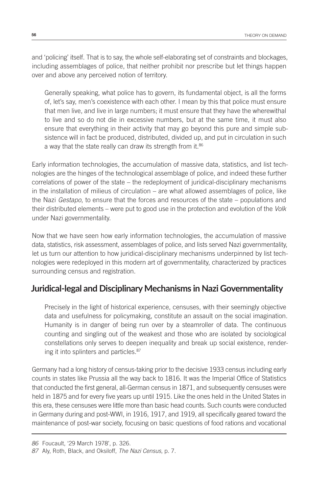and 'policing' itself. That is to say, the whole self-elaborating set of constraints and blockages, including assemblages of police, that neither prohibit nor prescribe but let things happen over and above any perceived notion of territory.

Generally speaking, what police has to govern, its fundamental object, is all the forms of, let's say, men's coexistence with each other. I mean by this that police must ensure that men live, and live in large numbers; it must ensure that they have the wherewithal to live and so do not die in excessive numbers, but at the same time, it must also ensure that everything in their activity that may go beyond this pure and simple subsistence will in fact be produced, distributed, divided up, and put in circulation in such a way that the state really can draw its strength from it.<sup>86</sup>

Early information technologies, the accumulation of massive data, statistics, and list technologies are the hinges of the technological assemblage of police, and indeed these further correlations of power of the state – the redeployment of juridical-disciplinary mechanisms in the installation of milieus of circulation – are what allowed assemblages of police, like the Nazi *Gestapo*, to ensure that the forces and resources of the state – populations and their distributed elements – were put to good use in the protection and evolution of the *Volk* under Nazi governmentality.

Now that we have seen how early information technologies, the accumulation of massive data, statistics, risk assessment, assemblages of police, and lists served Nazi governmentality, let us turn our attention to how juridical-disciplinary mechanisms underpinned by list technologies were redeployed in this modern art of governmentality, characterized by practices surrounding census and registration.

#### **Juridical-legal and Disciplinary Mechanisms in Nazi Governmentality**

Precisely in the light of historical experience, censuses, with their seemingly objective data and usefulness for policymaking, constitute an assault on the social imagination. Humanity is in danger of being run over by a steamroller of data. The continuous counting and singling out of the weakest and those who are isolated by sociological constellations only serves to deepen inequality and break up social existence, rendering it into splinters and particles.87

Germany had a long history of census-taking prior to the decisive 1933 census including early counts in states like Prussia all the way back to 1816. It was the Imperial Office of Statistics that conducted the first general, all-German census in 1871, and subsequently censuses were held in 1875 and for every five years up until 1915. Like the ones held in the United States in this era, these censuses were little more than basic head counts. Such counts were conducted in Germany during and post-WWI, in 1916, 1917, and 1919, all specifically geared toward the maintenance of post-war society, focusing on basic questions of food rations and vocational

*<sup>86</sup>* Foucault, '29 March 1978', p. 326.

*<sup>87</sup>* Aly, Roth, Black, and Oksiloff, *The Nazi Census*, p. 7.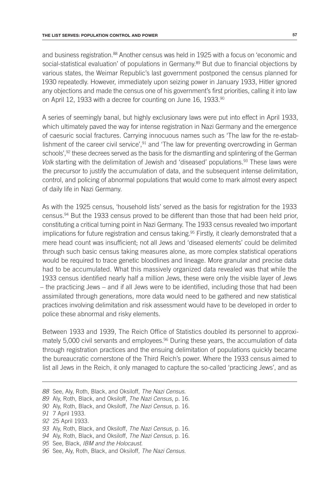and business registration.<sup>88</sup> Another census was held in 1925 with a focus on 'economic and social-statistical evaluation' of populations in Germany.<sup>89</sup> But due to financial objections by various states, the Weimar Republic's last government postponed the census planned for 1930 repeatedly. However, immediately upon seizing power in January 1933, Hitler ignored any objections and made the census one of his government's first priorities, calling it into law on April 12, 1933 with a decree for counting on June 16, 1933.90

A series of seemingly banal, but highly exclusionary laws were put into effect in April 1933, which ultimately paved the way for intense registration in Nazi Germany and the emergence of caesuric social fractures. Carrying innocuous names such as 'The law for the re-establishment of the career civil service',<sup>91</sup> and 'The law for preventing overcrowding in German schools',<sup>92</sup> these decrees served as the basis for the dismantling and splintering of the German *Volk* starting with the delimitation of Jewish and 'diseased' populations.<sup>93</sup> These laws were the precursor to justify the accumulation of data, and the subsequent intense delimitation, control, and policing of abnormal populations that would come to mark almost every aspect of daily life in Nazi Germany.

As with the 1925 census, 'household lists' served as the basis for registration for the 1933 census.94 But the 1933 census proved to be different than those that had been held prior, constituting a critical turning point in Nazi Germany. The 1933 census revealed two important implications for future registration and census taking.<sup>95</sup> Firstly, it clearly demonstrated that a mere head count was insufficient; not all Jews and 'diseased elements' could be delimited through such basic census taking measures alone, as more complex statistical operations would be required to trace genetic bloodlines and lineage. More granular and precise data had to be accumulated. What this massively organized data revealed was that while the 1933 census identified nearly half a million Jews, these were only the visible layer of Jews – the practicing Jews – and if all Jews were to be identified, including those that had been assimilated through generations, more data would need to be gathered and new statistical practices involving delimitation and risk assessment would have to be developed in order to police these abnormal and risky elements.

Between 1933 and 1939, The Reich Office of Statistics doubled its personnel to approximately 5,000 civil servants and employees.<sup>96</sup> During these years, the accumulation of data through registration practices and the ensuing delimitation of populations quickly became the bureaucratic cornerstone of the Third Reich's power. Where the 1933 census aimed to list all Jews in the Reich, it only managed to capture the so-called 'practicing Jews', and as

- *88* See, Aly, Roth, Black, and Oksiloff, *The Nazi Census*.
- *89* Aly, Roth, Black, and Oksiloff, *The Nazi Census*, p. 16.
- *90* Aly, Roth, Black, and Oksiloff, *The Nazi Census*, p. 16.
- *91* 7 April 1933.
- *92* 25 April 1933.
- *93* Aly, Roth, Black, and Oksiloff, *The Nazi Census*, p. 16.
- *94* Aly, Roth, Black, and Oksiloff, *The Nazi Census*, p. 16.
- *95* See, Black, *IBM and the Holocaust*.
- *96* See, Aly, Roth, Black, and Oksiloff, *The Nazi Census*.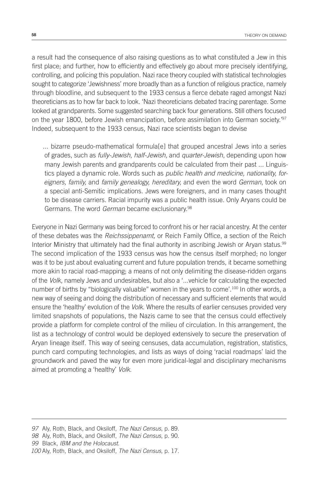a result had the consequence of also raising questions as to what constituted a Jew in this first place; and further, how to efficiently and effectively go about more precisely identifying, controlling, and policing this population. Nazi race theory coupled with statistical technologies sought to categorize 'Jewishness' more broadly than as a function of religious practice, namely through bloodline, and subsequent to the 1933 census a fierce debate raged amongst Nazi theoreticians as to how far back to look. 'Nazi theoreticians debated tracing parentage. Some looked at grandparents. Some suggested searching back four generations. Still others focused on the year 1800, before Jewish emancipation, before assimilation into German society.<sup>197</sup> Indeed, subsequent to the 1933 census, Nazi race scientists began to devise

... bizarre pseudo-mathematical formula[e] that grouped ancestral Jews into a series of grades, such as *fully-Jewish*, *half-Jewish,* and *quarter-Jewish*, depending upon how many Jewish parents and grandparents could be calculated from their past ... Linguistics played a dynamic role. Words such as *public health and medicine, nationality, foreigners, family,* and *family genealogy, hereditary,* and even the word *German*, took on a special anti-Semitic implications. Jews were foreigners, and in many cases thought to be disease carriers. Racial impurity was a public health issue. Only Aryans could be Germans. The word *German* became exclusionary.98

Everyone in Nazi Germany was being forced to confront his or her racial ancestry. At the center of these debates was the *Reichssippenamt,* or Reich Family Office, a section of the Reich Interior Ministry that ultimately had the final authority in ascribing Jewish or Aryan status.<sup>99</sup> The second implication of the 1933 census was how the census itself morphed; no longer was it to be just about evaluating current and future population trends, it became something more akin to racial road-mapping; a means of not only delimiting the disease-ridden organs of the *Volk*, namely Jews and undesirables, but also a '...vehicle for calculating the expected number of births by "biologically valuable" women in the years to come'.<sup>100</sup> In other words, a new way of seeing and doing the distribution of necessary and sufficient elements that would ensure the 'healthy' evolution of the *Volk*. Where the results of earlier censuses provided very limited snapshots of populations, the Nazis came to see that the census could effectively provide a platform for complete control of the milieu of circulation. In this arrangement, the list as a technology of control would be deployed extensively to secure the preservation of Aryan lineage itself. This way of seeing censuses, data accumulation, registration, statistics, punch card computing technologies, and lists as ways of doing 'racial roadmaps' laid the groundwork and paved the way for even more juridical-legal and disciplinary mechanisms aimed at promoting a 'healthy' *Volk*.

*<sup>97</sup>* Aly, Roth, Black, and Oksiloff, *The Nazi Census*, p. 89.

*<sup>98</sup>* Aly, Roth, Black, and Oksiloff, *The Nazi Census*, p. 90.

*<sup>99</sup>* Black, *IBM and the Holocaust*.

*<sup>100</sup>* Aly, Roth, Black, and Oksiloff, *The Nazi Census*, p. 17.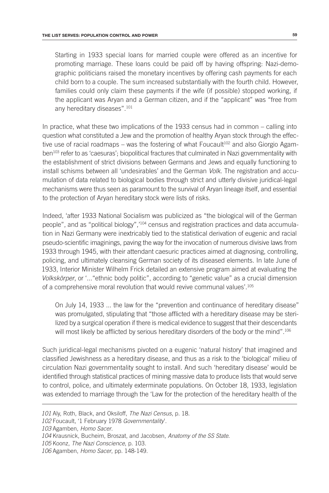Starting in 1933 special loans for married couple were offered as an incentive for promoting marriage. These loans could be paid off by having offspring: Nazi-demographic politicians raised the monetary incentives by offering cash payments for each child born to a couple. The sum increased substantially with the fourth child. However, families could only claim these payments if the wife (if possible) stopped working, if the applicant was Aryan and a German citizen, and if the "applicant" was "free from any hereditary diseases".101

In practice, what these two implications of the 1933 census had in common – calling into question what constituted a Jew and the promotion of healthy Aryan stock through the effective use of racial roadmaps – was the fostering of what Foucault<sup>102</sup> and also Giorgio Agamben<sup>103</sup> refer to as 'caesuras'; biopolitical fractures that culminated in Nazi governmentality with the establishment of strict divisions between Germans and Jews and equally functioning to install schisms between all 'undesirables' and the German *Volk*. The registration and accumulation of data related to biological bodies through strict and utterly divisive juridical-legal mechanisms were thus seen as paramount to the survival of Aryan lineage itself, and essential to the protection of Aryan hereditary stock were lists of risks.

Indeed, 'after 1933 National Socialism was publicized as "the biological will of the German people", and as "political biology",<sup>104</sup> census and registration practices and data accumulation in Nazi Germany were inextricably tied to the statistical derivation of eugenic and racial pseudo-scientific imaginings, paving the way for the invocation of numerous divisive laws from 1933 through 1945, with their attendant caesuric practices aimed at diagnosing, controlling, policing, and ultimately cleansing German society of its diseased elements. In late June of 1933, Interior Minister Wilhelm Frick detailed an extensive program aimed at evaluating the *Volkskörper*, or '..."ethnic body politic", according to "genetic value" as a crucial dimension of a comprehensive moral revolution that would revive communal values'.<sup>105</sup>

On July 14, 1933 ... the law for the "prevention and continuance of hereditary disease" was promulgated, stipulating that "those afflicted with a hereditary disease may be sterilized by a surgical operation if there is medical evidence to suggest that their descendants will most likely be afflicted by serious hereditary disorders of the body or the mind".<sup>106</sup>

Such juridical-legal mechanisms pivoted on a eugenic 'natural history' that imagined and classified Jewishness as a hereditary disease, and thus as a risk to the 'biological' milieu of circulation Nazi governmentality sought to install. And such 'hereditary disease' would be identified through statistical practices of mining massive data to produce lists that would serve to control, police, and ultimately exterminate populations. On October 18, 1933, legislation was extended to marriage through the 'Law for the protection of the hereditary health of the

*<sup>101</sup>* Aly, Roth, Black, and Oksiloff, *The Nazi Census*, p. 18.

*<sup>102</sup>* Foucault, '1 February 1978 *Governmentality*'.

*<sup>103</sup>* Agamben, *Homo Sacer*.

*<sup>104</sup>* Krausnick, Bucheim, Broszat, and Jacobsen, *Anatomy of the SS State*.

*<sup>105</sup>* Koonz, *The Nazi Conscience*, p. 103.

*<sup>106</sup>* Agamben, *Homo Sacer*, pp. 148-149.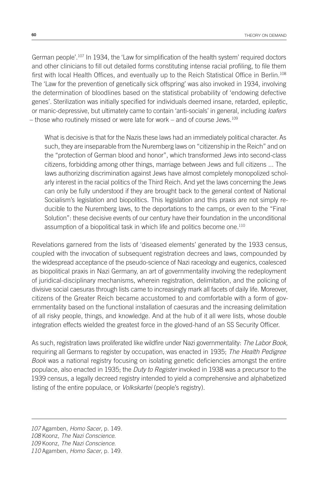German people'.107 In 1934, the 'Law for simplification of the health system' required doctors and other clinicians to fill out detailed forms constituting intense racial profiling, to file them first with local Health Offices, and eventually up to the Reich Statistical Office in Berlin.<sup>108</sup> The 'Law for the prevention of genetically sick offspring' was also invoked in 1934, involving the determination of bloodlines based on the statistical probability of 'endowing defective genes'. Sterilization was initially specified for individuals deemed insane, retarded, epileptic, or manic-depressive, but ultimately came to contain 'anti-socials' in general, including *loafers* – those who routinely missed or were late for work – and of course Jews.109

What is decisive is that for the Nazis these laws had an immediately political character. As such, they are inseparable from the Nuremberg laws on "citizenship in the Reich" and on the "protection of German blood and honor", which transformed Jews into second-class citizens, forbidding among other things, marriage between Jews and full citizens ... The laws authorizing discrimination against Jews have almost completely monopolized scholarly interest in the racial politics of the Third Reich. And yet the laws concerning the Jews can only be fully understood if they are brought back to the general context of National Socialism's legislation and biopolitics. This legislation and this praxis are not simply reducible to the Nuremberg laws, to the deportations to the camps, or even to the "Final Solution": these decisive events of our century have their foundation in the unconditional assumption of a biopolitical task in which life and politics become one.<sup>110</sup>

Revelations garnered from the lists of 'diseased elements' generated by the 1933 census, coupled with the invocation of subsequent registration decrees and laws, compounded by the widespread acceptance of the pseudo-science of Nazi raceology and eugenics, coalesced as biopolitical praxis in Nazi Germany, an art of governmentality involving the redeployment of juridical-disciplinary mechanisms, wherein registration, delimitation, and the policing of divisive social caesuras through lists came to increasingly mark all facets of daily life. Moreover, citizens of the Greater Reich became accustomed to and comfortable with a form of governmentality based on the functional installation of caesuras and the increasing delimitation of all risky people, things, and knowledge. And at the hub of it all were lists, whose double integration effects wielded the greatest force in the gloved-hand of an SS Security Officer.

As such, registration laws proliferated like wildfire under Nazi governmentality: *The Labor Book,* requiring all Germans to register by occupation, was enacted in 1935; *The Health Pedigree Book* was a national registry focusing on isolating genetic deficiencies amongst the entire populace, also enacted in 1935; the *Duty to Register* invoked in 1938 was a precursor to the 1939 census, a legally decreed registry intended to yield a comprehensive and alphabetized listing of the entire populace, or *Volkskartei* (people's registry).

*<sup>107</sup>* Agamben, *Homo Sacer*, p. 149.

*<sup>108</sup>* Koonz, *The Nazi Conscience*.

*<sup>109</sup>* Koonz, *The Nazi Conscience*.

*<sup>110</sup>* Agamben, *Homo Sacer*, p. 149.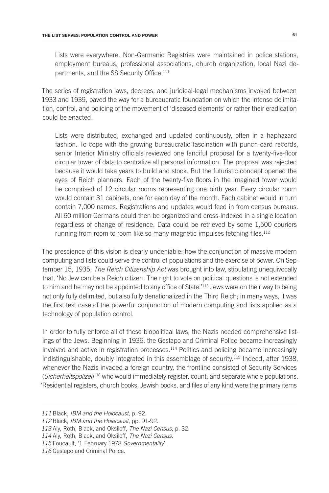Lists were everywhere. Non-Germanic Registries were maintained in police stations, employment bureaus, professional associations, church organization, local Nazi departments, and the SS Security Office.<sup>111</sup>

The series of registration laws, decrees, and juridical-legal mechanisms invoked between 1933 and 1939, paved the way for a bureaucratic foundation on which the intense delimitation, control, and policing of the movement of 'diseased elements' or rather their eradication could be enacted.

Lists were distributed, exchanged and updated continuously, often in a haphazard fashion. To cope with the growing bureaucratic fascination with punch-card records, senior Interior Ministry officials reviewed one fanciful proposal for a twenty-five-floor circular tower of data to centralize all personal information. The proposal was rejected because it would take years to build and stock. But the futuristic concept opened the eyes of Reich planners. Each of the twenty-five floors in the imagined tower would be comprised of 12 circular rooms representing one birth year. Every circular room would contain 31 cabinets, one for each day of the month. Each cabinet would in turn contain 7,000 names. Registrations and updates would feed in from census bureaus. All 60 million Germans could then be organized and cross-indexed in a single location regardless of change of residence. Data could be retrieved by some 1,500 couriers running from room to room like so many magnetic impulses fetching files.<sup>112</sup>

The prescience of this vision is clearly undeniable: how the conjunction of massive modern computing and lists could serve the control of populations and the exercise of power. On September 15, 1935, *The Reich Citizenship Act* was brought into law, stipulating unequivocally that, 'No Jew can be a Reich citizen. The right to vote on political questions is not extended to him and he may not be appointed to any office of State.<sup>'113</sup> Jews were on their way to being not only fully delimited, but also fully denationalized in the Third Reich; in many ways, it was the first test case of the powerful conjunction of modern computing and lists applied as a technology of population control.

In order to fully enforce all of these biopolitical laws, the Nazis needed comprehensive listings of the Jews. Beginning in 1936, the Gestapo and Criminal Police became increasingly involved and active in registration processes.114 Politics and policing became increasingly indistinguishable, doubly integrated in this assemblage of security.<sup>115</sup> Indeed, after 1938, whenever the Nazis invaded a foreign country, the frontline consisted of Security Services (*Sicherheitspolizei*) 116 who would immediately register, count, and separate whole populations. 'Residential registers, church books, Jewish books, and files of any kind were the primary items

*111* Black, *IBM and the Holocaust*, p. 92.

- *113* Aly, Roth, Black, and Oksiloff, *The Nazi Census*, p. 32.
- *114* Aly, Roth, Black, and Oksiloff, *The Nazi Census*.
- *115* Foucault, '1 February 1978 *Governmentality*'.

*<sup>112</sup>* Black, *IBM and the Holocaust*, pp. 91-92.

*<sup>116</sup>* Gestapo and Criminal Police.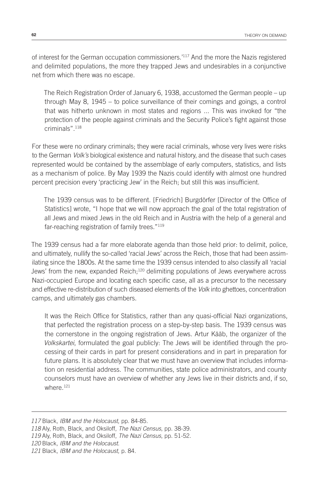of interest for the German occupation commissioners.'117 And the more the Nazis registered and delimited populations, the more they trapped Jews and undesirables in a conjunctive net from which there was no escape.

The Reich Registration Order of January 6, 1938, accustomed the German people – up through May 8, 1945 – to police surveillance of their comings and goings, a control that was hitherto unknown in most states and regions ... This was invoked for "the protection of the people against criminals and the Security Police's fight against those criminals".118

For these were no ordinary criminals; they were racial criminals, whose very lives were risks to the German *Volk's* biological existence and natural history, and the disease that such cases represented would be contained by the assemblage of early computers, statistics, and lists as a mechanism of police. By May 1939 the Nazis could identify with almost one hundred percent precision every 'practicing Jew' in the Reich; but still this was insufficient.

The 1939 census was to be different. [Friedrich] Burgdörfer [Director of the Office of Statistics] wrote, "I hope that we will now approach the goal of the total registration of all Jews and mixed Jews in the old Reich and in Austria with the help of a general and far-reaching registration of family trees."119

The 1939 census had a far more elaborate agenda than those held prior: to delimit, police, and ultimately, nullify the so-called 'racial Jews' across the Reich, those that had been assimilating since the 1800s. At the same time the 1939 census intended to also classify all 'racial Jews' from the new, expanded Reich;120 delimiting populations of Jews everywhere across Nazi-occupied Europe and locating each specific case, all as a precursor to the necessary and effective re-distribution of such diseased elements of the *Volk* into ghettoes, concentration camps, and ultimately gas chambers.

It was the Reich Office for Statistics, rather than any quasi-official Nazi organizations, that perfected the registration process on a step-by-step basis. The 1939 census was the cornerstone in the ongoing registration of Jews. Artur Kääb, the organizer of the *Volkskartei*, formulated the goal publicly: The Jews will be identified through the processing of their cards in part for present considerations and in part in preparation for future plans. It is absolutely clear that we must have an overview that includes information on residential address. The communities, state police administrators, and county counselors must have an overview of whether any Jews live in their districts and, if so, where.<sup>121</sup>

*<sup>117</sup>* Black, *IBM and the Holocaust*, pp. 84-85.

*<sup>118</sup>* Aly, Roth, Black, and Oksiloff, *The Nazi Census*, pp. 38-39.

*<sup>119</sup>* Aly, Roth, Black, and Oksiloff, *The Nazi Census*, pp. 51-52.

*<sup>120</sup>* Black, *IBM and the Holocaust*.

*<sup>121</sup>* Black, *IBM and the Holocaust*, p. 84.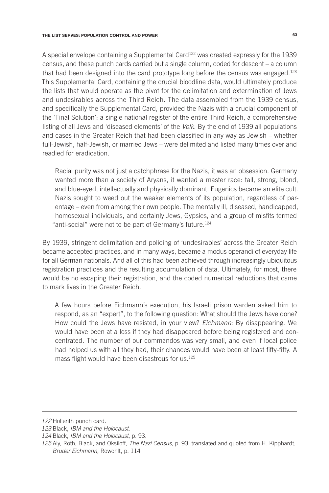A special envelope containing a Supplemental Card122 was created expressly for the 1939 census, and these punch cards carried but a single column, coded for descent – a column that had been designed into the card prototype long before the census was engaged.<sup>123</sup> This Supplemental Card, containing the crucial bloodline data, would ultimately produce the lists that would operate as the pivot for the delimitation and extermination of Jews and undesirables across the Third Reich. The data assembled from the 1939 census, and specifically the Supplemental Card, provided the Nazis with a crucial component of the 'Final Solution': a single national register of the entire Third Reich, a comprehensive listing of all Jews and 'diseased elements' of the *Volk*. By the end of 1939 all populations and cases in the Greater Reich that had been classified in any way as Jewish – whether full-Jewish, half-Jewish, or married Jews – were delimited and listed many times over and readied for eradication.

Racial purity was not just a catchphrase for the Nazis, it was an obsession. Germany wanted more than a society of Aryans, it wanted a master race: tall, strong, blond, and blue-eyed, intellectually and physically dominant. Eugenics became an elite cult. Nazis sought to weed out the weaker elements of its population, regardless of parentage – even from among their own people. The mentally ill, diseased, handicapped, homosexual individuals, and certainly Jews, Gypsies, and a group of misfits termed "anti-social" were not to be part of Germany's future.<sup>124</sup>

By 1939, stringent delimitation and policing of 'undesirables' across the Greater Reich became accepted practices, and in many ways, became a modus operandi of everyday life for all German nationals. And all of this had been achieved through increasingly ubiquitous registration practices and the resulting accumulation of data. Ultimately, for most, there would be no escaping their registration, and the coded numerical reductions that came to mark lives in the Greater Reich.

A few hours before Eichmann's execution, his Israeli prison warden asked him to respond, as an "expert", to the following question: What should the Jews have done? How could the Jews have resisted, in your view? *Eichmann*: By disappearing. We would have been at a loss if they had disappeared before being registered and concentrated. The number of our commandos was very small, and even if local police had helped us with all they had, their chances would have been at least fifty-fifty. A mass flight would have been disastrous for us.<sup>125</sup>

*<sup>122</sup>* Hollerith punch card.

*<sup>123</sup>* Black, *IBM and the Holocaust*.

*<sup>124</sup>* Black, *IBM and the Holocaust*, p. 93.

*<sup>125</sup>* Aly, Roth, Black, and Oksiloff, *The Nazi Census*, p. 93; translated and quoted from H. Kipphardt, *Bruder Eichmann,* Rowohlt, p. 114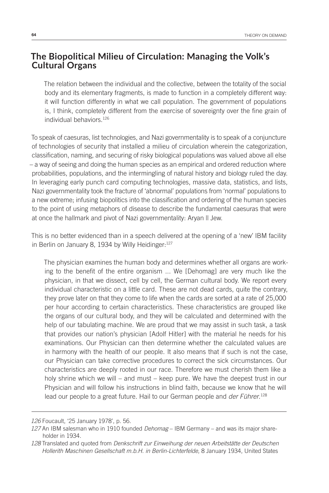### **The Biopolitical Milieu of Circulation: Managing the Volk's Cultural Organs**

The relation between the individual and the collective, between the totality of the social body and its elementary fragments, is made to function in a completely different way: it will function differently in what we call population. The government of populations is, I think, completely different from the exercise of sovereignty over the fine grain of individual behaviors.126

To speak of caesuras, list technologies, and Nazi governmentality is to speak of a conjuncture of technologies of security that installed a milieu of circulation wherein the categorization, classification, naming, and securing of risky biological populations was valued above all else – a way of seeing and doing the human species as an empirical and ordered reduction where probabilities, populations, and the intermingling of natural history and biology ruled the day. In leveraging early punch card computing technologies, massive data, statistics, and lists, Nazi governmentality took the fracture of 'abnormal' populations from 'normal' populations to a new extreme; infusing biopolitics into the classification and ordering of the human species to the point of using metaphors of disease to describe the fundamental caesuras that were at once the hallmark and pivot of Nazi governmentality: Aryan || Jew.

This is no better evidenced than in a speech delivered at the opening of a 'new' IBM facility in Berlin on January 8, 1934 by Willy Heidinger: 127

The physician examines the human body and determines whether all organs are working to the benefit of the entire organism ... We [Dehomag] are very much like the physician, in that we dissect, cell by cell, the German cultural body. We report every individual characteristic on a little card. These are not dead cards, quite the contrary, they prove later on that they come to life when the cards are sorted at a rate of 25,000 per hour according to certain characteristics. These characteristics are grouped like the organs of our cultural body, and they will be calculated and determined with the help of our tabulating machine. We are proud that we may assist in such task, a task that provides our nation's physician [Adolf Hitler] with the material he needs for his examinations. Our Physician can then determine whether the calculated values are in harmony with the health of our people. It also means that if such is not the case, our Physician can take corrective procedures to correct the sick circumstances. Our characteristics are deeply rooted in our race. Therefore we must cherish them like a holy shrine which we will – and must – keep pure. We have the deepest trust in our Physician and will follow his instructions in blind faith, because we know that he will lead our people to a great future. Hail to our German people and *der Führer*. 128

*<sup>126</sup>* Foucault, '25 January 1978', p. 56.

*<sup>127</sup>* An IBM salesman who in 1910 founded *Dehomag* – IBM Germany – and was its major shareholder in 1934.

*<sup>128</sup>* Translated and quoted from *Denkschrift zur Einweihung der neuen Arbeitstätte der Deutschen Hollerith Maschinen Gesellschaft m.b.H. in Berlin-Lichterfelde*, 8 January 1934, United States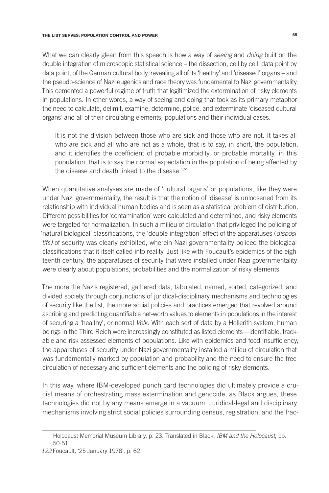What we can clearly glean from this speech is how a way of *seeing* and *doing* built on the double integration of microscopic statistical science – the dissection, cell by cell, data point by data point, of the German cultural body, revealing all of its 'healthy' and 'diseased' organs – and the pseudo-science of Nazi eugenics and race theory was fundamental to Nazi governmentality. This cemented a powerful regime of truth that legitimized the extermination of risky elements in populations. In other words, a way of seeing and doing that took as its primary metaphor the need to calculate, delimit, examine, determine, police, and exterminate 'diseased cultural organs' and all of their circulating elements; populations and their individual cases.

It is not the division between those who are sick and those who are not. It takes all who are sick and all who are not as a whole, that is to say, in short, the population, and it identifies the coefficient of probable morbidity, or probable mortality, in this population, that is to say the normal expectation in the population of being affected by the disease and death linked to the disease.<sup>129</sup>

When quantitative analyses are made of 'cultural organs' or populations, like they were under Nazi governmentality, the result is that the notion of 'disease' is unloosened from its relationship with individual human bodies and is seen as a statistical problem of distribution. Different possibilities for 'contamination' were calculated and determined, and risky elements were targeted for normalization. In such a milieu of circulation that privileged the policing of 'natural biological' classifications, the 'double integration' effect of the apparatuses (*dispositifs)* of security was clearly exhibited, wherein Nazi governmentality policed the biological classifications that it itself called into reality. Just like with Foucault's epidemics of the eighteenth century, the apparatuses of security that were installed under Nazi governmentality were clearly about populations, probabilities and the normalization of risky elements.

The more the Nazis registered, gathered data, tabulated, named, sorted, categorized, and divided society through conjunctions of juridical-disciplinary mechanisms and technologies of security like the list, the more social policies and practices emerged that revolved around ascribing and predicting quantifiable net-worth values to elements in populations in the interest of securing a 'healthy', or normal *Volk*. With each sort of data by a Hollerith system, human beings in the Third Reich were increasingly constituted as listed elements—identifiable, trackable and risk assessed elements of populations. Like with epidemics and food insufficiency, the apparatuses of security under Nazi governmentality installed a milieu of circulation that was fundamentally marked by population and probability and the need to ensure the free circulation of necessary and sufficient elements and the policing of risky elements.

In this way, where IBM-developed punch card technologies did ultimately provide a crucial means of orchestrating mass extermination and genocide, as Black argues, these technologies did not by any means emerge in a vacuum. Juridical-legal and disciplinary mechanisms involving strict social policies surrounding census, registration, and the frac-

Holocaust Memorial Museum Library, p. 23. Translated in Black, *IBM and the Holocaust*, pp. 50-51.

*<sup>129</sup>* Foucault, '25 January 1978', p. 62.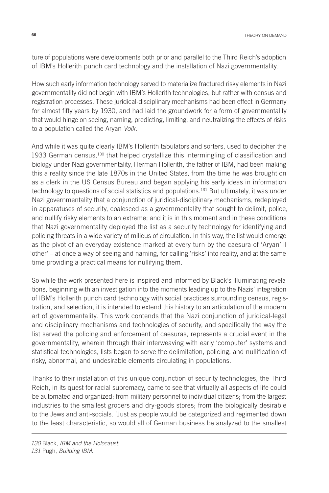ture of populations were developments both prior and parallel to the Third Reich's adoption of IBM's Hollerith punch card technology and the installation of Nazi governmentality.

How such early information technology served to materialize fractured risky elements in Nazi governmentality did not begin with IBM's Hollerith technologies, but rather with census and registration processes. These juridical-disciplinary mechanisms had been effect in Germany for almost fifty years by 1930, and had laid the groundwork for a form of governmentality that would hinge on seeing, naming, predicting, limiting, and neutralizing the effects of risks to a population called the Aryan *Volk.*

And while it was quite clearly IBM's Hollerith tabulators and sorters, used to decipher the 1933 German census,<sup>130</sup> that helped crystallize this intermingling of classification and biology under Nazi governmentality, Herman Hollerith, the father of IBM, had been making this a reality since the late 1870s in the United States, from the time he was brought on as a clerk in the US Census Bureau and began applying his early ideas in information technology to questions of social statistics and populations.131 But ultimately, it was under Nazi governmentality that a conjunction of juridical-disciplinary mechanisms, redeployed in apparatuses of security, coalesced as a governmentality that sought to delimit, police, and nullify risky elements to an extreme; and it is in this moment and in these conditions that Nazi governmentality deployed the list as a security technology for identifying and policing threats in a wide variety of milieus of circulation. In this way, the list would emerge as the pivot of an everyday existence marked at every turn by the caesura of 'Aryan' II 'other' – at once a way of seeing and naming, for calling 'risks' into reality, and at the same time providing a practical means for nullifying them.

So while the work presented here is inspired and informed by Black's illuminating revelations, beginning with an investigation into the moments leading up to the Nazis' integration of IBM's Hollerith punch card technology with social practices surrounding census, registration, and selection, it is intended to extend this history to an articulation of the modern art of governmentality. This work contends that the Nazi conjunction of juridical-legal and disciplinary mechanisms and technologies of security, and specifically the way the list served the policing and enforcement of caesuras, represents a crucial event in the governmentality, wherein through their interweaving with early 'computer' systems and statistical technologies, lists began to serve the delimitation, policing, and nullification of risky, abnormal, and undesirable elements circulating in populations.

Thanks to their installation of this unique conjunction of security technologies, the Third Reich, in its quest for racial supremacy, came to see that virtually all aspects of life could be automated and organized; from military personnel to individual citizens; from the largest industries to the smallest grocers and dry-goods stores; from the biologically desirable to the Jews and anti-socials. 'Just as people would be categorized and regimented down to the least characteristic, so would all of German business be analyzed to the smallest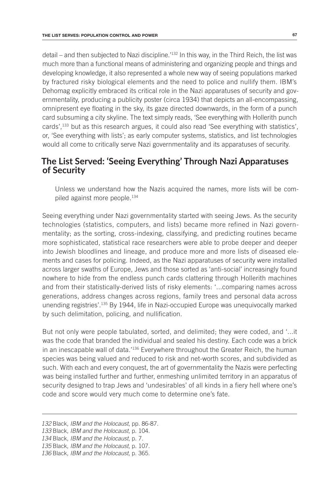detail – and then subjected to Nazi discipline.'132 In this way, in the Third Reich, the list was much more than a functional means of administering and organizing people and things and developing knowledge, it also represented a whole new way of seeing populations marked by fractured risky biological elements and the need to police and nullify them. IBM's Dehomag explicitly embraced its critical role in the Nazi apparatuses of security and governmentality, producing a publicity poster (circa 1934) that depicts an all-encompassing, omnipresent eye floating in the sky, its gaze directed downwards, in the form of a punch card subsuming a city skyline. The text simply reads, 'See everything with Hollerith punch cards',133 but as this research argues, it could also read 'See everything with statistics', or, 'See everything with lists'; as early computer systems, statistics, and list technologies would all come to critically serve Nazi governmentality and its apparatuses of security.

### **The List Served: 'Seeing Everything' Through Nazi Apparatuses of Security**

Unless we understand how the Nazis acquired the names, more lists will be compiled against more people.134

Seeing everything under Nazi governmentality started with seeing Jews. As the security technologies (statistics, computers, and lists) became more refined in Nazi governmentality; as the sorting, cross-indexing, classifying, and predicting routines became more sophisticated, statistical race researchers were able to probe deeper and deeper into Jewish bloodlines and lineage, and produce more and more lists of diseased elements and cases for policing. Indeed, as the Nazi apparatuses of security were installed across larger swaths of Europe, Jews and those sorted as 'anti-social' increasingly found nowhere to hide from the endless punch cards clattering through Hollerith machines and from their statistically-derived lists of risky elements: '...comparing names across generations, address changes across regions, family trees and personal data across unending registries'.135 By 1944, life in Nazi-occupied Europe was unequivocally marked by such delimitation, policing, and nullification.

But not only were people tabulated, sorted, and delimited; they were coded, and '...it was the code that branded the individual and sealed his destiny. Each code was a brick in an inescapable wall of data.'136 Everywhere throughout the Greater Reich, the human species was being valued and reduced to risk and net-worth scores, and subdivided as such. With each and every conquest, the art of governmentality the Nazis were perfecting was being installed further and further, enmeshing unlimited territory in an apparatus of security designed to trap Jews and 'undesirables' of all kinds in a fiery hell where one's code and score would very much come to determine one's fate.

*<sup>132</sup>* Black, *IBM and the Holocaust*, pp. 86-87.

*<sup>133</sup>* Black, *IBM and the Holocaust*, p. 104.

*<sup>134</sup>* Black, *IBM and the Holocaust*, p. 7.

*<sup>135</sup>* Black, *IBM and the Holocaust*, p. 107.

*<sup>136</sup>* Black, *IBM and the Holocaust*, p. 365.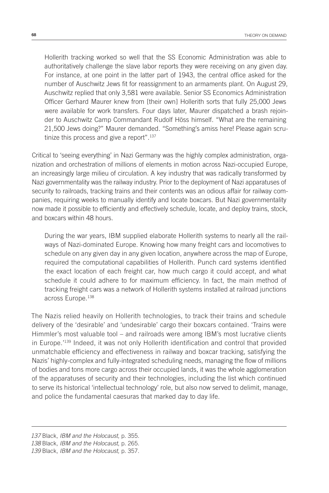Hollerith tracking worked so well that the SS Economic Administration was able to authoritatively challenge the slave labor reports they were receiving on any given day. For instance, at one point in the latter part of 1943, the central office asked for the number of Auschwitz Jews fit for reassignment to an armaments plant. On August 29, Auschwitz replied that only 3,581 were available. Senior SS Economics Administration Officer Gerhard Maurer knew from [their own] Hollerith sorts that fully 25,000 Jews were available for work transfers. Four days later, Maurer dispatched a brash rejoinder to Auschwitz Camp Commandant Rudolf Höss himself. "What are the remaining 21,500 Jews doing?" Maurer demanded. "Something's amiss here! Please again scrutinize this process and give a report".<sup>137</sup>

Critical to 'seeing everything' in Nazi Germany was the highly complex administration, organization and orchestration of millions of elements in motion across Nazi-occupied Europe, an increasingly large milieu of circulation. A key industry that was radically transformed by Nazi governmentality was the railway industry. Prior to the deployment of Nazi apparatuses of security to railroads, tracking trains and their contents was an odious affair for railway companies, requiring weeks to manually identify and locate boxcars. But Nazi governmentality now made it possible to efficiently and effectively schedule, locate, and deploy trains, stock, and boxcars within 48 hours.

During the war years, IBM supplied elaborate Hollerith systems to nearly all the railways of Nazi-dominated Europe. Knowing how many freight cars and locomotives to schedule on any given day in any given location, anywhere across the map of Europe, required the computational capabilities of Hollerith. Punch card systems identified the exact location of each freight car, how much cargo it could accept, and what schedule it could adhere to for maximum efficiency. In fact, the main method of tracking freight cars was a network of Hollerith systems installed at railroad junctions across Europe.138

The Nazis relied heavily on Hollerith technologies, to track their trains and schedule delivery of the 'desirable' and 'undesirable' cargo their boxcars contained. 'Trains were Himmler's most valuable tool – and railroads were among IBM's most lucrative clients in Europe.'139 Indeed, it was not only Hollerith identification and control that provided unmatchable efficiency and effectiveness in railway and boxcar tracking, satisfying the Nazis' highly-complex and fully-integrated scheduling needs, managing the flow of millions of bodies and tons more cargo across their occupied lands, it was the whole agglomeration of the apparatuses of security and their technologies, including the list which continued to serve its historical 'intellectual technology' role, but also now served to delimit, manage, and police the fundamental caesuras that marked day to day life.

*<sup>137</sup>* Black, *IBM and the Holocaust*, p. 355.

*<sup>138</sup>* Black, *IBM and the Holocaust*, p. 265.

*<sup>139</sup>* Black, *IBM and the Holocaust*, p. 357.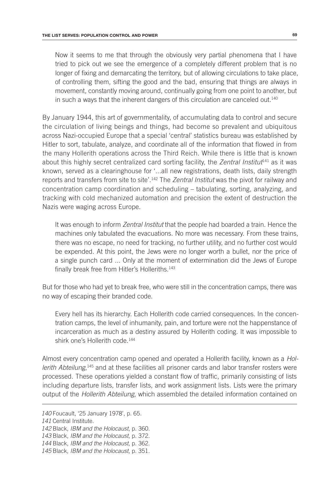Now it seems to me that through the obviously very partial phenomena that I have tried to pick out we see the emergence of a completely different problem that is no longer of fixing and demarcating the territory, but of allowing circulations to take place, of controlling them, sifting the good and the bad, ensuring that things are always in movement, constantly moving around, continually going from one point to another, but in such a ways that the inherent dangers of this circulation are canceled out.<sup>140</sup>

By January 1944, this art of governmentality, of accumulating data to control and secure the circulation of living beings and things, had become so prevalent and ubiquitous across Nazi-occupied Europe that a special 'central' statistics bureau was established by Hitler to sort, tabulate, analyze, and coordinate all of the information that flowed in from the many Hollerith operations across the Third Reich. While there is little that is known about this highly secret centralized card sorting facility, the Zentral Institut<sup>141</sup> as it was known, served as a clearinghouse for '...all new registrations, death lists, daily strength reports and transfers from site to site'.142 The *Zentral Institut* was the pivot for railway and concentration camp coordination and scheduling – tabulating, sorting, analyzing, and tracking with cold mechanized automation and precision the extent of destruction the Nazis were waging across Europe.

It was enough to inform *Zentral Institut* that the people had boarded a train. Hence the machines only tabulated the evacuations. No more was necessary. From these trains, there was no escape, no need for tracking, no further utility, and no further cost would be expended. At this point, the Jews were no longer worth a bullet, nor the price of a single punch card ... Only at the moment of extermination did the Jews of Europe finally break free from Hitler's Holleriths.<sup>143</sup>

But for those who had yet to break free, who were still in the concentration camps, there was no way of escaping their branded code.

Every hell has its hierarchy. Each Hollerith code carried consequences. In the concentration camps, the level of inhumanity, pain, and torture were not the happenstance of incarceration as much as a destiny assured by Hollerith coding. It was impossible to shirk one's Hollerith code.<sup>144</sup>

Almost every concentration camp opened and operated a Hollerith facility, known as a *Hol*lerith Abteilung,<sup>145</sup> and at these facilities all prisoner cards and labor transfer rosters were processed. These operations yielded a constant flow of traffic, primarily consisting of lists including departure lists, transfer lists, and work assignment lists. Lists were the primary output of the *Hollerith Abteilung*, which assembled the detailed information contained on

*<sup>140</sup>* Foucault, '25 January 1978', p. 65.

*<sup>141</sup>* Central Institute.

*<sup>142</sup>* Black, *IBM and the Holocaust*, p. 360.

*<sup>143</sup>* Black, *IBM and the Holocaust*, p. 372.

*<sup>144</sup>* Black, *IBM and the Holocaust*, p. 362.

*<sup>145</sup>* Black, *IBM and the Holocaust*, p. 351.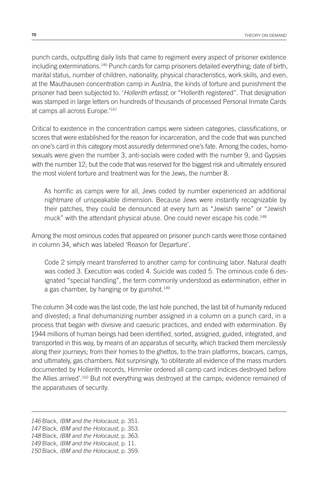punch cards, outputting daily lists that came to regiment every aspect of prisoner existence including exterminations.146 Punch cards for camp prisoners detailed everything; date of birth, marital status, number of children, nationality, physical characteristics, work skills, and even, at the Mauthausen concentration camp in Austria, the kinds of torture and punishment the prisoner had been subjected to. '*Hollerith erfasst*, or "Hollerith registered". That designation was stamped in large letters on hundreds of thousands of processed Personal Inmate Cards at camps all across Europe.'147

Critical to existence in the concentration camps were sixteen categories, classifications, or scores that were established for the reason for incarceration, and the code that was punched on one's card in this category most assuredly determined one's fate. Among the codes, homosexuals were given the number 3, anti-socials were coded with the number 9, and Gypsies with the number 12; but the code that was reserved for the biggest risk and ultimately ensured the most violent torture and treatment was for the Jews, the number 8.

As horrific as camps were for all, Jews coded by number experienced an additional nightmare of unspeakable dimension. Because Jews were instantly recognizable by their patches, they could be denounced at every turn as "Jewish swine" or "Jewish muck" with the attendant physical abuse. One could never escape his code.<sup>148</sup>

Among the most ominous codes that appeared on prisoner punch cards were those contained in column 34, which was labeled 'Reason for Departure'.

Code 2 simply meant transferred to another camp for continuing labor. Natural death was coded 3. Execution was coded 4. Suicide was coded 5. The ominous code 6 designated "special handling", the term commonly understood as extermination, either in a gas chamber, by hanging or by gunshot.<sup>149</sup>

The column 34 code was the last code, the last hole punched, the last bit of humanity reduced and divested; a final dehumanizing number assigned in a column on a punch card, in a process that began with divisive and caesuric practices, and ended with extermination. By 1944 millions of human beings had been identified, sorted, assigned, guided, integrated, and transported in this way, by means of an apparatus of security, which tracked them mercilessly along their journeys; from their homes to the ghettos, to the train platforms, boxcars, camps, and ultimately, gas chambers. Not surprisingly, 'to obliterate all evidence of the mass murders documented by Hollerith records, Himmler ordered all camp card indices destroyed before the Allies arrived'.150 But not everything was destroyed at the camps; evidence remained of the apparatuses of security.

*<sup>146</sup>* Black, *IBM and the Holocaust*, p. 351.

*<sup>147</sup>* Black, *IBM and the Holocaust*, p. 353.

*<sup>148</sup>* Black, *IBM and the Holocaust*, p. 363.

*<sup>149</sup>* Black, *IBM and the Holocaust*, p. 11.

*<sup>150</sup>* Black, *IBM and the Holocaust*, p. 359.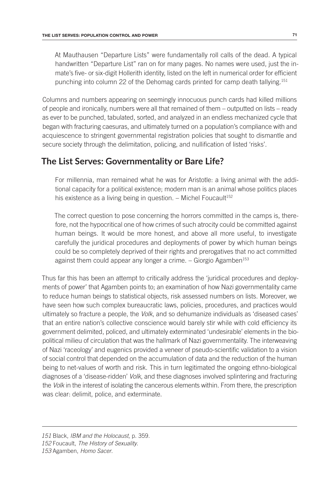At Mauthausen "Departure Lists" were fundamentally roll calls of the dead. A typical handwritten "Departure List" ran on for many pages. No names were used, just the inmate's five- or six-digit Hollerith identity, listed on the left in numerical order for efficient punching into column 22 of the Dehomag cards printed for camp death tallying.151

Columns and numbers appearing on seemingly innocuous punch cards had killed millions of people and ironically, numbers were all that remained of them – outputted on lists – ready as ever to be punched, tabulated, sorted, and analyzed in an endless mechanized cycle that began with fracturing caesuras, and ultimately turned on a population's compliance with and acquiescence to stringent governmental registration policies that sought to dismantle and secure society through the delimitation, policing, and nullification of listed 'risks'.

# **The List Serves: Governmentality or Bare Life?**

For millennia, man remained what he was for Aristotle: a living animal with the additional capacity for a political existence; modern man is an animal whose politics places his existence as a living being in question.  $-$  Michel Foucault<sup>152</sup>

The correct question to pose concerning the horrors committed in the camps is, therefore, not the hypocritical one of how crimes of such atrocity could be committed against human beings. It would be more honest, and above all more useful, to investigate carefully the juridical procedures and deployments of power by which human beings could be so completely deprived of their rights and prerogatives that no act committed against them could appear any longer a crime.  $-$  Giorgio Agamben<sup>153</sup>

Thus far this has been an attempt to critically address the 'juridical procedures and deployments of power' that Agamben points to; an examination of how Nazi governmentality came to reduce human beings to statistical objects, risk assessed numbers on lists. Moreover, we have seen how such complex bureaucratic laws, policies, procedures, and practices would ultimately so fracture a people, the *Volk*, and so dehumanize individuals as 'diseased cases' that an entire nation's collective conscience would barely stir while with cold efficiency its government delimited, policed, and ultimately exterminated 'undesirable' elements in the biopolitical milieu of circulation that was the hallmark of Nazi governmentality. The interweaving of Nazi 'raceology' and eugenics provided a veneer of pseudo-scientific validation to a vision of social control that depended on the accumulation of data and the reduction of the human being to net-values of worth and risk. This in turn legitimated the ongoing ethno-biological diagnoses of a 'disease-ridden' *Volk*, and these diagnoses involved splintering and fracturing the *Volk* in the interest of isolating the cancerous elements within. From there, the prescription was clear: delimit, police, and exterminate.

*<sup>151</sup>* Black, *IBM and the Holocaust*, p. 359.

*<sup>152</sup>* Foucault, *The History of Sexuality*.

*<sup>153</sup>* Agamben, *Homo Sacer*.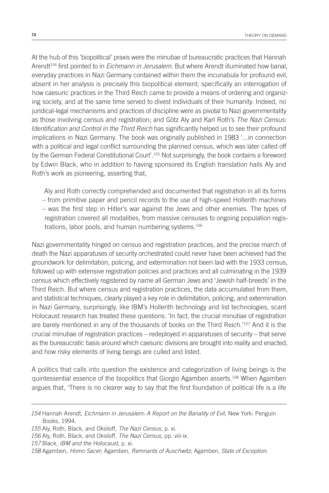At the hub of this 'biopolitical' praxis were the minutiae of bureaucratic practices that Hannah Arendt154 first pointed to in *Eichmann in Jerusalem*. But where Arendt illuminated how banal, everyday practices in Nazi Germany contained within them the incunabula for profound evil, absent in her analysis is precisely this biopolitical element; specifically an interrogation of how caesuric practices in the Third Reich came to provide a means of ordering and organizing society, and at the same time served to divest individuals of their humanity. Indeed, no juridical-legal mechanisms and practices of discipline were as pivotal to Nazi governmentality as those involving census and registration; and Götz Aly and Karl Roth's *The Nazi Census: Identification and Control in the Third Reich* has significantly helped us to see their profound implications in Nazi Germany. The book was originally published in 1983 '...in connection with a political and legal conflict surrounding the planned census, which was later called off by the German Federal Constitutional Court'.155 Not surprisingly, the book contains a foreword by Edwin Black, who in addition to having sponsored its English translation hails Aly and Roth's work as pioneering, asserting that,

Aly and Roth correctly comprehended and documented that registration in all its forms – from primitive paper and pencil records to the use of high-speed Hollerith machines – was the first step in Hitler's war against the Jews and other enemies. The types of registration covered all modalities, from massive censuses to ongoing population registrations, labor pools, and human numbering systems.156

Nazi governmentality hinged on census and registration practices, and the precise march of death the Nazi apparatuses of security orchestrated could never have been achieved had the groundwork for delimitation, policing, and extermination not been laid with the 1933 census, followed up with extensive registration policies and practices and all culminating in the 1939 census which effectively registered by name all German Jews and 'Jewish half-breeds' in the Third Reich. But where census and registration practices, the data accumulated from them, and statistical techniques, clearly played a key role in delimitation, policing, and extermination in Nazi Germany, surprisingly, like IBM's Hollerith technology and list technologies, scant Holocaust research has treated these questions. 'In fact, the crucial minutiae of registration are barely mentioned in any of the thousands of books on the Third Reich.'157 And it is the crucial minutiae of registration practices – redeployed in apparatuses of security – that serve as the bureaucratic basis around which caesuric divisions are brought into reality and enacted, and how risky elements of living beings are culled and listed.

A politics that calls into question the existence and categorization of living beings is the quintessential essence of the biopolitics that Giorgio Agamben asserts.158 When Agamben argues that, 'There is no clearer way to say that the first foundation of political life is a life

*157* Black, *IBM and the Holocaust*, p. xi.

*<sup>154</sup>* Hannah Arendt, *Eichmann in Jerusalem: A Report on the Banality of Evil,* New York: Penguin Books, 1994.

*<sup>155</sup>* Aly, Roth, Black, and Oksiloff, *The Nazi Census*, p. xi.

*<sup>156</sup>* Aly, Roth, Black, and Oksiloff, *The Nazi Census*, pp. viii-ix.

*<sup>158</sup>* Agamben, *Homo Sacer*; Agamben, *Remnants of Auschwitz*; Agamben, *State of Exception*.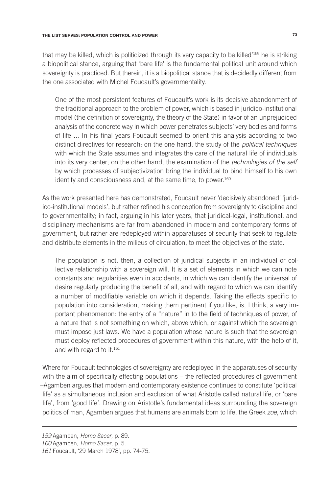that may be killed, which is politicized through its very capacity to be killed $159$  he is striking a biopolitical stance, arguing that 'bare life' is the fundamental political unit around which sovereignty is practiced. But therein, it is a biopolitical stance that is decidedly different from the one associated with Michel Foucault's governmentality.

One of the most persistent features of Foucault's work is its decisive abandonment of the traditional approach to the problem of power, which is based in juridico-institutional model (the definition of sovereignty, the theory of the State) in favor of an unprejudiced analysis of the concrete way in which power penetrates subjects' very bodies and forms of life ... In his final years Foucault seemed to orient this analysis according to two distinct directives for research: on the one hand, the study of the *political techniques* with which the State assumes and integrates the care of the natural life of individuals into its very center; on the other hand, the examination of the *technologies of the self* by which processes of subjectivization bring the individual to bind himself to his own identity and consciousness and, at the same time, to power.<sup>160</sup>

As the work presented here has demonstrated, Foucault never 'decisively abandoned' 'juridico-institutional models', but rather refined his conception from sovereignty to discipline and to governmentality; in fact, arguing in his later years, that juridical-legal, institutional, and disciplinary mechanisms are far from abandoned in modern and contemporary forms of government, but rather are redeployed within apparatuses of security that seek to regulate and distribute elements in the milieus of circulation, to meet the objectives of the state.

The population is not, then, a collection of juridical subjects in an individual or collective relationship with a sovereign will. It is a set of elements in which we can note constants and regularities even in accidents, in which we can identify the universal of desire regularly producing the benefit of all, and with regard to which we can identify a number of modifiable variable on which it depends. Taking the effects specific to population into consideration, making them pertinent if you like, is, I think, a very important phenomenon: the entry of a "nature" in to the field of techniques of power, of a nature that is not something on which, above which, or against which the sovereign must impose just laws. We have a population whose nature is such that the sovereign must deploy reflected procedures of government within this nature, with the help of it, and with regard to it.<sup>161</sup>

Where for Foucault technologies of sovereignty are redeployed in the apparatuses of security with the aim of specifically effecting populations – the reflected procedures of government –Agamben argues that modern and contemporary existence continues to constitute 'political life' as a simultaneous inclusion and exclusion of what Aristotle called natural life, or 'bare life', from 'good life'. Drawing on Aristotle's fundamental ideas surrounding the sovereign politics of man, Agamben argues that humans are animals born to life, the Greek *zoe*, which

*160* Agamben, *Homo Sacer*, p. 5.

*<sup>159</sup>* Agamben, *Homo Sacer*, p. 89.

*<sup>161</sup>* Foucault, '29 March 1978', pp. 74-75.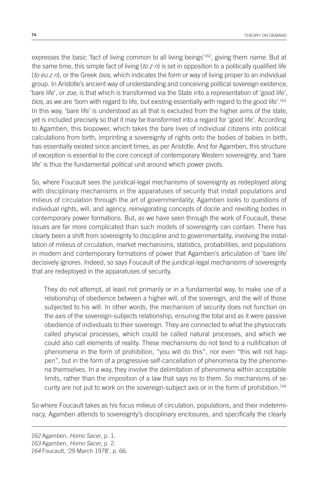expresses the basic 'fact of living common to all living beings'162, giving them *name*. But at the same time, this simple fact of living (*to z n*) is set in opposition to a politically qualified life (*to eu z n*), or the Greek *bios*, which indicates the form or way of living proper to an individual group. In Aristotle's ancient way of understanding and conceiving political sovereign existence, 'bare life', or *zoe*, is that which is transformed via the State into a representation of 'good life', *bios*, as we are 'born with regard to life, but existing essentially with regard to the good life'.163 In this way, 'bare life' is understood as all that is excluded from the higher aims of the state, yet is included precisely so that it may be transformed into a regard for 'good life'. According to Agamben, this biopower, which takes the bare lives of individual citizens into political calculations from birth, imprinting a sovereignty of rights onto the bodies of babies in birth, has essentially existed since ancient times, as per Aristotle. And for Agamben, this structure of exception is essential to the core concept of contemporary Western sovereignty, and 'bare life' is thus the fundamental political unit around which power pivots.

So, where Foucault sees the juridical-legal mechanisms of sovereignty as redeployed along with disciplinary mechanisms in the apparatuses of security that install populations and milieus of circulation through the art of governmentality, Agamben looks to questions of individual rights, will, and agency, reinvigorating concepts of docile and revolting bodies in contemporary power formations. But, as we have seen through the work of Foucault, these issues are far more complicated than such models of sovereignty can contain. There has clearly been a shift from sovereignty to discipline and to governmentality, involving the installation of milieus of circulation, market mechanisms, statistics, probabilities, and populations in modern and contemporary formations of power that Agamben's articulation of 'bare life' decisively ignores. Indeed, so says Foucault of the juridical-legal mechanisms of sovereignty that are redeployed in the apparatuses of security,

They do not attempt, at least not primarily or in a fundamental way, to make use of a relationship of obedience between a higher will, of the sovereign, and the will of those subjected to his will. In other words, the mechanism of security does not function on the axis of the sovereign-subjects relationship, ensuring the total and as it were passive obedience of individuals to their sovereign. They are connected to what the physiocrats called physical processes, which could be called natural processes, and which we could also call elements of reality. These mechanisms do not tend to a nullification of phenomena in the form of prohibition, "you will do this", nor even "this will not happen", but in the form of a progressive self-cancellation of phenomena by the phenomena themselves. In a way, they involve the delimitation of phenomena within acceptable limits, rather than the imposition of a law that says no to them. So mechanisms of security are not put to work on the sovereign-subject axis or in the form of prohibition.<sup>164</sup>

So where Foucault takes as his focus milieus of circulation, populations, and their indeterminacy, Agamben attends to sovereignty's disciplinary enclosures, and specifically the clearly

*<sup>162</sup>* Agamben, *Homo Sacer*, p. 1.

*<sup>163</sup>* Agamben, *Homo Sacer*, p. 2.

*<sup>164</sup>* Foucault, '29 March 1978', p. 66.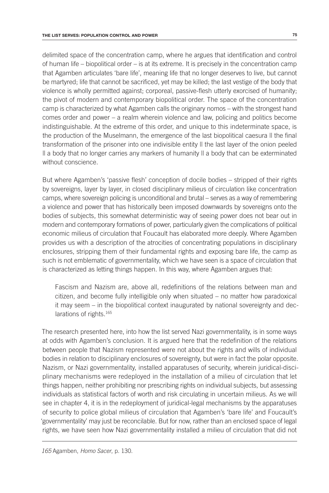delimited space of the concentration camp, where he argues that identification and control of human life – biopolitical order – is at its extreme. It is precisely in the concentration camp that Agamben articulates 'bare life', meaning life that no longer deserves to live, but cannot be martyred; life that cannot be sacrificed, yet may be killed; the last vestige of the body that violence is wholly permitted against; corporeal, passive-flesh utterly exorcised of humanity; the pivot of modern and contemporary biopolitical order. The space of the concentration camp is characterized by what Agamben calls the originary nomos – with the strongest hand comes order and power – a realm wherein violence and law, policing and politics become indistinguishable. At the extreme of this order, and unique to this indeterminate space, is the production of the Muselmann, the emergence of the last biopolitical caesura II the final transformation of the prisoner into one indivisible entity || the last layer of the onion peeled || a body that no longer carries any markers of humanity || a body that can be exterminated without conscience.

But where Agamben's 'passive flesh' conception of docile bodies – stripped of their rights by sovereigns, layer by layer, in closed disciplinary milieus of circulation like concentration camps, where sovereign policing is unconditional and brutal – serves as a way of remembering a violence and power that has historically been imposed downwards by sovereigns onto the bodies of subjects, this somewhat deterministic way of seeing power does not bear out in modern and contemporary formations of power, particularly given the complications of political economic milieus of circulation that Foucault has elaborated more deeply. Where Agamben provides us with a description of the atrocities of concentrating populations in disciplinary enclosures, stripping them of their fundamental rights and exposing bare life, the camp as such is not emblematic of governmentality, which we have seen is a space of circulation that is characterized as letting things happen. In this way, where Agamben argues that:

Fascism and Nazism are, above all, redefinitions of the relations between man and citizen, and become fully intelligible only when situated – no matter how paradoxical it may seem – in the biopolitical context inaugurated by national sovereignty and declarations of rights.<sup>165</sup>

The research presented here, into how the list served Nazi governmentality, is in some ways at odds with Agamben's conclusion. It is argued here that the redefinition of the relations between people that Nazism represented were not about the rights and wills of individual bodies in relation to disciplinary enclosures of sovereignty, but were in fact the polar opposite. Nazism, or Nazi governmentality, installed apparatuses of security, wherein juridical-disciplinary mechanisms were redeployed in the installation of a milieu of circulation that let things happen, neither prohibiting nor prescribing rights on individual subjects, but assessing individuals as statistical factors of worth and risk circulating in uncertain milieus. As we will see in chapter 4, it is in the redeployment of juridical-legal mechanisms by the apparatuses of security to police global milieus of circulation that Agamben's 'bare life' and Foucault's 'governmentality' may just be reconcilable. But for now, rather than an enclosed space of legal rights, we have seen how Nazi governmentality installed a milieu of circulation that did not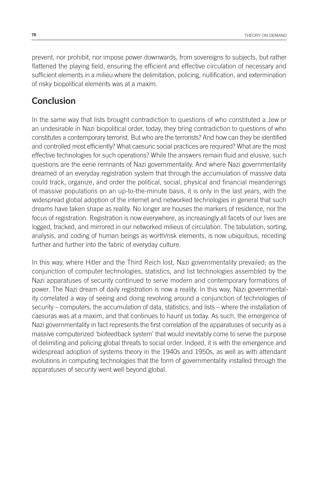prevent, nor prohibit, nor impose power downwards, from sovereigns to subjects, but rather flattened the playing field, ensuring the efficient and effective circulation of necessary and sufficient elements in a milieu where the delimitation, policing, nullification, and extermination of risky biopolitical elements was at a maxim.

## **Conclusion**

In the same way that lists brought contradiction to questions of who constituted a Jew or an undesirable in Nazi biopolitical order, today, they bring contradiction to questions of who constitutes a contemporary terrorist. But who are the terrorists? And how can they be identified and controlled most efficiently? What caesuric social practices are required? What are the most effective technologies for such operations? While the answers remain fluid and elusive, such questions are the eerie remnants of Nazi governmentality. And where Nazi governmentality dreamed of an everyday registration system that through the accumulation of massive data could track, organize, and order the political, social, physical and financial meanderings of massive populations on an up-to-the-minute basis, it is only in the last years, with the widespread global adoption of the internet and networked technologies in general that such dreams have taken shape as reality. No longer are houses the markers of residence, nor the focus of registration. Registration is now everywhere, as increasingly all facets of our lives are logged, tracked, and mirrored in our networked milieus of circulation. The tabulation, sorting, analysis, and coding of human beings as worth/risk elements, is now ubiquitous, receding further and further into the fabric of everyday culture.

In this way, where Hitler and the Third Reich lost, Nazi governmentality prevailed; as the conjunction of computer technologies, statistics, and list technologies assembled by the Nazi apparatuses of security continued to serve modern and contemporary formations of power. The Nazi dream of daily registration is now a reality. In this way, Nazi governmentality correlated a way of seeing and doing revolving around a conjunction of technologies of security – computers, the accumulation of data, statistics, and lists – where the installation of caesuras was at a maxim, and that continues to haunt us today. As such, the emergence of Nazi governmentality in fact represents the first correlation of the apparatuses of security as a massive computerized 'biofeedback system' that would inevitably come to serve the purpose of delimiting and policing global threats to social order. Indeed, it is with the emergence and widespread adoption of systems theory in the 1940s and 1950s, as well as with attendant evolutions in computing technologies that the form of governmentality installed through the apparatuses of security went well beyond global.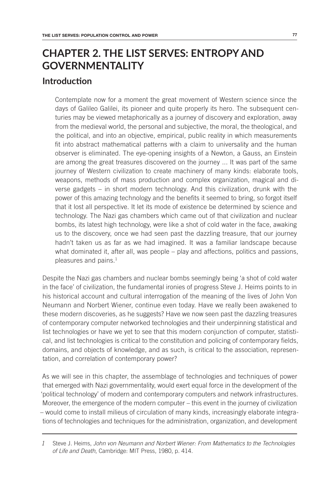# **CHAPTER 2. THE LIST SERVES: ENTROPY AND GOVERNMENTALITY**

#### **Introduction**

Contemplate now for a moment the great movement of Western science since the days of Galileo Galilei, its pioneer and quite properly its hero. The subsequent centuries may be viewed metaphorically as a journey of discovery and exploration, away from the medieval world, the personal and subjective, the moral, the theological, and the political, and into an objective, empirical, public reality in which measurements fit into abstract mathematical patterns with a claim to universality and the human observer is eliminated. The eye-opening insights of a Newton, a Gauss, an Einstein are among the great treasures discovered on the journey ... It was part of the same journey of Western civilization to create machinery of many kinds: elaborate tools, weapons, methods of mass production and complex organization, magical and diverse gadgets – in short modern technology. And this civilization, drunk with the power of this amazing technology and the benefits it seemed to bring, so forgot itself that it lost all perspective. It let its mode of existence be determined by science and technology. The Nazi gas chambers which came out of that civilization and nuclear bombs, its latest high technology, were like a shot of cold water in the face, awaking us to the discovery, once we had seen past the dazzling treasure, that our journey hadn't taken us as far as we had imagined. It was a familiar landscape because what dominated it, after all, was people – play and affections, politics and passions, pleasures and pains.<sup>1</sup>

Despite the Nazi gas chambers and nuclear bombs seemingly being 'a shot of cold water in the face' of civilization, the fundamental ironies of progress Steve J. Heims points to in his historical account and cultural interrogation of the meaning of the lives of John Von Neumann and Norbert Wiener, continue even today. Have we really been awakened to these modern discoveries, as he suggests? Have we now seen past the dazzling treasures of contemporary computer networked technologies and their underpinning statistical and list technologies or have we yet to see that this modern conjunction of computer, statistical, and list technologies is critical to the constitution and policing of contemporary fields, domains, and objects of knowledge, and as such, is critical to the association, representation, and correlation of contemporary power?

As we will see in this chapter, the assemblage of technologies and techniques of power that emerged with Nazi governmentality, would exert equal force in the development of the 'political technology' of modern and contemporary computers and network infrastructures. Moreover, the emergence of the modern computer – this event in the journey of civilization – would come to install milieus of circulation of many kinds, increasingly elaborate integrations of technologies and techniques for the administration, organization, and development

*<sup>1</sup>* Steve J. Heims, *John von Neumann and Norbert Wiener: From Mathematics to the Technologies of Life and Death*, Cambridge: MIT Press, 1980, p. 414.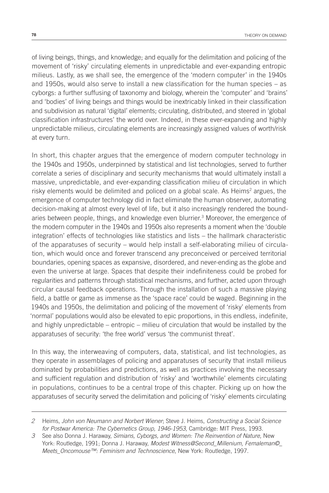of living beings, things, and knowledge; and equally for the delimitation and policing of the movement of 'risky' circulating elements in unpredictable and ever-expanding entropic milieus. Lastly, as we shall see, the emergence of the 'modern computer' in the 1940s and 1950s, would also serve to install a new classification for the human species – as cyborgs: a further suffusing of taxonomy and biology, wherein the 'computer' and 'brains' and 'bodies' of living beings and things would be inextricably linked in their classification and subdivision as natural 'digital' elements; circulating, distributed, and steered in 'global classification infrastructures' the world over. Indeed, in these ever-expanding and highly unpredictable milieus, circulating elements are increasingly assigned values of worth/risk at every turn.

In short, this chapter argues that the emergence of modern computer technology in the 1940s and 1950s, underpinned by statistical and list technologies, served to further correlate a series of disciplinary and security mechanisms that would ultimately install a massive, unpredictable, and ever-expanding classification milieu of circulation in which risky elements would be delimited and policed on a global scale. As Heims<sup>2</sup> argues, the emergence of computer technology did in fact eliminate the human observer, automating decision-making at almost every level of life, but it also increasingly rendered the boundaries between people, things, and knowledge even blurrier.<sup>3</sup> Moreover, the emergence of the modern computer in the 1940s and 1950s also represents a moment when the 'double integration' effects of technologies like statistics and lists – the hallmark characteristic of the apparatuses of security – would help install a self-elaborating milieu of circulation, which would once and forever transcend any preconceived or perceived territorial boundaries, opening spaces as expansive, disordered, and never-ending as the globe and even the universe at large. Spaces that despite their indefiniteness could be probed for regularities and patterns through statistical mechanisms, and further, acted upon through circular causal feedback operations. Through the installation of such a massive playing field, a battle or game as immense as the 'space race' could be waged. Beginning in the 1940s and 1950s, the delimitation and policing of the movement of 'risky' elements from 'normal' populations would also be elevated to epic proportions, in this endless, indefinite, and highly unpredictable – entropic – milieu of circulation that would be installed by the apparatuses of security: 'the free world' versus 'the communist threat'.

In this way, the interweaving of computers, data, statistical, and list technologies, as they operate in assemblages of policing and apparatuses of security that install milieus dominated by probabilities and predictions, as well as practices involving the necessary and sufficient regulation and distribution of 'risky' and 'worthwhile' elements circulating in populations, continues to be a central trope of this chapter. Picking up on how the apparatuses of security served the delimitation and policing of 'risky' elements circulating

*<sup>2</sup>* Heims, *John von Neumann and Norbert Wiener*; Steve J. Heims, *Constructing a Social Science for Postwar America: The Cybernetics Group, 1946-1953*, Cambridge: MIT Press, 1993.

*<sup>3</sup>* See also Donna J. Haraway, *Simians, Cyborgs, and Women: The Reinvention of Nature*, New York: Routledge, 1991; Donna J. Haraway, *Modest Witness@Second\_Millenium, Femaleman©\_ Meets\_Oncomouse™: Feminism and Technoscience*, New York: Routledge, 1997.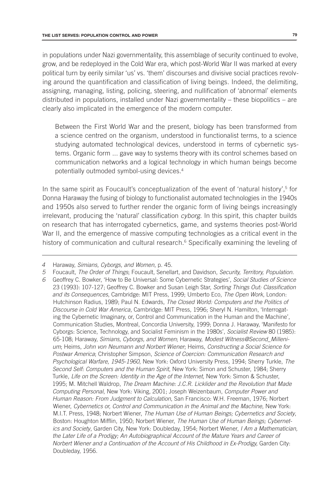in populations under Nazi governmentality, this assemblage of security continued to evolve, grow, and be redeployed in the Cold War era, which post-World War II was marked at every political turn by eerily similar 'us' vs. 'them' discourses and divisive social practices revolving around the quantification and classification of living beings. Indeed, the delimiting, assigning, managing, listing, policing, steering, and nullification of 'abnormal' elements distributed in populations, installed under Nazi governmentality – these biopolitics – are clearly also implicated in the emergence of the modern computer.

Between the First World War and the present, biology has been transformed from a science centred on the organism, understood in functionalist terms, to a science studying automated technological devices, understood in terms of cybernetic systems. Organic form ... gave way to systems theory with its control schemes based on communication networks and a logical technology in which human beings become potentially outmoded symbol-using devices.4

In the same spirit as Foucault's conceptualization of the event of 'natural history',<sup>5</sup> for Donna Haraway the fusing of biology to functionalist automated technologies in the 1940s and 1950s also served to further render the organic form of living beings increasingly irrelevant, producing the 'natural' classification *cyborg*. In this spirit, this chapter builds on research that has interrogated cybernetics, game, and systems theories post-World War II, and the emergence of massive computing technologies as a critical event in the history of communication and cultural research.<sup>6</sup> Specifically examining the leveling of

*<sup>4</sup>* Haraway, *Simians, Cyborgs, and Women*, p. 45.

*<sup>5</sup>* Foucault, *The Order of Things*; Foucault, Senellart, and Davidson, *Security, Territory, Population*.

*<sup>6</sup>* Geoffrey C. Bowker, 'How to Be Universal: Some Cybernetic Strategies', *Social Studies of Science* 23 (1993): 107-127; Geoffrey C. Bowker and Susan Leigh Star, *Sorting Things Out: Classification and its Consequences*, Cambridge: MIT Press, 1999; Umberto Eco, *The Open Work*, London: Hutchinson Radius, 1989; Paul N. Edwards, *The Closed World: Computers and the Politics of Discourse in Cold War America*, Cambridge: MIT Press, 1996; Sheryl N. Hamilton, 'Interrogating the Cybernetic Imaginary, or, Control and Communication in the Human and the Machine', Communication Studies, Montreal, Concordia University, 1999; Donna J. Haraway, 'Manifesto for Cyborgs: Science, Technology, and Socialist Feminism in the 1980s', *Socialist Review* 80 (1985): 65-108; Haraway, *Simians, Cyborgs, and Women*; Haraway, *Modest Witness@Second\_Millenium*; Heims, *John von Neumann and Norbert Wiener*; Heims, *Constructing a Social Science for Postwar America*; Christopher Simpson, *Science of Coercion: Communication Research and Psychological Warfare, 1945-1960*, New York: Oxford University Press, 1994; Sherry Turkle, *The Second Self: Computers and the Human Spirit*, New York: Simon and Schuster, 1984; Sherry Turkle, *Life on the Screen: Identity in the Age of the Internet*, New York: Simon & Schuster, 1995; M. Mitchell Waldrop, *The Dream Machine: J.C.R. Licklider and the Revolution that Made Computing Personal*, New York: Viking, 2001; Joseph Weizenbaum, *Computer Power and Human Reason: From Judgment to Calculation*, San Francisco: W.H. Freeman, 1976; Norbert Wiener, *Cybernetics or, Control and Communication in the Animal and the Machine*, New York: M.I.T. Press, 1948; Norbert Wiener, *The Human Use of Human Beings; Cybernetics and Society*, Boston: Houghton Mifflin, 1950; Norbert Wiener, *The Human Use of Human Beings; Cybernetics and Society*, Garden City, New York: Doubleday, 1954; Norbert Wiener, *I Am a Mathematician, the Later Life of a Prodigy; An Autobiographical Account of the Mature Years and Career of Norbert Wiener and a Continuation of the Account of His Childhood in Ex-Prodigy,* Garden City: Doubleday, 1956.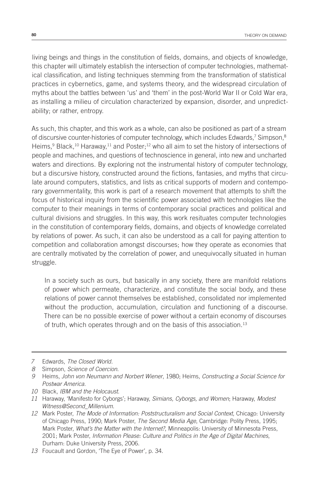living beings and things in the constitution of fields, domains, and objects of knowledge, this chapter will ultimately establish the intersection of computer technologies, mathematical classification, and listing techniques stemming from the transformation of statistical practices in cybernetics, game, and systems theory, and the widespread circulation of myths about the battles between 'us' and 'them' in the post-World War II or Cold War era, as installing a milieu of circulation characterized by expansion, disorder, and unpredictability; or rather, entropy.

As such, this chapter, and this work as a whole, can also be positioned as part of a stream of discursive counter-histories of computer technology, which includes Edwards,<sup>7</sup> Simpson,<sup>8</sup> Heims,<sup>9</sup> Black,<sup>10</sup> Haraway,<sup>11</sup> and Poster;<sup>12</sup> who all aim to set the history of intersections of people and machines, and questions of technoscience in general, into new and uncharted waters and directions. By exploring not the instrumental history of computer technology, but a discursive history, constructed around the fictions, fantasies, and myths that circulate around computers, statistics, and lists as critical supports of modern and contemporary governmentality, this work is part of a research movement that attempts to shift the focus of historical inquiry from the scientific power associated with technologies like the computer to their meanings in terms of contemporary social practices and political and cultural divisions and struggles. In this way, this work resituates computer technologies in the constitution of contemporary fields, domains, and objects of knowledge correlated by relations of power. As such, it can also be understood as a call for paying attention to competition and collaboration amongst discourses; how they operate as economies that are centrally motivated by the correlation of power, and unequivocally situated in human struggle.

In a society such as ours, but basically in any society, there are manifold relations of power which permeate, characterize, and constitute the social body, and these relations of power cannot themselves be established, consolidated nor implemented without the production, accumulation, circulation and functioning of a discourse. There can be no possible exercise of power without a certain economy of discourses of truth, which operates through and on the basis of this association.13

*<sup>7</sup>* Edwards, *The Closed World*.

*<sup>8</sup>* Simpson, *Science of Coercion*.

*<sup>9</sup>* Heims, *John von Neumann and Norbert Wiener*, 1980; Heims, *Constructing a Social Science for Postwar America*.

*<sup>10</sup>* Black, *IBM and the Holocaust*.

*<sup>11</sup>* Haraway, 'Manifesto for Cyborgs'; Haraway, *Simians, Cyborgs, and Women*; Haraway, *Modest Witness@Second\_Millenium*.

*<sup>12</sup>* Mark Poster, *The Mode of Information: Poststructuralism and Social Context*, Chicago: University of Chicago Press, 1990; Mark Poster, *The Second Media Age*, Cambridge: Polity Press, 1995; Mark Poster, *What's the Matter with the Internet?*, Minneapolis: University of Minnesota Press, 2001; Mark Poster, *Information Please: Culture and Politics in the Age of Digital Machines*, Durham: Duke University Press, 2006.

*<sup>13</sup>* Foucault and Gordon, 'The Eye of Power', p. 34.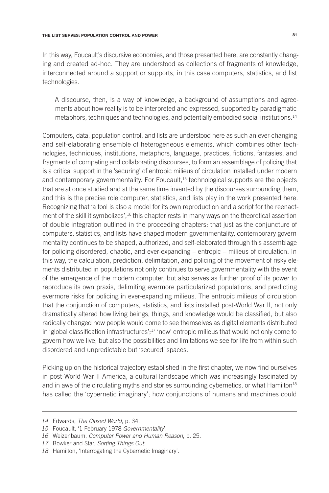In this way, Foucault's discursive economies, and those presented here, are constantly changing and created ad-hoc. They are understood as collections of fragments of knowledge, interconnected around a support or supports, in this case computers, statistics, and list technologies.

A discourse, then, is a way of knowledge, a background of assumptions and agreements about how reality is to be interpreted and expressed, supported by paradigmatic metaphors, techniques and technologies, and potentially embodied social institutions.14

Computers, data, population control, and lists are understood here as such an ever-changing and self-elaborating ensemble of heterogeneous elements, which combines other technologies, techniques, institutions, metaphors, language, practices, fictions, fantasies, and fragments of competing and collaborating discourses, to form an assemblage of policing that is a critical support in the 'securing' of entropic milieus of circulation installed under modern and contemporary governmentality. For Foucault,<sup>15</sup> technological supports are the objects that are at once studied and at the same time invented by the discourses surrounding them, and this is the precise role computer, statistics, and lists play in the work presented here. Recognizing that 'a tool is also a model for its own reproduction and a script for the reenactment of the skill it symbolizes',<sup>16</sup> this chapter rests in many ways on the theoretical assertion of double integration outlined in the proceeding chapters: that just as the conjuncture of computers, statistics, and lists have shaped modern governmentality, contemporary governmentality continues to be shaped, authorized, and self-elaborated through this assemblage for policing disordered, chaotic, and ever-expanding – entropic – milieus of circulation. In this way, the calculation, prediction, delimitation, and policing of the movement of risky elements distributed in populations not only continues to serve governmentality with the event of the emergence of the modern computer, but also serves as further proof of its power to reproduce its own praxis, delimiting evermore particularized populations, and predicting evermore risks for policing in ever-expanding milieus. The entropic milieus of circulation that the conjunction of computers, statistics, and lists installed post-World War II, not only dramatically altered how living beings, things, and knowledge would be classified, but also radically changed how people would come to see themselves as digital elements distributed in 'global classification infrastructures'; $17$  'new' entropic milieus that would not only come to govern how we live, but also the possibilities and limitations we see for life from within such disordered and unpredictable but 'secured' spaces.

Picking up on the historical trajectory established in the first chapter, we now find ourselves in post-World-War II America, a cultural landscape which was increasingly fascinated by and in awe of the circulating myths and stories surrounding cybernetics, or what Hamilton<sup>18</sup> has called the 'cybernetic imaginary'; how conjunctions of humans and machines could

*<sup>14</sup>* Edwards, *The Closed World,* p. 34.

*<sup>15</sup>* Foucault, '1 February 1978 *Governmentality*'.

*<sup>16</sup>* Weizenbaum, *Computer Power and Human Reason*, p. 25.

*<sup>17</sup>* Bowker and Star, *Sorting Things Out*.

*<sup>18</sup>* Hamilton, 'Interrogating the Cybernetic Imaginary'.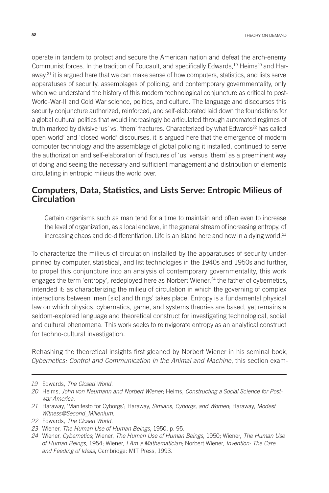operate in tandem to protect and secure the American nation and defeat the arch-enemy Communist forces. In the tradition of Foucault, and specifically Edwards,<sup>19</sup> Heims<sup>20</sup> and Haraway, $2<sup>1</sup>$  it is argued here that we can make sense of how computers, statistics, and lists serve apparatuses of security, assemblages of policing, and contemporary governmentality, only when we understand the history of this modern technological conjuncture as critical to post-World-War-II and Cold War science, politics, and culture. The language and discourses this security conjuncture authorized, reinforced, and self-elaborated laid down the foundations for a global cultural politics that would increasingly be articulated through automated regimes of truth marked by divisive 'us' vs. 'them' fractures. Characterized by what Edwards<sup>22</sup> has called 'open-world' and 'closed-world' discourses, it is argued here that the emergence of modern computer technology and the assemblage of global policing it installed, continued to serve the authorization and self-elaboration of fractures of 'us' versus 'them' as a preeminent way of doing and seeing the necessary and sufficient management and distribution of elements circulating in entropic milieus the world over.

#### **Computers, Data, Statistics, and Lists Serve: Entropic Milieus of Circulation**

Certain organisms such as man tend for a time to maintain and often even to increase the level of organization, as a local enclave, in the general stream of increasing entropy, of increasing chaos and de-differentiation. Life is an island here and now in a dying world.<sup>23</sup>

To characterize the milieus of circulation installed by the apparatuses of security underpinned by computer, statistical, and list technologies in the 1940s and 1950s and further, to propel this conjuncture into an analysis of contemporary governmentality, this work engages the term 'entropy', redeployed here as Norbert Wiener,<sup>24</sup> the father of cybernetics, intended it: as characterizing the milieu of circulation in which the governing of complex interactions between 'men [sic] and things' takes place. Entropy is a fundamental physical law on which physics, cybernetics, game, and systems theories are based, yet remains a seldom-explored language and theoretical construct for investigating technological, social and cultural phenomena. This work seeks to reinvigorate entropy as an analytical construct for techno-cultural investigation.

Rehashing the theoretical insights first gleaned by Norbert Wiener in his seminal book, *Cybernetics: Control and Communication in the Animal and Machine*, this section exam-

*<sup>19</sup>* Edwards, *The Closed World*.

*<sup>20</sup>* Heims, *John von Neumann and Norbert Wiener*; Heims, *Constructing a Social Science for Postwar America*.

*<sup>21</sup>* Haraway, 'Manifesto for Cyborgs'; Haraway, *Simians, Cyborgs, and Women*; Haraway, *Modest Witness@Second\_Millenium*.

*<sup>22</sup>* Edwards, *The Closed World*.

*<sup>23</sup>* Wiener, *The Human Use of Human Beings*, 1950, p. 95.

*<sup>24</sup>* Wiener, *Cybernetics*; Wiener, *The Human Use of Human Beings*, 1950; Wiener, *The Human Use of Human Beings*, 1954; Wiener, *I Am a Mathematician*; Norbert Wiener, *Invention: The Care and Feeding of Ideas*, Cambridge: MIT Press, 1993.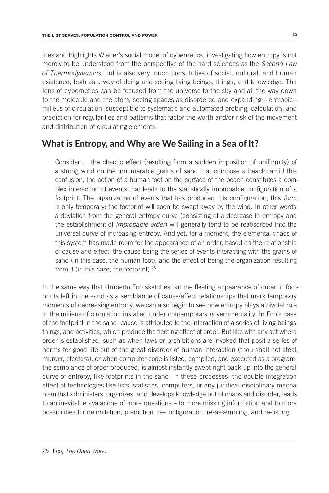ines and highlights Wiener's social model of cybernetics, investigating how entropy is not merely to be understood from the perspective of the hard sciences as the *Second Law of Thermodynamics*, but is also very much constitutive of social, cultural, and human existence; both as a way of doing and seeing living beings, things, and knowledge. The lens of cybernetics can be focused from the universe to the sky and all the way down to the molecule and the atom, seeing spaces as disordered and expanding – entropic – milieus of circulation, susceptible to systematic and automated probing, calculation, and prediction for regularities and patterns that factor the worth and/or risk of the movement and distribution of circulating elements.

# **What is Entropy, and Why are We Sailing in a Sea of It?**

Consider ... the chaotic effect (resulting from a sudden imposition of uniformity) of a strong wind on the innumerable grains of sand that compose a beach: amid this confusion, the action of a human foot on the surface of the beach constitutes a complex interaction of events that leads to the statistically improbable configuration of a footprint. The organization of events that has produced this configuration, this *form,* is only temporary: the footprint will soon be swept away by the wind. In other words, a deviation from the general entropy curve (consisting of a decrease in entropy and the establishment of *improbable order*) will generally tend to be reabsorbed into the universal curve of increasing entropy. And yet, for a moment, the elemental chaos of this system has made room for the appearance of an order, based on the relationship of cause and effect: the cause being the series of events interacting with the grains of sand (in this case, the human foot), and the effect of being the organization resulting from it (in this case, the footprint).25

In the same way that Umberto Eco sketches out the fleeting appearance of order in footprints left in the sand as a semblance of cause/effect relationships that mark temporary moments of decreasing entropy, we can also begin to see how entropy plays a pivotal role in the milieus of circulation installed under contemporary governmentality. In Eco's case of the footprint in the sand, cause is attributed to the interaction of a series of living beings, things, and activities, which produce the fleeting effect of order. But like with any act where order is established, such as when laws or prohibitions are invoked that posit a series of norms for good life out of the great disorder of human interaction (thou shall not steal, murder, etcetera), or when computer code is listed, compiled, and executed as a program; the semblance of order produced, is almost instantly swept right back up into the general curve of entropy, like footprints in the sand. In these processes, the double integration effect of technologies like lists, statistics, computers, or any juridical-disciplinary mechanism that administers, organizes, and develops knowledge out of chaos and disorder, leads to an inevitable avalanche of more questions – to more missing information and to more possibilities for delimitation, prediction, re-configuration, re-assembling, and re-listing.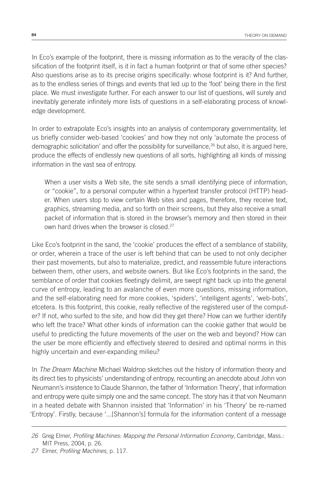In Eco's example of the footprint, there is missing information as to the veracity of the classification of the footprint itself, is it in fact a human footprint or that of some other species? Also questions arise as to its precise origins specifically: whose footprint is it? And further, as to the endless series of things and events that led up to the 'foot' being there in the first place. We must investigate further. For each answer to our list of questions, will surely and inevitably generate infinitely more lists of questions in a self-elaborating process of knowledge development.

In order to extrapolate Eco's insights into an analysis of contemporary governmentality, let us briefly consider web-based 'cookies' and how they not only 'automate the process of demographic solicitation' and offer the possibility for surveillance, $26$  but also, it is argued here, produce the effects of endlessly new questions of all sorts, highlighting all kinds of missing information in the vast sea of entropy.

When a user visits a Web site, the site sends a small identifying piece of information, or "cookie", to a personal computer within a hypertext transfer protocol (HTTP) header. When users stop to view certain Web sites and pages, therefore, they receive text, graphics, streaming media, and so forth on their screens, but they also receive a small packet of information that is stored in the browser's memory and then stored in their own hard drives when the browser is closed.27

Like Eco's footprint in the sand, the 'cookie' produces the effect of a semblance of stability, or order, wherein a trace of the user is left behind that can be used to not only decipher their past movements, but also to materialize, predict, and reassemble future interactions between them, other users, and website owners. But like Eco's footprints in the sand, the semblance of order that cookies fleetingly delimit, are swept right back up into the general curve of entropy, leading to an avalanche of even more questions, missing information, and the self-elaborating need for more cookies, 'spiders', 'intelligent agents', 'web-bots', etcetera. Is this footprint, this cookie, really reflective of the registered user of the computer? If not, who surfed to the site, and how did they get there? How can we further identify who left the trace? What other kinds of information can the cookie gather that would be useful to predicting the future movements of the user on the web and beyond? How can the user be more efficiently and effectively steered to desired and optimal norms in this highly uncertain and ever-expanding milieu?

In *The Dream Machine* Michael Waldrop sketches out the history of information theory and its direct ties to physicists' understanding of entropy, recounting an anecdote about John von Neumann's insistence to Claude Shannon, the father of 'Information Theory', that information and entropy were quite simply one and the same concept. The story has it that von Neumann in a heated debate with Shannon insisted that 'Information' in his 'Theory' be re-named 'Entropy'. Firstly, because '...[Shannon's] formula for the information content of a message

*<sup>26</sup>* Greg Elmer, *Profiling Machines: Mapping the Personal Information Economy*, Cambridge, Mass.: MIT Press, 2004, p. 26.

*<sup>27</sup>* Elmer, *Profiling Machines*, p. 117.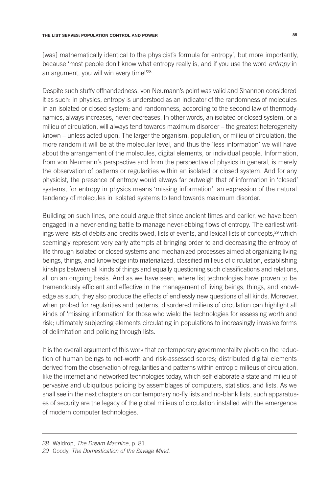[was] mathematically identical to the physicist's formula for entropy', but more importantly, because 'most people don't know what entropy really is, and if you use the word *entropy* in an argument, you will win every time!'<sup>28</sup>

Despite such stuffy offhandedness, von Neumann's point was valid and Shannon considered it as such: in physics, entropy is understood as an indicator of the randomness of molecules in an isolated or closed system; and randomness, according to the second law of thermodynamics, always increases, never decreases. In other words, an isolated or closed system, or a milieu of circulation, will always tend towards maximum disorder – the greatest heterogeneity known – unless acted upon. The larger the organism, population, or milieu of circulation, the more random it will be at the molecular level, and thus the 'less information' we will have about the arrangement of the molecules, digital elements, or individual people. Information, from von Neumann's perspective and from the perspective of physics in general, is merely the observation of patterns or regularities within an isolated or closed system. And for any physicist, the presence of entropy would always far outweigh that of information in 'closed' systems; for entropy in physics means 'missing information', an expression of the natural tendency of molecules in isolated systems to tend towards maximum disorder.

Building on such lines, one could argue that since ancient times and earlier, we have been engaged in a never-ending battle to manage never-ebbing flows of entropy. The earliest writings were lists of debits and credits owed, lists of events, and lexical lists of concepts,<sup>29</sup> which seemingly represent very early attempts at bringing order to and decreasing the entropy of life through isolated or closed systems and mechanized processes aimed at organizing living beings, things, and knowledge into materialized, classified milieus of circulation, establishing kinships between all kinds of things and equally questioning such classifications and relations, all on an ongoing basis. And as we have seen, where list technologies have proven to be tremendously efficient and effective in the management of living beings, things, and knowledge as such, they also produce the effects of endlessly new questions of all kinds. Moreover, when probed for regularities and patterns, disordered milieus of circulation can highlight all kinds of 'missing information' for those who wield the technologies for assessing worth and risk; ultimately subjecting elements circulating in populations to increasingly invasive forms of delimitation and policing through lists.

It is the overall argument of this work that contemporary governmentality pivots on the reduction of human beings to net-worth and risk-assessed scores; distributed digital elements derived from the observation of regularities and patterns within entropic milieus of circulation, like the internet and networked technologies today, which self-elaborate a state and milieu of pervasive and ubiquitous policing by assemblages of computers, statistics, and lists. As we shall see in the next chapters on contemporary no-fly lists and no-blank lists, such apparatuses of security are the legacy of the global milieus of circulation installed with the emergence of modern computer technologies.

*<sup>28</sup>* Waldrop, *The Dream Machine*, p. 81.

*<sup>29</sup>* Goody, *The Domestication of the Savage Mind*.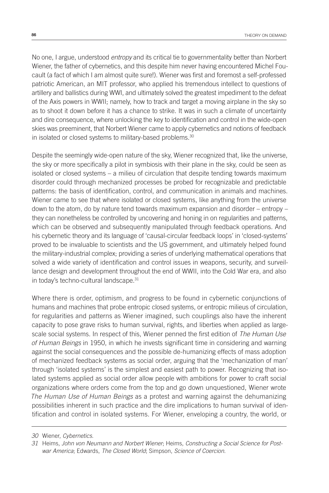No one, I argue, understood *entropy* and its critical tie to governmentality better than Norbert Wiener, the father of cybernetics, and this despite him never having encountered Michel Foucault (a fact of which I am almost quite sure!). Wiener was first and foremost a self-professed patriotic American, an MIT professor, who applied his tremendous intellect to questions of artillery and ballistics during WWI, and ultimately solved the greatest impediment to the defeat of the Axis powers in WWII; namely, how to track and target a moving airplane in the sky so as to shoot it down before it has a chance to strike. It was in such a climate of uncertainty and dire consequence, where unlocking the key to identification and control in the wide-open skies was preeminent, that Norbert Wiener came to apply cybernetics and notions of feedback in isolated or closed systems to military-based problems.<sup>30</sup>

Despite the seemingly wide-open nature of the sky, Wiener recognized that, like the universe, the sky or more specifically a pilot in symbiosis with their plane in the sky, could be seen as isolated or closed systems – a milieu of circulation that despite tending towards maximum disorder could through mechanized processes be probed for recognizable and predictable patterns: the basis of identification, control, and communication in animals and machines. Wiener came to see that where isolated or closed systems, like anything from the universe down to the atom, do by nature tend towards maximum expansion and disorder – entropy – they can nonetheless be controlled by uncovering and honing in on regularities and patterns, which can be observed and subsequently manipulated through feedback operations. And his cybernetic theory and its language of 'causal-circular feedback loops' in 'closed-systems' proved to be invaluable to scientists and the US government, and ultimately helped found the military-industrial complex; providing a series of underlying mathematical operations that solved a wide variety of identification and control issues in weapons, security, and surveillance design and development throughout the end of WWII, into the Cold War era, and also in today's techno-cultural landscape.<sup>31</sup>

Where there is order, optimism, and progress to be found in cybernetic conjunctions of humans and machines that probe entropic closed systems, or entropic milieus of circulation, for regularities and patterns as Wiener imagined, such couplings also have the inherent capacity to pose grave risks to human survival, rights, and liberties when applied as largescale social systems. In respect of this, Wiener penned the first edition of *The Human Use of Human Beings* in 1950, in which he invests significant time in considering and warning against the social consequences and the possible de-humanizing effects of mass adoption of mechanized feedback systems as social order, arguing that the 'mechanization of man' through 'isolated systems' is the simplest and easiest path to power. Recognizing that isolated systems applied as social order allow people with ambitions for power to craft social organizations where orders come from the top and go down unquestioned, Wiener wrote *The Human Use of Human Beings* as a protest and warning against the dehumanizing possibilities inherent in such practice and the dire implications to human survival of identification and control in isolated systems. For Wiener, enveloping a country, the world, or

*<sup>30</sup>* Wiener, *Cybernetics*.

*<sup>31</sup>* Heims, *John von Neumann and Norbert Wiener*; Heims, *Constructing a Social Science for Postwar America*; Edwards, *The Closed World*; Simpson, *Science of Coercion*.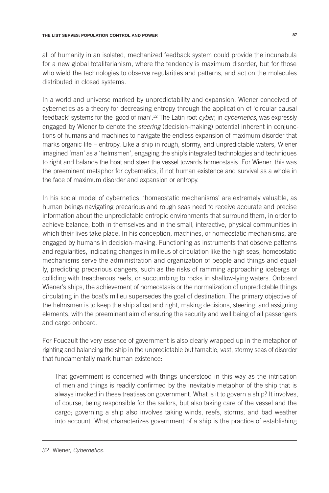all of humanity in an isolated, mechanized feedback system could provide the incunabula for a new global totalitarianism, where the tendency is maximum disorder, but for those who wield the technologies to observe regularities and patterns, and act on the molecules distributed in closed systems.

In a world and universe marked by unpredictability and expansion, Wiener conceived of cybernetics as a theory for decreasing entropy through the application of 'circular causal feedback' systems for the 'good of man'.32 The Latin root *cyber*, in *cybernetics*, was expressly engaged by Wiener to denote the *steering* (decision-making) potential inherent in conjunctions of humans and machines to navigate the endless expansion of maximum disorder that marks organic life – entropy. Like a ship in rough, stormy, and unpredictable waters, Wiener imagined 'man' as a 'helmsmen', engaging the ship's integrated technologies and techniques to right and balance the boat and steer the vessel towards homeostasis. For Wiener, this was the preeminent metaphor for cybernetics, if not human existence and survival as a whole in the face of maximum disorder and expansion or entropy.

In his social model of cybernetics, 'homeostatic mechanisms' are extremely valuable, as human beings navigating precarious and rough seas need to receive accurate and precise information about the unpredictable entropic environments that surround them, in order to achieve balance, both in themselves and in the small, interactive, physical communities in which their lives take place. In his conception, machines, or homeostatic mechanisms, are engaged by humans in decision-making. Functioning as instruments that observe patterns and regularities, indicating changes in milieus of circulation like the high seas, homeostatic mechanisms serve the administration and organization of people and things and equally, predicting precarious dangers, such as the risks of ramming approaching icebergs or colliding with treacherous reefs, or succumbing to rocks in shallow-lying waters. Onboard Wiener's ships, the achievement of homeostasis or the normalization of unpredictable things circulating in the boat's milieu supersedes the goal of destination. The primary objective of the helmsmen is to keep the ship afloat and right, making decisions, steering, and assigning elements, with the preeminent aim of ensuring the security and well being of all passengers and cargo onboard.

For Foucault the very essence of government is also clearly wrapped up in the metaphor of righting and balancing the ship in the unpredictable but tamable, vast, stormy seas of disorder that fundamentally mark human existence:

That government is concerned with things understood in this way as the intrication of men and things is readily confirmed by the inevitable metaphor of the ship that is always invoked in these treatises on government. What is it to govern a ship? It involves, of course, being responsible for the sailors, but also taking care of the vessel and the cargo; governing a ship also involves taking winds, reefs, storms, and bad weather into account. What characterizes government of a ship is the practice of establishing

*<sup>32</sup>* Wiener, *Cybernetics*.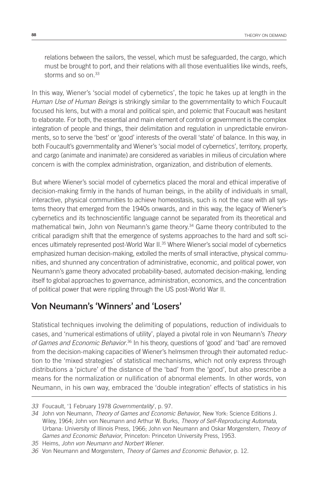relations between the sailors, the vessel, which must be safeguarded, the cargo, which must be brought to port, and their relations with all those eventualities like winds, reefs, storms and so on.<sup>33</sup>

In this way, Wiener's 'social model of cybernetics', the topic he takes up at length in the *Human Use of Human Beings* is strikingly similar to the governmentality to which Foucault focused his lens, but with a moral and political spin, and polemic that Foucault was hesitant to elaborate. For both, the essential and main element of control or government is the complex integration of people and things, their delimitation and regulation in unpredictable environments, so to serve the 'best' or 'good' interests of the overall 'state' of balance. In this way, in both Foucault's governmentality and Wiener's 'social model of cybernetics', territory, property, and cargo (animate and inanimate) are considered as variables in milieus of circulation where concern is with the complex administration, organization, and distribution of elements.

But where Wiener's social model of cybernetics placed the moral and ethical imperative of decision-making firmly in the hands of human beings, in the ability of individuals in small, interactive, physical communities to achieve homeostasis, such is not the case with all systems theory that emerged from the 1940s onwards, and in this way, the legacy of Wiener's cybernetics and its technoscientific language cannot be separated from its theoretical and mathematical twin, John von Neumann's game theory.<sup>34</sup> Game theory contributed to the critical paradigm shift that the emergence of systems approaches to the hard and soft sciences ultimately represented post-World War II.<sup>35</sup> Where Wiener's social model of cybernetics emphasized human decision-making, extolled the merits of small interactive, physical communities, and shunned any concentration of administrative, economic, and political power, von Neumann's game theory advocated probability-based, automated decision-making, lending itself to global approaches to governance, administration, economics, and the concentration of political power that were rippling through the US post-World War II.

## **Von Neumann's 'Winners' and 'Losers'**

Statistical techniques involving the delimiting of populations, reduction of individuals to cases, and 'numerical estimations of utility', played a pivotal role in von Neumann's *Theory of Games and Economic Behavior*. 36 In his theory, questions of 'good' and 'bad' are removed from the decision-making capacities of Wiener's helmsmen through their automated reduction to the 'mixed strategies' of statistical mechanisms, which not only express through distributions a 'picture' of the distance of the 'bad' from the 'good', but also prescribe a means for the normalization or nullification of abnormal elements. In other words, von Neumann, in his own way, embraced the 'double integration' effects of statistics in his

*<sup>33</sup>* Foucault, '1 February 1978 *Governmentality*', p. 97.

*<sup>34</sup>* John von Neumann, *Theory of Games and Economic Behavior*, New York: Science Editions J. Wiley, 1964; John von Neumann and Arthur W. Burks, *Theory of Self-Reproducing Automata*, Urbana: University of Illinois Press, 1966; John von Neumann and Oskar Morgenstern, *Theory of Games and Economic Behavior*, Princeton: Princeton University Press, 1953.

*<sup>35</sup>* Heims, *John von Neumann and Norbert Wiener*.

*<sup>36</sup>* Von Neumann and Morgenstern, *Theory of Games and Economic Behavior*, p. 12.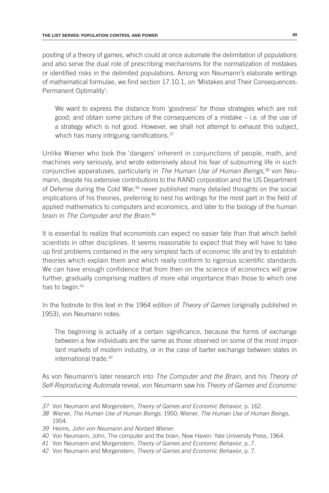positing of a theory of games, which could at once automate the delimitation of populations and also serve the dual role of prescribing mechanisms for the normalization of mistakes or identified risks in the delimited populations. Among von Neumann's elaborate writings of mathematical formulae, we find section 17.10.1, on 'Mistakes and Their Consequences: Permanent Optimality':

We want to express the distance from 'goodness' for those strategies which are not good; and obtain some picture of the consequences of a mistake – i.e. of the use of a strategy which is not good. However, we shall not attempt to exhaust this subject, which has many intriguing ramifications.<sup>37</sup>

Unlike Wiener who took the 'dangers' inherent in conjunctions of people, math, and machines very seriously, and wrote extensively about his fear of subsuming life in such conjunctive apparatuses, particularly in *The Human Use of Human Beings*, 38 von Neumann, despite his extensive contributions to the RAND corporation and the US Department of Defense during the Cold War,39 never published many detailed thoughts on the social implications of his theories, preferring to nest his writings for the most part in the field of applied mathematics to computers and economics, and later to the biology of the human brain in *The Computer and the Brain.*<sup>40</sup>

It is essential to realize that economists can expect no easier fate than that which befell scientists in other disciplines. It seems reasonable to expect that they will have to take up first problems contained in the very simplest facts of economic life and try to establish theories which explain them and which really conform to rigorous scientific standards. We can have enough confidence that from then on the science of economics will grow further, gradually comprising matters of more vital importance than those to which one has to begin.<sup>41</sup>

In the footnote to this text in the 1964 edition of *Theory of Games* (originally published in 1953), von Neumann notes:

The beginning is actually of a certain significance, because the forms of exchange between a few individuals are the same as those observed on some of the most important markets of modern industry, or in the case of barter exchange between states in international trade.42

As von Neumann's later research into *The Computer and the Brain*, and his *Theory of Self-Reproducing Automata* reveal, von Neumann saw his *Theory of Games and Economic* 

*<sup>37</sup>* Von Neumann and Morgenstern, *Theory of Games and Economic Behavior*, p. 162.

*<sup>38</sup>* Wiener, *The Human Use of Human Beings*, 1950; Wiener, *The Human Use of Human Beings*, 1954.

*<sup>39</sup>* Heims, *John von Neumann and Norbert Wiener*.

*<sup>40</sup>* Von Neumann, John, The computer and the brain, New Haven: Yale University Press, 1964.

*<sup>41</sup>* Von Neumann and Morgenstern, *Theory of Games and Economic Behavior*, p. 7.

*<sup>42</sup>* Von Neumann and Morgenstern, *Theory of Games and Economic Behavior*, p. 7.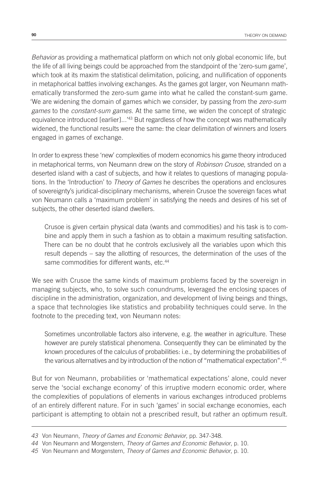*Behavior* as providing a mathematical platform on which not only global economic life, but the life of all living beings could be approached from the standpoint of the 'zero-sum game', which took at its maxim the statistical delimitation, policing, and nullification of opponents in metaphorical battles involving exchanges. As the games got larger, von Neumann mathematically transformed the zero-sum game into what he called the constant-sum game. 'We are widening the domain of games which we consider, by passing from the *zero-sum games* to the *constant-sum games*. At the same time, we widen the concept of strategic equivalence introduced [earlier]...'43 But regardless of how the concept was mathematically widened, the functional results were the same: the clear delimitation of winners and losers engaged in games of exchange.

In order to express these 'new' complexities of modern economics his game theory introduced in metaphorical terms, von Neumann drew on the story of *Robinson Crusoe*, stranded on a deserted island with a cast of subjects, and how it relates to questions of managing populations. In the 'Introduction' to *Theory of Games* he describes the operations and enclosures of sovereignty's juridical-disciplinary mechanisms, wherein Crusoe the sovereign faces what von Neumann calls a 'maximum problem' in satisfying the needs and desires of his set of subjects, the other deserted island dwellers.

Crusoe is given certain physical data (wants and commodities) and his task is to combine and apply them in such a fashion as to obtain a maximum resulting satisfaction. There can be no doubt that he controls exclusively all the variables upon which this result depends – say the allotting of resources, the determination of the uses of the same commodities for different wants, etc.<sup>44</sup>

We see with Crusoe the same kinds of maximum problems faced by the sovereign in managing subjects, who, to solve such conundrums, leveraged the enclosing spaces of discipline in the administration, organization, and development of living beings and things, a space that technologies like statistics and probability techniques could serve. In the footnote to the preceding text, von Neumann notes:

Sometimes uncontrollable factors also intervene, e.g. the weather in agriculture. These however are purely statistical phenomena. Consequently they can be eliminated by the known procedures of the calculus of probabilities: i.e., by determining the probabilities of the various alternatives and by introduction of the notion of "mathematical expectation".45

But for von Neumann, probabilities or 'mathematical expectations' alone, could never serve the 'social exchange economy' of this irruptive modern economic order, where the complexities of populations of elements in various exchanges introduced problems of an entirely different nature. For in such 'games' in social exchange economies, each participant is attempting to obtain not a prescribed result, but rather an optimum result.

*<sup>43</sup>* Von Neumann, *Theory of Games and Economic Behavior*, pp. 347-348.

*<sup>44</sup>* Von Neumann and Morgenstern, *Theory of Games and Economic Behavior*, p. 10.

*<sup>45</sup>* Von Neumann and Morgenstern, *Theory of Games and Economic Behavior*, p. 10.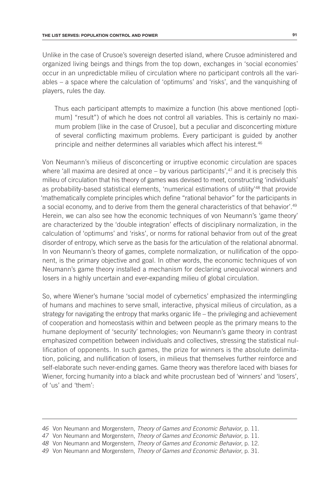Unlike in the case of Crusoe's sovereign deserted island, where Crusoe administered and organized living beings and things from the top down, exchanges in 'social economies' occur in an unpredictable milieu of circulation where no participant controls all the variables – a space where the calculation of 'optimums' and 'risks', and the vanquishing of players, rules the day.

Thus each participant attempts to maximize a function (his above mentioned [optimum] "result") of which he does not control all variables. This is certainly no maximum problem [like in the case of Crusoe], but a peculiar and disconcerting mixture of several conflicting maximum problems. Every participant is guided by another principle and neither determines all variables which affect his interest.46

Von Neumann's milieus of disconcerting or irruptive economic circulation are spaces where 'all maxima are desired at once  $-$  by various participants', $47$  and it is precisely this milieu of circulation that his theory of games was devised to meet, constructing 'individuals' as probability-based statistical elements, 'numerical estimations of utility'48 that provide 'mathematically complete principles which define "rational behavior" for the participants in a social economy, and to derive from them the general characteristics of that behavior'.49 Herein, we can also see how the economic techniques of von Neumann's 'game theory' are characterized by the 'double integration' effects of disciplinary normalization, in the calculation of 'optimums' and 'risks', or norms for rational behavior from out of the great disorder of entropy, which serve as the basis for the articulation of the relational abnormal. In von Neumann's theory of games, complete normalization, or nullification of the opponent, is the primary objective and goal. In other words, the economic techniques of von Neumann's game theory installed a mechanism for declaring unequivocal winners and losers in a highly uncertain and ever-expanding milieu of global circulation.

So, where Wiener's humane 'social model of cybernetics' emphasized the intermingling of humans and machines to serve small, interactive, physical milieus of circulation, as a strategy for navigating the entropy that marks organic life – the privileging and achievement of cooperation and homeostasis within and between people as the primary means to the humane deployment of 'security' technologies; von Neumann's game theory in contrast emphasized competition between individuals and collectives, stressing the statistical nullification of opponents. In such games, the prize for winners is the absolute delimitation, policing, and nullification of losers, in milieus that themselves further reinforce and self-elaborate such never-ending games. Game theory was therefore laced with biases for Wiener, forcing humanity into a black and white procrustean bed of 'winners' and 'losers', of 'us' and 'them':

*<sup>46</sup>* Von Neumann and Morgenstern, *Theory of Games and Economic Behavior*, p. 11.

*<sup>47</sup>* Von Neumann and Morgenstern, *Theory of Games and Economic Behavior*, p. 11.

*<sup>48</sup>* Von Neumann and Morgenstern, *Theory of Games and Economic Behavior*, p. 12.

*<sup>49</sup>* Von Neumann and Morgenstern, *Theory of Games and Economic Behavior*, p. 31.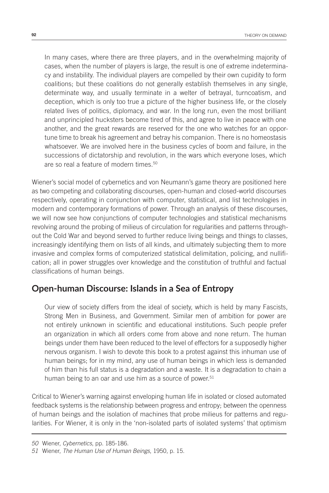In many cases, where there are three players, and in the overwhelming majority of cases, when the number of players is large, the result is one of extreme indeterminacy and instability. The individual players are compelled by their own cupidity to form coalitions; but these coalitions do not generally establish themselves in any single, determinate way, and usually terminate in a welter of betrayal, turncoatism, and deception, which is only too true a picture of the higher business life, or the closely related lives of politics, diplomacy, and war. In the long run, even the most brilliant and unprincipled hucksters become tired of this, and agree to live in peace with one another, and the great rewards are reserved for the one who watches for an opportune time to break his agreement and betray his companion. There is no homeostasis whatsoever. We are involved here in the business cycles of boom and failure, in the successions of dictatorship and revolution, in the wars which everyone loses, which are so real a feature of modern times.<sup>50</sup>

Wiener's social model of cybernetics and von Neumann's game theory are positioned here as two competing and collaborating discourses, open-human and closed-world discourses respectively, operating in conjunction with computer, statistical, and list technologies in modern and contemporary formations of power. Through an analysis of these discourses, we will now see how conjunctions of computer technologies and statistical mechanisms revolving around the probing of milieus of circulation for regularities and patterns throughout the Cold War and beyond served to further reduce living beings and things to classes, increasingly identifying them on lists of all kinds, and ultimately subjecting them to more invasive and complex forms of computerized statistical delimitation, policing, and nullification; all in power struggles over knowledge and the constitution of truthful and factual classifications of human beings.

#### **Open-human Discourse: Islands in a Sea of Entropy**

Our view of society differs from the ideal of society, which is held by many Fascists, Strong Men in Business, and Government. Similar men of ambition for power are not entirely unknown in scientific and educational institutions. Such people prefer an organization in which all orders come from above and none return. The human beings under them have been reduced to the level of effectors for a supposedly higher nervous organism. I wish to devote this book to a protest against this inhuman use of human beings; for in my mind, any use of human beings in which less is demanded of him than his full status is a degradation and a waste. It is a degradation to chain a human being to an oar and use him as a source of power.<sup>51</sup>

Critical to Wiener's warning against enveloping human life in isolated or closed automated feedback systems is the relationship between progress and entropy; between the openness of human beings and the isolation of machines that probe milieus for patterns and regularities. For Wiener, it is only in the 'non-isolated parts of isolated systems' that optimism

*<sup>50</sup>* Wiener, *Cybernetics*, pp. 185-186.

*<sup>51</sup>* Wiener, *The Human Use of Human Beings*, 1950, p. 15.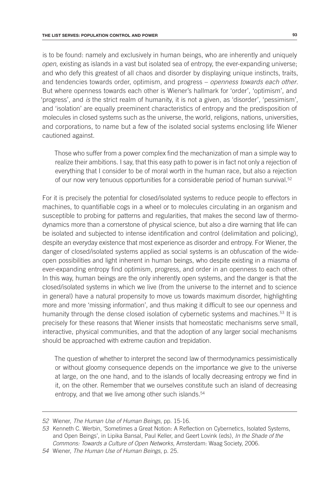is to be found: namely and exclusively in human beings, who are inherently and uniquely *open*, existing as islands in a vast but isolated sea of entropy, the ever-expanding universe; and who defy this greatest of all chaos and disorder by displaying unique instincts, traits, and tendencies towards order, optimism, and progress – *openness towards each other*. But where openness towards each other is Wiener's hallmark for 'order', 'optimism', and 'progress', and *is* the strict realm of humanity, it is not a given, as 'disorder', 'pessimism', and 'isolation' are equally preeminent characteristics of entropy and the predisposition of molecules in closed systems such as the universe, the world, religions, nations, universities, and corporations, to name but a few of the isolated social systems enclosing life Wiener cautioned against.

Those who suffer from a power complex find the mechanization of man a simple way to realize their ambitions. I say, that this easy path to power is in fact not only a rejection of everything that I consider to be of moral worth in the human race, but also a rejection of our now very tenuous opportunities for a considerable period of human survival.52

For it is precisely the potential for closed/isolated systems to reduce people to effectors in machines, to quantifiable cogs in a wheel or to molecules circulating in an organism and susceptible to probing for patterns and regularities, that makes the second law of thermodynamics more than a cornerstone of physical science, but also a dire warning that life can be isolated and subjected to intense identification and control (delimitation and policing), despite an everyday existence that most experience as disorder and entropy. For Wiener, the danger of closed/isolated systems applied as social systems is an obfuscation of the wideopen possibilities and light inherent in human beings, who despite existing in a miasma of ever-expanding entropy find optimism, progress, and order in an openness to each other. In this way, human beings are the only inherently open systems, and the danger is that the closed/isolated systems in which we live (from the universe to the internet and to science in general) have a natural propensity to move us towards maximum disorder, highlighting more and more 'missing information', and thus making it difficult to see our openness and humanity through the dense closed isolation of cybernetic systems and machines.<sup>53</sup> It is precisely for these reasons that Wiener insists that homeostatic mechanisms serve small, interactive, physical communities, and that the adoption of any larger social mechanisms should be approached with extreme caution and trepidation.

The question of whether to interpret the second law of thermodynamics pessimistically or without gloomy consequence depends on the importance we give to the universe at large, on the one hand, and to the islands of locally decreasing entropy we find in it, on the other. Remember that we ourselves constitute such an island of decreasing entropy, and that we live among other such islands.<sup>54</sup>

*<sup>52</sup>* Wiener, *The Human Use of Human Beings*, pp. 15-16.

*<sup>53</sup>* Kenneth C. Werbin, 'Sometimes a Great Notion: A Reflection on Cybernetics, Isolated Systems, and Open Beings', in Lipika Bansal, Paul Keller, and Geert Lovink (eds), *In the Shade of the Commons: Towards a Culture of Open Networks*, Amsterdam: Waag Society, 2006.

*<sup>54</sup>* Wiener, *The Human Use of Human Beings*, p. 25.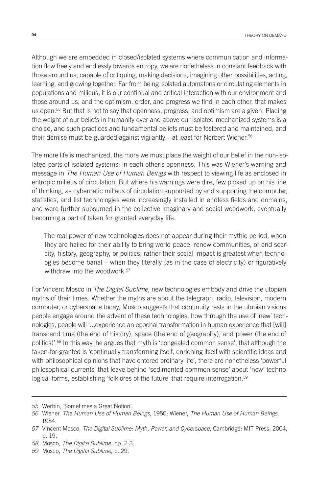Although we are embedded in closed/isolated systems where communication and information flow freely and endlessly towards entropy, we are nonetheless in constant feedback with those around us; capable of critiquing, making decisions, imagining other possibilities, acting, learning, and growing together. Far from being isolated automatons or circulating elements in populations and milieus, it is our continual and critical interaction with our environment and those around us, and the optimism, order, and progress we find in each other, that makes us open.<sup>55</sup> But that is not to say that openness, progress, and optimism are a given. Placing the weight of our beliefs in humanity over and above our isolated mechanized systems is a choice, and such practices and fundamental beliefs must be fostered and maintained, and their demise must be guarded against vigilantly – at least for Norbert Wiener.56

The more life is mechanized, the more we must place the weight of our belief in the non-isolated parts of isolated systems: in each other's openness. This was Wiener's warning and message in *The Human Use of Human Beings* with respect to viewing life as enclosed in entropic milieus of circulation. But where his warnings were dire, few picked up on his line of thinking, as cybernetic milieus of circulation supported by and supporting the computer, statistics, and list technologies were increasingly installed in endless fields and domains, and were further subsumed in the collective imaginary and social woodwork, eventually becoming a part of taken for granted everyday life.

The real power of new technologies does not appear during their mythic period, when they are hailed for their ability to bring world peace, renew communities, or end scarcity, history, geography, or politics; rather their social impact is greatest when technologies become banal – when they literally (as in the case of electricity) or figuratively withdraw into the woodwork.<sup>57</sup>

For Vincent Mosco in *The Digital Sublime,* new technologies embody and drive the utopian myths of their times. Whether the myths are about the telegraph, radio, television, modern computer, or cyberspace today, Mosco suggests that continuity rests in the utopian visions people engage around the advent of these technologies, how through the use of 'new' technologies, people will '...experience an epochal transformation in human experience that [will] transcend time (the end of history), space (the end of geography), and power (the end of politics)'.58 In this way, he argues that myth is 'congealed common sense', that although the taken-for-granted is 'continually transforming itself, enriching itself with scientific ideas and with philosophical opinions that have entered ordinary life', there are nonetheless 'powerful philosophical currents' that leave behind 'sedimented common sense' about 'new' technological forms, establishing 'folklores of the future' that require interrogation.<sup>59</sup>

*<sup>55</sup>* Werbin, 'Sometimes a Great Notion'.

*<sup>56</sup>* Wiener, *The Human Use of Human Beings*, 1950; Wiener, *The Human Use of Human Beings*, 1954.

*<sup>57</sup>* Vincent Mosco, *The Digital Sublime: Myth, Power, and Cyberspace*, Cambridge: MIT Press, 2004, p. 19.

*<sup>58</sup>* Mosco, *The Digital Sublime*, pp. 2-3.

*<sup>59</sup>* Mosco, *The Digital Sublime*, p. 29.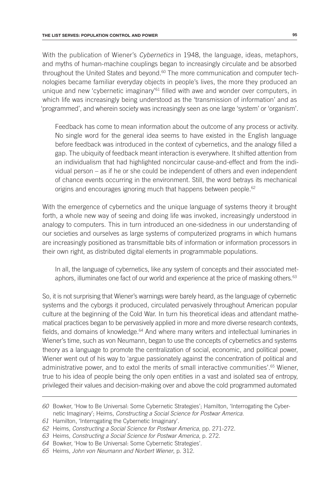With the publication of Wiener's *Cybernetics* in 1948, the language, ideas, metaphors, and myths of human-machine couplings began to increasingly circulate and be absorbed throughout the United States and beyond. $60$  The more communication and computer technologies became familiar everyday objects in people's lives, the more they produced an unique and new 'cybernetic imaginary'<sup>61</sup> filled with awe and wonder over computers, in which life was increasingly being understood as the 'transmission of information' and as 'programmed', and wherein society was increasingly seen as one large 'system' or 'organism'.

Feedback has come to mean information about the outcome of any process or activity. No single word for the general idea seems to have existed in the English language before feedback was introduced in the context of cybernetics, and the analogy filled a gap. The ubiquity of feedback meant interaction is everywhere. It shifted attention from an individualism that had highlighted noncircular cause-and-effect and from the individual person – as if he or she could be independent of others and even independent of chance events occurring in the environment. Still, the word betrays its mechanical origins and encourages ignoring much that happens between people.<sup>62</sup>

With the emergence of cybernetics and the unique language of systems theory it brought forth, a whole new way of seeing and doing life was invoked, increasingly understood in analogy to computers. This in turn introduced an one-sidedness in our understanding of our societies and ourselves as large systems of computerized programs in which humans are increasingly positioned as transmittable bits of information or information processors in their own right, as distributed digital elements in programmable populations.

In all, the language of cybernetics, like any system of concepts and their associated metaphors, illuminates one fact of our world and experience at the price of masking others.<sup>63</sup>

So, it is not surprising that Wiener's warnings were barely heard, as the language of cybernetic systems and the cyborgs it produced, circulated pervasively throughout American popular culture at the beginning of the Cold War. In turn his theoretical ideas and attendant mathematical practices began to be pervasively applied in more and more diverse research contexts, fields, and domains of knowledge. $64$  And where many writers and intellectual luminaries in Wiener's time, such as von Neumann, began to use the concepts of cybernetics and systems theory as a language to promote the centralization of social, economic, and political power, Wiener went out of his way to 'argue passionately against the concentration of political and administrative power, and to extol the merits of small interactive communities'.<sup>65</sup> Wiener, true to his idea of people being the only open entities in a vast and isolated sea of entropy, privileged their values and decision-making over and above the cold programmed automated

*<sup>60</sup>* Bowker, 'How to Be Universal: Some Cybernetic Strategies'; Hamilton, 'Interrogating the Cybernetic Imaginary'; Heims, *Constructing a Social Science for Postwar America*.

*<sup>61</sup>* Hamilton, 'Interrogating the Cybernetic Imaginary'.

*<sup>62</sup>* Heims, *Constructing a Social Science for Postwar America*, pp. 271-272.

*<sup>63</sup>* Heims, *Constructing a Social Science for Postwar America*, p. 272.

*<sup>64</sup>* Bowker, 'How to Be Universal: Some Cybernetic Strategies'.

*<sup>65</sup>* Heims, *John von Neumann and Norbert Wiener*, p. 312.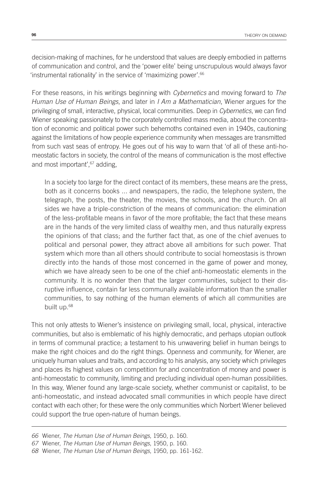decision-making of machines, for he understood that values are deeply embodied in patterns of communication and control, and the 'power elite' being unscrupulous would always favor 'instrumental rationality' in the service of 'maximizing power'.66

For these reasons, in his writings beginning with *Cybernetics* and moving forward to *The Human Use of Human Beings*, and later in *I Am a Mathematician*, Wiener argues for the privileging of small, interactive, physical, local communities. Deep in *Cybernetics*, we can find Wiener speaking passionately to the corporately controlled mass media, about the concentration of economic and political power such behemoths contained even in 1940s, cautioning against the limitations of how people experience community when messages are transmitted from such vast seas of entropy. He goes out of his way to warn that 'of all of these anti-homeostatic factors in society, the control of the means of communication is the most effective and most important', 67 adding,

In a society too large for the direct contact of its members, these means are the press, both as it concerns books ... and newspapers, the radio, the telephone system, the telegraph, the posts, the theater, the movies, the schools, and the church. On all sides we have a triple-constriction of the means of communication: the elimination of the less-profitable means in favor of the more profitable; the fact that these means are in the hands of the very limited class of wealthy men, and thus naturally express the opinions of that class; and the further fact that, as one of the chief avenues to political and personal power, they attract above all ambitions for such power. That system which more than all others should contribute to social homeostasis is thrown directly into the hands of those most concerned in the game of power and money, which we have already seen to be one of the chief anti-homeostatic elements in the community. It is no wonder then that the larger communities, subject to their disruptive influence, contain far less communally available information than the smaller communities, to say nothing of the human elements of which all communities are built up.68

This not only attests to Wiener's insistence on privileging small, local, physical, interactive communities, but also is emblematic of his highly democratic, and perhaps utopian outlook in terms of communal practice; a testament to his unwavering belief in human beings to make the right choices and do the right things. Openness and community, for Wiener, are uniquely human values and traits, and according to his analysis, any society which privileges and places its highest values on competition for and concentration of money and power is anti-homeostatic to community, limiting and precluding individual open-human possibilities. In this way, Wiener found any large-scale society, whether communist or capitalist, to be anti-homeostatic, and instead advocated small communities in which people have direct contact with each other; for these were the only communities which Norbert Wiener believed could support the true open-nature of human beings*.*

*<sup>66</sup>* Wiener, *The Human Use of Human Beings*, 1950, p. 160.

*<sup>67</sup>* Wiener, *The Human Use of Human Beings*, 1950, p. 160.

*<sup>68</sup>* Wiener, *The Human Use of Human Beings*, 1950, pp. 161-162.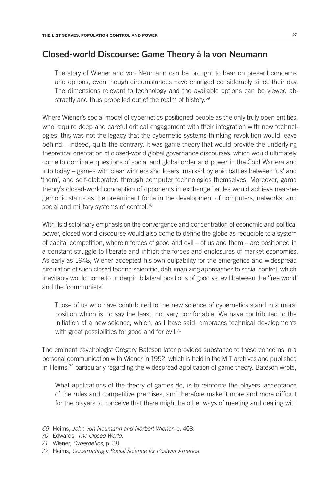#### **Closed-world Discourse: Game Theory à la von Neumann**

The story of Wiener and von Neumann can be brought to bear on present concerns and options, even though circumstances have changed considerably since their day. The dimensions relevant to technology and the available options can be viewed abstractly and thus propelled out of the realm of history.<sup>69</sup>

Where Wiener's social model of cybernetics positioned people as the only truly open entities, who require deep and careful critical engagement with their integration with new technologies, this was not the legacy that the cybernetic systems thinking revolution would leave behind – indeed, quite the contrary. It was game theory that would provide the underlying theoretical orientation of closed-world global governance discourses, which would ultimately come to dominate questions of social and global order and power in the Cold War era and into today – games with clear winners and losers, marked by epic battles between 'us' and 'them', and self-elaborated through computer technologies themselves. Moreover, game theory's closed-world conception of opponents in exchange battles would achieve near-hegemonic status as the preeminent force in the development of computers, networks, and social and military systems of control.<sup>70</sup>

With its disciplinary emphasis on the convergence and concentration of economic and political power, closed world discourse would also come to define the globe as reducible to a system of capital competition, wherein forces of good and evil – of us and them – are positioned in a constant struggle to liberate and inhibit the forces and enclosures of market economies. As early as 1948, Wiener accepted his own culpability for the emergence and widespread circulation of such closed techno-scientific, dehumanizing approaches to social control, which inevitably would come to underpin bilateral positions of good vs. evil between the 'free world' and the 'communists':

Those of us who have contributed to the new science of cybernetics stand in a moral position which is, to say the least, not very comfortable. We have contributed to the initiation of a new science, which, as I have said, embraces technical developments with great possibilities for good and for evil.<sup>71</sup>

The eminent psychologist Gregory Bateson later provided substance to these concerns in a personal communication with Wiener in 1952, which is held in the MIT archives and published in Heims,<sup>72</sup> particularly regarding the widespread application of game theory. Bateson wrote,

What applications of the theory of games do, is to reinforce the players' acceptance of the rules and competitive premises, and therefore make it more and more difficult for the players to conceive that there might be other ways of meeting and dealing with

*<sup>69</sup>* Heims, *John von Neumann and Norbert Wiener*, p. 408.

*<sup>70</sup>* Edwards, *The Closed World*.

*<sup>71</sup>* Wiener, *Cybernetics*, p. 38.

*<sup>72</sup>* Heims, *Constructing a Social Science for Postwar America*.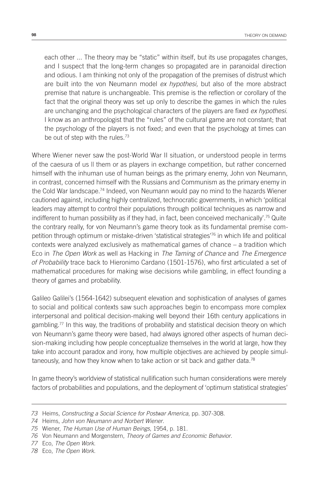each other ... The theory may be "static" within itself, but its use propagates changes, and I suspect that the long-term changes so propagated are in paranoidal direction and odious. I am thinking not only of the propagation of the premises of distrust which are built into the von Neumann model *ex hypothesi,* but also of the more abstract premise that nature is unchangeable. This premise is the reflection or corollary of the fact that the original theory was set up only to describe the games in which the rules are unchanging and the psychological characters of the players are fixed *ex hypothesi*. I know as an anthropologist that the "rules" of the cultural game are not constant; that the psychology of the players is not fixed; and even that the psychology at times can be out of step with the rules.<sup>73</sup>

Where Wiener never saw the post-World War II situation, or understood people in terms of the caesura of us || them or as players in exchange competition, but rather concerned himself with the inhuman use of human beings as the primary enemy, John von Neumann, in contrast, concerned himself with the Russians and Communism as the primary enemy in the Cold War landscape.74 Indeed, von Neumann would pay no mind to the hazards Wiener cautioned against, including highly centralized, technocratic governments, in which 'political leaders may attempt to control their populations through political techniques as narrow and indifferent to human possibility as if they had, in fact, been conceived mechanically'.<sup>75</sup> Quite the contrary really, for von Neumann's game theory took as its fundamental premise competition through optimum or mistake-driven 'statistical strategies'76 in which life and political contexts were analyzed exclusively as mathematical games of chance – a tradition which Eco in *The Open Work* as well as Hacking in *The Taming of Chance* and *The Emergence of Probability* trace back to Hieronimo Cardano (1501-1576), who first articulated a set of mathematical procedures for making wise decisions while gambling, in effect founding a theory of games and probability.

Galileo Galilei's (1564-1642) subsequent elevation and sophistication of analyses of games to social and political contexts saw such approaches begin to encompass more complex interpersonal and political decision-making well beyond their 16th century applications in gambling.77 In this way, the traditions of probability and statistical decision theory on which von Neumann's game theory were based, had always ignored other aspects of human decision-making including how people conceptualize themselves in the world at large, how they take into account paradox and irony, how multiple objectives are achieved by people simultaneously, and how they know when to take action or sit back and gather data.<sup>78</sup>

In game theory's worldview of statistical nullification such human considerations were merely factors of probabilities and populations, and the deployment of 'optimum statistical strategies'

*77* Eco, *The Open Work*.

*<sup>73</sup>* Heims, *Constructing a Social Science for Postwar America*, pp. 307-308.

*<sup>74</sup>* Heims, *John von Neumann and Norbert Wiener*.

*<sup>75</sup>* Wiener, *The Human Use of Human Beings*, 1954, p. 181.

*<sup>76</sup>* Von Neumann and Morgenstern, *Theory of Games and Economic Behavior*.

*<sup>78</sup>* Eco, *The Open Work*.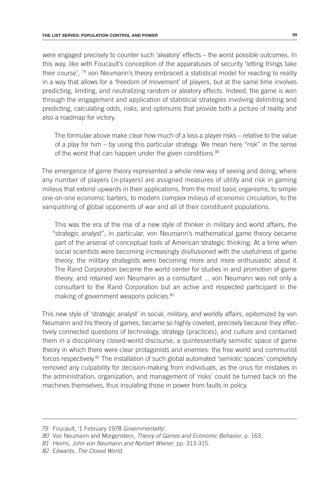were engaged precisely to counter such 'aleatory' effects – the worst possible outcomes. In this way, like with Foucault's conception of the apparatuses of security 'letting things take their course', <sup>79</sup> von Neumann's theory embraced a statistical model for reacting to reality in a way that allows for a 'freedom of movement' of players, but at the same time involves predicting, limiting, and neutralizing random or aleatory effects. Indeed, the game is won through the engagement and application of statistical strategies involving delimiting and predicting, calculating odds, risks, and optimums that provide both a picture of reality and also a roadmap for victory.

The formulae above make clear how much of a loss a player risks – relative to the value of a play for him – by using this particular strategy. We mean here "risk" in the sense of the worst that can happen under the given conditions.<sup>80</sup>

The emergence of game theory represented a whole new way of seeing and doing, where any number of players (*n*-players) are assigned measures of utility and risk in gaming milieus that extend upwards in their applications, from the most basic organisms, to simple one-on-one economic barters, to modern complex milieus of economic circulation, to the vanquishing of global opponents of war and all of their constituent populations.

This was the era of the rise of a new style of thinker in military and world affairs, the "strategic analyst"; in particular, von Neumann's mathematical game theory became part of the arsenal of conceptual tools of American strategic thinking. At a time when social scientists were becoming increasingly disillusioned with the usefulness of game theory, the military strategists were becoming more and more enthusiastic about it. The Rand Corporation became the world center for studies in and promotion of game theory, and retained von Neumann as a consultant ... von Neumann was not only a consultant to the Rand Corporation but an active and respected participant in the making of government weapons policies.<sup>81</sup>

This new style of 'strategic analyst' in social, military, and worldly affairs, epitomized by von Neumann and his theory of games, became so highly coveted, precisely because they effectively connected questions of technology, strategy (practices), and culture and contained them in a disciplinary closed-world discourse, a quintessentially semiotic space of game theory in which there were clear protagonists and enemies: the free world and communist forces respectively.82 The installation of such global automated 'semiotic spaces' completely removed any culpability for decision-making from individuals, as the onus for mistakes in the administration, organization, and management of 'risks' could be turned back on the machines themselves, thus insulating those in power from faults in policy.

*<sup>79</sup>* Foucault, '1 February 1978 *Governmentality*'.

*<sup>80</sup>* Von Neumann and Morgenstern, *Theory of Games and Economic Behavior*, p. 163.

*<sup>81</sup>* Heims, *John von Neumann and Norbert Wiener*, pp. 313-315.

*<sup>82</sup>* Edwards, *The Closed World*.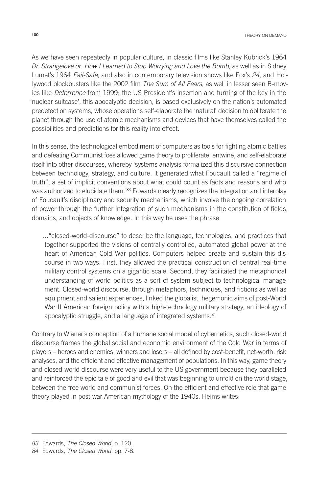As we have seen repeatedly in popular culture, in classic films like Stanley Kubrick's 1964 *Dr. Strangelove or: How I Learned to Stop Worrying and Love the Bomb*, as well as in Sidney Lumet's 1964 *Fail-Safe*, and also in contemporary television shows like Fox's *24*, and Hollywood blockbusters like the 2002 film *The Sum of All Fears*, as well in lesser seen B-movies like *Deterrence* from 1999; the US President's insertion and turning of the key in the 'nuclear suitcase', this apocalyptic decision, is based exclusively on the nation's automated predetection systems, whose operations self-elaborate the 'natural' decision to obliterate the planet through the use of atomic mechanisms and devices that have themselves called the possibilities and predictions for this reality into effect.

In this sense, the technological embodiment of computers as tools for fighting atomic battles and defeating Communist foes allowed game theory to proliferate, entwine, and self-elaborate itself into other discourses, whereby 'systems analysis formalized this discursive connection between technology, strategy, and culture. It generated what Foucault called a "regime of truth", a set of implicit conventions about what could count as facts and reasons and who was authorized to elucidate them.<sup>'83</sup> Edwards clearly recognizes the integration and interplay of Foucault's disciplinary and security mechanisms, which involve the ongoing correlation of power through the further integration of such mechanisms in the constitution of fields, domains, and objects of knowledge. In this way he uses the phrase

..."closed-world-discourse" to describe the language, technologies, and practices that together supported the visions of centrally controlled, automated global power at the heart of American Cold War politics. Computers helped create and sustain this discourse in two ways. First, they allowed the practical construction of central real-time military control systems on a gigantic scale. Second, they facilitated the metaphorical understanding of world politics as a sort of system subject to technological management. Closed-world discourse, through metaphors, techniques, and fictions as well as equipment and salient experiences, linked the globalist, hegemonic aims of post-World War II American foreign policy with a high-technology military strategy, an ideology of apocalyptic struggle, and a language of integrated systems.<sup>84</sup>

Contrary to Wiener's conception of a humane social model of cybernetics, such closed-world discourse frames the global social and economic environment of the Cold War in terms of players – heroes and enemies, winners and losers – all defined by cost-benefit, net-worth, risk analyses, and the efficient and effective management of populations. In this way, game theory and closed-world discourse were very useful to the US government because they paralleled and reinforced the epic tale of good and evil that was beginning to unfold on the world stage, between the free world and communist forces. On the efficient and effective role that game theory played in post-war American mythology of the 1940s, Heims writes:

*<sup>83</sup>* Edwards, *The Closed World*, p. 120.

*<sup>84</sup>* Edwards, *The Closed World*, pp. 7-8.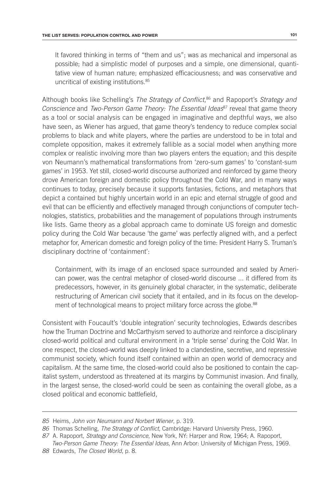It favored thinking in terms of "them and us"; was as mechanical and impersonal as possible; had a simplistic model of purposes and a simple, one dimensional, quantitative view of human nature; emphasized efficaciousness; and was conservative and uncritical of existing institutions.85

Although books like Schelling's *The Strategy of Conflict*, 86 and Rapoport's *Strategy and Conscience* and *Two-Person Game Theory: The Essential Ideas*<sup>87</sup> reveal that game theory as a tool or social analysis can be engaged in imaginative and depthful ways, we also have seen, as Wiener has argued, that game theory's tendency to reduce complex social problems to black and white players, where the parties are understood to be in total and complete opposition, makes it extremely fallible as a social model when anything more complex or realistic involving more than two players enters the equation; and this despite von Neumann's mathematical transformations from 'zero-sum games' to 'constant-sum games' in 1953. Yet still, closed-world discourse authorized and reinforced by game theory drove American foreign and domestic policy throughout the Cold War, and in many ways continues to today, precisely because it supports fantasies, fictions, and metaphors that depict a contained but highly uncertain world in an epic and eternal struggle of good and evil that can be efficiently and effectively managed through conjunctions of computer technologies, statistics, probabilities and the management of populations through instruments like lists. Game theory as a global approach came to dominate US foreign and domestic policy during the Cold War because 'the game' was perfectly aligned with, and a perfect metaphor for, American domestic and foreign policy of the time: President Harry S. Truman's disciplinary doctrine of 'containment':

Containment, with its image of an enclosed space surrounded and sealed by American power, was the central metaphor of closed-world discourse ... it differed from its predecessors, however, in its genuinely global character, in the systematic, deliberate restructuring of American civil society that it entailed, and in its focus on the development of technological means to project military force across the globe.<sup>88</sup>

Consistent with Foucault's 'double integration' security technologies, Edwards describes how the Truman Doctrine and McCarthyism served to authorize and reinforce a disciplinary closed-world political and cultural environment in a 'triple sense' during the Cold War. In one respect, the closed-world was deeply linked to a clandestine, secretive, and repressive communist society, which found itself contained within an open world of democracy and capitalism. At the same time, the closed-world could also be positioned to contain the capitalist system, understood as threatened at its margins by Communist invasion. And finally, in the largest sense, the closed-world could be seen as containing the overall globe, as a closed political and economic battlefield,

*<sup>85</sup>* Heims, *John von Neumann and Norbert Wiener*, p. 319.

*<sup>86</sup>* Thomas Schelling, *The Strategy of Conflict*, Cambridge: Harvard University Press, 1960.

*<sup>87</sup>* A. Rapoport, *Strategy and Conscience*, New York, NY: Harper and Row, 1964; A. Rapoport,

*Two-Person Game Theory: The Essential Ideas*, Ann Arbor: University of Michigan Press, 1969. *88* Edwards, *The Closed World*, p. 8.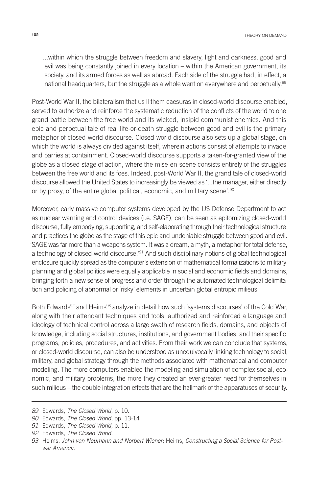...within which the struggle between freedom and slavery, light and darkness, good and evil was being constantly joined in every location – within the American government, its society, and its armed forces as well as abroad. Each side of the struggle had, in effect, a national headquarters, but the struggle as a whole went on everywhere and perpetually.<sup>89</sup>

Post-World War II, the bilateralism that us II them caesuras in closed-world discourse enabled, served to authorize and reinforce the systematic reduction of the conflicts of the world to one grand battle between the free world and its wicked, insipid communist enemies. And this epic and perpetual tale of real life-or-death struggle between good and evil is the primary metaphor of closed-world discourse. Closed-world discourse also sets up a global stage, on which the world is always divided against itself, wherein actions consist of attempts to invade and parries at containment. Closed-world discourse supports a taken-for-granted view of the globe as a closed stage of action, where the mise-en-scene consists entirely of the struggles between the free world and its foes. Indeed, post-World War II, the grand tale of closed-world discourse allowed the United States to increasingly be viewed as '...the manager, either directly or by proxy, of the entire global political, economic, and military scene'.<sup>90</sup>

Moreover, early massive computer systems developed by the US Defense Department to act as nuclear warning and control devices (i.e. SAGE), can be seen as epitomizing closed-world discourse, fully embodying, supporting, and self-elaborating through their technological structure and practices the globe as the stage of this epic and undeniable struggle between good and evil. 'SAGE was far more than a weapons system. It was a dream, a myth, a metaphor for total defense, a technology of closed-world discourse.'91 And such disciplinary notions of global technological enclosure quickly spread as the computer's extension of mathematical formalizations to military planning and global politics were equally applicable in social and economic fields and domains, bringing forth a new sense of progress and order through the automated technological delimitation and policing of abnormal or 'risky' elements in uncertain global entropic milieus.

Both Edwards<sup>92</sup> and Heims<sup>93</sup> analyze in detail how such 'systems discourses' of the Cold War, along with their attendant techniques and tools, authorized and reinforced a language and ideology of technical control across a large swath of research fields, domains, and objects of knowledge, including social structures, institutions, and government bodies, and their specific programs, policies, procedures, and activities. From their work we can conclude that systems, or closed-world discourse, can also be understood as unequivocally linking technology to social, military, and global strategy through the methods associated with mathematical and computer modeling. The more computers enabled the modeling and simulation of complex social, economic, and military problems, the more they created an ever-greater need for themselves in such milieus – the double integration effects that are the hallmark of the apparatuses of security.

*<sup>89</sup>* Edwards, *The Closed World*, p. 10.

*<sup>90</sup>* Edwards, *The Closed World*, pp. 13-14

*<sup>91</sup>* Edwards, *The Closed World*, p. 11.

*<sup>92</sup>* Edwards, *The Closed World*.

*<sup>93</sup>* Heims, *John von Neumann and Norbert Wiener*; Heims, *Constructing a Social Science for Postwar America*.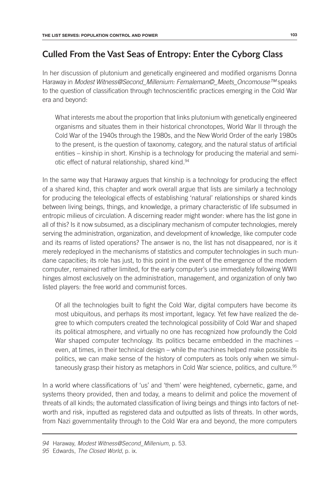## **Culled From the Vast Seas of Entropy: Enter the Cyborg Class**

In her discussion of plutonium and genetically engineered and modified organisms Donna Haraway in *Modest Witness@Second\_Millenium: Femaleman©\_Meets\_Oncomouse™* speaks to the question of classification through technoscientific practices emerging in the Cold War era and beyond:

What interests me about the proportion that links plutonium with genetically engineered organisms and situates them in their historical chronotopes, World War II through the Cold War of the 1940s through the 1980s, and the New World Order of the early 1980s to the present, is the question of taxonomy, category, and the natural status of artificial entities – kinship in short. Kinship is a technology for producing the material and semiotic effect of natural relationship, shared kind.<sup>94</sup>

In the same way that Haraway argues that kinship is a technology for producing the effect of a shared kind, this chapter and work overall argue that lists are similarly a technology for producing the teleological effects of establishing 'natural' relationships or shared kinds between living beings, things, and knowledge, a primary characteristic of life subsumed in entropic milieus of circulation. A discerning reader might wonder: where has the list gone in all of this? Is it now subsumed, as a disciplinary mechanism of computer technologies, merely serving the administration, organization, and development of knowledge, like computer code and its reams of listed operations? The answer is no, the list has not disappeared, nor is it merely redeployed in the mechanisms of statistics and computer technologies in such mundane capacities; its role has just, to this point in the event of the emergence of the modern computer*,* remained rather limited, for the early computer's use immediately following WWII hinges almost exclusively on the administration, management, and organization of only two listed players: the free world and communist forces.

Of all the technologies built to fight the Cold War, digital computers have become its most ubiquitous, and perhaps its most important, legacy. Yet few have realized the degree to which computers created the technological possibility of Cold War and shaped its political atmosphere, and virtually no one has recognized how profoundly the Cold War shaped computer technology. Its politics became embedded in the machines – even, at times, in their technical design – while the machines helped make possible its politics, we can make sense of the history of computers as tools only when we simultaneously grasp their history as metaphors in Cold War science, politics, and culture.<sup>95</sup>

In a world where classifications of 'us' and 'them' were heightened, cybernetic, game, and systems theory provided, then and today, a means to delimit and police the movement of threats of all kinds; the automated classification of living beings and things into factors of networth and risk, inputted as registered data and outputted as lists of threats. In other words, from Nazi governmentality through to the Cold War era and beyond, the more computers

*<sup>94</sup>* Haraway, *Modest Witness@Second\_Millenium*, p. 53.

*<sup>95</sup>* Edwards, *The Closed World*, p. ix.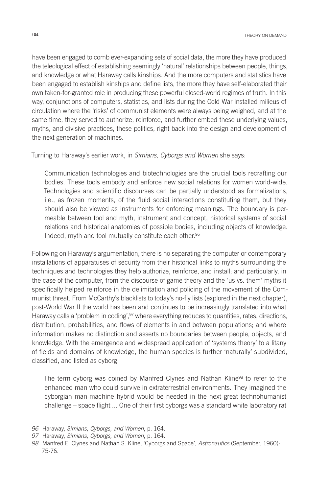have been engaged to comb ever-expanding sets of social data, the more they have produced the teleological effect of establishing seemingly 'natural' relationships between people, things, and knowledge or what Haraway calls kinships. And the more computers and statistics have been engaged to establish kinships and define lists, the more they have self-elaborated their own taken-for-granted role in producing these powerful closed-world regimes of truth. In this way, conjunctions of computers, statistics, and lists during the Cold War installed milieus of circulation where the 'risks' of communist elements were always being weighed, and at the same time, they served to authorize, reinforce, and further embed these underlying values, myths, and divisive practices, these politics, right back into the design and development of the next generation of machines.

Turning to Haraway's earlier work, in *Simians, Cyborgs and Women* she says:

Communication technologies and biotechnologies are the crucial tools recrafting our bodies. These tools embody and enforce new social relations for women world-wide. Technologies and scientific discourses can be partially understood as formalizations, i.e., as frozen moments, of the fluid social interactions constituting them, but they should also be viewed as instruments for enforcing meanings. The boundary is permeable between tool and myth, instrument and concept, historical systems of social relations and historical anatomies of possible bodies, including objects of knowledge. Indeed, myth and tool mutually constitute each other.<sup>96</sup>

Following on Haraway's argumentation, there is no separating the computer or contemporary installations of apparatuses of security from their historical links to myths surrounding the techniques and technologies they help authorize, reinforce, and install; and particularly, in the case of the computer, from the discourse of game theory and the 'us vs. them' myths it specifically helped reinforce in the delimitation and policing of the movement of the Communist threat. From McCarthy's blacklists to today's no-fly lists (explored in the next chapter), post-World War II the world has been and continues to be increasingly translated into what Haraway calls a 'problem in coding',<sup>97</sup> where everything reduces to quantities, rates, directions, distribution, probabilities, and flows of elements in and between populations; and where information makes no distinction and asserts no boundaries between people, objects, and knowledge. With the emergence and widespread application of 'systems theory' to a litany of fields and domains of knowledge, the human species is further 'naturally' subdivided, classified, and listed as cyborg.

The term cyborg was coined by Manfred Clynes and Nathan Kline<sup>98</sup> to refer to the enhanced man who could survive in extraterrestrial environments. They imagined the cyborgian man-machine hybrid would be needed in the next great technohumanist challenge – space flight ... One of their first cyborgs was a standard white laboratory rat

*<sup>96</sup>* Haraway, *Simians, Cyborgs, and Women*, p. 164.

*<sup>97</sup>* Haraway, *Simians, Cyborgs, and Women*, p. 164.

*<sup>98</sup>* Manfred E. Clynes and Nathan S. Kline, 'Cyborgs and Space', *Astronautics* (September, 1960): 75-76.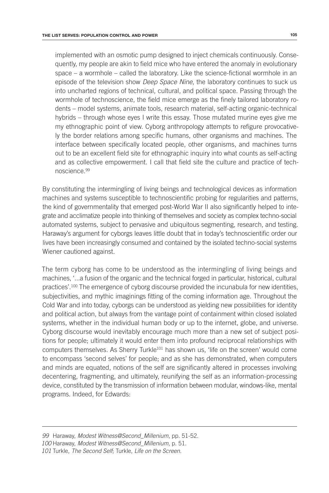implemented with an osmotic pump designed to inject chemicals continuously. Consequently, my people are akin to field mice who have entered the anomaly in evolutionary space – a wormhole – called the laboratory. Like the science-fictional wormhole in an episode of the television show *Deep Space Nine*, the laboratory continues to suck us into uncharted regions of technical, cultural, and political space. Passing through the wormhole of technoscience, the field mice emerge as the finely tailored laboratory rodents – model systems, animate tools, research material, self-acting organic-technical hybrids – through whose eyes I write this essay. Those mutated murine eyes give me my ethnographic point of view. Cyborg anthropology attempts to refigure provocatively the border relations among specific humans, other organisms and machines. The interface between specifically located people, other organisms, and machines turns out to be an excellent field site for ethnographic inquiry into what counts as self-acting and as collective empowerment. I call that field site the culture and practice of technoscience.99

By constituting the intermingling of living beings and technological devices as information machines and systems susceptible to technoscientific probing for regularities and patterns, the kind of governmentality that emerged post-World War II also significantly helped to integrate and acclimatize people into thinking of themselves and society as complex techno-social automated systems, subject to pervasive and ubiquitous segmenting, research, and testing. Haraway's argument for cyborgs leaves little doubt that in today's technoscientific order our lives have been increasingly consumed and contained by the isolated techno-social systems Wiener cautioned against.

The term cyborg has come to be understood as the intermingling of living beings and machines, '...a fusion of the organic and the technical forged in particular, historical, cultural practices'.100 The emergence of cyborg discourse provided the incunabula for new identities, subjectivities, and mythic imaginings fitting of the coming information age. Throughout the Cold War and into today, cyborgs can be understood as yielding new possibilities for identity and political action, but always from the vantage point of containment within closed isolated systems, whether in the individual human body or up to the internet, globe, and universe. Cyborg discourse would inevitably encourage much more than a new set of subject positions for people; ultimately it would enter them into profound reciprocal relationships with computers themselves. As Sherry Turkle<sup>101</sup> has shown us, 'life on the screen' would come to encompass 'second selves' for people; and as she has demonstrated, when computers and minds are equated, notions of the self are significantly altered in processes involving decentering, fragmenting, and ultimately, reunifying the self as an information-processing device, constituted by the transmission of information between modular, windows-like, mental programs. Indeed, for Edwards: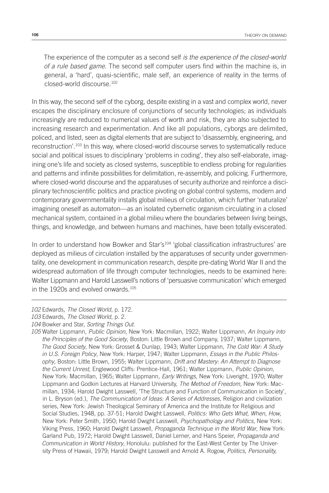The experience of the computer as a second self *is the experience of the closed-world of a rule based game*. The second self computer users find within the machine is, in general, a 'hard', quasi-scientific, male self, an experience of reality in the terms of closed-world discourse.102

In this way, the second self of the cyborg, despite existing in a vast and complex world, never escapes the disciplinary enclosure of conjunctions of security technologies; as individuals increasingly are reduced to numerical values of worth and risk, they are also subjected to increasing research and experimentation. And like all populations, cyborgs are delimited, policed, and listed, seen as digital elements that are subject to 'disassembly, engineering, and reconstruction'.103 In this way, where closed-world discourse serves to systematically reduce social and political issues to disciplinary 'problems in coding', they also self-elaborate, imagining one's life and society as closed systems, susceptible to endless probing for regularities and patterns and infinite possibilities for delimitation, re-assembly, and policing. Furthermore, where closed-world discourse and the apparatuses of security authorize and reinforce a disciplinary technoscientific politics and practice pivoting on global control systems, modern and contemporary governmentality installs global milieus of circulation, which further 'naturalize' imagining oneself as automaton—as an isolated cybernetic organism circulating in a closed mechanical system, contained in a global milieu where the boundaries between living beings, things, and knowledge, and between humans and machines, have been totally eviscerated.

In order to understand how Bowker and Star's<sup>104</sup> 'global classification infrastructures' are deployed as milieus of circulation installed by the apparatuses of security under governmentality, one development in communication research, despite pre-dating World War II and the widespread automation of life through computer technologies, needs to be examined here: Walter Lippmann and Harold Lasswell's notions of 'persuasive communication' which emerged in the 1920s and evolved onwards.<sup>105</sup>

*<sup>102</sup>* Edwards, *The Closed World*, p. 172.

*<sup>103</sup>* Edwards, *The Closed World*, p. 2.

*<sup>104</sup>* Bowker and Star, *Sorting Things Out*.

*<sup>105</sup>* Walter Lippmann, *Public Opinion*, New York: Macmillan, 1922; Walter Lippmann, *An Inquiry into the Principles of the Good Society*, Boston: Little Brown and Company, 1937; Walter Lippmann, *The Good Society*, New York: Grosset & Dunlap, 1943; Walter Lippmann, *The Cold War: A Study in U.S. Foreign Policy*, New York: Harper, 1947; Walter Lippmann, *Essays in the Public Philosophy*, Boston: Little Brown, 1955; Walter Lippmann, *Drift and Mastery: An Attempt to Diagnose the Current Unrest*, Englewood Cliffs: Prentice-Hall, 1961; Walter Lippmann, *Public Opinion*, New York: Macmillan, 1965; Walter Lippmann, *Early Writings*, New York: Liveright, 1970; Walter Lippmann and Godkin Lectures at Harvard University, *The Method of Freedom*, New York: Macmillan, 1934; Harold Dwight Lasswell, 'The Structure and Function of Communication in Society', in L. Bryson (ed.), *The Communication of Ideas: A Series of Addresses*, Religion and civilization series, New York: Jewish Theological Seminary of America and the Institute for Religious and Social Studies, 1948, pp. 37-51; Harold Dwight Lasswell, *Politics: Who Gets What, When, How*, New York: Peter Smith, 1950; Harold Dwight Lasswell, *Psychopathology and Politics*, New York: Viking Press, 1960; Harold Dwight Lasswell, *Propaganda Technique in the World War*, New York: Garland Pub, 1972; Harold Dwight Lasswell, Daniel Lerner, and Hans Speier, *Propaganda and Communication in World History*, Honolulu: published for the East-West Center by The University Press of Hawaii, 1979; Harold Dwight Lasswell and Arnold A. Rogow, *Politics, Personality,*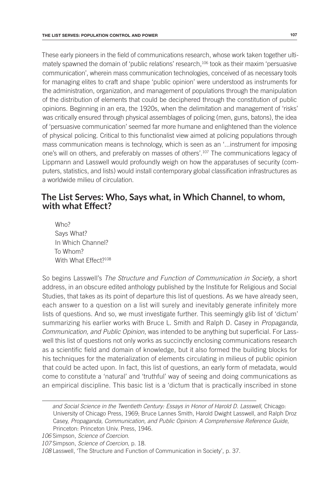These early pioneers in the field of communications research, whose work taken together ultimately spawned the domain of 'public relations' research,<sup>106</sup> took as their maxim 'persuasive communication', wherein mass communication technologies, conceived of as necessary tools for managing elites to craft and shape 'public opinion' were understood as instruments for the administration, organization, and management of populations through the manipulation of the distribution of elements that could be deciphered through the constitution of public opinions. Beginning in an era, the 1920s, when the delimitation and management of 'risks' was critically ensured through physical assemblages of policing (men, guns, batons), the idea of 'persuasive communication' seemed far more humane and enlightened than the violence of physical policing. Critical to this functionalist view aimed at policing populations through mass communication means is technology, which is seen as an '...instrument for imposing one's will on others, and preferably on masses of others'.107 The communications legacy of Lippmann and Lasswell would profoundly weigh on how the apparatuses of security (computers, statistics, and lists) would install contemporary global classification infrastructures as a worldwide milieu of circulation.

#### **The List Serves: Who, Says what, in Which Channel, to whom, with what Effect?**

Who? Says What? In Which Channel? To Whom? With What Effect?<sup>108</sup>

So begins Lasswell's *The Structure and Function of Communication in Society*, a short address, in an obscure edited anthology published by the Institute for Religious and Social Studies, that takes as its point of departure this list of questions. As we have already seen, each answer to a question on a list will surely and inevitably generate infinitely more lists of questions. And so, we must investigate further. This seemingly glib list of 'dictum' summarizing his earlier works with Bruce L. Smith and Ralph D. Casey in *Propaganda, Communication, and Public Opinion*, was intended to be anything but superficial. For Lasswell this list of questions not only works as succinctly enclosing communications research as a scientific field and domain of knowledge, but it also formed the building blocks for his techniques for the materialization of elements circulating in milieus of public opinion that could be acted upon. In fact, this list of questions, an early form of metadata, would come to constitute a 'natural' and 'truthful' way of seeing and doing communications as an empirical discipline. This basic list is a 'dictum that is practically inscribed in stone

*and Social Science in the Twentieth Century: Essays in Honor of Harold D. Lasswell*, Chicago: University of Chicago Press, 1969; Bruce Lannes Smith, Harold Dwight Lasswell, and Ralph Droz Casey, *Propaganda, Communication, and Public Opinion: A Comprehensive Reference Guide*, Princeton: Princeton Univ. Press, 1946.

*<sup>106</sup>* Simpson, *Science of Coercion*.

*<sup>107</sup>* Simpson, *Science of Coercion*, p. 18.

*<sup>108</sup>* Lasswell, 'The Structure and Function of Communication in Society', p. 37.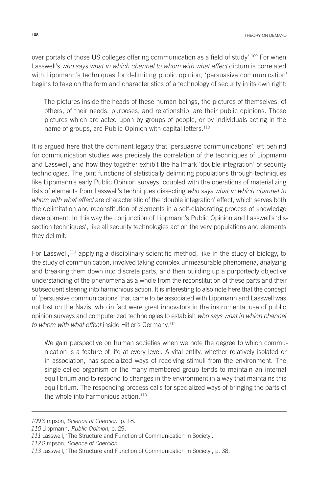over portals of those US colleges offering communication as a field of study'.<sup>109</sup> For when Lasswell's *who says what in which channel to whom with what effect* dictum is correlated with Lippmann's techniques for delimiting public opinion, 'persuasive communication' begins to take on the form and characteristics of a technology of security in its own right:

The pictures inside the heads of these human beings, the pictures of themselves, of others, of their needs, purposes, and relationship, are their public opinions. Those pictures which are acted upon by groups of people, or by individuals acting in the name of groups, are Public Opinion with capital letters.<sup>110</sup>

It is argued here that the dominant legacy that 'persuasive communications' left behind for communication studies was precisely the correlation of the techniques of Lippmann and Lasswell, and how they together exhibit the hallmark 'double integration' of security technologies. The joint functions of statistically delimiting populations through techniques like Lippmann's early Public Opinion surveys, coupled with the operations of materializing lists of elements from Lasswell's techniques dissecting *who says what in which channel to whom with what effect* are characteristic of the 'double integration' effect, which serves both the delimitation and reconstitution of elements in a self-elaborating process of knowledge development. In this way the conjunction of Lippmann's Public Opinion and Lasswell's 'dissection techniques', like all security technologies act on the very populations and elements they delimit.

For Lasswell,<sup>111</sup> applying a disciplinary scientific method, like in the study of biology, to the study of communication, involved taking complex unmeasurable phenomena, analyzing and breaking them down into discrete parts, and then building up a purportedly objective understanding of the phenomena as a whole from the reconstitution of these parts and their subsequent steering into harmonious action. It is interesting to also note here that the concept of 'persuasive communications' that came to be associated with Lippmann and Lasswell was not lost on the Nazis, who in fact were great innovators in the instrumental use of public opinion surveys and computerized technologies to establish *who says what in which channel to whom with what effect* inside Hitler's Germany.112

We gain perspective on human societies when we note the degree to which communication is a feature of life at every level. A vital entity, whether relatively isolated or in association, has specialized ways of receiving stimuli from the environment. The single-celled organism or the many-membered group tends to maintain an internal equilibrium and to respond to changes in the environment in a way that maintains this equilibrium. The responding process calls for specialized ways of bringing the parts of the whole into harmonious action. $113$ 

*<sup>109</sup>* Simpson, *Science of Coercion*, p. 18.

*<sup>110</sup>* Lippmann, *Public Opinion*, p. 29.

*<sup>111</sup>* Lasswell, 'The Structure and Function of Communication in Society'.

*<sup>112</sup>* Simpson, *Science of Coercion*.

*<sup>113</sup>* Lasswell, 'The Structure and Function of Communication in Society', p. 38.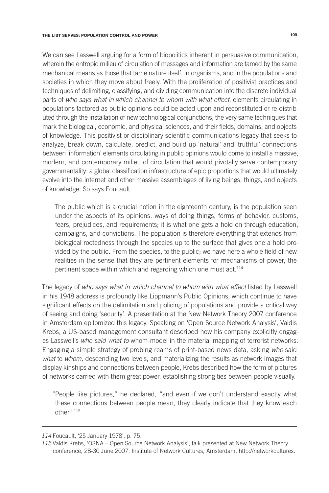We can see Lasswell arguing for a form of biopolitics inherent in persuasive communication, wherein the entropic milieu of circulation of messages and information are tamed by the same mechanical means as those that tame nature itself, in organisms, and in the populations and societies in which they move about freely. With the proliferation of positivist practices and techniques of delimiting, classifying, and dividing communication into the discrete individual parts of *who says what in which channel to whom with what effect*, elements circulating in populations factored as public opinions could be acted upon and reconstituted or re-distributed through the installation of new technological conjunctions, the very same techniques that mark the biological, economic, and physical sciences, and their fields, domains, and objects of knowledge. This positivist or disciplinary scientific communications legacy that seeks to analyze, break down, calculate, predict, and build up 'natural' and 'truthful' connections between 'information' elements circulating in public opinions would come to install a massive, modern, and contemporary milieu of circulation that would pivotally serve contemporary governmentality: a global classification infrastructure of epic proportions that would ultimately evolve into the internet and other massive assemblages of living beings, things, and objects of knowledge*.* So says Foucault:

The public which is a crucial notion in the eighteenth century, is the population seen under the aspects of its opinions, ways of doing things, forms of behavior, customs, fears, prejudices, and requirements; it is what one gets a hold on through education, campaigns, and convictions. The population is therefore everything that extends from biological rootedness through the species up to the surface that gives one a hold provided by the public. From the species, to the public; we have here a whole field of new realities in the sense that they are pertinent elements for mechanisms of power, the pertinent space within which and regarding which one must act.114

The legacy of *who says what in which channel to whom with what effect* listed by Lasswell in his 1948 address is profoundly like Lippmann's Public Opinions, which continue to have significant effects on the delimitation and policing of populations and provide a critical way of seeing and doing 'security'. A presentation at the New Network Theory 2007 conference in Amsterdam epitomized this legacy. Speaking on 'Open Source Network Analysis', Valdis Krebs, a US-based management consultant described how his company explicitly engages Lasswell's *who said what to* whom-model in the material mapping of terrorist networks. Engaging a simple strategy of probing reams of print-based news data, asking *who* said *what* to *whom,* descending two levels, and materializing the results as network images that display kinships and connections between people, Krebs described how the form of pictures of networks carried with them great power, establishing strong ties between people visually.

"People like pictures," he declared, "and even if we don't understand exactly what these connections between people mean, they clearly indicate that they know each other."115

*<sup>114</sup>* Foucault, '25 January 1978', p. 75.

*<sup>115</sup>* Valdis Krebs, 'OSNA – Open Source Network Analysis', talk presented at New Network Theory conference, 28-30 June 2007, Institute of Network Cultures, Amsterdam, http://networkcultures.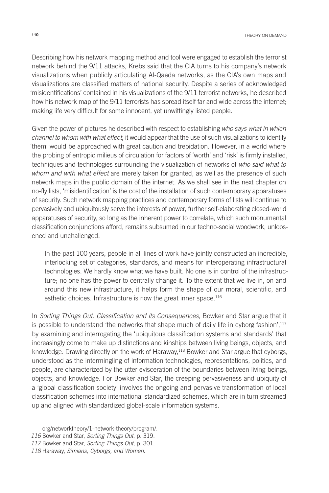Describing how his network mapping method and tool were engaged to establish the terrorist network behind the 9/11 attacks, Krebs said that the CIA turns to his company's network visualizations when publicly articulating Al-Qaeda networks, as the CIA's own maps and visualizations are classified matters of national security. Despite a series of acknowledged 'misidentifications' contained in his visualizations of the 9/11 terrorist networks, he described how his network map of the 9/11 terrorists has spread itself far and wide across the internet; making life very difficult for some innocent, yet unwittingly listed people.

Given the power of pictures he described with respect to establishing *who says what in which channel to whom with what effect*, it would appear that the use of such visualizations to identify 'them' would be approached with great caution and trepidation. However, in a world where the probing of entropic milieus of circulation for factors of 'worth' and 'risk' is firmly installed, techniques and technologies surrounding the visualization of networks of *who said what to whom and with what effect* are merely taken for granted, as well as the presence of such network maps in the public domain of the internet. As we shall see in the next chapter on no-fly lists, 'misidentification' is the cost of the installation of such contemporary apparatuses of security. Such network mapping practices and contemporary forms of lists will continue to pervasively and ubiquitously serve the interests of power, further self-elaborating closed-world apparatuses of security, so long as the inherent power to correlate, which such monumental classification conjunctions afford, remains subsumed in our techno-social woodwork, unloosened and unchallenged.

In the past 100 years, people in all lines of work have jointly constructed an incredible, interlocking set of categories, standards, and means for interoperating infrastructural technologies. We hardly know what we have built. No one is in control of the infrastructure; no one has the power to centrally change it. To the extent that we live in, on and around this new infrastructure, it helps form the shape of our moral, scientific, and esthetic choices. Infrastructure is now the great inner space.<sup>116</sup>

In *Sorting Things Out: Classification and its Consequences*, Bowker and Star argue that it is possible to understand 'the networks that shape much of daily life in cyborg fashion', $117$ by examining and interrogating the 'ubiquitous classification systems and standards' that increasingly come to make up distinctions and kinships between living beings, objects, and knowledge. Drawing directly on the work of Haraway,<sup>118</sup> Bowker and Star argue that cyborgs, understood as the intermingling of information technologies, representations, politics, and people, are characterized by the utter evisceration of the boundaries between living beings, objects, and knowledge. For Bowker and Star, the creeping pervasiveness and ubiquity of a 'global classification society' involves the ongoing and pervasive transformation of local classification schemes into international standardized schemes, which are in turn streamed up and aligned with standardized global-scale information systems.

org/networktheory/1-network-theory/program/.

*<sup>116</sup>* Bowker and Star, *Sorting Things Out*, p. 319.

*<sup>117</sup>* Bowker and Star, *Sorting Things Out*, p. 301.

*<sup>118</sup>* Haraway, *Simians, Cyborgs, and Women*.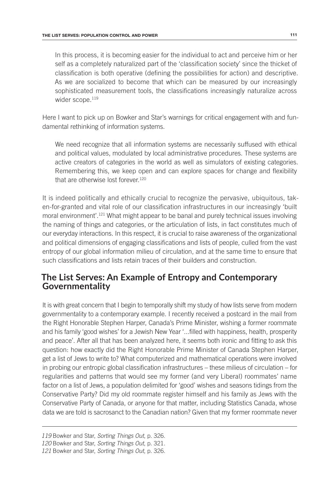In this process, it is becoming easier for the individual to act and perceive him or her self as a completely naturalized part of the 'classification society' since the thicket of classification is both operative (defining the possibilities for action) and descriptive. As we are socialized to become that which can be measured by our increasingly sophisticated measurement tools, the classifications increasingly naturalize across wider scope.<sup>119</sup>

Here I want to pick up on Bowker and Star's warnings for critical engagement with and fundamental rethinking of information systems.

We need recognize that all information systems are necessarily suffused with ethical and political values, modulated by local administrative procedures. These systems are active creators of categories in the world as well as simulators of existing categories. Remembering this, we keep open and can explore spaces for change and flexibility that are otherwise lost forever.<sup>120</sup>

It is indeed politically and ethically crucial to recognize the pervasive, ubiquitous, taken-for-granted and vital role of our classification infrastructures in our increasingly 'built moral environment'.121 What might appear to be banal and purely technical issues involving the naming of things and categories, or the articulation of lists, in fact constitutes much of our everyday interactions. In this respect, it is crucial to raise awareness of the organizational and political dimensions of engaging classifications and lists of people, culled from the vast entropy of our global information milieu of circulation, and at the same time to ensure that such classifications and lists retain traces of their builders and construction.

## **The List Serves: An Example of Entropy and Contemporary Governmentality**

It is with great concern that I begin to temporally shift my study of how lists serve from modern governmentality to a contemporary example. I recently received a postcard in the mail from the Right Honorable Stephen Harper, Canada's Prime Minister, wishing a former roommate and his family 'good wishes' for a Jewish New Year '...filled with happiness, health, prosperity and peace'. After all that has been analyzed here, it seems both ironic and fitting to ask this question: how exactly did the Right Honorable Prime Minister of Canada Stephen Harper, get a list of Jews to write to? What computerized and mathematical operations were involved in probing our entropic global classification infrastructures – these milieus of circulation – for regularities and patterns that would see my former (and very Liberal) roommates' name factor on a list of Jews, a population delimited for 'good' wishes and seasons tidings from the Conservative Party? Did my old roommate register himself and his family as Jews with the Conservative Party of Canada, or anyone for that matter, including Statistics Canada, whose data we are told is sacrosanct to the Canadian nation? Given that my former roommate never

*<sup>119</sup>* Bowker and Star, *Sorting Things Out*, p. 326.

*<sup>120</sup>* Bowker and Star, *Sorting Things Out*, p. 321.

*<sup>121</sup>* Bowker and Star, *Sorting Things Out*, p. 326.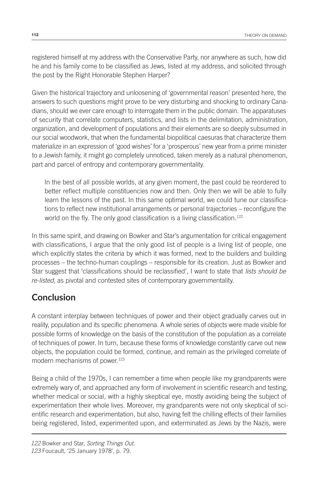registered himself at my address with the Conservative Party, nor anywhere as such, how did he and his family come to be classified as Jews, listed at my address, and solicited through the post by the Right Honorable Stephen Harper?

Given the historical trajectory and unloosening of 'governmental reason' presented here, the answers to such questions might prove to be very disturbing and shocking to ordinary Canadians, should we ever care enough to interrogate them in the public domain. The apparatuses of security that correlate computers, statistics, and lists in the delimitation, administration, organization, and development of populations and their elements are so deeply subsumed in our social woodwork, that when the fundamental biopolitical caesuras that characterize them materialize in an expression of 'good wishes' for a 'prosperous' new year from a prime minister to a Jewish family, it might go completely unnoticed, taken merely as a natural phenomenon, part and parcel of entropy and contemporary governmentality.

In the best of all possible worlds, at any given moment, the past could be reordered to better reflect multiple constituencies now and then. Only then we will be able to fully learn the lessons of the past. In this same optimal world, we could tune our classifications to reflect new institutional arrangements or personal trajectories – reconfigure the world on the fly. The only good classification is a living classification.<sup>122</sup>

In this same spirit, and drawing on Bowker and Star's argumentation for critical engagement with classifications, I argue that the only good list of people is a living list of people, one which explicitly states the criteria by which it was formed, next to the builders and building processes – the techno-human couplings – responsible for its creation. Just as Bowker and Star suggest that 'classifications should be reclassified', I want to state that *lists should be re-listed*, as pivotal and contested sites of contemporary governmentality.

# **Conclusion**

A constant interplay between techniques of power and their object gradually carves out in reality, population and its specific phenomena. A whole series of objects were made visible for possible forms of knowledge on the basis of the constitution of the population as a correlate of techniques of power. In turn, because these forms of knowledge constantly carve out new objects, the population could be formed, continue, and remain as the privileged correlate of modern mechanisms of power.<sup>123</sup>

Being a child of the 1970s, I can remember a time when people like my grandparents were extremely wary of, and approached any form of involvement in scientific research and testing, whether medical or social, with a highly skeptical eye, mostly avoiding being the subject of experimentation their whole lives. Moreover, my grandparents were not only skeptical of scientific research and experimentation, but also, having felt the chilling effects of their families being registered, listed, experimented upon, and exterminated as Jews by the Nazis, were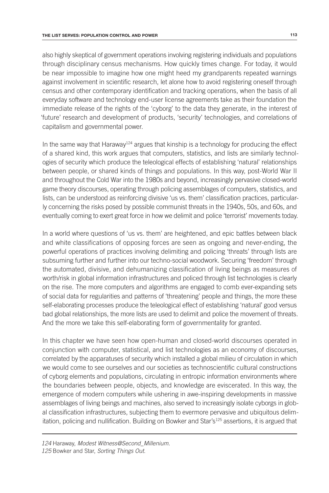also highly skeptical of government operations involving registering individuals and populations through disciplinary census mechanisms. How quickly times change. For today, it would be near impossible to imagine how one might heed my grandparents repeated warnings against involvement in scientific research, let alone how to avoid registering oneself through census and other contemporary identification and tracking operations, when the basis of all everyday software and technology end-user license agreements take as their foundation the immediate release of the rights of the 'cyborg' to the data they generate, in the interest of

capitalism and governmental power. In the same way that Haraway<sup>124</sup> argues that kinship is a technology for producing the effect of a shared kind, this work argues that computers, statistics, and lists are similarly technologies of security which produce the teleological effects of establishing 'natural' relationships between people, or shared kinds of things and populations. In this way, post-World War II and throughout the Cold War into the 1980s and beyond, increasingly pervasive closed-world

'future' research and development of products, 'security' technologies, and correlations of

game theory discourses, operating through policing assemblages of computers, statistics, and lists, can be understood as reinforcing divisive 'us vs. them' classification practices, particularly concerning the risks posed by possible communist threats in the 1940s, 50s, and 60s, and eventually coming to exert great force in how we delimit and police 'terrorist' movements today.

In a world where questions of 'us vs. them' are heightened, and epic battles between black and white classifications of opposing forces are seen as ongoing and never-ending, the powerful operations of practices involving delimiting and policing 'threats' through lists are subsuming further and further into our techno-social woodwork. Securing 'freedom' through the automated, divisive, and dehumanizing classification of living beings as measures of worth/risk in global information infrastructures and policed through list technologies is clearly on the rise. The more computers and algorithms are engaged to comb ever-expanding sets of social data for regularities and patterns of 'threatening' people and things, the more these self-elaborating processes produce the teleological effect of establishing 'natural' good versus bad global relationships, the more lists are used to delimit and police the movement of threats. And the more we take this self-elaborating form of governmentality for granted.

In this chapter we have seen how open-human and closed-world discourses operated in conjunction with computer, statistical, and list technologies as an economy of discourses, correlated by the apparatuses of security which installed a global milieu of circulation in which we would come to see ourselves and our societies as technoscientific cultural constructions of cyborg elements and populations, circulating in entropic information environments where the boundaries between people, objects, and knowledge are eviscerated. In this way, the emergence of modern computers while ushering in awe-inspiring developments in massive assemblages of living beings and machines, also served to increasingly isolate cyborgs in global classification infrastructures, subjecting them to evermore pervasive and ubiquitous delimitation, policing and nullification. Building on Bowker and Star's125 assertions, it is argued that

*<sup>124</sup>* Haraway, *Modest Witness@Second\_Millenium*.

*<sup>125</sup>* Bowker and Star, *Sorting Things Out*.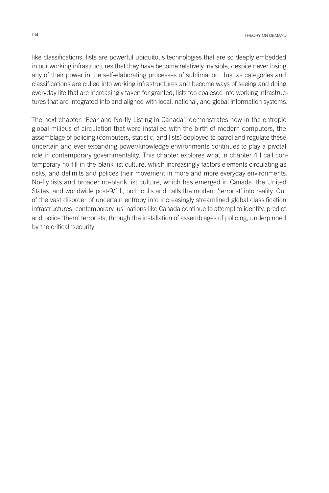like classifications, lists are powerful ubiquitous technologies that are so deeply embedded in our working infrastructures that they have become relatively invisible, despite never losing any of their power in the self-elaborating processes of sublimation. Just as categories and classifications are culled into working infrastructures and become ways of seeing and doing everyday life that are increasingly taken for granted, lists too coalesce into working infrastructures that are integrated into and aligned with local, national, and global information systems.

The next chapter, 'Fear and No-fly Listing in Canada', demonstrates how in the entropic global milieus of circulation that were installed with the birth of modern computers, the assemblage of policing (computers, statistic, and lists) deployed to patrol and regulate these uncertain and ever-expanding power/knowledge environments continues to play a pivotal role in contemporary governmentality. This chapter explores what in chapter 4 I call contemporary no-fill-in-the-blank list culture, which increasingly factors elements circulating as risks, and delimits and polices their movement in more and more everyday environments. No-fly lists and broader no-blank list culture, which has emerged in Canada, the United States, and worldwide post-9/11, both culls and calls the modern 'terrorist' into reality. Out of the vast disorder of uncertain entropy into increasingly streamlined global classification infrastructures, contemporary 'us' nations like Canada continue to attempt to identify, predict, and police 'them' terrorists, through the installation of assemblages of policing, underpinned by the critical 'security'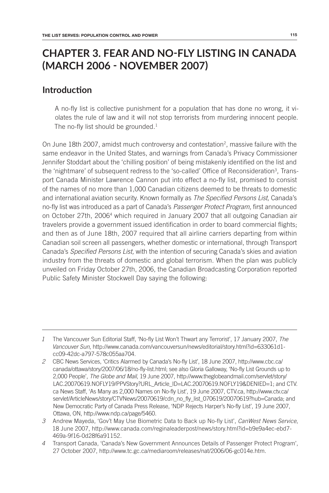# **CHAPTER 3. FEAR AND NO-FLY LISTING IN CANADA (MARCH 2006 - NOVEMBER 2007)**

### **Introduction**

A no-fly list is collective punishment for a population that has done no wrong, it violates the rule of law and it will not stop terrorists from murdering innocent people. The no-fly list should be grounded.<sup>1</sup>

On June 18th 2007, amidst much controversy and contestation<sup>2</sup>, massive failure with the same endeavor in the United States, and warnings from Canada's Privacy Commissioner Jennifer Stoddart about the 'chilling position' of being mistakenly identified on the list and the 'nightmare' of subsequent redress to the 'so-called' Office of Reconsideration<sup>3</sup>, Transport Canada Minister Lawrence Cannon put into effect a no-fly list, promised to consist of the names of no more than 1,000 Canadian citizens deemed to be threats to domestic and international aviation security. Known formally as *The Specified Persons List*, Canada's no-fly list was introduced as a part of Canada's *Passenger Protect Program,* first announced on October 27th, 20064 which required in January 2007 that all outgoing Canadian air travelers provide a government issued identification in order to board commercial flights; and then as of June 18th, 2007 required that all airline carriers departing from within Canadian soil screen all passengers, whether domestic or international, through Transport Canada's *Specified Persons List,* with the intention of securing Canada's skies and aviation industry from the threats of domestic and global terrorism. When the plan was publicly unveiled on Friday October 27th, 2006, the Canadian Broadcasting Corporation reported Public Safety Minister Stockwell Day saying the following:

*<sup>1</sup>* The Vancouver Sun Editorial Staff, 'No-fly List Won't Thwart any Terrorist', 17 January 2007, *The Vancouver Sun*, http://www.canada.com/vancouversun/news/editorial/story.html?id=633061d1 cc09-42dc-a797-578c055aa704.

*<sup>2</sup>* CBC News Services, 'Critics Alarmed by Canada's No-fly List', 18 June 2007, http://www.cbc.ca/ canada/ottawa/story/2007/06/18/no-fly-list.html; see also Gloria Galloway, 'No-fly List Grounds up to 2,000 People', *The Globe and Mail*, 19 June 2007, http://www.theglobeandmail.com/servlet/story/ LAC.20070619.NOFLY19/PPVStory?URL\_Article\_ID=LAC.20070619.NOFLY19&DENIED=1; and CTV. ca News Staff, 'As Many as 2,000 Names on No-fly List', 19 June 2007, CTV.ca, http://www.ctv.ca/ servlet/ArticleNews/story/CTVNews/20070619/cdn\_no\_fly\_list\_070619/20070619?hub=Canada; and New Democratic Party of Canada Press Release, 'NDP Rejects Harper's No-fly List', 19 June 2007, Ottawa, ON, http://www.ndp.ca/page/5460.

*<sup>3</sup>* Andrew Mayeda, 'Gov't May Use Biometric Data to Back up No-fly List', *CanWest News Service*, 18 June 2007, http://www.canada.com/reginaleaderpost/news/story.html?id=b9e9a4ec-ebd7- 469a-9f16-0d28f6a91152.

*<sup>4</sup>* Transport Canada, 'Canada's New Government Announces Details of Passenger Protect Program', 27 October 2007, http://www.tc.gc.ca/mediaroom/releases/nat/2006/06-gc014e.htm.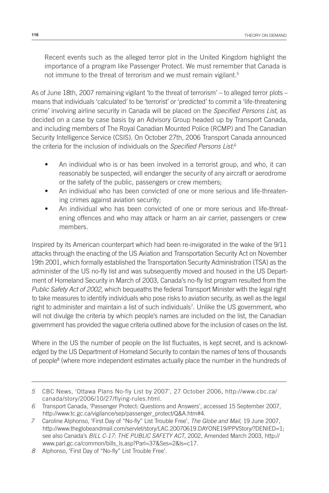Recent events such as the alleged terror plot in the United Kingdom highlight the importance of a program like Passenger Protect. We must remember that Canada is not immune to the threat of terrorism and we must remain vigilant.<sup>5</sup>

As of June 18th, 2007 remaining vigilant 'to the threat of terrorism' – to alleged terror plots – means that individuals 'calculated' to be 'terrorist' or 'predicted' to commit a 'life-threatening crime' involving airline security in Canada will be placed on the *Specified Persons List*, as decided on a case by case basis by an Advisory Group headed up by Transport Canada, and including members of The Royal Canadian Mounted Police (RCMP) and The Canadian Security Intelligence Service (CSIS). On October 27th, 2006 Transport Canada announced the criteria for the inclusion of individuals on the *Specified Persons List:*<sup>6</sup>

- An individual who is or has been involved in a terrorist group, and who, it can reasonably be suspected, will endanger the security of any aircraft or aerodrome or the safety of the public, passengers or crew members;
- An individual who has been convicted of one or more serious and life-threatening crimes against aviation security;
- An individual who has been convicted of one or more serious and life-threatening offences and who may attack or harm an air carrier, passengers or crew members.

Inspired by its American counterpart which had been re-invigorated in the wake of the 9/11 attacks through the enacting of the US Aviation and Transportation Security Act on November 19th 2001, which formally established the Transportation Security Administration (TSA) as the administer of the US no-fly list and was subsequently moved and housed in the US Department of Homeland Security in March of 2003, Canada's no-fly list program resulted from the *Public Safety Act of 2002*, which bequeaths the federal Transport Minister with the legal right to take measures to identify individuals who pose risks to aviation security, as well as the legal right to administer and maintain a list of such individuals<sup>7</sup>. Unlike the US government, who will not divulge the criteria by which people's names are included on the list, the Canadian government has provided the vague criteria outlined above for the inclusion of cases on the list.

Where in the US the number of people on the list fluctuates, is kept secret, and is acknowledged by the US Department of Homeland Security to contain the names of tens of thousands of people<sup>8</sup> (where more independent estimates actually place the number in the hundreds of

*<sup>5</sup>* CBC News, 'Ottawa Plans No-fly List by 2007', 27 October 2006, http://www.cbc.ca/ canada/story/2006/10/27/flying-rules.html.

*<sup>6</sup>* Transport Canada, 'Passenger Protect: Questions and Answers', accessed 15 September 2007, http://www.tc.gc.ca/vigilance/sep/passenger\_protect/Q&A.htm#4.

*<sup>7</sup>* Caroline Alphonso, 'First Day of "No-fly" List Trouble Free', *The Globe and Mail*, 19 June 2007, http://www.theglobeandmail.com/servlet/story/LAC.20070619.DAYONE19/PPVStory/?DENIED=1; see also Canada's *BILL C-17: THE PUBLIC SAFETY ACT*, 2002, Amended March 2003, http:// www.parl.gc.ca/common/bills\_ls.asp?Parl=37&Ses=2&ls=c17.

*<sup>8</sup>* Alphonso, 'First Day of "No-fly" List Trouble Free'.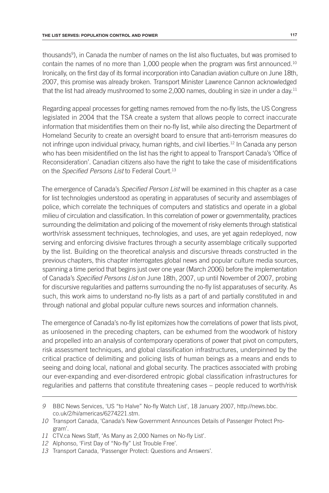thousands<sup>9</sup>), in Canada the number of names on the list also fluctuates, but was promised to contain the names of no more than 1,000 people when the program was first announced.<sup>10</sup> Ironically, on the first day of its formal incorporation into Canadian aviation culture on June 18th, 2007, this promise was already broken. Transport Minister Lawrence Cannon acknowledged that the list had already mushroomed to some 2,000 names, doubling in size in under a day.<sup>11</sup>

Regarding appeal processes for getting names removed from the no-fly lists, the US Congress legislated in 2004 that the TSA create a system that allows people to correct inaccurate information that misidentifies them on their no-fly list, while also directing the Department of Homeland Security to create an oversight board to ensure that anti-terrorism measures do not infringe upon individual privacy, human rights, and civil liberties.12 In Canada any person who has been misidentified on the list has the right to appeal to Transport Canada's 'Office of Reconsideration'. Canadian citizens also have the right to take the case of misidentifications on the *Specified Persons List* to Federal Court.13

The emergence of Canada's *Specified Person List* will be examined in this chapter as a case for list technologies understood as operating in apparatuses of security and assemblages of police, which correlate the techniques of computers and statistics and operate in a global milieu of circulation and classification. In this correlation of power or governmentality, practices surrounding the delimitation and policing of the movement of risky elements through statistical worth/risk assessment techniques, technologies, and uses, are yet again redeployed, now serving and enforcing divisive fractures through a security assemblage critically supported by the list. Building on the theoretical analysis and discursive threads constructed in the previous chapters, this chapter interrogates global news and popular culture media sources, spanning a time period that begins just over one year (March 2006) before the implementation of Canada's *Specified Persons List* on June 18th, 2007, up until November of 2007, probing for discursive regularities and patterns surrounding the no-fly list apparatuses of security. As such, this work aims to understand no-fly lists as a part of and partially constituted in and through national and global popular culture news sources and information channels.

The emergence of Canada's no-fly list epitomizes how the correlations of power that lists pivot, as unloosened in the preceding chapters, can be exhumed from the woodwork of history and propelled into an analysis of contemporary operations of power that pivot on computers, risk assessment techniques, and global classification infrastructures, underpinned by the critical practice of delimiting and policing lists of human beings as a means and ends to seeing and doing local, national and global security. The practices associated with probing our ever-expanding and ever-disordered entropic global classification infrastructures for regularities and patterns that constitute threatening cases – people reduced to worth/risk

*<sup>9</sup>* BBC News Services, 'US "to Halve" No-fly Watch List', 18 January 2007, http://news.bbc. co.uk/2/hi/americas/6274221.stm.

*<sup>10</sup>* Transport Canada, 'Canada's New Government Announces Details of Passenger Protect Program'.

*<sup>11</sup>* CTV.ca News Staff, 'As Many as 2,000 Names on No-fly List'.

*<sup>12</sup>* Alphonso, 'First Day of "No-fly" List Trouble Free'.

*<sup>13</sup>* Transport Canada, 'Passenger Protect: Questions and Answers'.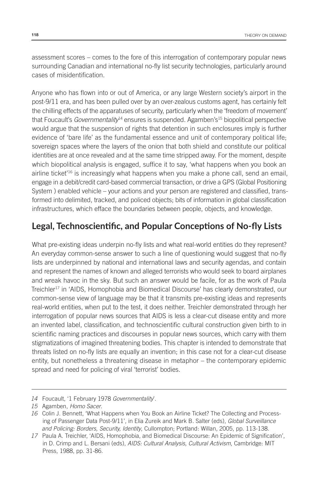assessment scores – comes to the fore of this interrogation of contemporary popular news surrounding Canadian and international no-fly list security technologies, particularly around cases of misidentification.

Anyone who has flown into or out of America, or any large Western society's airport in the post-9/11 era, and has been pulled over by an over-zealous customs agent, has certainly felt the chilling effects of the apparatuses of security, particularly when the 'freedom of movement' that Foucault's *Governmentality*<sup>14</sup> ensures is suspended. Agamben's<sup>15</sup> biopolitical perspective would argue that the suspension of rights that detention in such enclosures imply is further evidence of 'bare life' as the fundamental essence and unit of contemporary political life; sovereign spaces where the layers of the onion that both shield and constitute our political identities are at once revealed and at the same time stripped away. For the moment, despite which biopolitical analysis is engaged, suffice it to say, 'what happens when you book an airline ticket<sup>'16</sup> is increasingly what happens when you make a phone call, send an email, engage in a debit/credit card-based commercial transaction, or drive a GPS (Global Positioning System ) enabled vehicle – your actions and your person are registered and classified, transformed into delimited, tracked, and policed objects; bits of information in global classification infrastructures, which efface the boundaries between people, objects, and knowledge.

#### **Legal, Technoscientific, and Popular Conceptions of No-fly Lists**

What pre-existing ideas underpin no-fly lists and what real-world entities do they represent? An everyday common-sense answer to such a line of questioning would suggest that no-fly lists are underpinned by national and international laws and security agendas, and contain and represent the names of known and alleged terrorists who would seek to board airplanes and wreak havoc in the sky. But such an answer would be facile, for as the work of Paula Treichler<sup>17</sup> in 'AIDS, Homophobia and Biomedical Discourse' has clearly demonstrated, our common-sense view of language may be that it transmits pre-existing ideas and represents real-world entities, when put to the test, it does neither. Treichler demonstrated through her interrogation of popular news sources that AIDS is less a clear-cut disease entity and more an invented label, classification, and technoscientific cultural construction given birth to in scientific naming practices and discourses in popular news sources, which carry with them stigmatizations of imagined threatening bodies. This chapter is intended to demonstrate that threats listed on no-fly lists are equally an invention; in this case not for a clear-cut disease entity, but nonetheless a threatening disease in metaphor – the contemporary epidemic spread and need for policing of viral 'terrorist' bodies.

*<sup>14</sup>* Foucault, '1 February 1978 *Governmentality*'.

*<sup>15</sup>* Agamben, *Homo Sacer*.

*<sup>16</sup>* Colin J. Bennett, 'What Happens when You Book an Airline Ticket? The Collecting and Processing of Passenger Data Post-9/11', in Elia Zureik and Mark B. Salter (eds), *Global Surveillance and Policing: Borders, Security, Identity*, Cullompton; Portland: Willan, 2005, pp. 113-138.

*<sup>17</sup>* Paula A. Treichler, 'AIDS, Homophobia, and Biomedical Discourse: An Epidemic of Signification', in D. Crimp and L. Bersani (eds), *AIDS: Cultural Analysis, Cultural Activism*, Cambridge: MIT Press, 1988, pp. 31-86.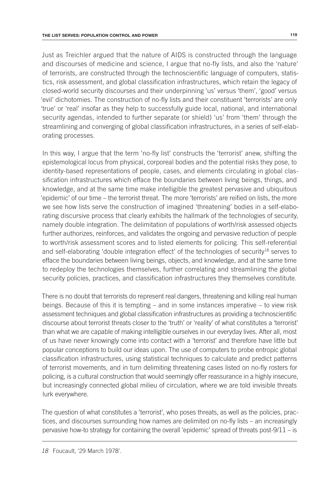Just as Treichler argued that the nature of AIDS is constructed through the language and discourses of medicine and science, I argue that no-fly lists, and also the 'nature' of terrorists, are constructed through the technoscientific language of computers, statistics, risk assessment, and global classification infrastructures, which retain the legacy of closed-world security discourses and their underpinning 'us' versus 'them', 'good' versus 'evil' dichotomies. The construction of no-fly lists and their constituent 'terrorists' are only 'true' or 'real' insofar as they help to successfully guide local, national, and international security agendas, intended to further separate (or shield) 'us' from 'them' through the streamlining and converging of global classification infrastructures, in a series of self-elaborating processes.

In this way, I argue that the term 'no-fly list' constructs the 'terrorist' anew, shifting the epistemological locus from physical, corporeal bodies and the potential risks they pose, to identity-based representations of people, cases, and elements circulating in global classification infrastructures which efface the boundaries between living beings, things, and knowledge, and at the same time make intelligible the greatest pervasive and ubiquitous 'epidemic' of our time – the terrorist threat. The more 'terrorists' are reified on lists, the more we see how lists serve the construction of imagined 'threatening' bodies in a self-elaborating discursive process that clearly exhibits the hallmark of the technologies of security, namely double integration. The delimitation of populations of worth/risk assessed objects further authorizes, reinforces, and validates the ongoing and pervasive reduction of people to worth/risk assessment scores and to listed elements for policing. This self-referential and self-elaborating 'double integration effect' of the technologies of security<sup>18</sup> serves to efface the boundaries between living beings, objects, and knowledge, and at the same time to redeploy the technologies themselves, further correlating and streamlining the global security policies, practices, and classification infrastructures they themselves constitute.

There is no doubt that terrorists do represent real dangers, threatening and killing real human beings. Because of this it is tempting – and in some instances imperative – to view risk assessment techniques and global classification infrastructures as providing a technoscientific discourse about terrorist threats closer to the 'truth' or 'reality' of what constitutes a 'terrorist' than what we are capable of making intelligible ourselves in our everyday lives. After all, most of us have never knowingly come into contact with a 'terrorist' and therefore have little but popular conceptions to build our ideas upon. The use of computers to probe entropic global classification infrastructures, using statistical techniques to calculate and predict patterns of terrorist movements, and in turn delimiting threatening cases listed on no-fly rosters for policing, is a cultural construction that would seemingly offer reassurance in a highly insecure, but increasingly connected global milieu of circulation, where we are told invisible threats lurk everywhere.

The question of what constitutes a 'terrorist', who poses threats, as well as the policies, practices, and discourses surrounding how names are delimited on no-fly lists – an increasingly pervasive how-to strategy for containing the overall 'epidemic' spread of threats post-9/11 – is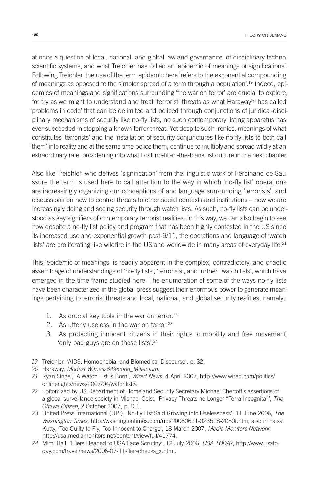at once a question of local, national, and global law and governance, of disciplinary technoscientific systems, and what Treichler has called an 'epidemic of meanings or significations'. Following Treichler, the use of the term epidemic here 'refers to the exponential compounding of meanings as opposed to the simpler spread of a term through a population'.19 Indeed, epidemics of meanings and significations surrounding 'the war on terror' are crucial to explore, for try as we might to understand and treat 'terrorist' threats as what Haraway<sup>20</sup> has called 'problems in code' that can be delimited and policed through conjunctions of juridical-disciplinary mechanisms of security like no-fly lists, no such contemporary listing apparatus has ever succeeded in stopping a known terror threat. Yet despite such ironies, meanings of what constitutes 'terrorists' and the installation of security conjunctures like no-fly lists to both call 'them' into reality and at the same time police them, continue to multiply and spread wildly at an extraordinary rate, broadening into what I call no-fill-in-the-blank list culture in the next chapter.

Also like Treichler, who derives 'signification' from the linguistic work of Ferdinand de Saussure the term is used here to call attention to the way in which 'no-fly list' operations are increasingly organizing our conceptions of and language surrounding 'terrorists', and discussions on how to control threats to other social contexts and institutions – how we are increasingly doing and seeing security through watch lists. As such, no-fly lists can be understood as key signifiers of contemporary terrorist realities. In this way, we can also begin to see how despite a no-fly list policy and program that has been highly contested in the US since its increased use and exponential growth post-9/11, the operations and language of 'watch lists' are proliferating like wildfire in the US and worldwide in many areas of everyday life.<sup>21</sup>

This 'epidemic of meanings' is readily apparent in the complex, contradictory, and chaotic assemblage of understandings of 'no-fly lists', 'terrorists', and further, 'watch lists', which have emerged in the time frame studied here. The enumeration of some of the ways no-fly lists have been characterized in the global press suggest their enormous power to generate meanings pertaining to terrorist threats and local, national, and global security realities, namely:

- 1. As crucial key tools in the war on terror.<sup>22</sup>
- 2. As utterly useless in the war on terror.<sup>23</sup>
- 3. As protecting innocent citizens in their rights to mobility and free movement, 'only bad guys are on these lists'.<sup>24</sup>

*<sup>19</sup>* Treichler, 'AIDS, Homophobia, and Biomedical Discourse', p. 32.

*<sup>20</sup>* Haraway, *Modest Witness@Second\_Millenium*.

*<sup>21</sup>* Ryan Singel, 'A Watch List is Born', *Wired News*, 4 April 2007, http://www.wired.com/politics/ onlinerights/news/2007/04/watchlist3.

*<sup>22</sup>* Epitomized by US Department of Homeland Security Secretary Michael Chertoff's assertions of a global surveillance society in Michael Geist, 'Privacy Threats no Longer "Terra Incognita"', *The Ottawa Citizen*, 2 October 2007, p. D.1.

*<sup>23</sup>* United Press International (UPI), 'No-fly List Said Growing into Uselessness', 11 June 2006, *The Washington Times*, http://washingtontimes.com/upi/20060611-023518-2050r.htm; also in Faisal Kutty, 'Too Guilty to Fly, Too Innocent to Charge', 18 March 2007, *Media Monitors Network*, http://usa.mediamonitors.net/content/view/full/41774.

*<sup>24</sup>* Mimi Hall, 'Fliers Headed to USA Face Scrutiny', 12 July 2006, *USA TODAY*, http://www.usatoday.com/travel/news/2006-07-11-flier-checks\_x.html.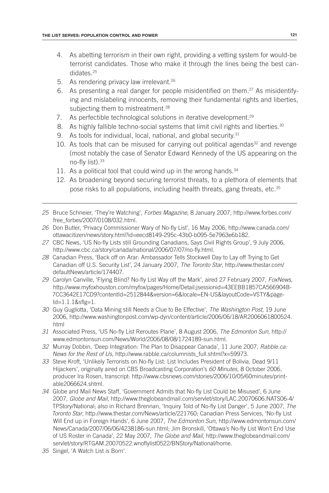- 4. As abetting terrorism in their own right, providing a vetting system for would-be terrorist candidates. Those who make it through the lines being the best candidates.25
- 5. As rendering privacy law irrelevant.<sup>26</sup>
- 6. As presenting a real danger for people misidentified on them.27 As misidentifying and mislabeling innocents, removing their fundamental rights and liberties, subjecting them to mistreatment.<sup>28</sup>
- 7. As perfectible technological solutions in iterative development.<sup>29</sup>
- 8. As highly fallible techno-social systems that limit civil rights and liberties.<sup>30</sup>
- 9. As tools for individual, local, national, and global security.<sup>31</sup>
- 10. As tools that can be misused for carrying out political agendas $32$  and revenge (most notably the case of Senator Edward Kennedy of the US appearing on the no-fly list).33
- 11. As a political tool that could wind up in the wrong hands. $34$
- 12. As broadening beyond securing terrorist threats, to a plethora of elements that pose risks to all populations, including health threats, gang threats, etc.35
- *25* Bruce Schneier, 'They're Watching', *Forbes Magazine*, 8 January 2007, http://www.forbes.com/ free\_forbes/2007/0108/032.html.
- *26* Don Butler, 'Privacy Commissioner Wary of No-fly List', 16 May 2006, http://www.canada.com/ ottawacitizen/news/story.html?id=eecd8149-295c-43b0-b095-5e7963e6b182.
- *27* CBC News, 'US No-fly Lists still Grounding Canadians, Says Civil Rights Group', 9 July 2006, http://www.cbc.ca/story/canada/national/2006/07/07/no-fly.html.
- *28* Canadian Press, 'Back off on Arar: Ambassador Tells Stockwell Day to Lay off Trying to Get Canadian off U.S. Security List', 24 January 2007, *The Toronto Star*, http://www.thestar.com/ defaultNews/article/174407.
- *29* Carolyn Canville, 'Flying Blind? No-fly List Way off the Mark', aired 27 February 2007, *FoxNews*, http://www.myfoxhouston.com/myfox/pages/Home/Detail;jsessionid=43EEBB1857CA566904B-7CC3642E17CD9?contentId=2512844&version=6&locale=EN-US&layoutCode=VSTY&page-Id=1.1.1&sflg=1.
- *30* Guy Gugliotta, 'Data Mining still Needs a Clue to Be Effective', *The Washington Post*, 19 June 2006, http://www.washingtonpost.com/wp-dyn/content/article/2006/06/18/AR2006061800524. html
- *31* Associated Press, 'US No-fly List Reroutes Plane', 8 August 2006, *The Edmonton Sun*, http:// www.edmontonsun.com/News/World/2006/08/08/1724189-sun.html.
- *32* Murray Dobbin, 'Deep Integration: The Plan to Disappear Canada', 11 June 2007, *Rabble.ca: News for the Rest of Us*, http://www.rabble.ca/columnists\_full.shtml?x=59973.
- *33* Steve Kroft, 'Unlikely Terrorists on No-fly List: List Includes President of Bolivia, Dead 9/11 Hijackers', originally aired on CBS Broadcasting Corporation's *60 Minutes*, 8 October 2006, producer Ira Rosen, transcript: http://www.cbsnews.com/stories/2006/10/05/60minutes/printable2066624.shtml.
- *34* Globe and Mail News Staff, 'Government Admits that No-fly List Could be Misused', 6 June 2007, *Globe and Mail*, http://www.theglobeandmail.com/servlet/story/LAC.20070606.NATS06-4/ TPStory/National; also in Richard Brennan, 'Inquiry Told of No-fly List Danger', 5 June 2007, *The Toronto Star*, http://www.thestar.com/News/article/221760; Canadian Press Services, 'No-fly List Will End up in Foreign Hands', 6 June 2007, *The Edmonton Sun*, http://www.edmontonsun.com/ News/Canada/2007/06/06/4238186-sun.html; Jim Bronskill, 'Ottawa's No-fly List Won't End Use of US Roster in Canada', 22 May 2007, *The Globe and Mail*, http://www.theglobeandmail.com/ servlet/story/RTGAM.20070522.wnoflylist0522/BNStory/National/home.
- *35* Singel, 'A Watch List is Born'.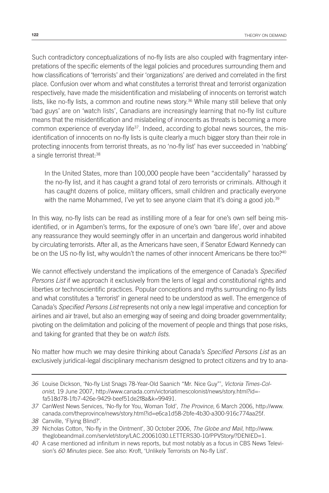Such contradictory conceptualizations of no-fly lists are also coupled with fragmentary interpretations of the specific elements of the legal policies and procedures surrounding them and how classifications of 'terrorists' and their 'organizations' are derived and correlated in the first place. Confusion over whom and what constitutes a terrorist threat and terrorist organization respectively, have made the misidentification and mislabeling of innocents on terrorist watch lists, like no-fly lists, a common and routine news story. $36$  While many still believe that only 'bad guys' are on 'watch lists', Canadians are increasingly learning that no-fly list culture means that the misidentification and mislabeling of innocents as threats is becoming a more common experience of everyday life<sup>37</sup>. Indeed, according to global news sources, the misidentification of innocents on no-fly lists is quite clearly a much bigger story than their role in protecting innocents from terrorist threats, as no 'no-fly list' has ever succeeded in 'nabbing' a single terrorist threat:<sup>38</sup>

In the United States, more than 100,000 people have been "accidentally" harassed by the no-fly list, and it has caught a grand total of zero terrorists or criminals. Although it has caught dozens of police, military officers, small children and practically everyone with the name Mohammed, I've yet to see anyone claim that it's doing a good job.<sup>39</sup>

In this way, no-fly lists can be read as instilling more of a fear for one's own self being misidentified, or in Agamben's terms, for the exposure of one's own 'bare life', over and above any reassurance they would seemingly offer in an uncertain and dangerous world inhabited by circulating terrorists. After all, as the Americans have seen, if Senator Edward Kennedy can be on the US no-fly list, why wouldn't the names of other innocent Americans be there too?<sup>40</sup>

We cannot effectively understand the implications of the emergence of Canada's *Specified Persons List* if we approach it exclusively from the lens of legal and constitutional rights and liberties or technoscientific practices. Popular conceptions and myths surrounding no-fly lists and what constitutes a 'terrorist' in general need to be understood as well. The emergence of Canada's *Specified Persons List* represents not only a new legal imperative and conception for airlines and air travel, but also an emerging way of seeing and doing broader governmentality; pivoting on the delimitation and policing of the movement of people and things that pose risks, and taking for granted that they be on *watch lists*.

No matter how much we may desire thinking about Canada's *Specified Persons List* as an exclusively juridical-legal disciplinary mechanism designed to protect citizens and try to ana-

*37* CanWest News Services, 'No-fly for You, Woman Told', *The Province*, 6 March 2006, http://www. canada.com/theprovince/news/story.html?id=e6ca1d58-2bfe-4b30-a300-916c774aa25f.

*<sup>36</sup>* Louise Dickson, 'No-fly List Snags 78-Year-Old Saanich "Mr. Nice Guy"', *Victoria Times-Colonist*, 19 June 2007, http://www.canada.com/victoriatimescolonist/news/story.html?id= fa518d78-1fb7-426e-9429-beef51de2f8a&k=99491.

*<sup>38</sup>* Canville, 'Flying Blind?'.

*<sup>39</sup>* Nicholas Cotton, 'No-fly in the Ointment', 30 October 2006, *The Globe and Mail*, http://www. theglobeandmail.com/servlet/story/LAC.20061030.LETTERS30-10/PPVStory/?DENIED=1.

*<sup>40</sup>* A case mentioned ad infinitum in news reports, but most notably as a focus in CBS News Television's *60 Minutes* piece. See also: Kroft, 'Unlikely Terrorists on No-fly List'.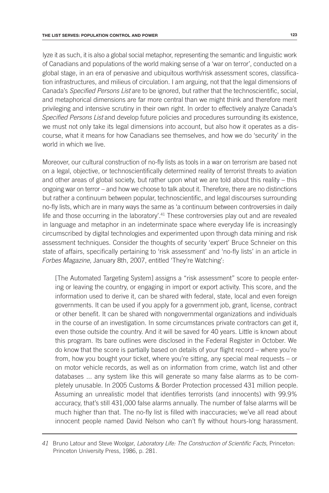lyze it as such, it is also a global social metaphor, representing the semantic and linguistic work of Canadians and populations of the world making sense of a 'war on terror', conducted on a global stage, in an era of pervasive and ubiquitous worth/risk assessment scores, classification infrastructures, and milieus of circulation. I am arguing, not that the legal dimensions of Canada's *Specified Persons List* are to be ignored, but rather that the technoscientific, social, and metaphorical dimensions are far more central than we might think and therefore merit privileging and intensive scrutiny in their own right. In order to effectively analyze Canada's *Specified Persons List* and develop future policies and procedures surrounding its existence, we must not only take its legal dimensions into account, but also how it operates as a discourse, what it means for how Canadians see themselves, and how we do 'security' in the world in which we live.

Moreover, our cultural construction of no-fly lists as tools in a war on terrorism are based not on a legal, objective, or technoscientifically determined reality of terrorist threats to aviation and other areas of global society, but rather upon what we are told about this reality – this ongoing war on terror – and how we choose to talk about it. Therefore, there are no distinctions but rather a continuum between popular, technoscientific, and legal discourses surrounding no-fly lists, which are in many ways the same as 'a continuum between controversies in daily life and those occurring in the laboratory'.41 These controversies play out and are revealed in language and metaphor in an indeterminate space where everyday life is increasingly circumscribed by digital technologies and experimented upon through data mining and risk assessment techniques. Consider the thoughts of security 'expert' Bruce Schneier on this state of affairs, specifically pertaining to 'risk assessment' and 'no-fly lists' in an article in *Forbes Magazine*, January 8th, 2007, entitled 'They're Watching':

[The Automated Targeting System] assigns a "risk assessment" score to people entering or leaving the country, or engaging in import or export activity. This score, and the information used to derive it, can be shared with federal, state, local and even foreign governments. It can be used if you apply for a government job, grant, license, contract or other benefit. It can be shared with nongovernmental organizations and individuals in the course of an investigation. In some circumstances private contractors can get it, even those outside the country. And it will be saved for 40 years. Little is known about this program. Its bare outlines were disclosed in the Federal Register in October. We do know that the score is partially based on details of your flight record – where you're from, how you bought your ticket, where you're sitting, any special meal requests – or on motor vehicle records, as well as on information from crime, watch list and other databases ... any system like this will generate so many false alarms as to be completely unusable. In 2005 Customs & Border Protection processed 431 million people. Assuming an unrealistic model that identifies terrorists (and innocents) with 99.9% accuracy, that's still 431,000 false alarms annually. The number of false alarms will be much higher than that. The no-fly list is filled with inaccuracies; we've all read about innocent people named David Nelson who can't fly without hours-long harassment.

*<sup>41</sup>* Bruno Latour and Steve Woolgar, *Laboratory Life: The Construction of Scientific Facts*, Princeton: Princeton University Press, 1986, p. 281.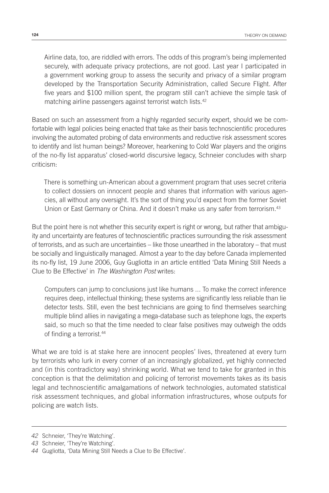Airline data, too, are riddled with errors. The odds of this program's being implemented securely, with adequate privacy protections, are not good. Last year I participated in a government working group to assess the security and privacy of a similar program developed by the Transportation Security Administration, called Secure Flight. After five years and \$100 million spent, the program still can't achieve the simple task of matching airline passengers against terrorist watch lists.42

Based on such an assessment from a highly regarded security expert, should we be comfortable with legal policies being enacted that take as their basis technoscientific procedures involving the automated probing of data environments and reductive risk assessment scores to identify and list human beings? Moreover, hearkening to Cold War players and the origins of the no-fly list apparatus' closed-world discursive legacy, Schneier concludes with sharp criticism:

There is something un-American about a government program that uses secret criteria to collect dossiers on innocent people and shares that information with various agencies, all without any oversight. It's the sort of thing you'd expect from the former Soviet Union or East Germany or China. And it doesn't make us any safer from terrorism.43

But the point here is not whether this security expert is right or wrong, but rather that ambiguity and uncertainty are features of technoscientific practices surrounding the risk assessment of terrorists, and as such are uncertainties – like those unearthed in the laboratory – that must be socially and linguistically managed. Almost a year to the day before Canada implemented its no-fly list, 19 June 2006, Guy Gugliotta in an article entitled 'Data Mining Still Needs a Clue to Be Effective' in *The Washington Post* writes:

Computers can jump to conclusions just like humans ... To make the correct inference requires deep, intellectual thinking; these systems are significantly less reliable than lie detector tests. Still, even the best technicians are going to find themselves searching multiple blind allies in navigating a mega-database such as telephone logs, the experts said, so much so that the time needed to clear false positives may outweigh the odds of finding a terrorist.<sup>44</sup>

What we are told is at stake here are innocent peoples' lives, threatened at every turn by terrorists who lurk in every corner of an increasingly globalized, yet highly connected and (in this contradictory way) shrinking world. What we tend to take for granted in this conception is that the delimitation and policing of terrorist movements takes as its basis legal and technoscientific amalgamations of network technologies, automated statistical risk assessment techniques, and global information infrastructures, whose outputs for policing are watch lists.

*<sup>42</sup>* Schneier, 'They're Watching'.

*<sup>43</sup>* Schneier, 'They're Watching'.

*<sup>44</sup>* Gugliotta, 'Data Mining Still Needs a Clue to Be Effective'.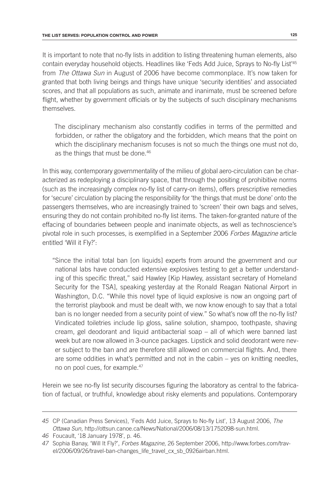It is important to note that no-fly lists in addition to listing threatening human elements, also contain everyday household objects. Headlines like 'Feds Add Juice, Sprays to No-fly List'45 from *The Ottawa Sun* in August of 2006 have become commonplace. It's now taken for granted that both living beings and things have unique 'security identities' and associated scores, and that all populations as such, animate and inanimate, must be screened before flight, whether by government officials or by the subjects of such disciplinary mechanisms themselves.

The disciplinary mechanism also constantly codifies in terms of the permitted and forbidden, or rather the obligatory and the forbidden, which means that the point on which the disciplinary mechanism focuses is not so much the things one must not do, as the things that must be done.<sup>46</sup>

In this way, contemporary governmentality of the milieu of global aero-circulation can be characterized as redeploying a disciplinary space, that through the positing of prohibitive norms (such as the increasingly complex no-fly list of carry-on items), offers prescriptive remedies for 'secure' circulation by placing the responsibility for 'the things that must be done' onto the passengers themselves, who are increasingly trained to 'screen' their own bags and selves, ensuring they do not contain prohibited no-fly list items. The taken-for-granted nature of the effacing of boundaries between people and inanimate objects, as well as technoscience's pivotal role in such processes, is exemplified in a September 2006 *Forbes Magazine* article entitled 'Will it Fly?':

"Since the initial total ban [on liquids] experts from around the government and our national labs have conducted extensive explosives testing to get a better understanding of this specific threat," said Hawley [Kip Hawley, assistant secretary of Homeland Security for the TSA], speaking yesterday at the Ronald Reagan National Airport in Washington, D.C. "While this novel type of liquid explosive is now an ongoing part of the terrorist playbook and must be dealt with, we now know enough to say that a total ban is no longer needed from a security point of view." So what's now off the no-fly list? Vindicated toiletries include lip gloss, saline solution, shampoo, toothpaste, shaving cream, gel deodorant and liquid antibacterial soap – all of which were banned last week but are now allowed in 3-ounce packages. Lipstick and solid deodorant were never subject to the ban and are therefore still allowed on commercial flights. And, there are some oddities in what's permitted and not in the cabin – yes on knitting needles, no on pool cues, for example.47

Herein we see no-fly list security discourses figuring the laboratory as central to the fabrication of factual, or truthful, knowledge about risky elements and populations. Contemporary

*<sup>45</sup>* CP (Canadian Press Services), 'Feds Add Juice, Sprays to No-fly List', 13 August 2006, *The Ottawa Sun,* http://ottsun.canoe.ca/News/National/2006/08/13/1752098-sun.html.

*<sup>46</sup>* Foucault, '18 January 1978', p. 46.

*<sup>47</sup>* Sophia Banay, 'Will It Fly?', *Forbes Magazine*, 26 September 2006, http://www.forbes.com/travel/2006/09/26/travel-ban-changes\_life\_travel\_cx\_sb\_0926airban.html.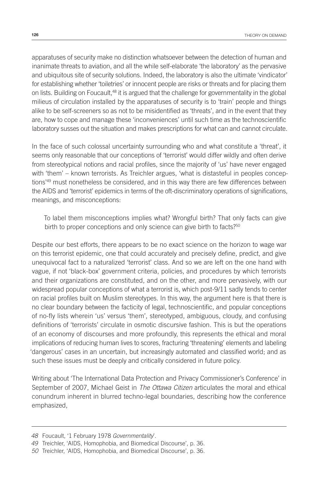apparatuses of security make no distinction whatsoever between the detection of human and inanimate threats to aviation, and all the while self-elaborate 'the laboratory' as the pervasive and ubiquitous site of security solutions. Indeed, the laboratory is also the ultimate 'vindicator' for establishing whether 'toiletries' or innocent people are risks or threats and for placing them on lists. Building on Foucault,<sup>48</sup> it is argued that the challenge for governmentality in the global milieus of circulation installed by the apparatuses of security is to 'train' people and things alike to be self-screeners so as not to be misidentified as 'threats', and in the event that they are, how to cope and manage these 'inconveniences' until such time as the technoscientific laboratory susses out the situation and makes prescriptions for what can and cannot circulate.

In the face of such colossal uncertainty surrounding who and what constitute a 'threat', it seems only reasonable that our conceptions of 'terrorist' would differ wildly and often derive from stereotypical notions and racial profiles, since the majority of 'us' have never engaged with 'them' – known terrorists. As Treichler argues, 'what is distasteful in peoples conceptions'49 must nonetheless be considered, and in this way there are few differences between the AIDS and 'terrorist' epidemics in terms of the oft-discriminatory operations of significations, meanings, and misconceptions:

To label them misconceptions implies what? Wrongful birth? That only facts can give birth to proper conceptions and only science can give birth to facts?<sup>50</sup>

Despite our best efforts, there appears to be no exact science on the horizon to wage war on this terrorist epidemic, one that could accurately and precisely define, predict, and give unequivocal fact to a naturalized 'terrorist' class. And so we are left on the one hand with vague, if not 'black-box' government criteria, policies, and procedures by which terrorists and their organizations are constituted, and on the other, and more pervasively, with our widespread popular conceptions of what a terrorist is, which post-9/11 sadly tends to center on racial profiles built on Muslim stereotypes. In this way, the argument here is that there is no clear boundary between the facticity of legal, technoscientific, and popular conceptions of no-fly lists wherein 'us' versus 'them', stereotyped, ambiguous, cloudy, and confusing definitions of 'terrorists' circulate in osmotic discursive fashion. This is but the operations of an economy of discourses and more profoundly, this represents the ethical and moral implications of reducing human lives to scores, fracturing 'threatening' elements and labeling 'dangerous' cases in an uncertain, but increasingly automated and classified world; and as such these issues must be deeply and critically considered in future policy.

Writing about 'The International Data Protection and Privacy Commissioner's Conference' in September of 2007, Michael Geist in *The Ottawa Citizen* articulates the moral and ethical conundrum inherent in blurred techno-legal boundaries, describing how the conference emphasized,

*<sup>48</sup>* Foucault, '1 February 1978 *Governmentality*'.

*<sup>49</sup>* Treichler, 'AIDS, Homophobia, and Biomedical Discourse', p. 36.

*<sup>50</sup>* Treichler, 'AIDS, Homophobia, and Biomedical Discourse', p. 36.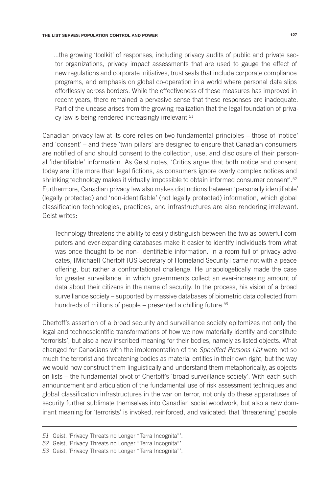...the growing 'toolkit' of responses, including privacy audits of public and private sector organizations, privacy impact assessments that are used to gauge the effect of new regulations and corporate initiatives, trust seals that include corporate compliance programs, and emphasis on global co-operation in a world where personal data slips effortlessly across borders. While the effectiveness of these measures has improved in recent years, there remained a pervasive sense that these responses are inadequate. Part of the unease arises from the growing realization that the legal foundation of privacy law is being rendered increasingly irrelevant.<sup>51</sup>

Canadian privacy law at its core relies on two fundamental principles – those of 'notice' and 'consent' – and these 'twin pillars' are designed to ensure that Canadian consumers are notified of and should consent to the collection, use, and disclosure of their personal 'identifiable' information. As Geist notes, 'Critics argue that both notice and consent today are little more than legal fictions, as consumers ignore overly complex notices and shrinking technology makes it virtually impossible to obtain informed consumer consent'.<sup>52</sup> Furthermore, Canadian privacy law also makes distinctions between 'personally identifiable' (legally protected) and 'non-identifiable' (not legally protected) information, which global classification technologies, practices, and infrastructures are also rendering irrelevant. Geist writes:

Technology threatens the ability to easily distinguish between the two as powerful computers and ever-expanding databases make it easier to identify individuals from what was once thought to be non- identifiable information. In a room full of privacy advocates, [Michael] Chertoff [US Secretary of Homeland Security] came not with a peace offering, but rather a confrontational challenge. He unapologetically made the case for greater surveillance, in which governments collect an ever-increasing amount of data about their citizens in the name of security. In the process, his vision of a broad surveillance society – supported by massive databases of biometric data collected from hundreds of millions of people – presented a chilling future. $53$ 

Chertoff's assertion of a broad security and surveillance society epitomizes not only the legal and technoscientific transformations of how we now materially identify and constitute 'terrorists', but also a new inscribed meaning for their bodies, namely as listed objects. What changed for Canadians with the implementation of the *Specified Persons List* were not so much the terrorist and threatening bodies as material entities in their own right, but the way we would now construct them linguistically and understand them metaphorically, as objects on lists – the fundamental pivot of Chertoff's 'broad surveillance society'. With each such announcement and articulation of the fundamental use of risk assessment techniques and global classification infrastructures in the war on terror, not only do these apparatuses of security further sublimate themselves into Canadian social woodwork, but also a new dominant meaning for 'terrorists' is invoked, reinforced, and validated: that 'threatening' people

*<sup>51</sup>* Geist, 'Privacy Threats no Longer "Terra Incognita"'.

*<sup>52</sup>* Geist, 'Privacy Threats no Longer "Terra Incognita"'.

*<sup>53</sup>* Geist, 'Privacy Threats no Longer "Terra Incognita"'.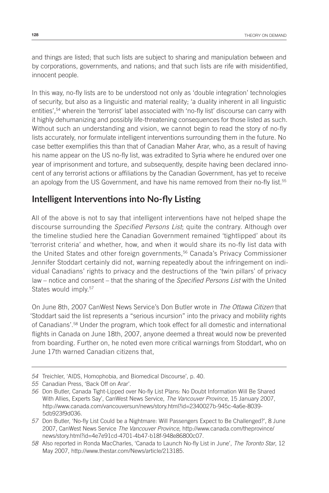and things are listed; that such lists are subject to sharing and manipulation between and by corporations, governments, and nations; and that such lists are rife with misidentified, innocent people.

In this way, no-fly lists are to be understood not only as 'double integration' technologies of security, but also as a linguistic and material reality; 'a duality inherent in all linguistic entities',<sup>54</sup> wherein the 'terrorist' label associated with 'no-fly list' discourse can carry with it highly dehumanizing and possibly life-threatening consequences for those listed as such. Without such an understanding and vision, we cannot begin to read the story of no-fly lists accurately, nor formulate intelligent interventions surrounding them in the future. No case better exemplifies this than that of Canadian Maher Arar, who, as a result of having his name appear on the US no-fly list, was extradited to Syria where he endured over one year of imprisonment and torture, and subsequently, despite having been declared innocent of any terrorist actions or affiliations by the Canadian Government, has yet to receive an apology from the US Government, and have his name removed from their no-fly list.<sup>55</sup>

#### **Intelligent Interventions into No-fly Listing**

All of the above is not to say that intelligent interventions have not helped shape the discourse surrounding the *Specified Persons List*; quite the contrary. Although over the timeline studied here the Canadian Government remained 'tightlipped' about its 'terrorist criteria' and whether, how, and when it would share its no-fly list data with the United States and other foreign governments,<sup>56</sup> Canada's Privacy Commissioner Jennifer Stoddart certainly did not, warning repeatedly about the infringement on individual Canadians' rights to privacy and the destructions of the 'twin pillars' of privacy law – notice and consent – that the sharing of the *Specified Persons List* with the United States would imply.<sup>57</sup>

On June 8th, 2007 CanWest News Service's Don Butler wrote in *The Ottawa Citizen* that 'Stoddart said the list represents a "serious incursion" into the privacy and mobility rights of Canadians'.58 Under the program, which took effect for all domestic and international flights in Canada on June 18th, 2007, anyone deemed a threat would now be prevented from boarding. Further on, he noted even more critical warnings from Stoddart, who on June 17th warned Canadian citizens that,

*<sup>54</sup>* Treichler, 'AIDS, Homophobia, and Biomedical Discourse', p. 40.

*<sup>55</sup>* Canadian Press, 'Back Off on Arar'.

*<sup>56</sup>* Don Butler, Canada Tight-Lipped over No-fly List Plans: No Doubt Information Will Be Shared With Allies, Experts Say', CanWest News Service, *The Vancouver Province*, 15 January 2007, http://www.canada.com/vancouversun/news/story.html?id=2340027b-945c-4a6e-8039- 5db923f9d036.

*<sup>57</sup>* Don Butler, 'No-fly List Could be a Nightmare: Will Passengers Expect to Be Challenged?', 8 June 2007, CanWest News Service *The Vancouver Province*, http://www.canada.com/theprovince/ news/story.html?id=4e7e91cd-4701-4b47-b18f-948e86800c07.

*<sup>58</sup>* Also reported in Ronda MacCharles, 'Canada to Launch No-fly List in June', *The Toronto Star*, 12 May 2007, http://www.thestar.com/News/article/213185.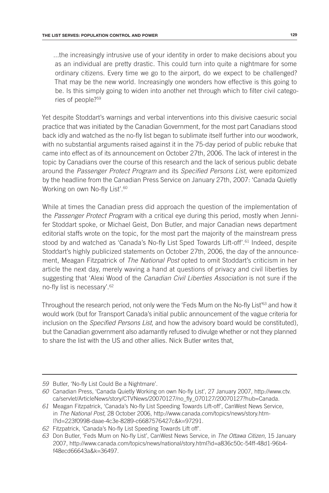...the increasingly intrusive use of your identity in order to make decisions about you as an individual are pretty drastic. This could turn into quite a nightmare for some ordinary citizens. Every time we go to the airport, do we expect to be challenged? That may be the new world. Increasingly one wonders how effective is this going to be. Is this simply going to widen into another net through which to filter civil categories of people?59

Yet despite Stoddart's warnings and verbal interventions into this divisive caesuric social practice that was initiated by the Canadian Government, for the most part Canadians stood back idly and watched as the no-fly list began to sublimate itself further into our woodwork, with no substantial arguments raised against it in the 75-day period of public rebuke that came into effect as of its announcement on October 27th, 2006. The lack of interest in the topic by Canadians over the course of this research and the lack of serious public debate around the *Passenger Protect Program* and its *Specified Persons List*, were epitomized by the headline from the Canadian Press Service on January 27th, 2007: 'Canada Quietly Working on own No-fly List'.<sup>60</sup>

While at times the Canadian press did approach the question of the implementation of the *Passenger Protect Program* with a critical eye during this period, mostly when Jennifer Stoddart spoke, or Michael Geist, Don Butler, and major Canadian news department editorial staffs wrote on the topic, for the most part the majority of the mainstream press stood by and watched as 'Canada's No-fly List Sped Towards Lift-off'.<sup>61</sup> Indeed, despite Stoddart's highly publicized statements on October 27th, 2006, the day of the announcement, Meagan Fitzpatrick of *The National Post* opted to omit Stoddart's criticism in her article the next day, merely waving a hand at questions of privacy and civil liberties by suggesting that 'Alexi Wood of the *Canadian Civil Liberties Association* is not sure if the no-fly list is necessary'.62

Throughout the research period, not only were the 'Feds Mum on the No-fly List'<sup>63</sup> and how it would work (but for Transport Canada's initial public announcement of the vague criteria for inclusion on the *Specified Persons List*, and how the advisory board would be constituted), but the Canadian government also adamantly refused to divulge whether or not they planned to share the list with the US and other allies. Nick Butler writes that,

*<sup>59</sup>* Butler, 'No-fly List Could Be a Nightmare'.

*<sup>60</sup>* Canadian Press, 'Canada Quietly Working on own No-fly List', 27 January 2007, http://www.ctv. ca/servlet/ArticleNews/story/CTVNews/20070127/no\_fly\_070127/20070127?hub=Canada.

*<sup>61</sup>* Meagan Fitzpatrick, 'Canada's No-fly List Speeding Towards Lift-off', CanWest News Service, in *The National Post*, 28 October 2006, http://www.canada.com/topics/news/story.html?id=223f0998-daae-4c3e-8289-c6687576427c&k=97291.

*<sup>62</sup>* Fitzpatrick, 'Canada's No-fly List Speeding Towards Lift off'.

*<sup>63</sup>* Don Butler, 'Feds Mum on No-fly List', CanWest News Service, in *The Ottawa Citizen*, 15 January 2007, http://www.canada.com/topics/news/national/story.html?id=a836c50c-54ff-48d1-96b4 f48ecd66643a&k=36497.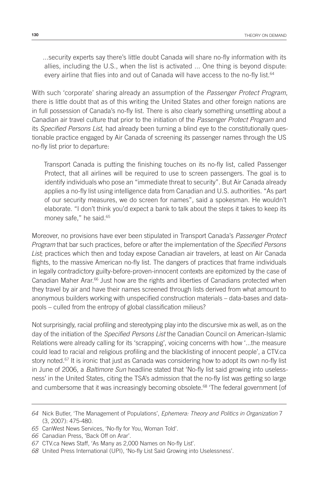...security experts say there's little doubt Canada will share no-fly information with its allies, including the U.S., when the list is activated ... One thing is beyond dispute: every airline that flies into and out of Canada will have access to the no-fly list.<sup>64</sup>

With such 'corporate' sharing already an assumption of the *Passenger Protect Program*, there is little doubt that as of this writing the United States and other foreign nations are in full possession of Canada's no-fly list. There is also clearly something unsettling about a Canadian air travel culture that prior to the initiation of the *Passenger Protect Program* and its *Specified Persons List*, had already been turning a blind eye to the constitutionally questionable practice engaged by Air Canada of screening its passenger names through the US no-fly list prior to departure:

Transport Canada is putting the finishing touches on its no-fly list, called Passenger Protect, that all airlines will be required to use to screen passengers. The goal is to identify individuals who pose an "immediate threat to security". But Air Canada already applies a no-fly list using intelligence data from Canadian and U.S. authorities. "As part of our security measures, we do screen for names", said a spokesman. He wouldn't elaborate. "I don't think you'd expect a bank to talk about the steps it takes to keep its money safe," he said.<sup>65</sup>

Moreover, no provisions have ever been stipulated in Transport Canada's *Passenger Protect Program* that bar such practices, before or after the implementation of the *Specified Persons List*; practices which then and today expose Canadian air travelers, at least on Air Canada flights, to the massive American no-fly list. The dangers of practices that frame individuals in legally contradictory guilty-before-proven-innocent contexts are epitomized by the case of Canadian Maher Arar.<sup>66</sup> Just how are the rights and liberties of Canadians protected when they travel by air and have their names screened through lists derived from what amount to anonymous builders working with unspecified construction materials – data-bases and datapools – culled from the entropy of global classification milieus?

Not surprisingly, racial profiling and stereotyping play into the discursive mix as well, as on the day of the initiation of the *Specified Persons List* the Canadian Council on American-Islamic Relations were already calling for its 'scrapping', voicing concerns with how '...the measure could lead to racial and religious profiling and the blacklisting of innocent people', a CTV.ca story noted.<sup>67</sup> It is ironic that just as Canada was considering how to adopt its own no-fly list in June of 2006, a *Baltimore Sun* headline stated that 'No-fly list said growing into uselessness' in the United States, citing the TSA's admission that the no-fly list was getting so large and cumbersome that it was increasingly becoming obsolete.<sup>68</sup> 'The federal government [of

*<sup>64</sup>* Nick Butler, 'The Management of Populations', *Ephemera: Theory and Politics in Organization* 7 (3, 2007): 475-480.

*<sup>65</sup>* CanWest News Services, 'No-fly for You, Woman Told'.

*<sup>66</sup>* Canadian Press, 'Back Off on Arar'.

*<sup>67</sup>* CTV.ca News Staff, 'As Many as 2,000 Names on No-fly List'.

*<sup>68</sup>* United Press International (UPI), 'No-fly List Said Growing into Uselessness'.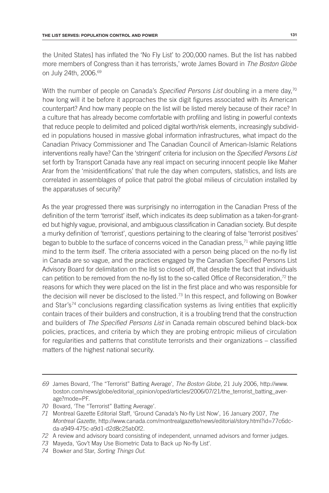the United States] has inflated the 'No Fly List' to 200,000 names. But the list has nabbed more members of Congress than it has terrorists,' wrote James Bovard in *The Boston Globe* on July 24th, 2006.69

With the number of people on Canada's *Specified Persons List* doubling in a mere day,<sup>70</sup> how long will it be before it approaches the six digit figures associated with its American counterpart? And how many people on the list will be listed merely because of their race? In a culture that has already become comfortable with profiling and listing in powerful contexts that reduce people to delimited and policed digital worth/risk elements, increasingly subdivided in populations housed in massive global information infrastructures, what impact do the Canadian Privacy Commissioner and The Canadian Council of American-Islamic Relations interventions really have? Can the 'stringent' criteria for inclusion on the *Specified Persons List* set forth by Transport Canada have any real impact on securing innocent people like Maher Arar from the 'misidentifications' that rule the day when computers, statistics, and lists are correlated in assemblages of police that patrol the global milieus of circulation installed by the apparatuses of security?

As the year progressed there was surprisingly no interrogation in the Canadian Press of the definition of the term 'terrorist' itself, which indicates its deep sublimation as a taken-for-granted but highly vague, provisional, and ambiguous classification in Canadian society. But despite a murky definition of 'terrorist', questions pertaining to the clearing of false 'terrorist positives' began to bubble to the surface of concerns voiced in the Canadian press, $71$  while paying little mind to the term itself. The criteria associated with a person being placed on the no-fly list in Canada are so vague, and the practices engaged by the Canadian Specified Persons List Advisory Board for delimitation on the list so closed off, that despite the fact that individuals can petition to be removed from the no-fly list to the so-called Office of Reconsideration,<sup>72</sup> the reasons for which they were placed on the list in the first place and who was responsible for the decision will never be disclosed to the listed.<sup>73</sup> In this respect, and following on Bowker and Star's74 conclusions regarding classification systems as living entities that explicitly contain traces of their builders and construction, it is a troubling trend that the construction and builders of *The Specified Persons List* in Canada remain obscured behind black-box policies, practices, and criteria by which they are probing entropic milieus of circulation for regularities and patterns that constitute terrorists and their organizations – classified matters of the highest national security.

*<sup>69</sup>* James Bovard, 'The "Terrorist" Batting Average', *The Boston Globe*, 21 July 2006, http://www. boston.com/news/globe/editorial\_opinion/oped/articles/2006/07/21/the\_terrorist\_batting\_average?mode=PF.

*<sup>70</sup>* Bovard, 'The "Terrorist" Batting Average'.

*<sup>71</sup>* Montreal Gazette Editorial Staff, 'Ground Canada's No-fly List Now', 16 January 2007, *The Montreal Gazette,* http://www.canada.com/montrealgazette/news/editorial/story.html?id=77c6dcda-a949-475c-a9d1-d2d8c25ab0f2.

*<sup>72</sup>* A review and advisory board consisting of independent, unnamed advisors and former judges.

*<sup>73</sup>* Mayeda, 'Gov't May Use Biometric Data to Back up No-fly List'.

*<sup>74</sup>* Bowker and Star, *Sorting Things Out*.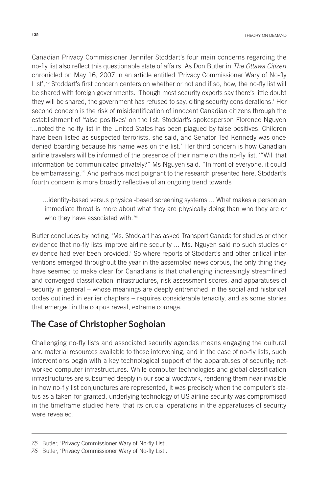Canadian Privacy Commissioner Jennifer Stoddart's four main concerns regarding the no-fly list also reflect this questionable state of affairs. As Don Butler in *The Ottawa Citizen* chronicled on May 16, 2007 in an article entitled 'Privacy Commissioner Wary of No-fly List',<sup>75</sup> Stoddart's first concern centers on whether or not and if so, how, the no-fly list will be shared with foreign governments. 'Though most security experts say there's little doubt they will be shared, the government has refused to say, citing security considerations.' Her second concern is the risk of misidentification of innocent Canadian citizens through the establishment of 'false positives' on the list. Stoddart's spokesperson Florence Nguyen '...noted the no-fly list in the United States has been plagued by false positives. Children have been listed as suspected terrorists, she said, and Senator Ted Kennedy was once denied boarding because his name was on the list.' Her third concern is how Canadian airline travelers will be informed of the presence of their name on the no-fly list. '"Will that information be communicated privately?" Ms Nguyen said. "In front of everyone, it could be embarrassing."' And perhaps most poignant to the research presented here, Stoddart's fourth concern is more broadly reflective of an ongoing trend towards

...identity-based versus physical-based screening systems ... What makes a person an immediate threat is more about what they are physically doing than who they are or who they have associated with.<sup>76</sup>

Butler concludes by noting, 'Ms. Stoddart has asked Transport Canada for studies or other evidence that no-fly lists improve airline security ... Ms. Nguyen said no such studies or evidence had ever been provided.' So where reports of Stoddart's and other critical interventions emerged throughout the year in the assembled news corpus, the only thing they have seemed to make clear for Canadians is that challenging increasingly streamlined and converged classification infrastructures, risk assessment scores, and apparatuses of security in general – whose meanings are deeply entrenched in the social and historical codes outlined in earlier chapters – requires considerable tenacity, and as some stories that emerged in the corpus reveal, extreme courage.

#### **The Case of Christopher Soghoian**

Challenging no-fly lists and associated security agendas means engaging the cultural and material resources available to those intervening, and in the case of no-fly lists, such interventions begin with a key technological support of the apparatuses of security; networked computer infrastructures. While computer technologies and global classification infrastructures are subsumed deeply in our social woodwork, rendering them near-invisible in how no-fly list conjunctures are represented, it was precisely when the computer's status as a taken-for-granted, underlying technology of US airline security was compromised in the timeframe studied here, that its crucial operations in the apparatuses of security were revealed.

*<sup>75</sup>* Butler, 'Privacy Commissioner Wary of No-fly List'.

*<sup>76</sup>* Butler, 'Privacy Commissioner Wary of No-fly List'.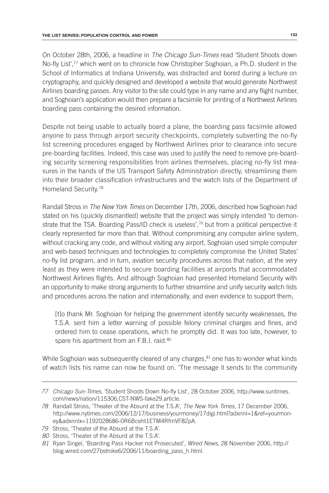On October 28th, 2006, a headline in *The Chicago Sun-Times* read 'Student Shoots down No-fly List',<sup>77</sup> which went on to chronicle how Christopher Soghoian, a Ph.D. student in the School of Informatics at Indiana University, was distracted and bored during a lecture on cryptography, and quickly designed and developed a website that would generate Northwest Airlines boarding passes. Any visitor to the site could type in any name and any flight number, and Soghoian's application would then prepare a facsimile for printing of a Northwest Airlines boarding pass containing the desired information.

Despite not being usable to actually board a plane, the boarding pass facsimile allowed anyone to pass through airport security checkpoints, completely subverting the no-fly list screening procedures engaged by Northwest Airlines prior to clearance into secure pre-boarding facilities. Indeed, this case was used to justify the need to remove pre-boarding security screening responsibilities from airlines themselves, placing no-fly list measures in the hands of the US Transport Safety Administration directly, streamlining them into their broader classification infrastructures and the watch lists of the Department of Homeland Security.78

Randall Stross in *The New York Times* on December 17th, 2006, described how Soghoian had stated on his (quickly dismantled) website that the project was simply intended 'to demonstrate that the TSA. Boarding Pass/ID check is useless',<sup>79</sup> but from a political perspective it clearly represented far more than that. Without compromising any computer airline system, without cracking any code, and without visiting any airport, Soghoian used simple computer and web-based techniques and technologies to completely compromise the United States' no-fly list program, and in turn, aviation security procedures across that nation, at the very least as they were intended to secure boarding facilities at airports that accommodated Northwest Airlines flights. And although Soghoian had presented Homeland Security with an opportunity to make strong arguments to further streamline and unify security watch lists and procedures across the nation and internationally, and even evidence to support them,

[t]o thank Mr. Soghoian for helping the government identify security weaknesses, the T.S.A. sent him a letter warning of possible felony criminal charges and fines, and ordered him to cease operations, which he promptly did. It was too late, however, to spare his apartment from an F.B.I. raid.<sup>80</sup>

While Soghoian was subsequently cleared of any charges,<sup>81</sup> one has to wonder what kinds of watch lists his name can now be found on. 'The message it sends to the community

*<sup>77</sup> Chicago Sun-Times*, 'Student Shoots Down No-fly List', 28 October 2006, http://www.suntimes. com/news/nation/115306,CST-NWS-fake29.article.

*<sup>78</sup>* Randall Stross, 'Theater of the Absurd at the T.S.A', *The New York Times*, 17 December 2006, http://www.nytimes.com/2006/12/17/business/yourmoney/17digi.html?adxnnl=1&ref=yourmoney&adxnnlx=1192028686-0R6Bceht1ETM4RfmVF82pA.

*<sup>79</sup>* Stross, 'Theater of the Absurd at the T.S.A'.

*<sup>80</sup>* Stross, 'Theater of the Absurd at the T.S.A'.

*<sup>81</sup>* Ryan Singel, 'Boarding Pass Hacker not Prosecuted', *Wired News*, 28 November 2006, http:// blog.wired.com/27bstroke6/2006/11/boarding\_pass\_h.html.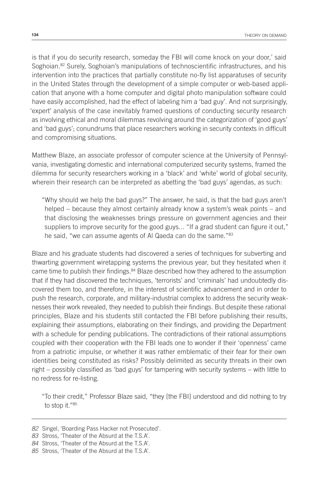is that if you do security research, someday the FBI will come knock on your door,' said Soghoian.<sup>82</sup> Surely, Soghoian's manipulations of technoscientific infrastructures, and his intervention into the practices that partially constitute no-fly list apparatuses of security in the United States through the development of a simple computer or web-based application that anyone with a home computer and digital photo manipulation software could have easily accomplished, had the effect of labeling him a 'bad guy'. And not surprisingly, 'expert' analysis of the case inevitably framed questions of conducting security research as involving ethical and moral dilemmas revolving around the categorization of 'good guys' and 'bad guys'; conundrums that place researchers working in security contexts in difficult and compromising situations.

Matthew Blaze, an associate professor of computer science at the University of Pennsylvania, investigating domestic and international computerized security systems, framed the dilemma for security researchers working in a 'black' and 'white' world of global security, wherein their research can be interpreted as abetting the 'bad guys' agendas, as such:

"Why should we help the bad guys?" The answer, he said, is that the bad guys aren't helped – because they almost certainly already know a system's weak points – and that disclosing the weaknesses brings pressure on government agencies and their suppliers to improve security for the good guys... "If a grad student can figure it out," he said, "we can assume agents of Al Qaeda can do the same."83

Blaze and his graduate students had discovered a series of techniques for subverting and thwarting government wiretapping systems the previous year, but they hesitated when it came time to publish their findings.<sup>84</sup> Blaze described how they adhered to the assumption that if they had discovered the techniques, 'terrorists' and 'criminals' had undoubtedly discovered them too, and therefore, in the interest of scientific advancement and in order to push the research, corporate, and military-industrial complex to address the security weaknesses their work revealed, they needed to publish their findings. But despite these rational principles, Blaze and his students still contacted the FBI before publishing their results, explaining their assumptions, elaborating on their findings, and providing the Department with a schedule for pending publications. The contradictions of their rational assumptions coupled with their cooperation with the FBI leads one to wonder if their 'openness' came from a patriotic impulse, or whether it was rather emblematic of their fear for their own identities being constituted as risks? Possibly delimited as security threats in their own right – possibly classified as 'bad guys' for tampering with security systems – with little to no redress for re-listing.

"To their credit," Professor Blaze said, "they [the FBI] understood and did nothing to try to stop it."85

*<sup>82</sup>* Singel, 'Boarding Pass Hacker not Prosecuted'.

*<sup>83</sup>* Stross, 'Theater of the Absurd at the T.S.A'.

*<sup>84</sup>* Stross, 'Theater of the Absurd at the T.S.A'.

*<sup>85</sup>* Stross, 'Theater of the Absurd at the T.S.A'.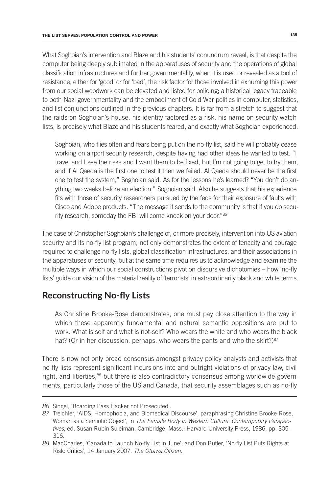What Soghoian's intervention and Blaze and his students' conundrum reveal, is that despite the computer being deeply sublimated in the apparatuses of security and the operations of global classification infrastructures and further governmentality, when it is used or revealed as a tool of resistance, either for 'good' or for 'bad', the risk factor for those involved in exhuming this power from our social woodwork can be elevated and listed for policing; a historical legacy traceable to both Nazi governmentality and the embodiment of Cold War politics in computer, statistics, and list conjunctions outlined in the previous chapters. It is far from a stretch to suggest that the raids on Soghoian's house, his identity factored as a risk, his name on security watch lists, is precisely what Blaze and his students feared, and exactly what Soghoian experienced.

Soghoian, who flies often and fears being put on the no-fly list, said he will probably cease working on airport security research, despite having had other ideas he wanted to test. "I travel and I see the risks and I want them to be fixed, but I'm not going to get to try them, and if Al Qaeda is the first one to test it then we failed. Al Qaeda should never be the first one to test the system," Soghoian said. As for the lessons he's learned? "You don't do anything two weeks before an election," Soghoian said. Also he suggests that his experience fits with those of security researchers pursued by the feds for their exposure of faults with Cisco and Adobe products. "The message it sends to the community is that if you do security research, someday the FBI will come knock on your door."86

The case of Christopher Soghoian's challenge of, or more precisely, intervention into US aviation security and its no-fly list program, not only demonstrates the extent of tenacity and courage required to challenge no-fly lists, global classification infrastructures, and their associations in the apparatuses of security, but at the same time requires us to acknowledge and examine the multiple ways in which our social constructions pivot on discursive dichotomies – how 'no-fly lists' guide our vision of the material reality of 'terrorists' in extraordinarily black and white terms.

### **Reconstructing No-fly Lists**

As Christine Brooke-Rose demonstrates, one must pay close attention to the way in which these apparently fundamental and natural semantic oppositions are put to work. What is self and what is not-self? Who wears the white and who wears the black hat? (Or in her discussion, perhaps, who wears the pants and who the skirt?) $87$ 

There is now not only broad consensus amongst privacy policy analysts and activists that no-fly lists represent significant incursions into and outright violations of privacy law, civil right, and liberties,<sup>88</sup> but there is also contradictory consensus among worldwide governments, particularly those of the US and Canada, that security assemblages such as no-fly

*<sup>86</sup>* Singel, 'Boarding Pass Hacker not Prosecuted'.

*<sup>87</sup>* Treichler, 'AIDS, Homophobia, and Biomedical Discourse', paraphrasing Christine Brooke-Rose, 'Woman as a Semiotic Object', in *The Female Body in Western Culture: Contemporary Perspectives*, ed. Susan Rubin Suleiman, Cambridge, Mass.: Harvard University Press, 1986, pp. 305- 316.

*<sup>88</sup>* MacCharles, 'Canada to Launch No-fly List in June'; and Don Butler, 'No-fly List Puts Rights at Risk: Critics', 14 January 2007, *The Ottawa Citizen*.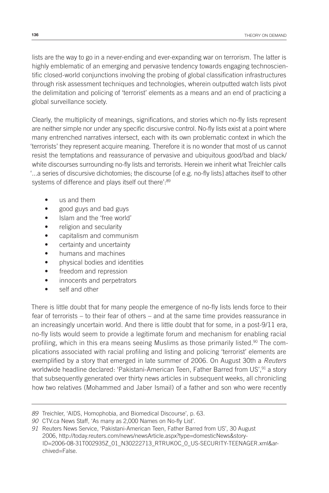lists are the way to go in a never-ending and ever-expanding war on terrorism. The latter is highly emblematic of an emerging and pervasive tendency towards engaging technoscientific closed-world conjunctions involving the probing of global classification infrastructures through risk assessment techniques and technologies, wherein outputted watch lists pivot the delimitation and policing of 'terrorist' elements as a means and an end of practicing a global surveillance society.

Clearly, the multiplicity of meanings, significations, and stories which no-fly lists represent are neither simple nor under any specific discursive control. No-fly lists exist at a point where many entrenched narratives intersect, each with its own problematic context in which the 'terrorists' they represent acquire meaning. Therefore it is no wonder that most of us cannot resist the temptations and reassurance of pervasive and ubiquitous good/bad and black/ white discourses surrounding no-fly lists and terrorists. Herein we inherit what Treichler calls '...a series of discursive dichotomies; the discourse [of e.g. no-fly lists] attaches itself to other systems of difference and plays itself out there':<sup>89</sup>

- us and them
- good guys and bad guys
- Islam and the 'free world'
- religion and secularity
- capitalism and communism
- certainty and uncertainty
- humans and machines
- physical bodies and identities
- freedom and repression
- innocents and perpetrators
- self and other

There is little doubt that for many people the emergence of no-fly lists lends force to their fear of terrorists – to their fear of others – and at the same time provides reassurance in an increasingly uncertain world. And there is little doubt that for some, in a post-9/11 era, no-fly lists would seem to provide a legitimate forum and mechanism for enabling racial profiling, which in this era means seeing Muslims as those primarily listed.<sup>90</sup> The complications associated with racial profiling and listing and policing 'terrorist' elements are exemplified by a story that emerged in late summer of 2006. On August 30th a *Reuters* worldwide headline declared: 'Pakistani-American Teen, Father Barred from US',<sup>91</sup> a story that subsequently generated over thirty news articles in subsequent weeks, all chronicling how two relatives (Mohammed and Jaber Ismail) of a father and son who were recently

*<sup>89</sup>* Treichler, 'AIDS, Homophobia, and Biomedical Discourse', p. 63.

*<sup>90</sup>* CTV.ca News Staff, 'As many as 2,000 Names on No-fly List'.

*<sup>91</sup>* Reuters News Service, 'Pakistani-American Teen, Father Barred from US', 30 August 2006, http://today.reuters.com/news/newsArticle.aspx?type=domesticNews&story-ID=2006-08-31T002935Z\_01\_N30222713\_RTRUKOC\_0\_US-SECURITY-TEENAGER.xml&archived=False.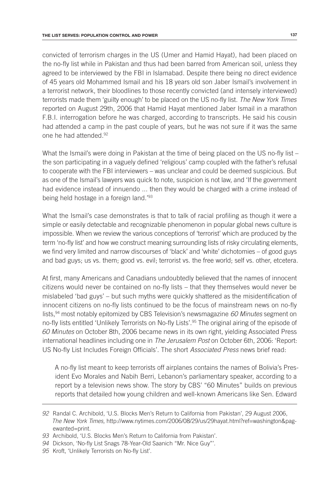convicted of terrorism charges in the US (Umer and Hamid Hayat), had been placed on the no-fly list while in Pakistan and thus had been barred from American soil, unless they agreed to be interviewed by the FBI in Islamabad. Despite there being no direct evidence of 45 years old Mohammed Ismail and his 18 years old son Jaber Ismail's involvement in a terrorist network, their bloodlines to those recently convicted (and intensely interviewed) terrorists made them 'guilty enough' to be placed on the US no-fly list. *The New York Times* reported on August 29th, 2006 that Hamid Hayat mentioned Jaber Ismail in a marathon F.B.I. interrogation before he was charged, according to transcripts. He said his cousin had attended a camp in the past couple of years, but he was not sure if it was the same one he had attended.92

What the Ismail's were doing in Pakistan at the time of being placed on the US no-fly list – the son participating in a vaguely defined 'religious' camp coupled with the father's refusal to cooperate with the FBI interviewers – was unclear and could be deemed suspicious. But as one of the Ismail's lawyers was quick to note, suspicion is not law, and 'If the government had evidence instead of innuendo ... then they would be charged with a crime instead of being held hostage in a foreign land.'93

What the Ismail's case demonstrates is that to talk of racial profiling as though it were a simple or easily detectable and recognizable phenomenon in popular global news culture is impossible. When we review the various conceptions of 'terrorist' which are produced by the term 'no-fly list' and how we construct meaning surrounding lists of risky circulating elements, we find very limited and narrow discourses of 'black' and 'white' dichotomies – of good guys and bad guys; us vs. them; good vs. evil; terrorist vs. the free world; self vs. other, etcetera.

At first, many Americans and Canadians undoubtedly believed that the names of innocent citizens would never be contained on no-fly lists – that they themselves would never be mislabeled 'bad guys' – but such myths were quickly shattered as the misidentification of innocent citizens on no-fly lists continued to be the focus of mainstream news on no-fly lists,94 most notably epitomized by CBS Television's newsmagazine *60 Minutes* segment on no-fly lists entitled 'Unlikely Terrorists on No-fly Lists'.95 The original airing of the episode of *60 Minutes* on October 8th, 2006 became news in its own right, yielding Associated Press international headlines including one in *The Jerusalem Post* on October 6th, 2006: 'Report: US No-fly List Includes Foreign Officials'. The short *Associated Press* news brief read:

A no-fly list meant to keep terrorists off airplanes contains the names of Bolivia's President Evo Morales and Nabih Berri, Lebanon's parliamentary speaker, according to a report by a television news show. The story by CBS' "60 Minutes" builds on previous reports that detailed how young children and well-known Americans like Sen. Edward

*95* Kroft, 'Unlikely Terrorists on No-fly List'.

*<sup>92</sup>* Randal C. Archibold, 'U.S. Blocks Men's Return to California from Pakistan', 29 August 2006, *The New York Times,* http://www.nytimes.com/2006/08/29/us/29hayat.html?ref=washington&pagewanted=print.

*<sup>93</sup>* Archibold, 'U.S. Blocks Men's Return to California from Pakistan'.

*<sup>94</sup>* Dickson, 'No-fly List Snags 78-Year-Old Saanich "Mr. Nice Guy"'.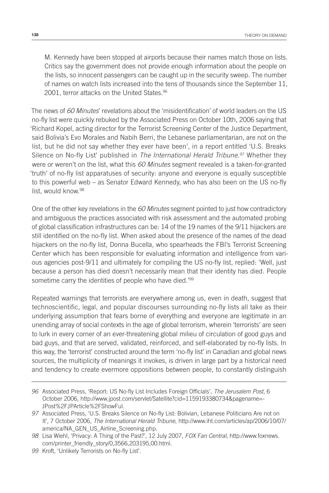M. Kennedy have been stopped at airports because their names match those on lists. Critics say the government does not provide enough information about the people on the lists, so innocent passengers can be caught up in the security sweep. The number of names on watch lists increased into the tens of thousands since the September 11, 2001, terror attacks on the United States.<sup>96</sup>

The news of *60 Minutes*' revelations about the 'misidentification' of world leaders on the US no-fly list were quickly rebuked by the Associated Press on October 10th, 2006 saying that 'Richard Kopel, acting director for the Terrorist Screening Center of the Justice Department, said Bolivia's Evo Morales and Nabih Berri, the Lebanese parliamentarian, are not on the list, but he did not say whether they ever have been', in a report entitled 'U.S. Breaks Silence on No-fly List' published in *The International Herald Tribune.*97 Whether they were or weren't on the list, what this *60 Minutes* segment revealed is a taken-for-granted 'truth' of no-fly list apparatuses of security: anyone and everyone is equally susceptible to this powerful web – as Senator Edward Kennedy, who has also been on the US no-fly list, would know.98

One of the other key revelations in the *60 Minutes* segment pointed to just how contradictory and ambiguous the practices associated with risk assessment and the automated probing of global classification infrastructures can be: 14 of the 19 names of the 9/11 hijackers are still identified on the no-fly list. When asked about the presence of the names of the dead hijackers on the no-fly list, Donna Bucella, who spearheads the FBI's Terrorist Screening Center which has been responsible for evaluating information and intelligence from various agencies post-9/11 and ultimately for compiling the US no-fly list, replied: 'Well, just because a person has died doesn't necessarily mean that their identity has died. People sometime carry the identities of people who have died.<sup>'99</sup>

Repeated warnings that terrorists are everywhere among us, even in death, suggest that technoscientific, legal, and popular discourses surrounding no-fly lists all take as their underlying assumption that fears borne of everything and everyone are legitimate in an unending array of social contexts in the age of global terrorism, wherein 'terrorists' are seen to lurk in every corner of an ever-threatening global milieu of circulation of good guys and bad guys, and that are served, validated, reinforced, and self-elaborated by no-fly lists. In this way, the 'terrorist' constructed around the term 'no-fly list' in Canadian and global news sources, the multiplicity of meanings it invokes, is driven in large part by a historical need and tendency to create evermore oppositions between people, to constantly distinguish

*<sup>96</sup>* Associated Press, 'Report: US No-fly List Includes Foreign Officials', *The Jerusalem Post*, 6 October 2006, http://www.jpost.com/servlet/Satellite?cid=1159193380734&pagename=- JPost%2FJPArticle%2FShowFul.

*<sup>97</sup>* Associated Press, 'U.S. Breaks Silence on No-fly List: Bolivian, Lebanese Politicians Are not on It', 7 October 2006, *The International Herald Tribune*, http://www.iht.com/articles/ap/2006/10/07/ america/NA\_GEN\_US\_Airline\_Screening.php.

*<sup>98</sup>* Lisa Wiehl, 'Privacy: A Thing of the Past?', 12 July 2007, *FOX Fan Central*, http://www.foxnews. com/printer\_friendly\_story/0,3566,203195,00.html.

*<sup>99</sup>* Kroft, 'Unlikely Terrorists on No-fly List'.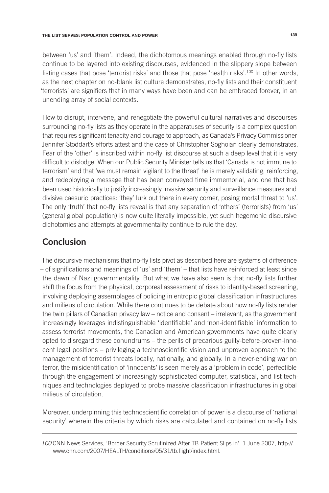between 'us' and 'them'. Indeed, the dichotomous meanings enabled through no-fly lists continue to be layered into existing discourses, evidenced in the slippery slope between listing cases that pose 'terrorist risks' and those that pose 'health risks'.<sup>100</sup> In other words, as the next chapter on no-blank list culture demonstrates, no-fly lists and their constituent 'terrorists' are signifiers that in many ways have been and can be embraced forever, in an unending array of social contexts.

How to disrupt, intervene, and renegotiate the powerful cultural narratives and discourses surrounding no-fly lists as they operate in the apparatuses of security is a complex question that requires significant tenacity and courage to approach, as Canada's Privacy Commissioner Jennifer Stoddart's efforts attest and the case of Christopher Soghoian clearly demonstrates. Fear of the 'other' is inscribed within no-fly list discourse at such a deep level that it is very difficult to dislodge. When our Public Security Minister tells us that 'Canada is not immune to terrorism' and that 'we must remain vigilant to the threat' he is merely validating, reinforcing, and redeploying a message that has been conveyed time immemorial, and one that has been used historically to justify increasingly invasive security and surveillance measures and divisive caesuric practices: 'they' lurk out there in every corner, posing mortal threat to 'us'. The only 'truth' that no-fly lists reveal is that any separation of 'others' (terrorists) from 'us' (general global population) is now quite literally impossible, yet such hegemonic discursive dichotomies and attempts at governmentality continue to rule the day.

## **Conclusion**

The discursive mechanisms that no-fly lists pivot as described here are systems of difference – of significations and meanings of 'us' and 'them' – that lists have reinforced at least since the dawn of Nazi governmentality. But what we have also seen is that no-fly lists further shift the focus from the physical, corporeal assessment of risks to identity-based screening, involving deploying assemblages of policing in entropic global classification infrastructures and milieus of circulation. While there continues to be debate about how no-fly lists render the twin pillars of Canadian privacy law – notice and consent – irrelevant, as the government increasingly leverages indistinguishable 'identifiable' and 'non-identifiable' information to assess terrorist movements, the Canadian and American governments have quite clearly opted to disregard these conundrums – the perils of precarious guilty-before-proven-innocent legal positions – privileging a technoscientific vision and unproven approach to the management of terrorist threats locally, nationally, and globally. In a never-ending war on terror, the misidentification of 'innocents' is seen merely as a 'problem in code', perfectible through the engagement of increasingly sophisticated computer, statistical, and list techniques and technologies deployed to probe massive classification infrastructures in global milieus of circulation.

Moreover, underpinning this technoscientific correlation of power is a discourse of 'national security' wherein the criteria by which risks are calculated and contained on no-fly lists

*<sup>100</sup>* CNN News Services, 'Border Security Scrutinized After TB Patient Slips in', 1 June 2007, http:// www.cnn.com/2007/HEALTH/conditions/05/31/tb.flight/index.html.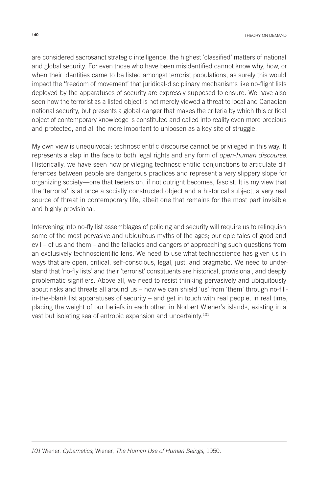are considered sacrosanct strategic intelligence, the highest 'classified' matters of national and global security. For even those who have been misidentified cannot know why, how, or when their identities came to be listed amongst terrorist populations, as surely this would impact the 'freedom of movement' that juridical-disciplinary mechanisms like no-flight lists deployed by the apparatuses of security are expressly supposed to ensure. We have also seen how the terrorist as a listed object is not merely viewed a threat to local and Canadian national security, but presents a global danger that makes the criteria by which this critical object of contemporary knowledge is constituted and called into reality even more precious and protected, and all the more important to unloosen as a key site of struggle.

My own view is unequivocal: technoscientific discourse cannot be privileged in this way. It represents a slap in the face to both legal rights and any form of *open-human discourse*. Historically, we have seen how privileging technoscientific conjunctions to articulate differences between people are dangerous practices and represent a very slippery slope for organizing society—one that teeters on, if not outright becomes, fascist. It is my view that the 'terrorist' is at once a socially constructed object and a historical subject; a very real source of threat in contemporary life, albeit one that remains for the most part invisible and highly provisional.

Intervening into no-fly list assemblages of policing and security will require us to relinquish some of the most pervasive and ubiquitous myths of the ages; our epic tales of good and evil – of us and them – and the fallacies and dangers of approaching such questions from an exclusively technoscientific lens. We need to use what technoscience has given us in ways that are open, critical, self-conscious, legal, just, and pragmatic. We need to understand that 'no-fly lists' and their 'terrorist' constituents are historical, provisional, and deeply problematic signifiers. Above all, we need to resist thinking pervasively and ubiquitously about risks and threats all around us – how we can shield 'us' from 'them' through no-fillin-the-blank list apparatuses of security – and get in touch with real people, in real time, placing the weight of our beliefs in each other, in Norbert Wiener's islands, existing in a vast but isolating sea of entropic expansion and uncertainty.<sup>101</sup>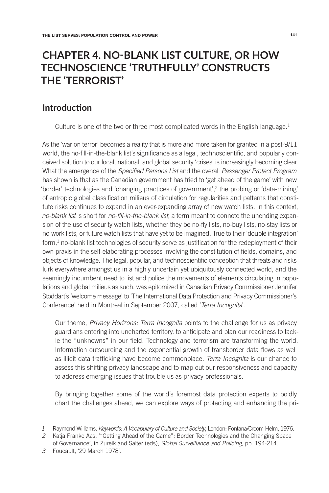# **CHAPTER 4. NO-BLANK LIST CULTURE, OR HOW TECHNOSCIENCE 'TRUTHFULLY' CONSTRUCTS THE 'TERRORIST'**

## **Introduction**

Culture is one of the two or three most complicated words in the English language.<sup>1</sup>

As the 'war on terror' becomes a reality that is more and more taken for granted in a post-9/11 world, the no-fill-in-the-blank list's significance as a legal, technoscientific, and popularly conceived solution to our local, national, and global security 'crises' is increasingly becoming clear. What the emergence of the *Specified Persons List* and the overall *Passenger Protect Program* has shown is that as the Canadian government has tried to 'get ahead of the game' with new 'border' technologies and 'changing practices of government',<sup>2</sup> the probing or 'data-mining' of entropic global classification milieus of circulation for regularities and patterns that constitute risks continues to expand in an ever-expanding array of new watch lists. In this context, *no-blank list* is short for *no-fill-in-the-blank list*, a term meant to connote the unending expansion of the use of security watch lists, whether they be no-fly lists, no-buy lists, no-stay lists or no-work lists, or future watch lists that have yet to be imagined. True to their 'double integration' form,<sup>3</sup> no-blank list technologies of security serve as justification for the redeployment of their own praxis in the self-elaborating processes involving the constitution of fields, domains, and objects of knowledge. The legal, popular, and technoscientific conception that threats and risks lurk everywhere amongst us in a highly uncertain yet ubiquitously connected world, and the seemingly incumbent need to list and police the movements of elements circulating in populations and global milieus as such, was epitomized in Canadian Privacy Commissioner Jennifer Stoddart's 'welcome message' to 'The International Data Protection and Privacy Commissioner's Conference' held in Montreal in September 2007, called '*Terra Incognita*'.

Our theme, *Privacy Horizons: Terra Incognita* points to the challenge for us as privacy guardians entering into uncharted territory, to anticipate and plan our readiness to tackle the "unknowns" in our field. Technology and terrorism are transforming the world. Information outsourcing and the exponential growth of transborder data flows as well as illicit data trafficking have become commonplace. *Terra Incognita* is our chance to assess this shifting privacy landscape and to map out our responsiveness and capacity to address emerging issues that trouble us as privacy professionals.

By bringing together some of the world's foremost data protection experts to boldly chart the challenges ahead, we can explore ways of protecting and enhancing the pri-

*2* Katja Franko Aas, '"Getting Ahead of the Game": Border Technologies and the Changing Space of Governance', in Zureik and Salter (eds), *Global Surveillance and Policing*, pp. 194-214.

*3* Foucault, '29 March 1978'.

*<sup>1</sup>* Raymond Williams, *Keywords: A Vocabulary of Culture and Society*, London: Fontana/Croom Helm, 1976.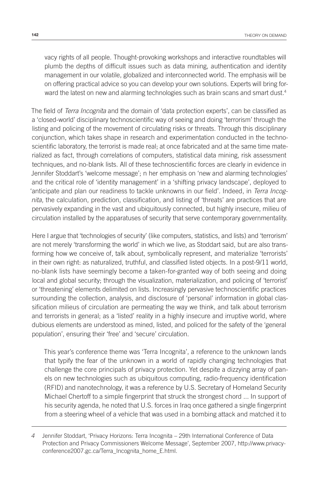vacy rights of all people. Thought-provoking workshops and interactive roundtables will plumb the depths of difficult issues such as data mining, authentication and identity management in our volatile, globalized and interconnected world. The emphasis will be on offering practical advice so you can develop your own solutions. Experts will bring forward the latest on new and alarming technologies such as brain scans and smart dust.<sup>4</sup>

The field of *Terra Incognita* and the domain of 'data protection experts', can be classified as a 'closed-world' disciplinary technoscientific way of seeing and doing 'terrorism' through the listing and policing of the movement of circulating risks or threats. Through this disciplinary conjunction, which takes shape in research and experimentation conducted in the technoscientific laboratory, the terrorist is made real; at once fabricated and at the same time materialized as fact, through correlations of computers, statistical data mining, risk assessment techniques, and no-blank lists. All of these technoscientific forces are clearly in evidence in Jennifer Stoddart's 'welcome message'; n her emphasis on 'new and alarming technologies' and the critical role of 'identity management' in a 'shifting privacy landscape', deployed to 'anticipate and plan our readiness to tackle unknowns in our field'. Indeed, in *Terra Incognita,* the calculation, prediction, classification, and listing of 'threats' are practices that are pervasively expanding in the vast and ubiquitously connected, but highly insecure, milieu of circulation installed by the apparatuses of security that serve contemporary governmentality.

Here I argue that 'technologies of security' (like computers, statistics, and lists) and 'terrorism' are not merely 'transforming the world' in which we live, as Stoddart said, but are also transforming how we conceive of, talk about, symbolically represent, and materialize 'terrorists' in their own right: as naturalized, truthful, and classified listed objects. In a post-9/11 world, no-blank lists have seemingly become a taken-for-granted way of both seeing and doing local and global security; through the visualization, materialization, and policing of 'terrorist' or 'threatening' elements delimited on lists. Increasingly pervasive technoscientific practices surrounding the collection, analysis, and disclosure of 'personal' information in global classification milieus of circulation are permeating the way we think, and talk about terrorism and terrorists in general; as a 'listed' reality in a highly insecure and irruptive world, where dubious elements are understood as mined, listed, and policed for the safety of the 'general population', ensuring their 'free' and 'secure' circulation.

This year's conference theme was 'Terra Incognita', a reference to the unknown lands that typify the fear of the unknown in a world of rapidly changing technologies that challenge the core principals of privacy protection. Yet despite a dizzying array of panels on new technologies such as ubiquitous computing, radio-frequency identification (RFID) and nanotechnology, it was a reference by U.S. Secretary of Homeland Security Michael Chertoff to a simple fingerprint that struck the strongest chord ... In support of his security agenda, he noted that U.S. forces in Iraq once gathered a single fingerprint from a steering wheel of a vehicle that was used in a bombing attack and matched it to

*<sup>4</sup>* Jennifer Stoddart, 'Privacy Horizons: Terra Incognita – 29th International Conference of Data Protection and Privacy Commissioners Welcome Message', September 2007, http://www.privacyconference2007.gc.ca/Terra\_Incognita\_home\_E.html.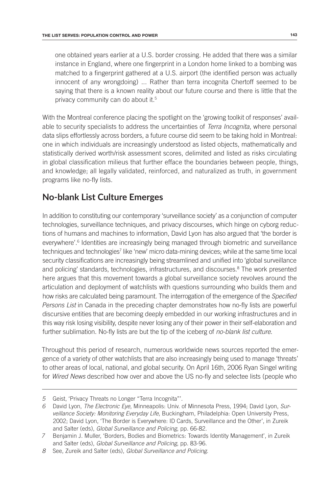one obtained years earlier at a U.S. border crossing. He added that there was a similar instance in England, where one fingerprint in a London home linked to a bombing was matched to a fingerprint gathered at a U.S. airport (the identified person was actually innocent of any wrongdoing) ... Rather than terra incognita Chertoff seemed to be saying that there is a known reality about our future course and there is little that the privacy community can do about it.<sup>5</sup>

With the Montreal conference placing the spotlight on the 'growing toolkit of responses' available to security specialists to address the uncertainties of *Terra Incognita*, where personal data slips effortlessly across borders, a future course did seem to be taking hold in Montreal: one in which individuals are increasingly understood as listed objects, mathematically and statistically derived worth/risk assessment scores, delimited and listed as risks circulating in global classification milieus that further efface the boundaries between people, things, and knowledge; all legally validated, reinforced, and naturalized as truth, in government programs like no-fly lists.

#### **No-blank List Culture Emerges**

In addition to constituting our contemporary 'surveillance society' as a conjunction of computer technologies, surveillance techniques, and privacy discourses, which hinge on cyborg reductions of humans and machines to information, David Lyon has also argued that 'the border is everywhere'.<sup>6</sup> Identities are increasingly being managed through biometric and surveillance techniques and technologies<sup>7</sup> like 'new' micro data-mining devices; while at the same time local security classifications are increasingly being streamlined and unified into 'global surveillance and policing' standards, technologies, infrastructures, and discourses.<sup>8</sup> The work presented here argues that this movement towards a global surveillance society revolves around the articulation and deployment of watchlists with questions surrounding who builds them and how risks are calculated being paramount. The interrogation of the emergence of the *Specified Persons List* in Canada in the preceding chapter demonstrates how no-fly lists are powerful discursive entities that are becoming deeply embedded in our working infrastructures and in this way risk losing visibility, despite never losing any of their power in their self-elaboration and further sublimation. No-fly lists are but the tip of the iceberg of *no-blank list culture*.

Throughout this period of research, numerous worldwide news sources reported the emergence of a variety of other watchlists that are also increasingly being used to manage 'threats' to other areas of local, national, and global security. On April 16th, 2006 Ryan Singel writing for *Wired News* described how over and above the US no-fly and selectee lists (people who

*<sup>5</sup>* Geist, 'Privacy Threats no Longer "Terra Incognita"'.

*<sup>6</sup>* David Lyon, *The Electronic Eye*, Minneapolis: Univ. of Minnesota Press, 1994; David Lyon, *Surveillance Society: Monitoring Everyday Life*, Buckingham, Philadelphia: Open University Press, 2002; David Lyon, 'The Border is Everywhere: ID Cards, Surveillance and the Other', in Zureik and Salter (eds), *Global Surveillance and Policing*, pp. 66-82.

*<sup>7</sup>* Benjamin J. Muller, 'Borders, Bodies and Biometrics: Towards Identity Management', in Zureik and Salter (eds), *Global Surveillance and Policing*, pp. 83-96.

*<sup>8</sup>* See, Zureik and Salter (eds), *Global Surveillance and Policing*.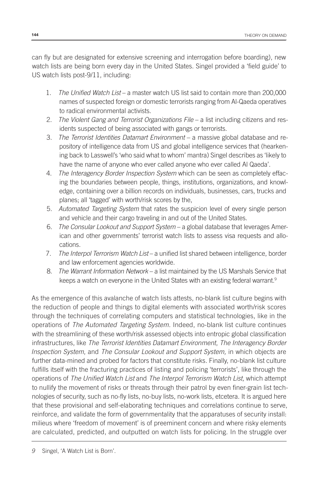can fly but are designated for extensive screening and interrogation before boarding), new watch lists are being born every day in the United States. Singel provided a 'field guide' to US watch lists post-9/11, including:

- 1. *The Unified Watch List* a master watch US list said to contain more than 200,000 names of suspected foreign or domestic terrorists ranging from Al-Qaeda operatives to radical environmental activists.
- 2. *The Violent Gang and Terrorist Organizations File* a list including citizens and residents suspected of being associated with gangs or terrorists.
- 3. *The Terrorist Identities Datamart Environment* a massive global database and repository of intelligence data from US and global intelligence services that (hearkening back to Lasswell's 'who said what to whom' mantra) Singel describes as 'likely to have the name of anyone who ever called anyone who ever called Al Qaeda'.
- 4. *The Interagency Border Inspection System* which can be seen as completely effacing the boundaries between people, things, institutions, organizations, and knowledge, containing over a billion records on individuals, businesses, cars, trucks and planes; all 'tagged' with worth/risk scores by the,
- 5. *Automated Targeting System* that rates the suspicion level of every single person and vehicle and their cargo traveling in and out of the United States.
- 6. *The Consular Lookout and Support System* a global database that leverages American and other governments' terrorist watch lists to assess visa requests and allocations.
- 7. *The Interpol Terrorism Watch List* a unified list shared between intelligence, border and law enforcement agencies worldwide.
- 8. *The Warrant Information Network* a list maintained by the US Marshals Service that keeps a watch on everyone in the United States with an existing federal warrant.<sup>9</sup>

As the emergence of this avalanche of watch lists attests, no-blank list culture begins with the reduction of people and things to digital elements with associated worth/risk scores through the techniques of correlating computers and statistical technologies, like in the operations of *The Automated Targeting System.* Indeed, no-blank list culture continues with the streamlining of these worth/risk assessed objects into entropic global classification infrastructures, like *The Terrorist Identities Datamart Environment*, *The Interagency Border Inspection System*, and *The Consular Lookout and Support System,* in which objects are further data-mined and probed for factors that constitute risks. Finally, no-blank list culture fulfills itself with the fracturing practices of listing and policing 'terrorists', like through the operations of *The Unified Watch List* and *The Interpol Terrorism Watch List,* which attempt to nullify the movement of risks or threats through their patrol by even finer-grain list technologies of security, such as no-fly lists, no-buy lists, no-work lists, etcetera. It is argued here that these provisional and self-elaborating techniques and correlations continue to serve, reinforce, and validate the form of governmentality that the apparatuses of security install: milieus where 'freedom of movement' is of preeminent concern and where risky elements are calculated, predicted, and outputted on watch lists for policing. In the struggle over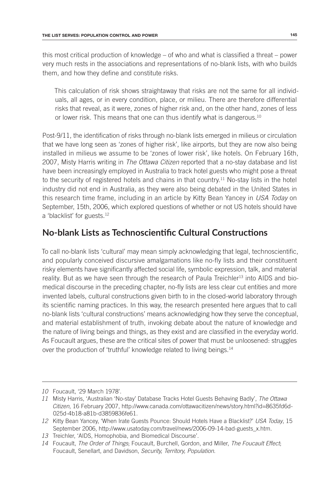this most critical production of knowledge – of who and what is classified a threat – power very much rests in the associations and representations of no-blank lists, with who builds them, and how they define and constitute risks.

This calculation of risk shows straightaway that risks are not the same for all individuals, all ages, or in every condition, place, or milieu. There are therefore differential risks that reveal, as it were, zones of higher risk and, on the other hand, zones of less or lower risk. This means that one can thus identify what is dangerous.10

Post-9/11, the identification of risks through no-blank lists emerged in milieus or circulation that we have long seen as 'zones of higher risk', like airports, but they are now also being installed in milieus we assume to be 'zones of lower risk', like hotels. On February 16th, 2007, Misty Harris writing in *The Ottawa Citizen* reported that a no-stay database and list have been increasingly employed in Australia to track hotel guests who might pose a threat to the security of registered hotels and chains in that country.<sup>11</sup> No-stay lists in the hotel industry did not end in Australia, as they were also being debated in the United States in this research time frame, including in an article by Kitty Bean Yancey in *USA Today* on September, 15th, 2006, which explored questions of whether or not US hotels should have a 'blacklist' for guests.<sup>12</sup>

## **No-blank Lists as Technoscientific Cultural Constructions**

To call no-blank lists 'cultural' may mean simply acknowledging that legal, technoscientific, and popularly conceived discursive amalgamations like no-fly lists and their constituent risky elements have significantly affected social life, symbolic expression, talk, and material reality. But as we have seen through the research of Paula Treichler<sup>13</sup> into AIDS and biomedical discourse in the preceding chapter, no-fly lists are less clear cut entities and more invented labels, cultural constructions given birth to in the closed-world laboratory through its scientific naming practices. In this way, the research presented here argues that to call no-blank lists 'cultural constructions' means acknowledging how they serve the conceptual, and material establishment of truth, invoking debate about the nature of knowledge and the nature of living beings and things, as they exist and are classified in the everyday world. As Foucault argues, these are the critical sites of power that must be unloosened: struggles over the production of 'truthful' knowledge related to living beings.14

*<sup>10</sup>* Foucault, '29 March 1978'.

*<sup>11</sup>* Misty Harris, 'Australian 'No-stay' Database Tracks Hotel Guests Behaving Badly', *The Ottawa Citizen*, 16 February 2007, http://www.canada.com/ottawacitizen/news/story.html?id=8635fd6d-025d-4b18-a81b-d3859836fe61.

*<sup>12</sup>* Kitty Bean Yancey, 'When Irate Guests Pounce: Should Hotels Have a Blacklist?' *USA Today*, 15 September 2006, http://www.usatoday.com/travel/news/2006-09-14-bad-guests\_x.htm.

*<sup>13</sup>* Treichler, 'AIDS, Homophobia, and Biomedical Discourse'.

*<sup>14</sup>* Foucault, *The Order of Things*; Foucault, Burchell, Gordon, and Miller, *The Foucault Effect*; Foucault, Senellart, and Davidson, *Security, Territory, Population*.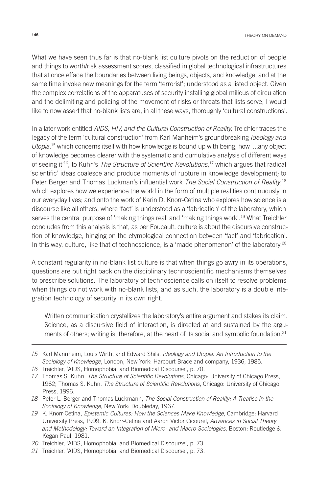What we have seen thus far is that no-blank list culture pivots on the reduction of people and things to worth/risk assessment scores, classified in global technological infrastructures that at once efface the boundaries between living beings, objects, and knowledge, and at the same time invoke new meanings for the term 'terrorist'; understood as a listed object. Given the complex correlations of the apparatuses of security installing global milieus of circulation and the delimiting and policing of the movement of risks or threats that lists serve, I would like to now assert that no-blank lists are, in all these ways, thoroughly 'cultural constructions'.

In a later work entitled *AIDS, HIV, and the Cultural Construction of Reality,* Treichler traces the legacy of the term 'cultural construction' from Karl Manheim's groundbreaking *Ideology and Utopia*, 15 which concerns itself with how knowledge is bound up with being, how '...any object of knowledge becomes clearer with the systematic and cumulative analysis of different ways of seeing it'16, to Kuhn's *The Structure of Scientific Revolutions*, 17 which argues that radical 'scientific' ideas coalesce and produce moments of rupture in knowledge development*;* to Peter Berger and Thomas Luckman's influential work *The Social Construction of Reality*, 18 which explores how we experience the world in the form of multiple realities continuously in our everyday lives; and onto the work of Karin D. Knorr-Cetina who explores how science is a discourse like all others, where 'fact' is understood as a 'fabrication' of the laboratory, which serves the central purpose of 'making things real' and 'making things work'.19 What Treichler concludes from this analysis is that, as per Foucault, culture is about the discursive construction of knowledge, hinging on the etymological connection between 'fact' and 'fabrication'. In this way, culture, like that of technoscience, is a 'made phenomenon' of the laboratory.<sup>20</sup>

A constant regularity in no-blank list culture is that when things go awry in its operations, questions are put right back on the disciplinary technoscientific mechanisms themselves to prescribe solutions. The laboratory of technoscience calls on itself to resolve problems when things do not work with no-blank lists, and as such, the laboratory is a double integration technology of security in its own right.

Written communication crystallizes the laboratory's entire argument and stakes its claim. Science, as a discursive field of interaction, is directed at and sustained by the arguments of others; writing is, therefore, at the heart of its social and symbolic foundation.<sup>21</sup>

*<sup>15</sup>* Karl Mannheim, Louis Wirth, and Edward Shils, *Ideology and Utopia: An Introduction to the Sociology of Knowledge*, London, New York: Harcourt Brace and company, 1936, 1985.

*<sup>16</sup>* Treichler, 'AIDS, Homophobia, and Biomedical Discourse', p. 70.

*<sup>17</sup>* Thomas S. Kuhn, *The Structure of Scientific Revolutions*, Chicago: University of Chicago Press, 1962; Thomas S. Kuhn, *The Structure of Scientific Revolutions*, Chicago: University of Chicago Press, 1996.

*<sup>18</sup>* Peter L. Berger and Thomas Luckmann, *The Social Construction of Reality: A Treatise in the Sociology of Knowledge*, New York: Doubleday, 1967.

*<sup>19</sup>* K. Knorr-Cetina, *Epistemic Cultures: How the Sciences Make Knowledge*, Cambridge: Harvard University Press, 1999; K. Knorr-Cetina and Aaron Victor Cicourel, *Advances in Social Theory and Methodology: Toward an Integration of Micro- and Macro-Sociologies*, Boston: Routledge & Kegan Paul, 1981.

*<sup>20</sup>* Treichler, 'AIDS, Homophobia, and Biomedical Discourse', p. 73.

*<sup>21</sup>* Treichler, 'AIDS, Homophobia, and Biomedical Discourse', p. 73.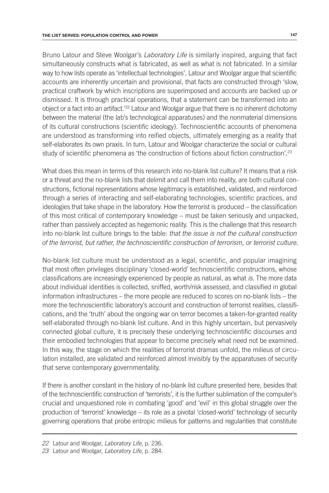Bruno Latour and Steve Woolgar's *Laboratory Life* is similarly inspired, arguing that fact simultaneously constructs what is fabricated, as well as what is not fabricated. In a similar way to how lists operate as 'intellectual technologies', Latour and Woolgar argue that scientific accounts are inherently uncertain and provisional, that facts are constructed through 'slow, practical craftwork by which inscriptions are superimposed and accounts are backed up or dismissed. It is through practical operations, that a statement can be transformed into an object or a fact into an artifact.<sup>122</sup> Latour and Woolgar argue that there is no inherent dichotomy between the material (the lab's technological apparatuses) and the nonmaterial dimensions of its cultural constructions (scientific ideology). Technoscientific accounts of phenomena are understood as transforming into reified objects, ultimately emerging as a reality that self-elaborates its own praxis. In turn, Latour and Woolgar characterize the social or cultural study of scientific phenomena as 'the construction of fictions about fiction construction'.<sup>23</sup>

What does this mean in terms of this research into no-blank list culture? It means that a risk or a threat and the no-blank lists that delimit and call them into reality, are both cultural constructions, fictional representations whose legitimacy is established, validated, and reinforced through a series of interacting and self-elaborating technologies, scientific practices, and ideologies that take shape in the laboratory. How the terrorist is produced – the classification of this most critical of contemporary knowledge – must be taken seriously and unpacked, rather than passively accepted as hegemonic reality. This is the challenge that this research into no-blank list culture brings to the table: *that the issue is not the cultural construction of the terrorist, but rather, the technoscientific construction of terrorism, or terrorist culture.*

No-blank list culture must be understood as a legal, scientific, and popular imagining that most often privileges disciplinary 'closed-world' technoscientific constructions, whose classifications are increasingly experienced by people as natural, as what *is*. The more data about individual identities is collected, sniffed, worth/risk assessed, and classified in global information infrastructures – the more people are reduced to scores on no-blank lists – the more the technoscientific laboratory's account and construction of terrorist realities, classifications, and the 'truth' about the ongoing war on terror becomes a taken-for-granted reality self-elaborated through no-blank list culture. And in this highly uncertain, but pervasively connected global culture, it is precisely these underlying technoscientific discourses and their embodied technologies that appear to become precisely what need not be examined. In this way, the stage on which the realities of terrorist dramas unfold, the milieus of circulation installed, are validated and reinforced almost invisibly by the apparatuses of security that serve contemporary governmentality.

If there is another constant in the history of no-blank list culture presented here, besides that of the technoscientific construction of 'terrorists', it is the further sublimation of the computer's crucial and unquestioned role in combating 'good' and 'evil' in this global struggle over the production of 'terrorist' knowledge – its role as a pivotal 'closed-world' technology of security governing operations that probe entropic milieus for patterns and regularities that constitute

*<sup>22</sup>* Latour and Woolgar, *Laboratory Life*, p. 236.

*<sup>23</sup>* Latour and Woolgar, *Laboratory Life*, p. 284.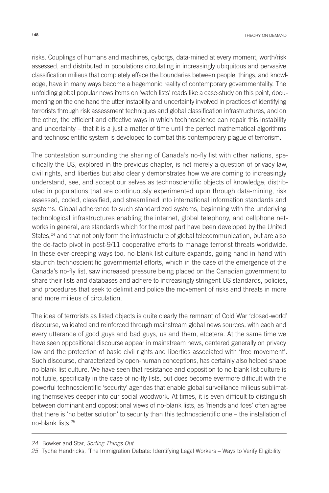risks. Couplings of humans and machines, cyborgs, data-mined at every moment, worth/risk assessed, and distributed in populations circulating in increasingly ubiquitous and pervasive classification milieus that completely efface the boundaries between people, things, and knowledge, have in many ways become a hegemonic reality of contemporary governmentality. The unfolding global popular news items on 'watch lists' reads like a case-study on this point, documenting on the one hand the utter instability and uncertainty involved in practices of identifying terrorists through risk assessment techniques and global classification infrastructures, and on the other, the efficient and effective ways in which technoscience can repair this instability and uncertainty – that it is a just a matter of time until the perfect mathematical algorithms and technoscientific system is developed to combat this contemporary plague of terrorism.

The contestation surrounding the sharing of Canada's no-fly list with other nations, specifically the US, explored in the previous chapter, is not merely a question of privacy law, civil rights, and liberties but also clearly demonstrates how we are coming to increasingly understand, see, and accept our selves as technoscientific objects of knowledge; distributed in populations that are continuously experimented upon through data-mining, risk assessed, coded, classified, and streamlined into international information standards and systems. Global adherence to such standardized systems, beginning with the underlying technological infrastructures enabling the internet, global telephony, and cellphone networks in general, are standards which for the most part have been developed by the United States,<sup>24</sup> and that not only form the infrastructure of global telecommunication, but are also the de-facto pivot in post-9/11 cooperative efforts to manage terrorist threats worldwide. In these ever-creeping ways too, no-blank list culture expands, going hand in hand with staunch technoscientific governmental efforts, which in the case of the emergence of the Canada's no-fly list, saw increased pressure being placed on the Canadian government to share their lists and databases and adhere to increasingly stringent US standards, policies, and procedures that seek to delimit and police the movement of risks and threats in more and more milieus of circulation.

The idea of terrorists as listed objects is quite clearly the remnant of Cold War 'closed-world' discourse, validated and reinforced through mainstream global news sources, with each and every utterance of good guys and bad guys, us and them, etcetera. At the same time we have seen oppositional discourse appear in mainstream news, centered generally on privacy law and the protection of basic civil rights and liberties associated with 'free movement'. Such discourse, characterized by open-human conceptions, has certainly also helped shape no-blank list culture. We have seen that resistance and opposition to no-blank list culture is not futile, specifically in the case of no-fly lists, but does become evermore difficult with the powerful technoscientific 'security' agendas that enable global surveillance milieus sublimating themselves deeper into our social woodwork. At times, it is even difficult to distinguish between dominant and oppositional views of no-blank lists, as 'friends and foes' often agree that there is 'no better solution' to security than this technoscientific one – the installation of no-blank lists.25

*<sup>24</sup>* Bowker and Star, *Sorting Things Out*.

*<sup>25</sup>* Tyche Hendricks, 'The Immigration Debate: Identifying Legal Workers – Ways to Verify Eligibility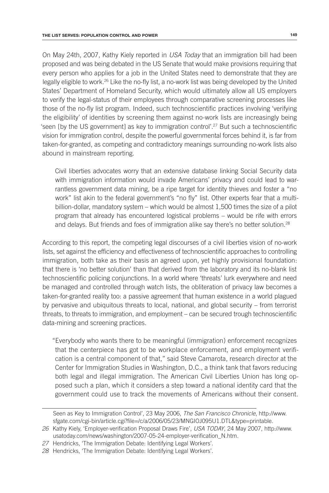On May 24th, 2007, Kathy Kiely reported in *USA Today* that an immigration bill had been proposed and was being debated in the US Senate that would make provisions requiring that every person who applies for a job in the United States need to demonstrate that they are legally eligible to work.26 Like the no-fly list, a no-work list was being developed by the United States' Department of Homeland Security, which would ultimately allow all US employers to verify the legal-status of their employees through comparative screening processes like those of the no-fly list program. Indeed, such technoscientific practices involving 'verifying the eligibility' of identities by screening them against no-work lists are increasingly being 'seen [by the US government] as key to immigration control'.<sup>27</sup> But such a technoscientific vision for immigration control, despite the powerful governmental forces behind it, is far from taken-for-granted, as competing and contradictory meanings surrounding no-work lists also abound in mainstream reporting.

Civil liberties advocates worry that an extensive database linking Social Security data with immigration information would invade Americans' privacy and could lead to warrantless government data mining, be a ripe target for identity thieves and foster a "no work" list akin to the federal government's "no fly" list. Other experts fear that a multibillion-dollar, mandatory system – which would be almost 1,500 times the size of a pilot program that already has encountered logistical problems – would be rife with errors and delays. But friends and foes of immigration alike say there's no better solution.<sup>28</sup>

According to this report, the competing legal discourses of a civil liberties vision of no-work lists, set against the efficiency and effectiveness of technoscientific approaches to controlling immigration, both take as their basis an agreed upon, yet highly provisional foundation: that there is 'no better solution' than that derived from the laboratory and its no-blank list technoscientific policing conjunctions. In a world where 'threats' lurk everywhere and need be managed and controlled through watch lists, the obliteration of privacy law becomes a taken-for-granted reality too: a passive agreement that human existence in a world plagued by pervasive and ubiquitous threats to local, national, and global security – from terrorist threats, to threats to immigration, and employment – can be secured trough technoscientific data-mining and screening practices.

"Everybody who wants there to be meaningful (immigration) enforcement recognizes that the centerpiece has got to be workplace enforcement, and employment verification is a central component of that," said Steve Camarota, research director at the Center for Immigration Studies in Washington, D.C., a think tank that favors reducing both legal and illegal immigration. The American Civil Liberties Union has long opposed such a plan, which it considers a step toward a national identity card that the government could use to track the movements of Americans without their consent.

Seen as Key to Immigration Control', 23 May 2006, *The San Francisco Chronicle*, http://www. sfgate.com/cgi-bin/article.cgi?file=/c/a/2006/05/23/MNGIOJ095U1.DTL&type=printable.

*<sup>26</sup>* Kathy Kiely, 'Employer-verification Proposal Draws Fire', *USA TODAY*, 24 May 2007, http://www. usatoday.com/news/washington/2007-05-24-employer-verification\_N.htm.

*<sup>27</sup>* Hendricks, 'The Immigration Debate: Identifying Legal Workers'.

*<sup>28</sup>* Hendricks, 'The Immigration Debate: Identifying Legal Workers'.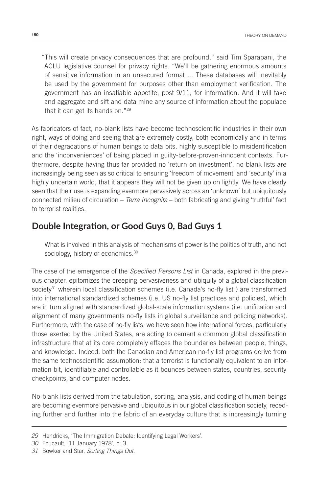"This will create privacy consequences that are profound," said Tim Sparapani, the ACLU legislative counsel for privacy rights. "We'll be gathering enormous amounts of sensitive information in an unsecured format ... These databases will inevitably be used by the government for purposes other than employment verification. The government has an insatiable appetite, post 9/11, for information. And it will take and aggregate and sift and data mine any source of information about the populace that it can get its hands on."29

As fabricators of fact, no-blank lists have become technoscientific industries in their own right, ways of doing and seeing that are extremely costly, both economically and in terms of their degradations of human beings to data bits, highly susceptible to misidentification and the 'inconveniences' of being placed in guilty-before-proven-innocent contexts. Furthermore, despite having thus far provided no 'return-on-investment', no-blank lists are increasingly being seen as so critical to ensuring 'freedom of movement' and 'security' in a highly uncertain world, that it appears they will not be given up on lightly. We have clearly seen that their use is expanding evermore pervasively across an 'unknown' but ubiquitously connected milieu of circulation – *Terra Incognita* – both fabricating and giving 'truthful' fact to terrorist realities.

## **Double Integration, or Good Guys 0, Bad Guys 1**

What is involved in this analysis of mechanisms of power is the politics of truth, and not sociology, history or economics.<sup>30</sup>

The case of the emergence of the *Specified Persons List* in Canada, explored in the previous chapter, epitomizes the creeping pervasiveness and ubiquity of a global classification society<sup>31</sup> wherein local classification schemes (i.e. Canada's no-fly list) are transformed into international standardized schemes (i.e. US no-fly list practices and policies), which are in turn aligned with standardized global-scale information systems (i.e. unification and alignment of many governments no-fly lists in global surveillance and policing networks). Furthermore, with the case of no-fly lists, we have seen how international forces, particularly those exerted by the United States, are acting to cement a common global classification infrastructure that at its core completely effaces the boundaries between people, things, and knowledge. Indeed, both the Canadian and American no-fly list programs derive from the same technoscientific assumption: that a terrorist is functionally equivalent to an information bit, identifiable and controllable as it bounces between states, countries, security checkpoints, and computer nodes.

No-blank lists derived from the tabulation, sorting, analysis, and coding of human beings are becoming evermore pervasive and ubiquitous in our global classification society, receding further and further into the fabric of an everyday culture that is increasingly turning

*<sup>29</sup>* Hendricks, 'The Immigration Debate: Identifying Legal Workers'.

*<sup>30</sup>* Foucault, '11 January 1978', p. 3.

*<sup>31</sup>* Bowker and Star, *Sorting Things Out*.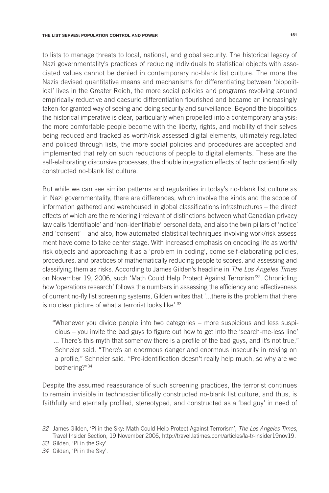to lists to manage threats to local, national, and global security. The historical legacy of Nazi governmentality's practices of reducing individuals to statistical objects with associated values cannot be denied in contemporary no-blank list culture. The more the Nazis devised quantitative means and mechanisms for differentiating between 'biopolitical' lives in the Greater Reich, the more social policies and programs revolving around empirically reductive and caesuric differentiation flourished and became an increasingly

taken-for-granted way of seeing and doing security and surveillance. Beyond the biopolitics the historical imperative is clear, particularly when propelled into a contemporary analysis: the more comfortable people become with the liberty, rights, and mobility of their selves being reduced and tracked as worth/risk assessed digital elements, ultimately regulated and policed through lists, the more social policies and procedures are accepted and implemented that rely on such reductions of people to digital elements. These are the self-elaborating discursive processes, the double integration effects of technoscientifically constructed no-blank list culture.

But while we can see similar patterns and regularities in today's no-blank list culture as in Nazi governmentality, there are differences, which involve the kinds and the scope of information gathered and warehoused in global classifications infrastructures – the direct effects of which are the rendering irrelevant of distinctions between what Canadian privacy law calls 'identifiable' and 'non-identifiable' personal data, and also the twin pillars of 'notice' and 'consent' – and also, how automated statistical techniques involving work/risk assessment have come to take center stage. With increased emphasis on encoding life as worth/ risk objects and approaching it as a 'problem in coding', come self-elaborating policies, procedures, and practices of mathematically reducing people to scores, and assessing and classifying them as risks. According to James Gilden's headline in *The Los Angeles Times* on November 19, 2006, such 'Math Could Help Protect Against Terrorism'32. Chronicling how 'operations research' follows the numbers in assessing the efficiency and effectiveness of current no-fly list screening systems, Gilden writes that '...there is the problem that there is no clear picture of what a terrorist looks like'.33

"Whenever you divide people into two categories – more suspicious and less suspicious – you invite the bad guys to figure out how to get into the 'search-me-less line' ... There's this myth that somehow there is a profile of the bad guys, and it's not true," Schneier said. "There's an enormous danger and enormous insecurity in relying on a profile," Schneier said. "Pre-identification doesn't really help much, so why are we bothering?"34

Despite the assumed reassurance of such screening practices, the terrorist continues to remain invisible in technoscientifically constructed no-blank list culture, and thus, is faithfully and eternally profiled, stereotyped, and constructed as a 'bad guy' in need of

*<sup>32</sup>* James Gilden, 'Pi in the Sky: Math Could Help Protect Against Terrorism', *The Los Angeles Times*, Travel Insider Section, 19 November 2006, http://travel.latimes.com/articles/la-tr-insider19nov19.

*<sup>33</sup>* Gilden, 'Pi in the Sky'.

*<sup>34</sup>* Gilden, 'Pi in the Sky'.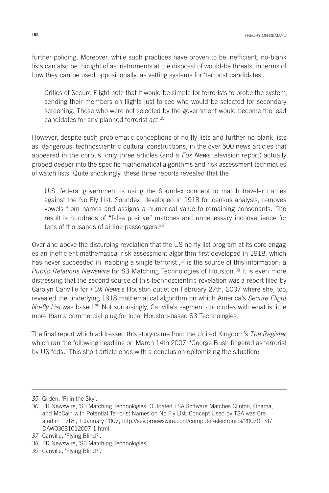further policing. Moreover, while such practices have proven to be inefficient, no-blank lists can also be thought of as instruments at the disposal of would-be threats, in terms of how they can be used oppositionally, as vetting systems for 'terrorist candidates'.

Critics of Secure Flight note that it would be simple for terrorists to probe the system, sending their members on flights just to see who would be selected for secondary screening. Those who were not selected by the government would become the lead candidates for any planned terrorist act.35

However, despite such problematic conceptions of no-fly lists and further no-blank lists as 'dangerous' technoscientific cultural constructions, in the over 500 news articles that appeared in the corpus, only three articles (and a *Fox News* television report) actually probed deeper into the specific mathematical algorithms and risk assessment techniques of watch lists. Quite shockingly, these three reports revealed that the

U.S. federal government is using the Soundex concept to match traveler names against the No Fly List. Soundex, developed in 1918 for census analysis, removes vowels from names and assigns a numerical value to remaining consonants. The result is hundreds of "false positive" matches and unnecessary inconvenience for tens of thousands of airline passengers.36

Over and above the disturbing revelation that the US no-fly list program at its core engages an inefficient mathematical risk assessment algorithm first developed in 1918, which has never succeeded in 'nabbing a single terrorist', $37$  is the source of this information: a *Public Relations Newswire* for S3 Matching Technologies of Houston.<sup>38</sup> It is even more distressing that the second source of this technoscientific revelation was a report filed by Carolyn Canville for *FOX News*'s Houston outlet on February 27th, 2007 where she, too, revealed the underlying 1918 mathematical algorithm on which America's *Secure Flight No-fly List* was based.<sup>39</sup> Not surprisingly, Canville's segment concludes with what is little more than a commercial plug for local Houston-based S3 Technologies.

The final report which addressed this story came from the United Kingdom's *The Register*, which ran the following headline on March 14th 2007: 'George Bush fingered as terrorist by US feds.' This short article ends with a conclusion epitomizing the situation:

*<sup>35</sup>* Gilden, 'Pi in the Sky'.

*<sup>36</sup>* PR Newswire, 'S3 Matching Technologies: Outdated TSA Software Matches Clinton, Obama, and McCain with Potential Terrorist Names on No Fly List. Concept Used by TSA was Created in 1918', 1 January 2007, http://sev.prnewswire.com/computer-electronics/20070131/ DAW03631012007-1.html.

*<sup>37</sup>* Canville, 'Flying Blind?'.

*<sup>38</sup>* PR Newswire, 'S3 Matching Technologies'.

*<sup>39</sup>* Canville, 'Flying Blind?'.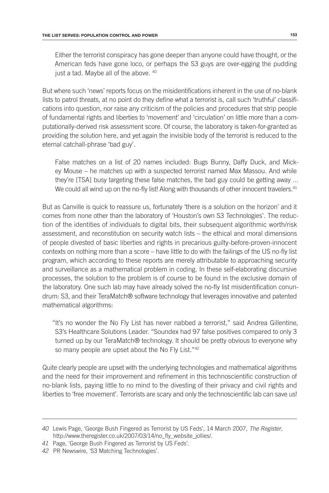Either the terrorist conspiracy has gone deeper than anyone could have thought, or the American feds have gone loco, or perhaps the S3 guys are over-egging the pudding just a tad. Maybe all of the above. 40

But where such 'news' reports focus on the misidentifications inherent in the use of no-blank lists to patrol threats, at no point do they define what a terrorist is, call such 'truthful' classifications into question, nor raise any criticism of the policies and procedures that strip people of fundamental rights and liberties to 'movement' and 'circulation' on little more than a computationally-derived risk assessment score. Of course, the laboratory is taken-for-granted as providing the solution here, and yet again the invisible body of the terrorist is reduced to the eternal catchall-phrase 'bad guy'.

False matches on a list of 20 names included: Bugs Bunny, Daffy Duck, and Mickey Mouse – he matches up with a suspected terrorist named Max Massou. And while they're [TSA] busy targeting these false matches, the bad guy could be getting away ... We could all wind up on the no-fly list! Along with thousands of other innocent travelers.<sup>41</sup>

But as Canville is quick to reassure us, fortunately 'there is a solution on the horizon' and it comes from none other than the laboratory of 'Houston's own S3 Technologies'. The reduction of the identities of individuals to digital bits, their subsequent algorithmic worth/risk assessment, and reconstitution on security watch lists – the ethical and moral dimensions of people divested of basic liberties and rights in precarious guilty-before-proven-innocent contexts on nothing more than a score – have little to do with the failings of the US no-fly list program, which according to these reports are merely attributable to approaching security and surveillance as a mathematical problem in coding. In these self-elaborating discursive processes, the solution to the problem is of course to be found in the exclusive domain of the laboratory. One such lab may have already solved the no-fly list misidentification conundrum: S3, and their TeraMatch® software technology that leverages innovative and patented mathematical algorithms:

"It's no wonder the No Fly List has never nabbed a terrorist," said Andrea Gillentine, S3's Healthcare Solutions Leader. "Soundex had 97 false positives compared to only 3 turned up by our TeraMatch® technology. It should be pretty obvious to everyone why so many people are upset about the No Fly List."42

Quite clearly people are upset with the underlying technologies and mathematical algorithms and the need for their improvement and refinement in this technoscientific construction of no-blank lists, paying little to no mind to the divesting of their privacy and civil rights and liberties to 'free movement'. Terrorists are scary and only the technoscientific lab can save us!

*<sup>40</sup>* Lewis Page, 'George Bush Fingered as Terrorist by US Feds', 14 March 2007, *The Register*, http://www.theregister.co.uk/2007/03/14/no\_fly\_website\_jollies/.

*<sup>41</sup>* Page, 'George Bush Fingered as Terrorist by US Feds'.

*<sup>42</sup>* PR Newswire, 'S3 Matching Technologies'.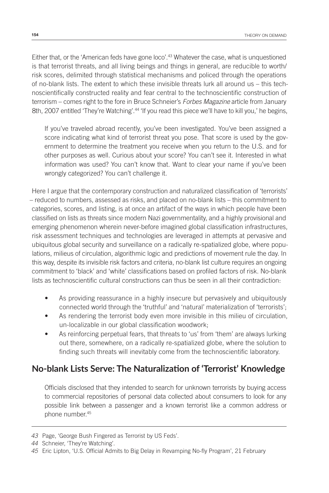Either that, or the 'American feds have gone loco'.43 Whatever the case, what is unquestioned is that terrorist threats, and all living beings and things in general, are reducible to worth/ risk scores, delimited through statistical mechanisms and policed through the operations of no-blank lists. The extent to which these invisible threats lurk all around us – this technoscientifically constructed reality and fear central to the technoscientific construction of terrorism – comes right to the fore in Bruce Schneier's *Forbes Magazine* article from January 8th, 2007 entitled 'They're Watching'.<sup>44</sup> 'If you read this piece we'll have to kill you,' he begins,

If you've traveled abroad recently, you've been investigated. You've been assigned a score indicating what kind of terrorist threat you pose. That score is used by the government to determine the treatment you receive when you return to the U.S. and for other purposes as well. Curious about your score? You can't see it. Interested in what information was used? You can't know that. Want to clear your name if you've been wrongly categorized? You can't challenge it.

Here I argue that the contemporary construction and naturalized classification of 'terrorists' – reduced to numbers, assessed as risks, and placed on no-blank lists – this commitment to categories, scores, and listing, is at once an artifact of the ways in which people have been classified on lists as threats since modern Nazi governmentality, and a highly provisional and emerging phenomenon wherein never-before imagined global classification infrastructures, risk assessment techniques and technologies are leveraged in attempts at pervasive and ubiquitous global security and surveillance on a radically re-spatialized globe, where populations, milieus of circulation, algorithmic logic and predictions of movement rule the day. In this way, despite its invisible risk factors and criteria, no-blank list culture requires an ongoing commitment to 'black' and 'white' classifications based on profiled factors of risk. No-blank lists as technoscientific cultural constructions can thus be seen in all their contradiction:

- As providing reassurance in a highly insecure but pervasively and ubiquitously connected world through the 'truthful' and 'natural' materialization of 'terrorists';
- As rendering the terrorist body even more invisible in this milieu of circulation, un-localizable in our global classification woodwork;
- As reinforcing perpetual fears, that threats to 'us' from 'them' are always lurking out there, somewhere, on a radically re-spatialized globe, where the solution to finding such threats will inevitably come from the technoscientific laboratory.

## **No-blank Lists Serve: The Naturalization of 'Terrorist' Knowledge**

Officials disclosed that they intended to search for unknown terrorists by buying access to commercial repositories of personal data collected about consumers to look for any possible link between a passenger and a known terrorist like a common address or phone number.45

*<sup>43</sup>* Page, 'George Bush Fingered as Terrorist by US Feds'.

*<sup>44</sup>* Schneier, 'They're Watching'.

*<sup>45</sup>* Eric Lipton, 'U.S. Official Admits to Big Delay in Revamping No-fly Program', 21 February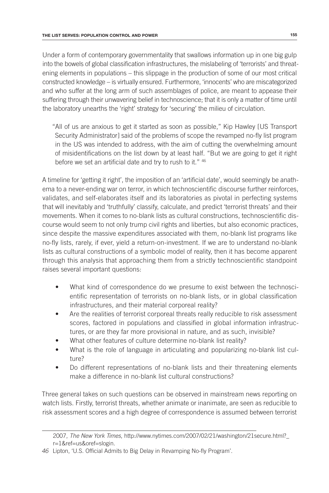Under a form of contemporary governmentality that swallows information up in one big gulp into the bowels of global classification infrastructures, the mislabeling of 'terrorists' and threatening elements in populations – this slippage in the production of some of our most critical constructed knowledge – is virtually ensured. Furthermore, 'innocents' who are miscategorized and who suffer at the long arm of such assemblages of police, are meant to appease their suffering through their unwavering belief in technoscience; that it is only a matter of time until the laboratory unearths the 'right' strategy for 'securing' the milieu of circulation.

"All of us are anxious to get it started as soon as possible," Kip Hawley [US Transport Security Administrator] said of the problems of scope the revamped no-fly list program in the US was intended to address, with the aim of cutting the overwhelming amount of misidentifications on the list down by at least half. "But we are going to get it right before we set an artificial date and try to rush to it." 46

A timeline for 'getting it right', the imposition of an 'artificial date', would seemingly be anathema to a never-ending war on terror, in which technoscientific discourse further reinforces, validates, and self-elaborates itself and its laboratories as pivotal in perfecting systems that will inevitably and 'truthfully' classify, calculate, and predict 'terrorist threats' and their movements. When it comes to no-blank lists as cultural constructions, technoscientific discourse would seem to not only trump civil rights and liberties, but also economic practices, since despite the massive expenditures associated with them, no-blank list programs like no-fly lists, rarely, if ever, yield a return-on-investment. If we are to understand no-blank lists as cultural constructions of a symbolic model of reality, then it has become apparent through this analysis that approaching them from a strictly technoscientific standpoint raises several important questions:

- What kind of correspondence do we presume to exist between the technoscientific representation of terrorists on no-blank lists, or in global classification infrastructures, and their material corporeal reality?
- Are the realities of terrorist corporeal threats really reducible to risk assessment scores, factored in populations and classified in global information infrastructures, or are they far more provisional in nature, and as such, invisible?
- What other features of culture determine no-blank list reality?
- What is the role of language in articulating and popularizing no-blank list culture?
- Do different representations of no-blank lists and their threatening elements make a difference in no-blank list cultural constructions?

Three general takes on such questions can be observed in mainstream news reporting on watch lists. Firstly, terrorist threats, whether animate or inanimate, are seen as reducible to risk assessment scores and a high degree of correspondence is assumed between terrorist

<sup>2007,</sup> *The New York Times*, http://www.nytimes.com/2007/02/21/washington/21secure.html?\_ r=1&ref=us&oref=slogin.

*<sup>46</sup>* Lipton, 'U.S. Official Admits to Big Delay in Revamping No-fly Program'.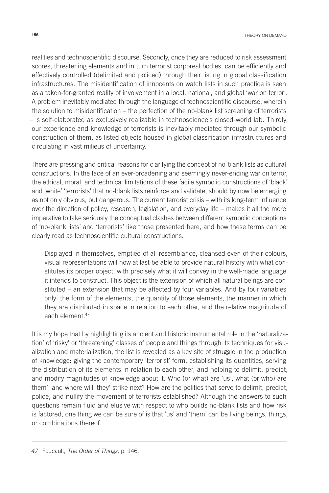realities and technoscientific discourse. Secondly, once they are reduced to risk assessment scores, threatening elements and in turn terrorist corporeal bodies, can be efficiently and effectively controlled (delimited and policed) through their listing in global classification infrastructures. The misidentification of innocents on watch lists in such practice is seen as a taken-for-granted reality of involvement in a local, national, and global 'war on terror'. A problem inevitably mediated through the language of technoscientific discourse, wherein the solution to misidentification – the perfection of the no-blank list screening of terrorists – is self-elaborated as exclusively realizable in technoscience's closed-world lab. Thirdly, our experience and knowledge of terrorists is inevitably mediated through our symbolic construction of them, as listed objects housed in global classification infrastructures and circulating in vast milieus of uncertainty.

There are pressing and critical reasons for clarifying the concept of no-blank lists as cultural constructions. In the face of an ever-broadening and seemingly never-ending war on terror, the ethical, moral, and technical limitations of these facile symbolic constructions of 'black' and 'white' 'terrorists' that no-blank lists reinforce and validate, should by now be emerging as not only obvious, but dangerous. The current terrorist crisis – with its long-term influence over the direction of policy, research, legislation, and everyday life – makes it all the more imperative to take seriously the conceptual clashes between different symbolic conceptions of 'no-blank lists' and 'terrorists' like those presented here, and how these terms can be clearly read as technoscientific cultural constructions.

Displayed in themselves, emptied of all resemblance, cleansed even of their colours, visual representations will now at last be able to provide natural history with what constitutes its proper object, with precisely what it will convey in the well-made language it intends to construct. This object is the extension of which all natural beings are constituted – an extension that may be affected by four variables. And by four variables only: the form of the elements, the quantity of those elements, the manner in which they are distributed in space in relation to each other, and the relative magnitude of each element.47

It is my hope that by highlighting its ancient and historic instrumental role in the 'naturalization' of 'risky' or 'threatening' classes of people and things through its techniques for visualization and materialization, the list is revealed as a key site of struggle in the production of knowledge: giving the contemporary 'terrorist' form, establishing its quantities, serving the distribution of its elements in relation to each other, and helping to delimit, predict, and modify magnitudes of knowledge about it. Who (or what) are 'us', what (or who) are 'them', and where will 'they' strike next? How are the politics that serve to delimit, predict, police, and nullify the movement of terrorists established? Although the answers to such questions remain fluid and elusive with respect to who builds no-blank lists and how risk is factored, one thing we can be sure of is that 'us' and 'them' can be living beings, things, or combinations thereof.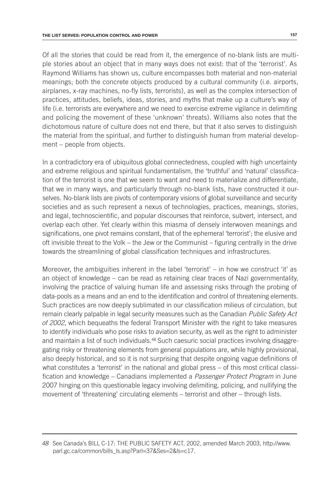Of all the stories that could be read from it, the emergence of no-blank lists are multiple stories about an object that in many ways does not exist: that of the 'terrorist'. As Raymond Williams has shown us, culture encompasses both material and non-material meanings; both the concrete objects produced by a cultural community (i.e. airports, airplanes, x-ray machines, no-fly lists, terrorists), as well as the complex intersection of practices, attitudes, beliefs, ideas, stories, and myths that make up a culture's way of life (i.e. terrorists are everywhere and we need to exercise extreme vigilance in delimiting and policing the movement of these 'unknown' threats). Williams also notes that the dichotomous nature of culture does not end there, but that it also serves to distinguish the material from the spiritual, and further to distinguish human from material development – people from objects.

In a contradictory era of ubiquitous global connectedness, coupled with high uncertainty and extreme religious and spiritual fundamentalism, the 'truthful' and 'natural' classification of the terrorist is one that we seem to want and need to materialize and differentiate, that we in many ways, and particularly through no-blank lists, have constructed it ourselves. No-blank lists are pivots of contemporary visions of global surveillance and security societies and as such represent a nexus of technologies, practices, meanings, stories, and legal, technoscientific, and popular discourses that reinforce, subvert, intersect, and overlap each other. Yet clearly within this miasma of densely interwoven meanings and significations, one pivot remains constant, that of the ephemeral 'terrorist'; the elusive and oft invisible threat to the Volk – the Jew or the Communist – figuring centrally in the drive towards the streamlining of global classification techniques and infrastructures.

Moreover, the ambiguities inherent in the label 'terrorist' – in how we construct 'it' as an object of knowledge – can be read as retaining clear traces of Nazi governmentality, involving the practice of valuing human life and assessing risks through the probing of data-pools as a means and an end to the identification and control of threatening elements. Such practices are now deeply sublimated in our classification milieus of circulation, but remain clearly palpable in legal security measures such as the Canadian *Public Safety Act of 2002*, which bequeaths the federal Transport Minister with the right to take measures to identify individuals who pose risks to aviation security, as well as the right to administer and maintain a list of such individuals.<sup>48</sup> Such caesuric social practices involving disaggregating risky or threatening elements from general populations are, while highly provisional, also deeply historical, and so it is not surprising that despite ongoing vague definitions of what constitutes a 'terrorist' in the national and global press – of this most critical classification and knowledge – Canadians implemented a *Passenger Protect Program* in June 2007 hinging on this questionable legacy involving delimiting, policing, and nullifying the movement of 'threatening' circulating elements – terrorist and other – through lists.

*<sup>48</sup>* See Canada's BILL C-17: THE PUBLIC SAFETY ACT, 2002, amended March 2003, http://www. parl.gc.ca/common/bills\_ls.asp?Parl=37&Ses=2&ls=c17.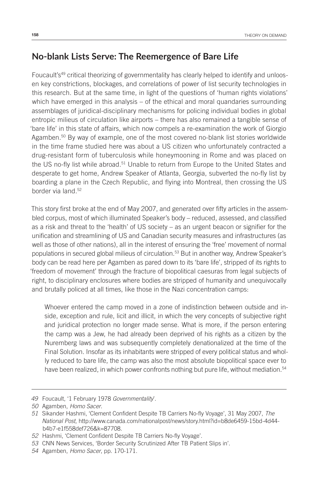#### **No-blank Lists Serve: The Reemergence of Bare Life**

Foucault's<sup>49</sup> critical theorizing of governmentality has clearly helped to identify and unloosen key constrictions, blockages, and correlations of power of list security technologies in this research. But at the same time, in light of the questions of 'human rights violations' which have emerged in this analysis – of the ethical and moral quandaries surrounding assemblages of juridical-disciplinary mechanisms for policing individual bodies in global entropic milieus of circulation like airports – there has also remained a tangible sense of 'bare life' in this state of affairs, which now compels a re-examination the work of Giorgio Agamben. $50$  By way of example, one of the most covered no-blank list stories worldwide in the time frame studied here was about a US citizen who unfortunately contracted a drug-resistant form of tuberculosis while honeymooning in Rome and was placed on the US no-fly list while abroad.<sup>51</sup> Unable to return from Europe to the United States and desperate to get home, Andrew Speaker of Atlanta, Georgia, subverted the no-fly list by boarding a plane in the Czech Republic, and flying into Montreal, then crossing the US border via land.52

This story first broke at the end of May 2007, and generated over fifty articles in the assembled corpus, most of which illuminated Speaker's body – reduced, assessed, and classified as a risk and threat to the 'health' of US society – as an urgent beacon or signifier for the unification and streamlining of US and Canadian security measures and infrastructures (as well as those of other nations), all in the interest of ensuring the 'free' movement of normal populations in secured global milieus of circulation.53 But in another way, Andrew Speaker's body can be read here per Agamben as pared down to its 'bare life', stripped of its rights to 'freedom of movement' through the fracture of biopolitical caesuras from legal subjects of right, to disciplinary enclosures where bodies are stripped of humanity and unequivocally and brutally policed at all times, like those in the Nazi concentration camps:

Whoever entered the camp moved in a zone of indistinction between outside and inside, exception and rule, licit and illicit, in which the very concepts of subjective right and juridical protection no longer made sense. What is more, if the person entering the camp was a Jew, he had already been deprived of his rights as a citizen by the Nuremberg laws and was subsequently completely denationalized at the time of the Final Solution. Insofar as its inhabitants were stripped of every political status and wholly reduced to bare life, the camp was also the most absolute biopolitical space ever to have been realized, in which power confronts nothing but pure life, without mediation.<sup>54</sup>

*<sup>49</sup>* Foucault, '1 February 1978 *Governmentality*'.

*<sup>50</sup>* Agamben, *Homo Sacer*.

*<sup>51</sup>* Sikander Hashmi, 'Clement Confident Despite TB Carriers No-fly Voyage', 31 May 2007, *The National Post*, http://www.canada.com/nationalpost/news/story.html?id=b8de6459-15bd-4d44 b4b7-e1f558def726&k=87708.

*<sup>52</sup>* Hashmi, 'Clement Confident Despite TB Carriers No-fly Voyage'.

*<sup>53</sup>* CNN News Services, 'Border Security Scrutinized After TB Patient Slips in'.

*<sup>54</sup>* Agamben, *Homo Sacer*, pp. 170-171.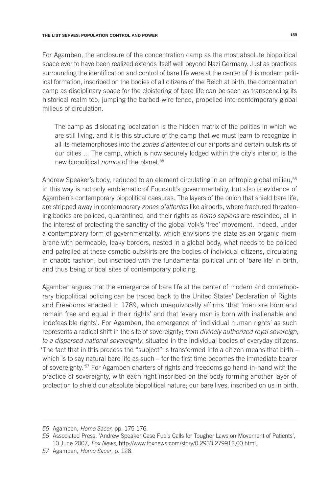For Agamben, the enclosure of the concentration camp as the most absolute biopolitical space ever to have been realized extends itself well beyond Nazi Germany. Just as practices surrounding the identification and control of bare life were at the center of this modern political formation, inscribed on the bodies of all citizens of the Reich at birth, the concentration camp as disciplinary space for the cloistering of bare life can be seen as transcending its historical realm too, jumping the barbed-wire fence, propelled into contemporary global milieus of circulation.

The camp as dislocating localization is the hidden matrix of the politics in which we are still living, and it is this structure of the camp that we must learn to recognize in all its metamorphoses into the *zones d'attentes* of our airports and certain outskirts of our cities ... The camp, which is now securely lodged within the city's interior, is the new biopolitical *nomos* of the planet.55

Andrew Speaker's body, reduced to an element circulating in an entropic global milieu,<sup>56</sup> in this way is not only emblematic of Foucault's governmentality, but also is evidence of Agamben's contemporary biopolitical caesuras. The layers of the onion that shield bare life, are stripped away in contemporary *zones d'attentes* like airports, where fractured threatening bodies are policed, quarantined, and their rights as *homo sapiens* are rescinded, all in the interest of protecting the sanctity of the global Volk's 'free' movement. Indeed, under a contemporary form of governmentality, which envisions the state as an organic membrane with permeable, leaky borders, nested in a global body, what needs to be policed and patrolled at these osmotic outskirts are the bodies of individual citizens, circulating in chaotic fashion, but inscribed with the fundamental political unit of 'bare life' in birth, and thus being critical sites of contemporary policing.

Agamben argues that the emergence of bare life at the center of modern and contemporary biopolitical policing can be traced back to the United States' Declaration of Rights and Freedoms enacted in 1789, which unequivocally affirms 'that 'men are born and remain free and equal in their rights' and that 'every man is born with inalienable and indefeasible rights'. For Agamben, the emergence of 'individual human rights' as such represents a radical shift in the site of sovereignty; *from divinely authorized royal sovereign, to a dispersed national sovereignty*, situated in the individual bodies of everyday citizens. 'The fact that in this process the "subject" is transformed into a citizen means that birth – which is to say natural bare life as such – for the first time becomes the immediate bearer of sovereignty.'57 For Agamben charters of rights and freedoms go hand-in-hand with the practice of sovereignty, with each right inscribed on the body forming another layer of protection to shield our absolute biopolitical nature; our bare lives, inscribed on us in birth.

*<sup>55</sup>* Agamben, *Homo Sacer*, pp. 175-176.

*<sup>56</sup>* Associated Press, 'Andrew Speaker Case Fuels Calls for Tougher Laws on Movement of Patients', 10 June 2007, *Fox News*, http://www.foxnews.com/story/0,2933,279912,00.html.

*<sup>57</sup>* Agamben, *Homo Sacer*, p. 128.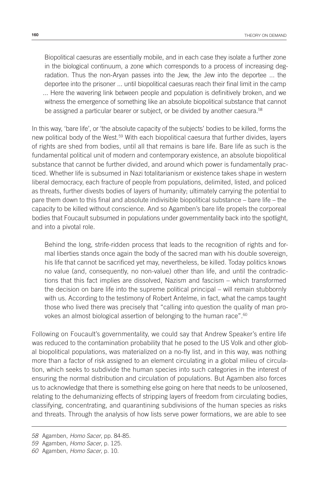Biopolitical caesuras are essentially mobile, and in each case they isolate a further zone in the biological continuum, a zone which corresponds to a process of increasing degradation. Thus the non-Aryan passes into the Jew, the Jew into the deportee ... the deportee into the prisoner ... until biopolitical caesuras reach their final limit in the camp ... Here the wavering link between people and population is definitively broken, and we witness the emergence of something like an absolute biopolitical substance that cannot be assigned a particular bearer or subject, or be divided by another caesura.<sup>58</sup>

In this way, 'bare life', or 'the absolute capacity of the subjects' bodies to be killed, forms the new political body of the West.59 With each biopolitical caesura that further divides, layers of rights are shed from bodies, until all that remains is bare life. Bare life as such is the fundamental political unit of modern and contemporary existence, an absolute biopolitical substance that cannot be further divided, and around which power is fundamentally practiced. Whether life is subsumed in Nazi totalitarianism or existence takes shape in western liberal democracy, each fracture of people from populations, delimited, listed, and policed as threats, further divests bodies of layers of humanity; ultimately carrying the potential to pare them down to this final and absolute indivisible biopolitical substance – bare life – the capacity to be killed without conscience. And so Agamben's bare life propels the corporeal bodies that Foucault subsumed in populations under governmentality back into the spotlight, and into a pivotal role.

Behind the long, strife-ridden process that leads to the recognition of rights and formal liberties stands once again the body of the sacred man with his double sovereign, his life that cannot be sacrificed yet may, nevertheless, be killed. Today politics knows no value (and, consequently, no non-value) other than life, and until the contradictions that this fact implies are dissolved, Nazism and fascism – which transformed the decision on bare life into the supreme political principal – will remain stubbornly with us. According to the testimony of Robert Antelme, in fact, what the camps taught those who lived there was precisely that "calling into question the quality of man provokes an almost biological assertion of belonging to the human race".60

Following on Foucault's governmentality, we could say that Andrew Speaker's entire life was reduced to the contamination probability that he posed to the US Volk and other global biopolitical populations, was materialized on a no-fly list, and in this way, was nothing more than a factor of risk assigned to an element circulating in a global milieu of circulation, which seeks to subdivide the human species into such categories in the interest of ensuring the normal distribution and circulation of populations. But Agamben also forces us to acknowledge that there is something else going on here that needs to be unloosened, relating to the dehumanizing effects of stripping layers of freedom from circulating bodies, classifying, concentrating, and quarantining subdivisions of the human species as risks and threats. Through the analysis of how lists serve power formations, we are able to see

*<sup>58</sup>* Agamben, *Homo Sacer*, pp. 84-85.

*<sup>59</sup>* Agamben, *Homo Sacer*, p. 125.

*<sup>60</sup>* Agamben, *Homo Sacer*, p. 10.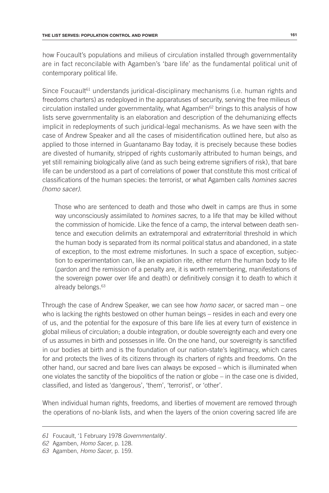how Foucault's populations and milieus of circulation installed through governmentality are in fact reconcilable with Agamben's 'bare life' as the fundamental political unit of contemporary political life.

Since Foucault<sup>61</sup> understands juridical-disciplinary mechanisms (i.e. human rights and freedoms charters) as redeployed in the apparatuses of security, serving the free milieus of circulation installed under governmentality, what Agamben<sup>62</sup> brings to this analysis of how lists serve governmentality is an elaboration and description of the dehumanizing effects implicit in redeployments of such juridical-legal mechanisms. As we have seen with the case of Andrew Speaker and all the cases of misidentification outlined here, but also as applied to those interned in Guantanamo Bay today, it is precisely because these bodies are divested of humanity, stripped of rights customarily attributed to human beings, and yet still remaining biologically alive (and as such being extreme signifiers of risk), that bare life can be understood as a part of correlations of power that constitute this most critical of classifications of the human species: the terrorist, or what Agamben calls *homines sacres (homo sacer)*.

Those who are sentenced to death and those who dwelt in camps are thus in some way unconsciously assimilated to *homines sacres*, to a life that may be killed without the commission of homicide. Like the fence of a camp, the interval between death sentence and execution delimits an extratemporal and extraterritorial threshold in which the human body is separated from its normal political status and abandoned, in a state of exception, to the most extreme misfortunes. In such a space of exception, subjection to experimentation can, like an expiation rite, either return the human body to life (pardon and the remission of a penalty are, it is worth remembering, manifestations of the sovereign power over life and death) or definitively consign it to death to which it already belongs.<sup>63</sup>

Through the case of Andrew Speaker, we can see how *homo sacer*, or sacred man – one who is lacking the rights bestowed on other human beings – resides in each and every one of us, and the potential for the exposure of this bare life lies at every turn of existence in global milieus of circulation; a double integration, or double sovereignty each and every one of us assumes in birth and possesses in life. On the one hand, our sovereignty is sanctified in our bodies at birth and is the foundation of our nation-state's legitimacy, which cares for and protects the lives of its citizens through its charters of rights and freedoms. On the other hand, our sacred and bare lives can always be exposed – which is illuminated when one violates the sanctity of the biopolitics of the nation or globe – in the case one is divided, classified, and listed as 'dangerous', 'them', 'terrorist', or 'other'.

When individual human rights, freedoms, and liberties of movement are removed through the operations of no-blank lists, and when the layers of the onion covering sacred life are

*<sup>61</sup>* Foucault, '1 February 1978 *Governmentality*'.

*<sup>62</sup>* Agamben, *Homo Sacer*, p. 128.

*<sup>63</sup>* Agamben, *Homo Sacer*, p. 159.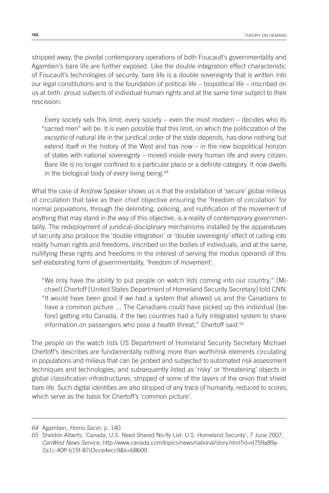stripped away, the pivotal contemporary operations of both Foucault's governmentality and Agamben's bare life are further exposed. Like the double integration effect characteristic of Foucault's technologies of security, bare life is a double sovereignty that is written into our legal constitutions and is the foundation of political life – biopolitical life – inscribed on us at birth: proud subjects of individual human rights and at the same time subject to their rescission.

Every society sets this limit; every society – even the most modern – decides who its "sacred men" will be. It is even possible that this limit, on which the politicization of the *exceptio* of natural life in the juridical order of the state depends, has done nothing but extend itself in the history of the West and has now – in the new biopolitical horizon of states with national sovereignty – moved inside every human life and every citizen. Bare life is no longer confined to a particular place or a definite category. It now dwells in the biological body of every living being.<sup>64</sup>

What the case of Andrew Speaker shows us is that the installation of 'secure' global milieus of circulation that take as their chief objective ensuring the 'freedom of circulation' for normal populations, through the delimiting, policing, and nullification of the movement of anything that may stand in the way of this objective, is a reality of contemporary governmentality. The redeployment of juridical-disciplinary mechanisms installed by the apparatuses of security also produce the 'double integration' or 'double sovereignty' effect of calling into reality human rights and freedoms, inscribed on the bodies of individuals, and at the same, nullifying these rights and freedoms in the interest of serving the modus operandi of this self-elaborating form of governmentality, 'freedom of movement'.

"We only have the ability to put people on watch lists coming into our country," [Michael] Chertoff [United States Department of Homeland Security Secretary] told CNN. "It would have been good if we had a system that allowed us and the Canadians to have a common picture ... The Canadians could have picked up this individual (before) getting into Canada, if the two countries had a fully integrated system to share information on passengers who pose a health threat," Chertoff said.<sup>65</sup>

The people on the watch lists US Department of Homeland Security Secretary Michael Chertoff's describes are fundamentally nothing more than worth/risk elements circulating in populations and milieus that can be probed and subjected to automated risk assessment techniques and technologies; and subsequently listed as 'risky' or 'threatening' objects in global classification infrastructures, stripped of some of the layers of the onion that shield bare life. Such digital identities are also stripped of any trace of humanity, reduced to scores, which serve as the basis for Chertoff's 'common picture'.

*<sup>64</sup>* Agamben, *Homo Sacer*, p. 140.

*<sup>65</sup>* Sheldon Alberts, 'Canada, U.S. Need Shared No-fly List: U.S. Homeland Security', 7 June 2007, *CanWest News Service*, http://www.canada.com/topics/news/national/story.html?id=d759a89a-2a1c-40ff-b15f-87d3cce4ecc9&k=68609.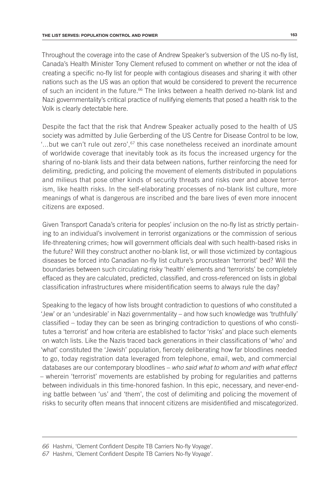Throughout the coverage into the case of Andrew Speaker's subversion of the US no-fly list, Canada's Health Minister Tony Clement refused to comment on whether or not the idea of creating a specific no-fly list for people with contagious diseases and sharing it with other nations such as the US was an option that would be considered to prevent the recurrence of such an incident in the future.66 The links between a health derived no-blank list and Nazi governmentality's critical practice of nullifying elements that posed a health risk to the Volk is clearly detectable here.

Despite the fact that the risk that Andrew Speaker actually posed to the health of US society was admitted by Julie Gerberding of the US Centre for Disease Control to be low, "...but we can't rule out zero', $67$  this case nonetheless received an inordinate amount of worldwide coverage that inevitably took as its focus the increased urgency for the sharing of no-blank lists and their data between nations, further reinforcing the need for delimiting, predicting, and policing the movement of elements distributed in populations and milieus that pose other kinds of security threats and risks over and above terrorism, like health risks. In the self-elaborating processes of no-blank list culture, more meanings of what is dangerous are inscribed and the bare lives of even more innocent citizens are exposed.

Given Transport Canada's criteria for peoples' inclusion on the no-fly list as strictly pertaining to an individual's involvement in terrorist organizations or the commission of serious life-threatening crimes; how will government officials deal with such health-based risks in the future? Will they construct another no-blank list, or will those victimized by contagious diseases be forced into Canadian no-fly list culture's procrustean 'terrorist' bed? Will the boundaries between such circulating risky 'health' elements and 'terrorists' be completely effaced as they are calculated, predicted, classified, and cross-referenced on lists in global classification infrastructures where misidentification seems to always rule the day?

Speaking to the legacy of how lists brought contradiction to questions of who constituted a 'Jew' or an 'undesirable' in Nazi governmentality – and how such knowledge was 'truthfully' classified – today they can be seen as bringing contradiction to questions of who constitutes a 'terrorist' and how criteria are established to factor 'risks' and place such elements on watch lists. Like the Nazis traced back generations in their classifications of 'who' and 'what' constituted the 'Jewish' population, fiercely deliberating how far bloodlines needed to go, today registration data leveraged from telephone, email, web, and commercial databases are our contemporary bloodlines – *who said what to whom and with what effect* – wherein 'terrorist' movements are established by probing for regularities and patterns between individuals in this time-honored fashion. In this epic, necessary, and never-ending battle between 'us' and 'them', the cost of delimiting and policing the movement of risks to security often means that innocent citizens are misidentified and miscategorized.

*<sup>66</sup>* Hashmi, 'Clement Confident Despite TB Carriers No-fly Voyage'.

*<sup>67</sup>* Hashmi, 'Clement Confident Despite TB Carriers No-fly Voyage'.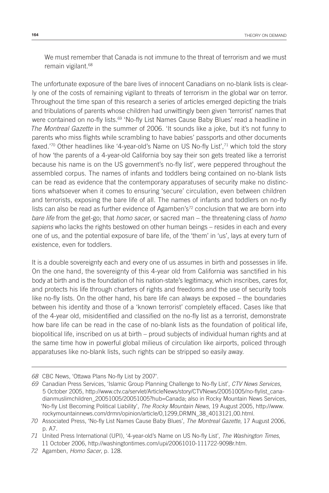We must remember that Canada is not immune to the threat of terrorism and we must remain vigilant.68

The unfortunate exposure of the bare lives of innocent Canadians on no-blank lists is clearly one of the costs of remaining vigilant to threats of terrorism in the global war on terror. Throughout the time span of this research a series of articles emerged depicting the trials and tribulations of parents whose children had unwittingly been given 'terrorist' names that were contained on no-fly lists.<sup>69</sup> 'No-fly List Names Cause Baby Blues' read a headline in *The Montreal Gazette* in the summer of 2006. 'It sounds like a joke, but it's not funny to parents who miss flights while scrambling to have babies' passports and other documents faxed.'70 Other headlines like '4-year-old's Name on US No-fly List',71 which told the story of how 'the parents of a 4-year-old California boy say their son gets treated like a terrorist because his name is on the US government's no-fly list', were peppered throughout the assembled corpus. The names of infants and toddlers being contained on no-blank lists can be read as evidence that the contemporary apparatuses of security make no distinctions whatsoever when it comes to ensuring 'secure' circulation, even between children and terrorists, exposing the bare life of all. The names of infants and toddlers on no-fly lists can also be read as further evidence of Agamben's $7<sup>2</sup>$  conclusion that we are born into *bare life* from the get-go; that *homo sacer*, or sacred man – the threatening class of *homo sapiens* who lacks the rights bestowed on other human beings – resides in each and every one of us, and the potential exposure of bare life, of the 'them' in 'us', lays at every turn of existence, even for toddlers.

It is a double sovereignty each and every one of us assumes in birth and possesses in life. On the one hand, the sovereignty of this 4-year old from California was sanctified in his body at birth and is the foundation of his nation-state's legitimacy, which inscribes, cares for, and protects his life through charters of rights and freedoms and the use of security tools like no-fly lists. On the other hand, his bare life can always be exposed – the boundaries between his identity and those of a 'known terrorist' completely effaced. Cases like that of the 4-year old, misidentified and classified on the no-fly list as a terrorist, demonstrate how bare life can be read in the case of no-blank lists as the foundation of political life, biopolitical life, inscribed on us at birth – proud subjects of individual human rights and at the same time how in powerful global milieus of circulation like airports, policed through apparatuses like no-blank lists, such rights can be stripped so easily away.

*<sup>68</sup>* CBC News, 'Ottawa Plans No-fly List by 2007'.

*<sup>69</sup>* Canadian Press Services, 'Islamic Group Planning Challenge to No-fly List', *CTV News Services*, 5 October 2005, http://www.ctv.ca/servlet/ArticleNews/story/CTVNews/20051005/no-flylist\_canadianmuslimchildren\_20051005/20051005?hub=Canada; also in Rocky Mountain News Services, 'No-fly List Becoming Political Liability', *The Rocky Mountain News*, 19 August 2005, http://www. rockymountainnews.com/drmn/opinion/article/0,1299,DRMN\_38\_4013121,00.html.

*<sup>70</sup>* Associated Press, 'No-fly List Names Cause Baby Blues', *The Montreal Gazette*, 17 August 2006, p. A7.

*<sup>71</sup>* United Press International (UPI), '4-year-old's Name on US No-fly List', *The Washington Times*, 11 October 2006, http://washingtontimes.com/upi/20061010-111722-9098r.htm.

*<sup>72</sup>* Agamben, *Homo Sacer*, p. 128.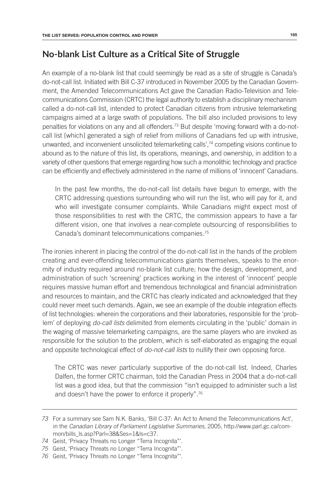## **No-blank List Culture as a Critical Site of Struggle**

An example of a no-blank list that could seemingly be read as a site of struggle is Canada's do-not-call list. Initiated with Bill C-37 introduced in November 2005 by the Canadian Government, the Amended Telecommunications Act gave the Canadian Radio-Television and Telecommunications Commission (CRTC) the legal authority to establish a disciplinary mechanism called a do-not-call list, intended to protect Canadian citizens from intrusive telemarketing campaigns aimed at a large swath of populations. The bill also included provisions to levy penalties for violations on any and all offenders.73 But despite 'moving forward with a do-notcall list [which] generated a sigh of relief from millions of Canadians fed up with intrusive, unwanted, and inconvenient unsolicited telemarketing calls',74 competing visions continue to abound as to the nature of this list, its operations, meanings, and ownership, in addition to a variety of other questions that emerge regarding how such a monolithic technology and practice can be efficiently and effectively administered in the name of millions of 'innocent' Canadians.

In the past few months, the do-not-call list details have begun to emerge, with the CRTC addressing questions surrounding who will run the list, who will pay for it, and who will investigate consumer complaints. While Canadians might expect most of those responsibilities to rest with the CRTC, the commission appears to have a far different vision, one that involves a near-complete outsourcing of responsibilities to Canada's dominant telecommunications companies.75

The ironies inherent in placing the control of the do-not-call list in the hands of the problem creating and ever-offending telecommunications giants themselves, speaks to the enormity of industry required around no-blank list culture; how the design, development, and administration of such 'screening' practices working in the interest of 'innocent' people requires massive human effort and tremendous technological and financial administration and resources to maintain, and the CRTC has clearly indicated and acknowledged that they could never meet such demands. Again, we see an example of the double integration effects of list technologies: wherein the corporations and their laboratories, responsible for the 'problem' of deploying *do-call lists* delimited from elements circulating in the 'public' domain in the waging of massive telemarketing campaigns, are the same players who are invoked as responsible for the solution to the problem, which is self-elaborated as engaging the equal and opposite technological effect of *do-not-call lists* to nullify their own opposing force.

The CRTC was never particularly supportive of the do-not-call list. Indeed, Charles Dalfen, the former CRTC chairman, told the Canadian Press in 2004 that a do-not-call list was a good idea, but that the commission "isn't equipped to administer such a list and doesn't have the power to enforce it properly".76

*<sup>73</sup>* For a summary see Sam N.K. Banks, 'Bill C-37: An Act to Amend the Telecommunications Act', in the *Canadian Library of Parliament Legislative Summaries*, 2005, http://www.parl.gc.ca/common/bills\_ls.asp?Parl=38&Ses=1&ls=c37.

*<sup>74</sup>* Geist, 'Privacy Threats no Longer "Terra Incognita"'.

*<sup>75</sup>* Geist, 'Privacy Threats no Longer "Terra Incognita"'.

*<sup>76</sup>* Geist, 'Privacy Threats no Longer "Terra Incognita"'.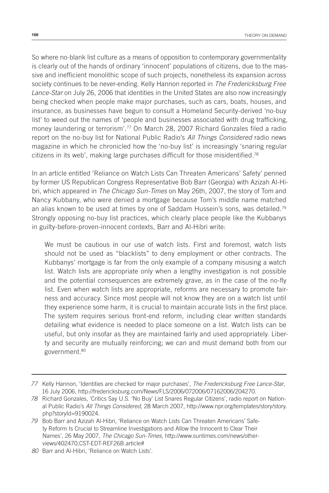So where no-blank list culture as a means of opposition to contemporary governmentality is clearly out of the hands of ordinary 'innocent' populations of citizens, due to the massive and inefficient monolithic scope of such projects, nonetheless its expansion across society continues to be never-ending. Kelly Hannon reported in *The Fredericksburg Free Lance-Star* on July 26, 2006 that identities in the United States are also now increasingly being checked when people make major purchases, such as cars, boats, houses, and insurance, as businesses have begun to consult a Homeland Security-derived 'no-buy list' to weed out the names of 'people and businesses associated with drug trafficking, money laundering or terrorism'.77 On March 28, 2007 Richard Gonzales filed a radio report on the no-buy list for National Public Radio's *All Things Considered* radio news magazine in which he chronicled how the 'no-buy list' is increasingly 'snaring regular citizens in its web', making large purchases difficult for those misidentified.78

In an article entitled 'Reliance on Watch Lists Can Threaten Americans' Safety' penned by former US Republican Congress Representative Bob Barr (Georgia) with Azizah Al-Hibri, which appeared in *The Chicago Sun-Times* on May 26th, 2007, the story of Tom and Nancy Kubbany, who were denied a mortgage because Tom's middle name matched an alias known to be used at times by one of Saddam Hussein's sons, was detailed.79 Strongly opposing no-buy list practices, which clearly place people like the Kubbanys in guilty-before-proven-innocent contexts, Barr and Al-Hibri write:

We must be cautious in our use of watch lists. First and foremost, watch lists should not be used as "blacklists" to deny employment or other contracts. The Kubbanys' mortgage is far from the only example of a company misusing a watch list. Watch lists are appropriate only when a lengthy investigation is not possible and the potential consequences are extremely grave, as in the case of the no-fly list. Even when watch lists are appropriate, reforms are necessary to promote fairness and accuracy. Since most people will not know they are on a watch list until they experience some harm, it is crucial to maintain accurate lists in the first place. The system requires serious front-end reform, including clear written standards detailing what evidence is needed to place someone on a list. Watch lists can be useful, but only insofar as they are maintained fairly and used appropriately. Liberty and security are mutually reinforcing; we can and must demand both from our government.80

*<sup>77</sup>* Kelly Hannon, 'Identities are checked for major purchases', *The Fredericksburg Free Lance-Star*, 16 July 2006, http://fredericksburg.com/News/FLS/2006/072006/07162006/204270.

*<sup>78</sup>* Richard Gonzales, 'Critics Say U.S. 'No Buy' List Snares Regular Citizens', radio report on National Public Radio's *All Things Considered*, 28 March 2007, http://www.npr.org/templates/story/story. php?storyId=9190024.

*<sup>79</sup>* Bob Barr and Azizah Al-Hibri, 'Reliance on Watch Lists Can Threaten Americans' Safety Reform Is Crucial to Streamline Investigations and Allow the Innocent to Clear Their Names', 26 May 2007, *The Chicago Sun-Times*, http://www.suntimes.com/news/otherviews/402470,CST-EDT-REF26B.article#

*<sup>80</sup>* Barr and Al-Hibri, 'Reliance on Watch Lists'.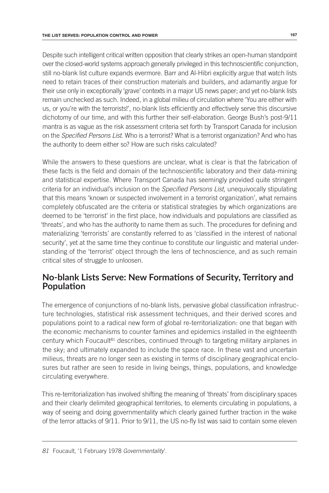Despite such intelligent critical written opposition that clearly strikes an open-human standpoint over the closed-world systems approach generally privileged in this technoscientific conjunction, still no-blank list culture expands evermore. Barr and Al-Hibri explicitly argue that watch lists need to retain traces of their construction materials and builders, and adamantly argue for their use only in exceptionally 'grave' contexts in a major US news paper; and yet no-blank lists remain unchecked as such. Indeed, in a global milieu of circulation where 'You are either with us, or you're with the terrorists!', no-blank lists efficiently and effectively serve this discursive dichotomy of our time, and with this further their self-elaboration. George Bush's post-9/11 mantra is as vague as the risk assessment criteria set forth by Transport Canada for inclusion on the *Specified Persons List*. Who is a terrorist? What is a terrorist organization? And who has the authority to deem either so? How are such risks calculated?

While the answers to these questions are unclear, what is clear is that the fabrication of these facts is the field and domain of the technoscientific laboratory and their data-mining and statistical expertise. Where Transport Canada has seemingly provided quite stringent criteria for an individual's inclusion on the *Specified Persons List*, unequivocally stipulating that this means 'known or suspected involvement in a terrorist organization', what remains completely obfuscated are the criteria or statistical strategies by which organizations are deemed to be 'terrorist' in the first place, how individuals and populations are classified as 'threats', and who has the authority to name them as such. The procedures for defining and materializing 'terrorists' are constantly referred to as 'classified in the interest of national security', yet at the same time they continue to constitute our linguistic and material understanding of the 'terrorist' object through the lens of technoscience, and as such remain critical sites of struggle to unloosen.

## **No-blank Lists Serve: New Formations of Security, Territory and Population**

The emergence of conjunctions of no-blank lists, pervasive global classification infrastructure technologies, statistical risk assessment techniques, and their derived scores and populations point to a radical new form of global re-territorialization: one that began with the economic mechanisms to counter famines and epidemics installed in the eighteenth century which Foucault<sup>81</sup> describes, continued through to targeting military airplanes in the sky; and ultimately expanded to include the space race. In these vast and uncertain milieus, threats are no longer seen as existing in terms of disciplinary geographical enclosures but rather are seen to reside in living beings, things, populations, and knowledge circulating everywhere.

This re-territorialization has involved shifting the meaning of 'threats' from disciplinary spaces and their clearly delimited geographical territories, to elements circulating in populations, a way of seeing and doing governmentality which clearly gained further traction in the wake of the terror attacks of 9/11. Prior to 9/11, the US no-fly list was said to contain some eleven

*<sup>81</sup>* Foucault, '1 February 1978 *Governmentality*'.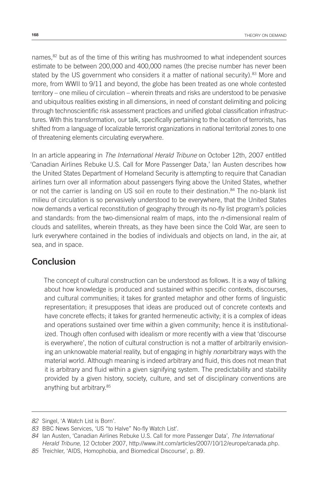names,<sup>82</sup> but as of the time of this writing has mushroomed to what independent sources estimate to be between 200,000 and 400,000 names (the precise number has never been stated by the US government who considers it a matter of national security).<sup>83</sup> More and more, from WWII to 9/11 and beyond, the globe has been treated as one whole contested territory – one milieu of circulation – wherein threats and risks are understood to be pervasive and ubiquitous realities existing in all dimensions, in need of constant delimiting and policing through technoscientific risk assessment practices and unified global classification infrastructures. With this transformation, our talk, specifically pertaining to the location of terrorists, has shifted from a language of localizable terrorist organizations in national territorial zones to one of threatening elements circulating everywhere.

In an article appearing in *The International Herald Tribune* on October 12th, 2007 entitled 'Canadian Airlines Rebuke U.S. Call for More Passenger Data,' Ian Austen describes how the United States Department of Homeland Security is attempting to require that Canadian airlines turn over all information about passengers flying above the United States, whether or not the carrier is landing on US soil en route to their destination.<sup>84</sup> The no-blank list milieu of circulation is so pervasively understood to be everywhere, that the United States now demands a vertical reconstitution of geography through its no-fly list program's policies and standards: from the two-dimensional realm of maps, into the *n*-dimensional realm of clouds and satellites, wherein threats, as they have been since the Cold War, are seen to lurk everywhere contained in the bodies of individuals and objects on land, in the air, at sea, and in space.

#### **Conclusion**

The concept of cultural construction can be understood as follows. It is a way of talking about how knowledge is produced and sustained within specific contexts, discourses, and cultural communities; it takes for granted metaphor and other forms of linguistic representation; it presupposes that ideas are produced out of concrete contexts and have concrete effects; it takes for granted hermeneutic activity; it is a complex of ideas and operations sustained over time within a given community; hence it is institutionalized. Though often confused with idealism or more recently with a view that 'discourse is everywhere', the notion of cultural construction is not a matter of arbitrarily envisioning an unknowable material reality, but of engaging in highly *non*arbitrary ways with the material world. Although meaning is indeed arbitrary and fluid, this does not mean that it is arbitrary and fluid within a given signifying system. The predictability and stability provided by a given history, society, culture, and set of disciplinary conventions are anything but arbitrary.85

*<sup>82</sup>* Singel, 'A Watch List is Born'.

*<sup>83</sup>* BBC News Services, 'US "to Halve" No-fly Watch List'.

*<sup>84</sup>* Ian Austen, 'Canadian Airlines Rebuke U.S. Call for more Passenger Data', *The International Herald Tribune*, 12 October 2007, http://www.iht.com/articles/2007/10/12/europe/canada.php.

*<sup>85</sup>* Treichler, 'AIDS, Homophobia, and Biomedical Discourse', p. 89.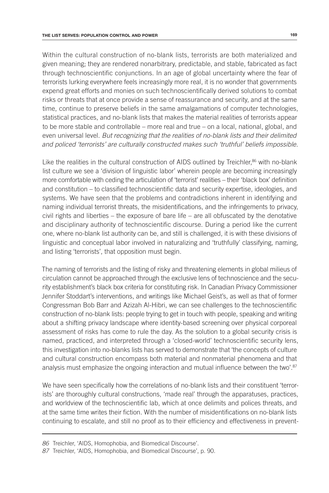Within the cultural construction of no-blank lists, terrorists are both materialized and given meaning; they are rendered nonarbitrary, predictable, and stable, fabricated as fact through technoscientific conjunctions. In an age of global uncertainty where the fear of terrorists lurking everywhere feels increasingly more real, it is no wonder that governments expend great efforts and monies on such technoscientifically derived solutions to combat risks or threats that at once provide a sense of reassurance and security, and at the same time, continue to preserve beliefs in the same amalgamations of computer technologies, statistical practices, and no-blank lists that makes the material realities of terrorists appear to be more stable and controllable – more real and true – on a local, national, global, and even universal level. *But recognizing that the realities of no-blank lists and their delimited and policed 'terrorists' are culturally constructed makes such 'truthful' beliefs impossible.*

Like the realities in the cultural construction of AIDS outlined by Treichler, $86$  with no-blank list culture we see a 'division of linguistic labor' wherein people are becoming increasingly more comfortable with ceding the articulation of 'terrorist' realities – their 'black box' definition and constitution – to classified technoscientific data and security expertise, ideologies, and systems. We have seen that the problems and contradictions inherent in identifying and naming individual terrorist threats, the misidentifications, and the infringements to privacy, civil rights and liberties – the exposure of bare life – are all obfuscated by the denotative and disciplinary authority of technoscientific discourse. During a period like the current one, where no-blank list authority can be, and still is challenged, it is with these divisions of linguistic and conceptual labor involved in naturalizing and 'truthfully' classifying, naming, and listing 'terrorists', that opposition must begin.

The naming of terrorists and the listing of risky and threatening elements in global milieus of circulation cannot be approached through the exclusive lens of technoscience and the security establishment's black box criteria for constituting risk. In Canadian Privacy Commissioner Jennifer Stoddart's interventions, and writings like Michael Geist's, as well as that of former Congressman Bob Barr and Azizah Al-Hibri, we can see challenges to the technoscientific construction of no-blank lists: people trying to get in touch with people, speaking and writing about a shifting privacy landscape where identity-based screening over physical corporeal assessment of risks has come to rule the day. As the solution to a global security crisis is named, practiced, and interpreted through a 'closed-world' technoscientific security lens, this investigation into no-blanks lists has served to demonstrate that 'the concepts of culture and cultural construction encompass both material and nonmaterial phenomena and that analysis must emphasize the ongoing interaction and mutual influence between the two'.87

We have seen specifically how the correlations of no-blank lists and their constituent 'terrorists' are thoroughly cultural constructions, 'made real' through the apparatuses, practices, and worldview of the technoscientific lab, which at once delimits and polices threats, and at the same time writes their fiction. With the number of misidentifications on no-blank lists continuing to escalate, and still no proof as to their efficiency and effectiveness in prevent-

*<sup>86</sup>* Treichler, 'AIDS, Homophobia, and Biomedical Discourse'.

*<sup>87</sup>* Treichler, 'AIDS, Homophobia, and Biomedical Discourse', p. 90.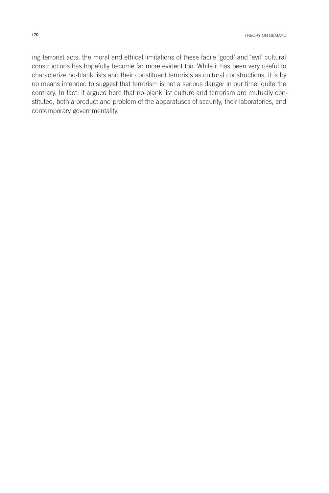ing terrorist acts, the moral and ethical limitations of these facile 'good' and 'evil' cultural constructions has hopefully become far more evident too. While it has been very useful to characterize no-blank lists and their constituent terrorists as cultural constructions, it is by no means intended to suggest that terrorism is not a serious danger in our time, quite the contrary. In fact, it argued here that no-blank list culture and terrorism are mutually constituted, both a product and problem of the apparatuses of security, their laboratories, and contemporary governmentality.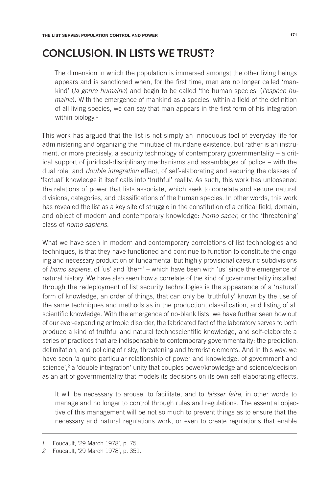# **CONCLUSION. IN LISTS WE TRUST?**

The dimension in which the population is immersed amongst the other living beings appears and is sanctioned when, for the first time, men are no longer called 'mankind' (*la genre humaine*) and begin to be called 'the human species' (*l'espèce humaine*). With the emergence of mankind as a species, within a field of the definition of all living species, we can say that man appears in the first form of his integration within biology. $1$ 

This work has argued that the list is not simply an innocuous tool of everyday life for administering and organizing the minutiae of mundane existence, but rather is an instrument, or more precisely, a security technology of contemporary governmentality – a critical support of juridical-disciplinary mechanisms and assemblages of police – with the dual role, and *double integration* effect, of self-elaborating and securing the classes of 'factual' knowledge it itself calls into 'truthful' reality. As such, this work has unloosened the relations of power that lists associate, which seek to correlate and secure natural divisions, categories, and classifications of the human species. In other words, this work has revealed the list as a key site of struggle in the constitution of a critical field, domain, and object of modern and contemporary knowledge: *homo sacer*, or the 'threatening' class of *homo sapiens*.

What we have seen in modern and contemporary correlations of list technologies and techniques, is that they have functioned and continue to function to constitute the ongoing and necessary production of fundamental but highly provisional caesuric subdivisions of *homo sapiens*, of 'us' and 'them' – which have been with 'us' since the emergence of natural history. We have also seen how a correlate of the kind of governmentality installed through the redeployment of list security technologies is the appearance of a 'natural' form of knowledge, an order of things, that can only be 'truthfully' known by the use of the same techniques and methods as in the production, classification, and listing of all scientific knowledge. With the emergence of no-blank lists, we have further seen how out of our ever-expanding entropic disorder, the fabricated fact of the laboratory serves to both produce a kind of truthful and natural technoscientific knowledge, and self-elaborate a series of practices that are indispensable to contemporary governmentality: the prediction, delimitation, and policing of risky, threatening and terrorist elements. And in this way, we have seen 'a quite particular relationship of power and knowledge, of government and science',<sup>2</sup> a 'double integration' unity that couples power/knowledge and science/decision as an art of governmentality that models its decisions on its own self-elaborating effects.

It will be necessary to arouse, to facilitate, and to *laisser faire*, in other words to manage and no longer to control through rules and regulations. The essential objective of this management will be not so much to prevent things as to ensure that the necessary and natural regulations work, or even to create regulations that enable

*<sup>1</sup>* Foucault, '29 March 1978', p. 75.

*<sup>2</sup>* Foucault, '29 March 1978', p. 351.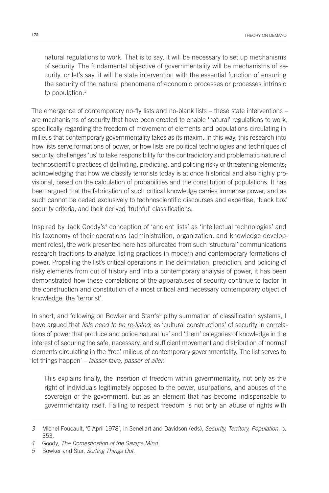natural regulations to work. That is to say, it will be necessary to set up mechanisms of security. The fundamental objective of governmentality will be mechanisms of security, or let's say, it will be state intervention with the essential function of ensuring the security of the natural phenomena of economic processes or processes intrinsic to population.3

The emergence of contemporary no-fly lists and no-blank lists – these state interventions – are mechanisms of security that have been created to enable 'natural' regulations to work, specifically regarding the freedom of movement of elements and populations circulating in milieus that contemporary governmentality takes as its maxim. In this way, this research into how lists serve formations of power, or how lists are political technologies and techniques of security, challenges 'us' to take responsibility for the contradictory and problematic nature of technoscientific practices of delimiting, predicting, and policing risky or threatening elements; acknowledging that how we classify terrorists today is at once historical and also highly provisional, based on the calculation of probabilities and the constitution of populations. It has been argued that the fabrication of such critical knowledge carries immense power, and as such cannot be ceded exclusively to technoscientific discourses and expertise, 'black box' security criteria, and their derived 'truthful' classifications.

Inspired by Jack Goody's<sup>4</sup> conception of 'ancient lists' as 'intellectual technologies' and his taxonomy of their operations (administration, organization, and knowledge development roles), the work presented here has bifurcated from such 'structural' communications research traditions to analyze listing practices in modern and contemporary formations of power. Propelling the list's critical operations in the delimitation, prediction, and policing of risky elements from out of history and into a contemporary analysis of power, it has been demonstrated how these correlations of the apparatuses of security continue to factor in the construction and constitution of a most critical and necessary contemporary object of knowledge: the 'terrorist'.

In short, and following on Bowker and Starr's<sup>5</sup> pithy summation of classification systems, I have argued that *lists need to be re-listed*; as 'cultural constructions' of security in correlations of power that produce and police natural 'us' and 'them' categories of knowledge in the interest of securing the safe, necessary, and sufficient movement and distribution of 'normal' elements circulating in the 'free' milieus of contemporary governmentality. The list serves to 'let things happen' – *laisser-faire, passer et aller*.

This explains finally, the insertion of freedom within governmentality, not only as the right of individuals legitimately opposed to the power, usurpations, and abuses of the sovereign or the government, but as an element that has become indispensable to governmentality itself. Failing to respect freedom is not only an abuse of rights with

*<sup>3</sup>* Michel Foucault, '5 April 1978', in Senellart and Davidson (eds), *Security, Territory, Population*, p. 353.

*<sup>4</sup>* Goody, *The Domestication of the Savage Mind*.

*<sup>5</sup>* Bowker and Star, *Sorting Things Out*.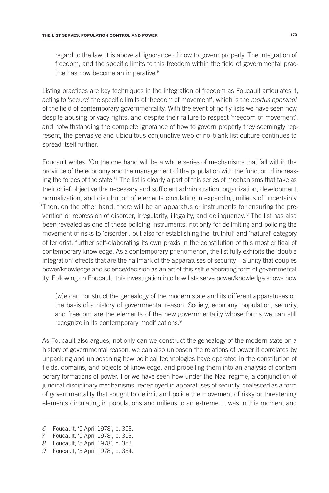regard to the law, it is above all ignorance of how to govern properly. The integration of freedom, and the specific limits to this freedom within the field of governmental practice has now become an imperative.<sup>6</sup>

Listing practices are key techniques in the integration of freedom as Foucault articulates it, acting to 'secure' the specific limits of 'freedom of movement', which is the *modus operandi* of the field of contemporary governmentality. With the event of no-fly lists we have seen how despite abusing privacy rights, and despite their failure to respect 'freedom of movement', and notwithstanding the complete ignorance of how to govern properly they seemingly represent, the pervasive and ubiquitous conjunctive web of no-blank list culture continues to spread itself further.

Foucault writes: 'On the one hand will be a whole series of mechanisms that fall within the province of the economy and the management of the population with the function of increasing the forces of the state.'7 The list is clearly a part of this series of mechanisms that take as their chief objective the necessary and sufficient administration, organization, development, normalization, and distribution of elements circulating in expanding milieus of uncertainty. 'Then, on the other hand, there will be an apparatus or instruments for ensuring the prevention or repression of disorder, irregularity, illegality, and delinquency.'8 The list has also been revealed as one of these policing instruments, not only for delimiting and policing the movement of risks to 'disorder', but also for establishing the 'truthful' and 'natural' category of terrorist, further self-elaborating its own praxis in the constitution of this most critical of contemporary knowledge. As a contemporary phenomenon, the list fully exhibits the 'double integration' effects that are the hallmark of the apparatuses of security – a unity that couples power/knowledge and science/decision as an art of this self-elaborating form of governmentality. Following on Foucault, this investigation into how lists serve power/knowledge shows how

[w]e can construct the genealogy of the modern state and its different apparatuses on the basis of a history of governmental reason. Society, economy, population, security, and freedom are the elements of the new governmentality whose forms we can still recognize in its contemporary modifications.9

As Foucault also argues, not only can we construct the genealogy of the modern state on a history of governmental reason, we can also unloosen the relations of power it correlates by unpacking and unloosening how political technologies have operated in the constitution of fields, domains, and objects of knowledge, and propelling them into an analysis of contemporary formations of power. For we have seen how under the Nazi regime, a conjunction of juridical-disciplinary mechanisms, redeployed in apparatuses of security, coalesced as a form of governmentality that sought to delimit and police the movement of risky or threatening elements circulating in populations and milieus to an extreme. It was in this moment and

*<sup>6</sup>* Foucault, '5 April 1978', p. 353.

*<sup>7</sup>* Foucault, '5 April 1978', p. 353.

*<sup>8</sup>* Foucault, '5 April 1978', p. 353.

*<sup>9</sup>* Foucault, '5 April 1978', p. 354.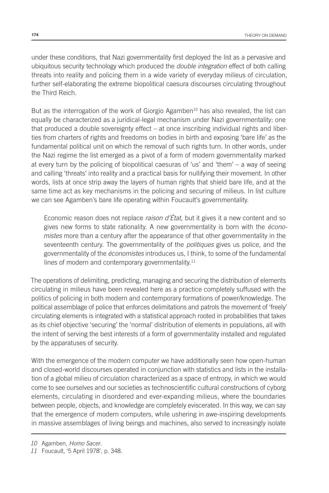under these conditions, that Nazi governmentality first deployed the list as a pervasive and ubiquitous security technology which produced the *double integration* effect of both calling threats into reality and policing them in a wide variety of everyday milieus of circulation, further self-elaborating the extreme biopolitical caesura discourses circulating throughout the Third Reich.

But as the interrogation of the work of Giorgio Agamben<sup>10</sup> has also revealed, the list can equally be characterized as a juridical-legal mechanism under Nazi governmentality: one that produced a double sovereignty effect – at once inscribing individual rights and liberties from charters of rights and freedoms on bodies in birth and exposing 'bare life' as the fundamental political unit on which the removal of such rights turn. In other words, under the Nazi regime the list emerged as a pivot of a form of modern governmentality marked at every turn by the policing of biopolitical caesuras of 'us' and 'them' – a way of seeing and calling 'threats' into reality and a practical basis for nullifying their movement. In other words, lists at once strip away the layers of human rights that shield bare life, and at the same time act as key mechanisms in the policing and securing of milieus. In list culture we can see Agamben's bare life operating within Foucault's governmentality.

Economic reason does not replace *raison d'État,* but it gives it a new content and so gives new forms to state rationality. A new governmentality is born with the *économistes* more than a century after the appearance of that other governmentality in the seventeenth century. The governmentality of the *politiques* gives us police, and the governmentality of the *économistes* introduces us, I think, to some of the fundamental lines of modern and contemporary governmentality.<sup>11</sup>

The operations of delimiting, predicting, managing and securing the distribution of elements circulating in milieus have been revealed here as a practice completely suffused with the politics of policing in both modern and contemporary formations of power/knowledge. The political assemblage of police that enforces delimitations and patrols the movement of 'freely' circulating elements is integrated with a statistical approach rooted in probabilities that takes as its chief objective 'securing' the 'normal' distribution of elements in populations, all with the intent of serving the best interests of a form of governmentality installed and regulated by the apparatuses of security.

With the emergence of the modern computer we have additionally seen how open-human and closed-world discourses operated in conjunction with statistics and lists in the installation of a global milieu of circulation characterized as a space of entropy, in which we would come to see ourselves and our societies as technoscientific cultural constructions of cyborg elements, circulating in disordered and ever-expanding milieus, where the boundaries between people, objects, and knowledge are completely eviscerated. In this way, we can say that the emergence of modern computers, while ushering in awe-inspiring developments in massive assemblages of living beings and machines, also served to increasingly isolate

*<sup>10</sup>* Agamben, *Homo Sacer*.

*<sup>11</sup>* Foucault, '5 April 1978', p. 348.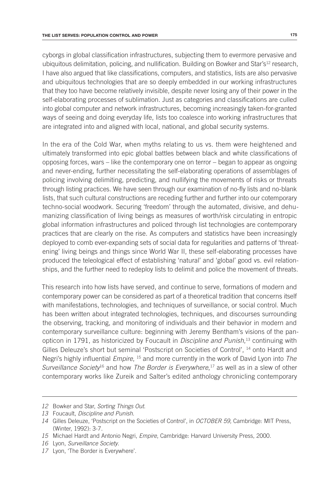cyborgs in global classification infrastructures, subjecting them to evermore pervasive and ubiquitous delimitation, policing, and nullification. Building on Bowker and Star's<sup>12</sup> research, I have also argued that like classifications, computers, and statistics, lists are also pervasive and ubiquitous technologies that are so deeply embedded in our working infrastructures that they too have become relatively invisible, despite never losing any of their power in the self-elaborating processes of sublimation. Just as categories and classifications are culled into global computer and network infrastructures, becoming increasingly taken-for-granted ways of seeing and doing everyday life, lists too coalesce into working infrastructures that are integrated into and aligned with local, national, and global security systems.

In the era of the Cold War, when myths relating to us vs. them were heightened and ultimately transformed into epic global battles between black and white classifications of opposing forces, wars – like the contemporary one on terror – began to appear as ongoing and never-ending, further necessitating the self-elaborating operations of assemblages of policing involving delimiting, predicting, and nullifying the movements of risks or threats through listing practices. We have seen through our examination of no-fly lists and no-blank lists, that such cultural constructions are receding further and further into our cotemporary techno-social woodwork. Securing 'freedom' through the automated, divisive, and dehumanizing classification of living beings as measures of worth/risk circulating in entropic global information infrastructures and policed through list technologies are contemporary practices that are clearly on the rise. As computers and statistics have been increasingly deployed to comb ever-expanding sets of social data for regularities and patterns of 'threatening' living beings and things since World War II, these self-elaborating processes have produced the teleological effect of establishing 'natural' and 'global' good vs. evil relationships, and the further need to redeploy lists to delimit and police the movement of threats.

This research into how lists have served, and continue to serve, formations of modern and contemporary power can be considered as part of a theoretical tradition that concerns itself with manifestations, technologies, and techniques of surveillance, or social control. Much has been written about integrated technologies, techniques, and discourses surrounding the observing, tracking, and monitoring of individuals and their behavior in modern and contemporary surveillance culture: beginning with Jeremy Bentham's visions of the panopticon in 1791, as historicized by Foucault in *Discipline and Punish*, 13 continuing with Gilles Deleuze's short but seminal 'Postscript on Societies of Control', 14 onto Hardt and Negri's highly influential *Empire*, 15 and more currently in the work of David Lyon into *The Surveillance Society*16 and how *The Border is Everywhere*, 17 as well as in a slew of other contemporary works like Zureik and Salter's edited anthology chronicling contemporary

*<sup>12</sup>* Bowker and Star, *Sorting Things Out*.

*<sup>13</sup>* Foucault, *Discipline and Punish*.

*<sup>14</sup>* Gilles Deleuze, 'Postscript on the Societies of Control', in *OCTOBER 59,* Cambridge: MIT Press, (Winter, 1992): 3-7.

*<sup>15</sup>* Michael Hardt and Antonio Negri, *Empire*, Cambridge: Harvard University Press, 2000.

*<sup>16</sup>* Lyon, *Surveillance Society*.

*<sup>17</sup>* Lyon, 'The Border is Everywhere'.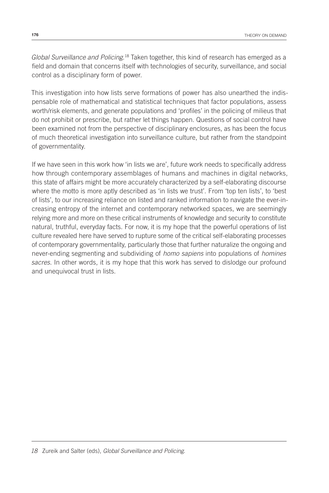Global Surveillance and Policing.<sup>18</sup> Taken together, this kind of research has emerged as a field and domain that concerns itself with technologies of security, surveillance, and social control as a disciplinary form of power.

This investigation into how lists serve formations of power has also unearthed the indispensable role of mathematical and statistical techniques that factor populations, assess worth/risk elements, and generate populations and 'profiles' in the policing of milieus that do not prohibit or prescribe, but rather let things happen. Questions of social control have been examined not from the perspective of disciplinary enclosures, as has been the focus of much theoretical investigation into surveillance culture, but rather from the standpoint of governmentality.

If we have seen in this work how 'in lists we are', future work needs to specifically address how through contemporary assemblages of humans and machines in digital networks, this state of affairs might be more accurately characterized by a self-elaborating discourse where the motto is more aptly described as 'in lists we trust'. From 'top ten lists', to 'best of lists', to our increasing reliance on listed and ranked information to navigate the ever-increasing entropy of the internet and contemporary networked spaces, we are seemingly relying more and more on these critical instruments of knowledge and security to constitute natural, truthful, everyday facts. For now, it is my hope that the powerful operations of list culture revealed here have served to rupture some of the critical self-elaborating processes of contemporary governmentality, particularly those that further naturalize the ongoing and never-ending segmenting and subdividing of *homo sapiens* into populations of *homines sacres*. In other words, it is my hope that this work has served to dislodge our profound and unequivocal trust in lists.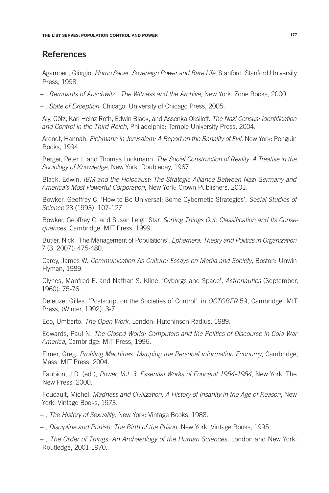#### **References**

Agamben, Giorgio. *Homo Sacer: Sovereign Power and Bare Life*, Stanford: Stanford University Press, 1998.

– . *Remnants of Auschwitz : The Witness and the Archive*, New York: Zone Books, 2000.

– . *State of Exception*, Chicago: University of Chicago Press, 2005.

Aly, Götz, Karl Heinz Roth, Edwin Black, and Assenka Oksiloff. *The Nazi Census: Identification and Control in the Third Reich*, Philadelphia: Temple University Press, 2004.

Arendt, Hannah. *Eichmann in Jerusalem: A Report on the Banality of Evil*, New York: Penguin Books, 1994.

Berger, Peter L. and Thomas Luckmann. *The Social Construction of Reality: A Treatise in the Sociology of Knowledge*, New York: Doubleday, 1967.

Black, Edwin. *IBM and the Holocaust: The Strategic Alliance Between Nazi Germany and America's Most Powerful Corporation*, New York: Crown Publishers, 2001.

Bowker, Geoffrey C. 'How to Be Universal: Some Cybernetic Strategies', *Social Studies of Science* 23 (1993): 107-127.

Bowker, Geoffrey C. and Susan Leigh Star. *Sorting Things Out: Classification and Its Consequences*, Cambridge: MIT Press, 1999.

Butler, Nick. 'The Management of Populations', *Ephemera: Theory and Politics in Organization* 7 (3, 2007): 475-480.

Carey, James W. *Communication As Culture: Essays on Media and Society*, Boston: Unwin Hyman, 1989.

Clynes, Manfred E. and Nathan S. Kline. 'Cyborgs and Space', *Astronautics* (September, 1960): 75-76.

Deleuze, Gilles. 'Postscript on the Societies of Control', in *OCTOBER* 59, Cambridge: MIT Press, (Winter, 1992): 3-7.

Eco, Umberto. *The Open Work*, London: Hutchinson Radius, 1989.

Edwards, Paul N. *The Closed World: Computers and the Politics of Discourse in Cold War America*, Cambridge: MIT Press, 1996.

Elmer, Greg. *Profiling Machines: Mapping the Personal information Economy*, Cambridge, Mass: MIT Press, 2004.

Faubion, J.D. (ed.), *Power, Vol. 3, Essential Works of Foucault 1954-1984*, New York: The New Press, 2000.

Foucault, Michel. *Madness and Civilization; A History of Insanity in the Age of Reason*, New York: Vintage Books, 1973.

– , *The History of Sexuality*, New York: Vintage Books, 1988.

– , *Discipline and Punish: The Birth of the Prison*, New York: Vintage Books, 1995.

– , *The Order of Things: An Archaeology of the Human Sciences*, London and New York: Routledge, 2001:1970.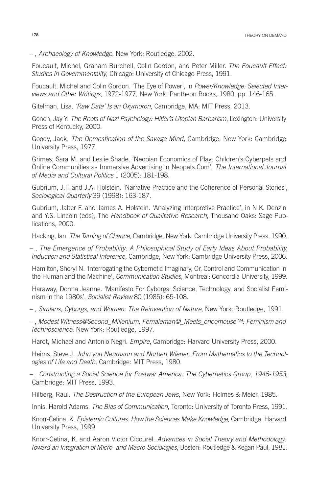– , *Archaeology of Knowledge*, New York: Routledge, 2002.

Foucault, Michel, Graham Burchell, Colin Gordon, and Peter Miller. *The Foucault Effect: Studies in Governmentality*, Chicago: University of Chicago Press, 1991.

Foucault, Michel and Colin Gordon. 'The Eye of Power', in *Power/Knowledge: Selected Interviews and Other Writings*, 1972-1977, New York: Pantheon Books, 1980, pp. 146-165.

Gitelman, Lisa. *'Raw Data' Is an Oxymoron*, Cambridge, MA: MIT Press, 2013.

Gonen, Jay Y. *The Roots of Nazi Psychology: Hitler's Utopian Barbarism*, Lexington: University Press of Kentucky, 2000.

Goody, Jack. *The Domestication of the Savage Mind*, Cambridge, New York: Cambridge University Press, 1977.

Grimes, Sara M. and Leslie Shade. 'Neopian Economics of Play: Children's Cyberpets and Online Communities as Immersive Advertising in Neopets.Com', *The International Journal of Media and Cultural Politics* 1 (2005): 181-198.

Gubrium, J.F. and J.A. Holstein. 'Narrative Practice and the Coherence of Personal Stories', *Sociological Quarterly* 39 (1998): 163-187.

Gubrium, Jaber F. and James A. Holstein. 'Analyzing Interpretive Practice', in N.K. Denzin and Y.S. Lincoln (eds), The *Handbook of Qualitative Research*, Thousand Oaks: Sage Publications, 2000.

Hacking, Ian. *The Taming of Chance*, Cambridge, New York: Cambridge University Press, 1990.

– , *The Emergence of Probability: A Philosophical Study of Early Ideas About Probability, Induction and Statistical Inference*, Cambridge, New York: Cambridge University Press, 2006.

Hamilton, Sheryl N. 'Interrogating the Cybernetic Imaginary, Or, Control and Communication in the Human and the Machine', *Communication Studies*, Montreal: Concordia University, 1999.

Haraway, Donna Jeanne. 'Manifesto For Cyborgs: Science, Technology, and Socialist Feminism in the 1980s', *Socialist Review* 80 (1985): 65-108.

– , *Simians, Cyborgs, and Women: The Reinvention of Nature*, New York: Routledge, 1991.

– , *Modest Witness@Second\_Millenium, Femaleman©\_Meets\_oncomouse™: Feminism and Technoscience*, New York: Routledge, 1997.

Hardt, Michael and Antonio Negri. *Empire*, Cambridge: Harvard University Press, 2000.

Heims, Steve J. *John von Neumann and Norbert Wiener: From Mathematics to the Technologies of Life and Death*, Cambridge: MIT Press, 1980.

– , *Constructing a Social Science for Postwar America: The Cybernetics Group, 1946-1953*, Cambridge: MIT Press, 1993.

Hilberg, Raul. *The Destruction of the European Jews*, New York: Holmes & Meier, 1985.

Innis, Harold Adams, *The Bias of Communication*, Toronto: University of Toronto Press, 1991.

Knorr-Cetina, K. *Epistemic Cultures: How the Sciences Make Knowledge*, Cambridge: Harvard University Press, 1999.

Knorr-Cetina, K. and Aaron Victor Cicourel. *Advances in Social Theory and Methodology: Toward an Integration of Micro- and Macro-Sociologies*, Boston: Routledge & Kegan Paul, 1981.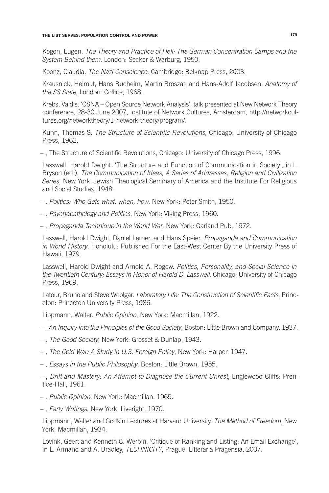Kogon, Eugen. *The Theory and Practice of Hell: The German Concentration Camps and the System Behind them*, London: Secker & Warburg, 1950.

Koonz, Claudia. *The Nazi Conscience*, Cambridge: Belknap Press, 2003.

Krausnick, Helmut, Hans Bucheim, Martin Broszat, and Hans-Adolf Jacobsen. *Anatomy of the SS State*, London: Collins, 1968.

Krebs, Valdis. 'OSNA – Open Source Network Analysis', talk presented at New Network Theory conference, 28-30 June 2007, Institute of Network Cultures, Amsterdam, http://networkcultures.org/networktheory/1-network-theory/program/.

Kuhn, Thomas S. *The Structure of Scientific Revolutions*, Chicago: University of Chicago Press, 1962.

– , The Structure of Scientific Revolutions, Chicago: University of Chicago Press, 1996.

Lasswell, Harold Dwight, 'The Structure and Function of Communication in Society', in L. Bryson (ed.), *The Communication of Ideas, A Series of Addresses, Religion and Civilization Series*, New York: Jewish Theological Seminary of America and the Institute For Religious and Social Studies, 1948.

- , *Politics: Who Gets what, when, how*, New York: Peter Smith, 1950.
- , *Psychopathology and Politics*, New York: Viking Press, 1960.
- , *Propaganda Technique in the World War*, New York: Garland Pub, 1972.

Lasswell, Harold Dwight, Daniel Lerner, and Hans Speier. *Propaganda and Communication in World History*, Honolulu: Published For the East-West Center By the University Press of Hawaii, 1979.

Lasswell, Harold Dwight and Arnold A. Rogow. *Politics, Personality, and Social Science in the Twentieth Century; Essays in Honor of Harold D. Lasswell*, Chicago: University of Chicago Press, 1969.

Latour, Bruno and Steve Woolgar. *Laboratory Life: The Construction of Scientific Facts*, Princeton: Princeton University Press, 1986.

Lippmann, Walter. *Public Opinion*, New York: Macmillan, 1922.

- , *An Inquiry into the Principles of the Good Society*, Boston: Little Brown and Company, 1937.
- , *The Good Society*, New York: Grosset & Dunlap, 1943.
- , *The Cold War: A Study in U.S. Foreign Policy*, New York: Harper, 1947.
- , *Essays in the Public Philosophy*, Boston: Little Brown, 1955.
- , *Drift and Mastery; An Attempt to Diagnose the Current Unrest*, Englewood Cliffs: Prentice-Hall, 1961.
- , *Public Opinion*, New York: Macmillan, 1965.
- , *Early Writings*, New York: Liveright, 1970.

Lippmann, Walter and Godkin Lectures at Harvard University. *The Method of Freedom*, New York: Macmillan, 1934.

Lovink, Geert and Kenneth C. Werbin. 'Critique of Ranking and Listing: An Email Exchange', in L. Armand and A. Bradley, *TECHNICITY*, Prague: Litteraria Pragensia, 2007.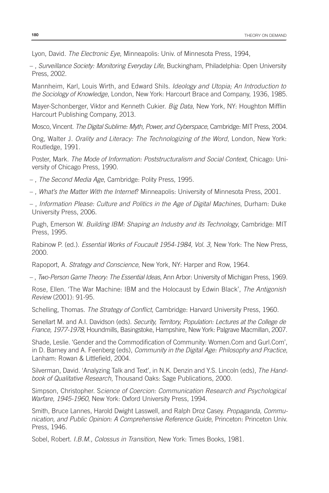Lyon, David. *The Electronic Eye*, Minneapolis: Univ. of Minnesota Press, 1994,

– , *Surveillance Society: Monitoring Everyday Life*, Buckingham, Philadelphia: Open University Press, 2002.

Mannheim, Karl, Louis Wirth, and Edward Shils. *Ideology and Utopia; An Introduction to the Sociology of Knowledge*, London, New York: Harcourt Brace and Company, 1936, 1985.

Mayer-Schonberger, Viktor and Kenneth Cukier. *Big Data*, New York, NY: Houghton Mifflin Harcourt Publishing Company, 2013.

Mosco, Vincent. *The Digital Sublime: Myth, Power, and Cyberspace*, Cambridge: MIT Press, 2004.

Ong, Walter J. *Orality and Literacy: The Technologizing of the Word*, London, New York: Routledge, 1991.

Poster, Mark. *The Mode of Information: Poststructuralism and Social Context*, Chicago: University of Chicago Press, 1990.

– , *The Second Media Age*, Cambridge: Polity Press, 1995.

– , *What's the Matter With the Internet*? Minneapolis: University of Minnesota Press, 2001.

– , *Information Please: Culture and Politics in the Age of Digital Machines*, Durham: Duke University Press, 2006.

Pugh, Emerson W. *Building IBM: Shaping an Industry and its Technology*, Cambridge: MIT Press, 1995.

Rabinow P. (ed.). *Essential Works of Foucault 1954-1984, Vol. 3*, New York: The New Press, 2000.

Rapoport, A. *Strategy and Conscience*, New York, NY: Harper and Row, 1964.

– , *Two-Person Game Theory: The Essential Ideas*, Ann Arbor: University of Michigan Press, 1969.

Rose, Ellen. 'The War Machine: IBM and the Holocaust by Edwin Black', *The Antigonish Review* (2001): 91-95.

Schelling, Thomas. *The Strategy of Conflict*, Cambridge: Harvard University Press, 1960.

Senellart M. and A.I. Davidson (eds). *Security, Territory, Population: Lectures at the College de France, 1977-1978*, Houndmills, Basingstoke, Hampshire, New York: Palgrave Macmillan, 2007.

Shade, Leslie. 'Gender and the Commodification of Community: Women.Com and Gurl.Com', in D. Barney and A. Feenberg (eds), *Community in the Digital Age: Philosophy and Practice*, Lanham: Rowan & Littlefield, 2004.

Silverman, David. 'Analyzing Talk and Text', in N.K. Denzin and Y.S. Lincoln (eds), *The Handbook of Qualitative Research*, Thousand Oaks: Sage Publications, 2000.

Simpson, Christopher. S*cience of Coercion: Communication Research and Psychological Warfare, 1945-1960*, New York: Oxford University Press, 1994.

Smith, Bruce Lannes, Harold Dwight Lasswell, and Ralph Droz Casey. *Propaganda, Communication, and Public Opinion: A Comprehensive Reference Guide*, Princeton: Princeton Univ. Press, 1946.

Sobel, Robert. *I.B.M., Colossus in Transition*, New York: Times Books, 1981.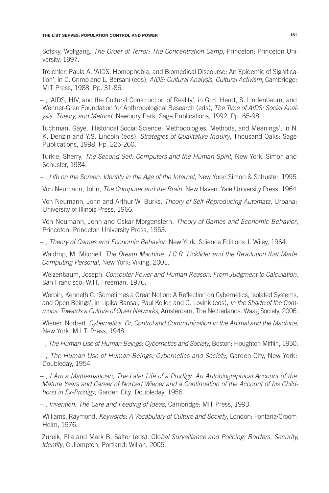Sofsky, Wolfgang. *The Order of Terror: The Concentration Camp*, Princeton: Princeton University, 1997.

Treichler, Paula A. 'AIDS, Homophobia, and Biomedical Discourse: An Epidemic of Signification', in D. Crimp and L. Bersani (eds), *AIDS: Cultural Analysis, Cultural Activism*, Cambridge: MIT Press, 1988, Pp. 31-86.

– , 'AIDS, HIV, and the Cultural Construction of Reality', in G.H. Herdt, S. Lindenbaum, and Wenner-Gren Foundation for Anthropological Research (eds), *The Time of AIDS: Social Analysis, Theory, and Method*, Newbury Park: Sage Publications, 1992, Pp. 65-98.

Tuchman, Gaye. 'Historical Social Science: Methodologies, Methods, and Meanings', in N. K. Denzin and Y.S. Lincoln (eds), *Strategies of Qualitative Inquiry*, Thousand Oaks: Sage Publications, 1998, Pp. 225-260.

Turkle, Sherry. *The Second Self: Computers and the Human Spirit*, New York: Simon and Schuster, 1984.

– , *Life on the Screen: Identity in the Age of the Internet*, New York: Simon & Schuster, 1995.

Von Neumann, John, *The Computer and the Brain*, New Haven: Yale University Press, 1964.

Von Neumann, John and Arthur W. Burks. *Theory of Self-Reproducing Automata*, Urbana: University of Illinois Press, 1966.

Von Neumann, John and Oskar Morgenstern. *Theory of Games and Economic Behavior*, Princeton: Princeton University Press, 1953.

– , *Theory of Games and Economic Behavior*, New York: Science Editions J. Wiley, 1964.

Waldrop, M. Mitchell. *The Dream Machine: J.C.R. Licklider and the Revolution that Made Computing Personal*, New York: Viking, 2001.

Weizenbaum, Joseph. *Computer Power and Human Reason: From Judgment to Calculation*, San Francisco: W.H. Freeman, 1976.

Werbin, Kenneth C. 'Sometimes a Great Notion: A Reflection on Cybernetics, Isolated Systems, and Open Beings', in Lipika Bansal, Paul Keller, and G. Lovink (eds), *In the Shade of the Commons: Towards a Culture of Open Networks*, Amsterdam, The Netherlands: Waag Society, 2006.

Wiener, Norbert. *Cybernetics, Or, Control and Communication in the Animal and the Machine*, New York: M.I.T. Press, 1948.

– , *The Human Use of Human Beings; Cybernetics and Society*, Boston: Houghton Mifflin, 1950.

– , *The Human Use of Human Beings: Cybernetics and Society*, Garden City, New York: Doubleday, 1954.

– , *I Am a Mathematician, The Later Life of a Prodigy: An Autobiographical Account of the Mature Years and Career of Norbert Wiener and a Continuation of the Account of his Childhood in Ex-Prodigy*, Garden City: Doubleday, 1956.

– , *Invention: The Care and Feeding of Ideas*, Cambridge: MIT Press, 1993.

Williams, Raymond. *Keywords: A Vocabulary of Culture and Society*, London: Fontana/Croom Helm, 1976.

Zureik, Elia and Mark B. Salter (eds). Glo*bal Surveillance and Policing: Borders, Security, Identity*, Cullompton, Portland: Willan, 2005.